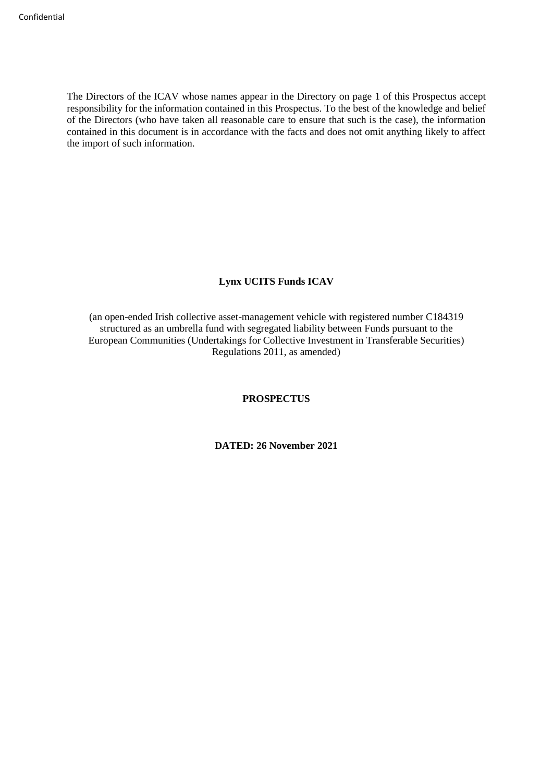The Directors of the ICAV whose names appear in the Directory on page 1 of this Prospectus accept responsibility for the information contained in this Prospectus. To the best of the knowledge and belief of the Directors (who have taken all reasonable care to ensure that such is the case), the information contained in this document is in accordance with the facts and does not omit anything likely to affect the import of such information.

# **Lynx UCITS Funds ICAV**

(an open-ended Irish collective asset-management vehicle with registered number C184319 structured as an umbrella fund with segregated liability between Funds pursuant to the European Communities (Undertakings for Collective Investment in Transferable Securities) Regulations 2011, as amended)

#### **PROSPECTUS**

**DATED: 26 November 2021**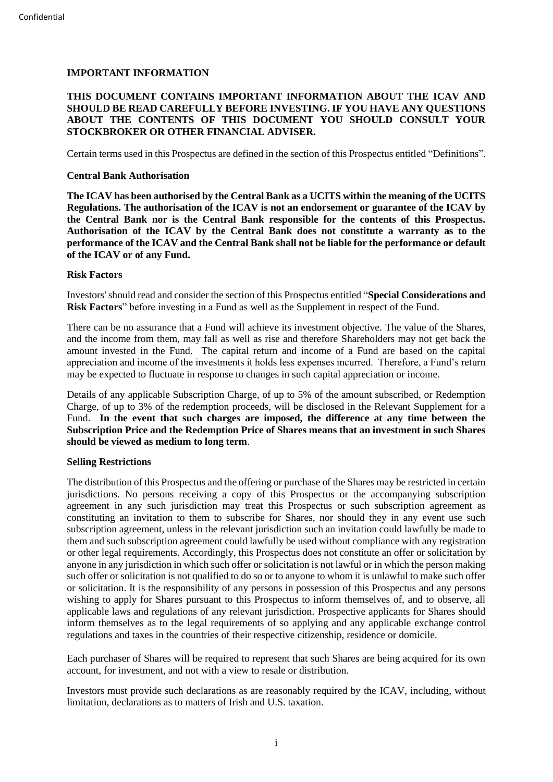# <span id="page-1-0"></span>**IMPORTANT INFORMATION**

# **THIS DOCUMENT CONTAINS IMPORTANT INFORMATION ABOUT THE ICAV AND SHOULD BE READ CAREFULLY BEFORE INVESTING. IF YOU HAVE ANY QUESTIONS ABOUT THE CONTENTS OF THIS DOCUMENT YOU SHOULD CONSULT YOUR STOCKBROKER OR OTHER FINANCIAL ADVISER.**

Certain terms used in this Prospectus are defined in the section of this Prospectus entitled "Definitions".

# **Central Bank Authorisation**

**The ICAV has been authorised by the Central Bank as a UCITS within the meaning of the UCITS Regulations. The authorisation of the ICAV is not an endorsement or guarantee of the ICAV by the Central Bank nor is the Central Bank responsible for the contents of this Prospectus. Authorisation of the ICAV by the Central Bank does not constitute a warranty as to the performance of the ICAV and the Central Bank shall not be liable for the performance or default of the ICAV or of any Fund.**

# **Risk Factors**

Investors' should read and consider the section of this Prospectus entitled "**Special Considerations and Risk Factors**" before investing in a Fund as well as the Supplement in respect of the Fund.

There can be no assurance that a Fund will achieve its investment objective. The value of the Shares, and the income from them, may fall as well as rise and therefore Shareholders may not get back the amount invested in the Fund. The capital return and income of a Fund are based on the capital appreciation and income of the investments it holds less expenses incurred. Therefore, a Fund's return may be expected to fluctuate in response to changes in such capital appreciation or income.

Details of any applicable Subscription Charge, of up to 5% of the amount subscribed, or Redemption Charge, of up to 3% of the redemption proceeds, will be disclosed in the Relevant Supplement for a Fund. **In the event that such charges are imposed, the difference at any time between the Subscription Price and the Redemption Price of Shares means that an investment in such Shares should be viewed as medium to long term**.

# **Selling Restrictions**

The distribution of this Prospectus and the offering or purchase of the Shares may be restricted in certain jurisdictions. No persons receiving a copy of this Prospectus or the accompanying subscription agreement in any such jurisdiction may treat this Prospectus or such subscription agreement as constituting an invitation to them to subscribe for Shares, nor should they in any event use such subscription agreement, unless in the relevant jurisdiction such an invitation could lawfully be made to them and such subscription agreement could lawfully be used without compliance with any registration or other legal requirements. Accordingly, this Prospectus does not constitute an offer or solicitation by anyone in any jurisdiction in which such offer or solicitation is not lawful or in which the person making such offer or solicitation is not qualified to do so or to anyone to whom it is unlawful to make such offer or solicitation. It is the responsibility of any persons in possession of this Prospectus and any persons wishing to apply for Shares pursuant to this Prospectus to inform themselves of, and to observe, all applicable laws and regulations of any relevant jurisdiction. Prospective applicants for Shares should inform themselves as to the legal requirements of so applying and any applicable exchange control regulations and taxes in the countries of their respective citizenship, residence or domicile.

Each purchaser of Shares will be required to represent that such Shares are being acquired for its own account, for investment, and not with a view to resale or distribution.

Investors must provide such declarations as are reasonably required by the ICAV, including, without limitation, declarations as to matters of Irish and U.S. taxation.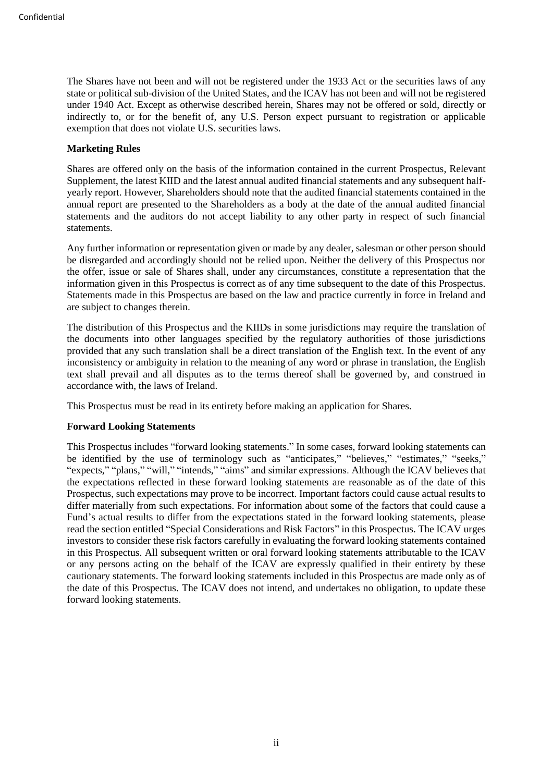The Shares have not been and will not be registered under the 1933 Act or the securities laws of any state or political sub-division of the United States, and the ICAV has not been and will not be registered under 1940 Act. Except as otherwise described herein, Shares may not be offered or sold, directly or indirectly to, or for the benefit of, any U.S. Person expect pursuant to registration or applicable exemption that does not violate U.S. securities laws.

# **Marketing Rules**

Shares are offered only on the basis of the information contained in the current Prospectus, Relevant Supplement, the latest KIID and the latest annual audited financial statements and any subsequent halfyearly report. However, Shareholders should note that the audited financial statements contained in the annual report are presented to the Shareholders as a body at the date of the annual audited financial statements and the auditors do not accept liability to any other party in respect of such financial statements.

Any further information or representation given or made by any dealer, salesman or other person should be disregarded and accordingly should not be relied upon. Neither the delivery of this Prospectus nor the offer, issue or sale of Shares shall, under any circumstances, constitute a representation that the information given in this Prospectus is correct as of any time subsequent to the date of this Prospectus. Statements made in this Prospectus are based on the law and practice currently in force in Ireland and are subject to changes therein.

The distribution of this Prospectus and the KIIDs in some jurisdictions may require the translation of the documents into other languages specified by the regulatory authorities of those jurisdictions provided that any such translation shall be a direct translation of the English text. In the event of any inconsistency or ambiguity in relation to the meaning of any word or phrase in translation, the English text shall prevail and all disputes as to the terms thereof shall be governed by, and construed in accordance with, the laws of Ireland.

This Prospectus must be read in its entirety before making an application for Shares.

# **Forward Looking Statements**

This Prospectus includes "forward looking statements." In some cases, forward looking statements can be identified by the use of terminology such as "anticipates," "believes," "estimates," "seeks," "expects," "plans," "will," "intends," "aims" and similar expressions. Although the ICAV believes that the expectations reflected in these forward looking statements are reasonable as of the date of this Prospectus, such expectations may prove to be incorrect. Important factors could cause actual results to differ materially from such expectations. For information about some of the factors that could cause a Fund's actual results to differ from the expectations stated in the forward looking statements, please read the section entitled "Special Considerations and Risk Factors" in this Prospectus. The ICAV urges investors to consider these risk factors carefully in evaluating the forward looking statements contained in this Prospectus. All subsequent written or oral forward looking statements attributable to the ICAV or any persons acting on the behalf of the ICAV are expressly qualified in their entirety by these cautionary statements. The forward looking statements included in this Prospectus are made only as of the date of this Prospectus. The ICAV does not intend, and undertakes no obligation, to update these forward looking statements.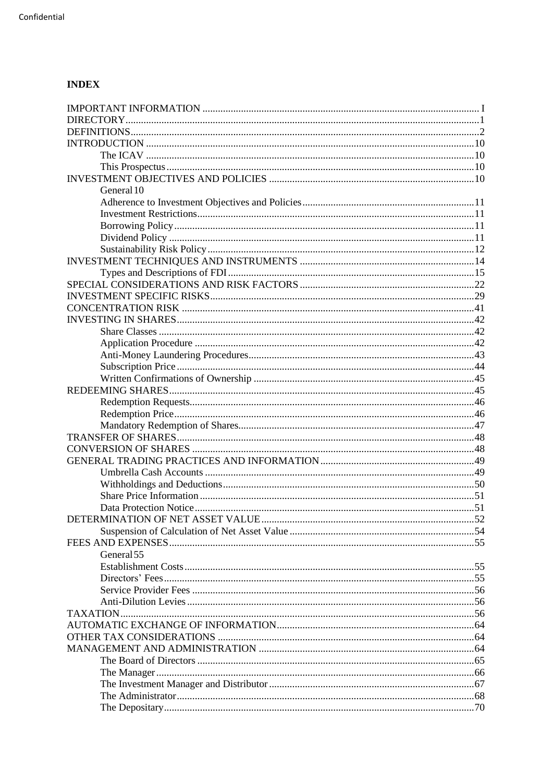# **INDEX**

| General 10 |  |
|------------|--|
|            |  |
|            |  |
|            |  |
|            |  |
|            |  |
|            |  |
|            |  |
|            |  |
|            |  |
|            |  |
|            |  |
|            |  |
|            |  |
|            |  |
|            |  |
|            |  |
|            |  |
|            |  |
|            |  |
|            |  |
|            |  |
|            |  |
|            |  |
|            |  |
|            |  |
|            |  |
|            |  |
|            |  |
|            |  |
|            |  |
| General 55 |  |
|            |  |
|            |  |
|            |  |
| TAXATION   |  |
|            |  |
|            |  |
|            |  |
|            |  |
|            |  |
|            |  |
|            |  |
|            |  |
|            |  |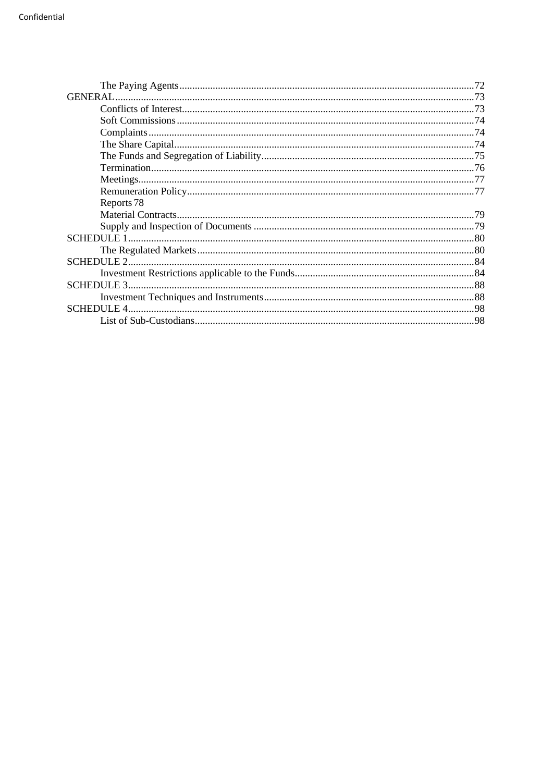| Reports 78 |  |
|------------|--|
|            |  |
|            |  |
|            |  |
|            |  |
|            |  |
|            |  |
| SCHEDULE3  |  |
|            |  |
|            |  |
|            |  |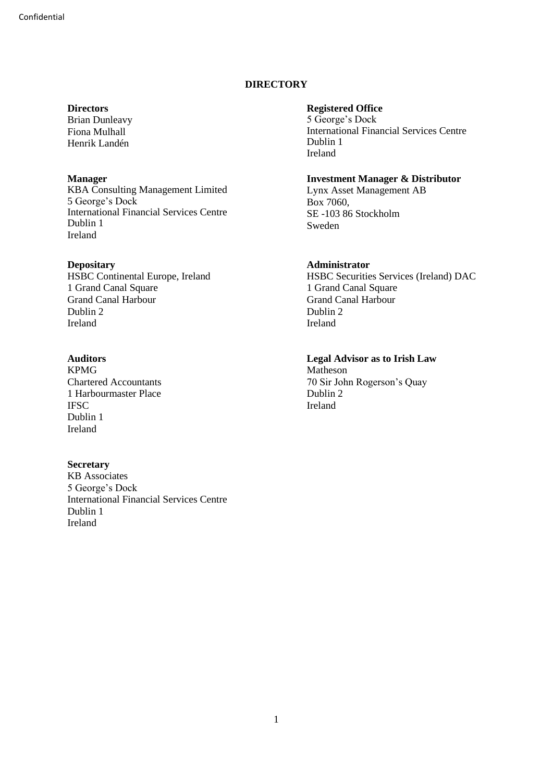# **DIRECTORY**

# <span id="page-5-0"></span>**Directors**

Brian Dunleavy Fiona Mulhall Henrik Landén

# **Manager**

KBA Consulting Management Limited 5 George's Dock International Financial Services Centre Dublin 1 Ireland

# **Depositary**

HSBC Continental Europe, Ireland 1 Grand Canal Square Grand Canal Harbour Dublin 2 Ireland

# **Auditors**

KPMG Chartered Accountants 1 Harbourmaster Place IFSC Dublin 1 Ireland

# **Secretary**

KB Associates 5 George's Dock International Financial Services Centre Dublin 1 Ireland

# **Registered Office**

5 George's Dock International Financial Services Centre Dublin 1 Ireland

# **Investment Manager & Distributor**

Lynx Asset Management AB Box 7060, SE -103 86 Stockholm Sweden

# **Administrator**

HSBC Securities Services (Ireland) DAC 1 Grand Canal Square Grand Canal Harbour Dublin 2 Ireland

**Legal Advisor as to Irish Law** Matheson 70 Sir John Rogerson's Quay Dublin 2 Ireland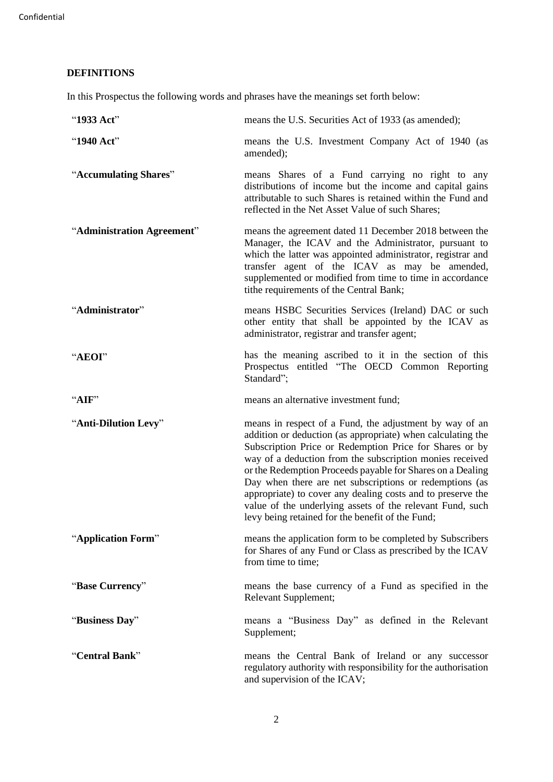# <span id="page-6-0"></span>**DEFINITIONS**

In this Prospectus the following words and phrases have the meanings set forth below:

| "1933 Act"                 | means the U.S. Securities Act of 1933 (as amended);                                                                                                                                                                                                                                                                                                                                                                                                                                                                                                    |
|----------------------------|--------------------------------------------------------------------------------------------------------------------------------------------------------------------------------------------------------------------------------------------------------------------------------------------------------------------------------------------------------------------------------------------------------------------------------------------------------------------------------------------------------------------------------------------------------|
| "1940 Act"                 | means the U.S. Investment Company Act of 1940 (as<br>amended);                                                                                                                                                                                                                                                                                                                                                                                                                                                                                         |
| "Accumulating Shares"      | means Shares of a Fund carrying no right to any<br>distributions of income but the income and capital gains<br>attributable to such Shares is retained within the Fund and<br>reflected in the Net Asset Value of such Shares;                                                                                                                                                                                                                                                                                                                         |
| "Administration Agreement" | means the agreement dated 11 December 2018 between the<br>Manager, the ICAV and the Administrator, pursuant to<br>which the latter was appointed administrator, registrar and<br>transfer agent of the ICAV as may be amended,<br>supplemented or modified from time to time in accordance<br>tithe requirements of the Central Bank;                                                                                                                                                                                                                  |
| "Administrator"            | means HSBC Securities Services (Ireland) DAC or such<br>other entity that shall be appointed by the ICAV as<br>administrator, registrar and transfer agent;                                                                                                                                                                                                                                                                                                                                                                                            |
| "AEOI"                     | has the meaning ascribed to it in the section of this<br>Prospectus entitled "The OECD Common Reporting<br>Standard";                                                                                                                                                                                                                                                                                                                                                                                                                                  |
| "AIF"                      | means an alternative investment fund;                                                                                                                                                                                                                                                                                                                                                                                                                                                                                                                  |
| "Anti-Dilution Levy"       | means in respect of a Fund, the adjustment by way of an<br>addition or deduction (as appropriate) when calculating the<br>Subscription Price or Redemption Price for Shares or by<br>way of a deduction from the subscription monies received<br>or the Redemption Proceeds payable for Shares on a Dealing<br>Day when there are net subscriptions or redemptions (as<br>appropriate) to cover any dealing costs and to preserve the<br>value of the underlying assets of the relevant Fund, such<br>levy being retained for the benefit of the Fund; |
| "Application Form"         | means the application form to be completed by Subscribers<br>for Shares of any Fund or Class as prescribed by the ICAV<br>from time to time;                                                                                                                                                                                                                                                                                                                                                                                                           |
| "Base Currency"            | means the base currency of a Fund as specified in the<br>Relevant Supplement;                                                                                                                                                                                                                                                                                                                                                                                                                                                                          |
| "Business Day"             | means a "Business Day" as defined in the Relevant<br>Supplement;                                                                                                                                                                                                                                                                                                                                                                                                                                                                                       |
| "Central Bank"             | means the Central Bank of Ireland or any successor<br>regulatory authority with responsibility for the authorisation<br>and supervision of the ICAV;                                                                                                                                                                                                                                                                                                                                                                                                   |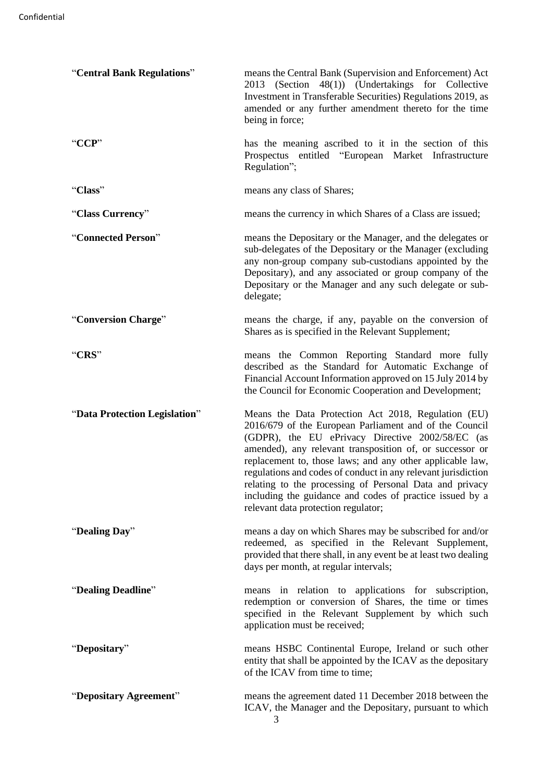| "Central Bank Regulations"    | means the Central Bank (Supervision and Enforcement) Act<br>2013 (Section 48(1)) (Undertakings for Collective<br>Investment in Transferable Securities) Regulations 2019, as<br>amended or any further amendment thereto for the time<br>being in force;                                                                                                                                                                                                                                                                  |
|-------------------------------|---------------------------------------------------------------------------------------------------------------------------------------------------------------------------------------------------------------------------------------------------------------------------------------------------------------------------------------------------------------------------------------------------------------------------------------------------------------------------------------------------------------------------|
| "CCP"                         | has the meaning ascribed to it in the section of this<br>Prospectus entitled "European Market Infrastructure<br>Regulation";                                                                                                                                                                                                                                                                                                                                                                                              |
| "Class"                       | means any class of Shares;                                                                                                                                                                                                                                                                                                                                                                                                                                                                                                |
| "Class Currency"              | means the currency in which Shares of a Class are issued;                                                                                                                                                                                                                                                                                                                                                                                                                                                                 |
| "Connected Person"            | means the Depositary or the Manager, and the delegates or<br>sub-delegates of the Depositary or the Manager (excluding<br>any non-group company sub-custodians appointed by the<br>Depositary), and any associated or group company of the<br>Depositary or the Manager and any such delegate or sub-<br>delegate;                                                                                                                                                                                                        |
| "Conversion Charge"           | means the charge, if any, payable on the conversion of<br>Shares as is specified in the Relevant Supplement;                                                                                                                                                                                                                                                                                                                                                                                                              |
| "CRS"                         | means the Common Reporting Standard more fully<br>described as the Standard for Automatic Exchange of<br>Financial Account Information approved on 15 July 2014 by<br>the Council for Economic Cooperation and Development;                                                                                                                                                                                                                                                                                               |
| "Data Protection Legislation" | Means the Data Protection Act 2018, Regulation (EU)<br>2016/679 of the European Parliament and of the Council<br>(GDPR), the EU ePrivacy Directive 2002/58/EC (as<br>amended), any relevant transposition of, or successor or<br>replacement to, those laws; and any other applicable law,<br>regulations and codes of conduct in any relevant jurisdiction<br>relating to the processing of Personal Data and privacy<br>including the guidance and codes of practice issued by a<br>relevant data protection regulator; |
| "Dealing Day"                 | means a day on which Shares may be subscribed for and/or<br>redeemed, as specified in the Relevant Supplement,<br>provided that there shall, in any event be at least two dealing<br>days per month, at regular intervals;                                                                                                                                                                                                                                                                                                |
| "Dealing Deadline"            | means in relation to applications for subscription,<br>redemption or conversion of Shares, the time or times<br>specified in the Relevant Supplement by which such<br>application must be received;                                                                                                                                                                                                                                                                                                                       |
| "Depositary"                  | means HSBC Continental Europe, Ireland or such other<br>entity that shall be appointed by the ICAV as the depositary<br>of the ICAV from time to time;                                                                                                                                                                                                                                                                                                                                                                    |
| "Depositary Agreement"        | means the agreement dated 11 December 2018 between the<br>ICAV, the Manager and the Depositary, pursuant to which<br>3                                                                                                                                                                                                                                                                                                                                                                                                    |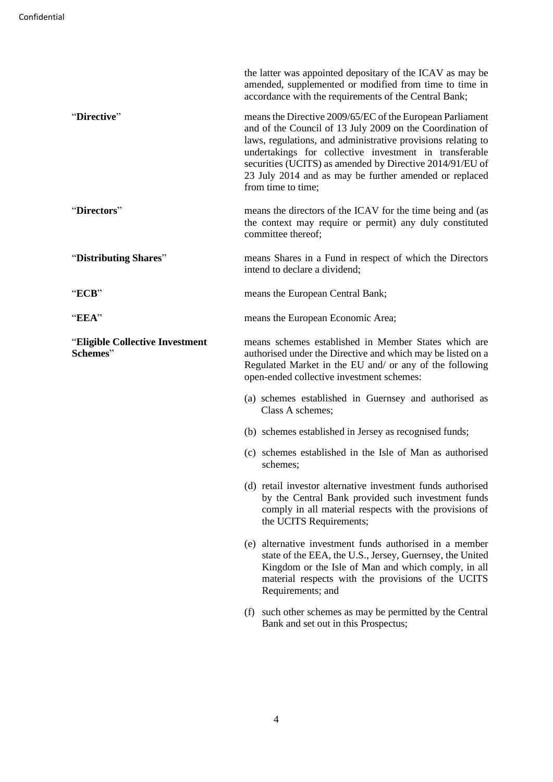|                                             | the latter was appointed depositary of the ICAV as may be<br>amended, supplemented or modified from time to time in<br>accordance with the requirements of the Central Bank;                                                                                                                                                                                                                 |
|---------------------------------------------|----------------------------------------------------------------------------------------------------------------------------------------------------------------------------------------------------------------------------------------------------------------------------------------------------------------------------------------------------------------------------------------------|
| "Directive"                                 | means the Directive 2009/65/EC of the European Parliament<br>and of the Council of 13 July 2009 on the Coordination of<br>laws, regulations, and administrative provisions relating to<br>undertakings for collective investment in transferable<br>securities (UCITS) as amended by Directive 2014/91/EU of<br>23 July 2014 and as may be further amended or replaced<br>from time to time; |
| "Directors"                                 | means the directors of the ICAV for the time being and (as<br>the context may require or permit) any duly constituted<br>committee thereof;                                                                                                                                                                                                                                                  |
| "Distributing Shares"                       | means Shares in a Fund in respect of which the Directors<br>intend to declare a dividend;                                                                                                                                                                                                                                                                                                    |
| "ECB"                                       | means the European Central Bank;                                                                                                                                                                                                                                                                                                                                                             |
| "EEA"                                       | means the European Economic Area;                                                                                                                                                                                                                                                                                                                                                            |
| "Eligible Collective Investment<br>Schemes" | means schemes established in Member States which are<br>authorised under the Directive and which may be listed on a<br>Regulated Market in the EU and/ or any of the following<br>open-ended collective investment schemes:                                                                                                                                                                  |
|                                             | (a) schemes established in Guernsey and authorised as<br>Class A schemes;                                                                                                                                                                                                                                                                                                                    |
|                                             | (b) schemes established in Jersey as recognised funds;                                                                                                                                                                                                                                                                                                                                       |
|                                             | (c) schemes established in the Isle of Man as authorised<br>schemes;                                                                                                                                                                                                                                                                                                                         |
|                                             | (d) retail investor alternative investment funds authorised<br>by the Central Bank provided such investment funds<br>comply in all material respects with the provisions of<br>the UCITS Requirements;                                                                                                                                                                                       |
|                                             | (e) alternative investment funds authorised in a member<br>state of the EEA, the U.S., Jersey, Guernsey, the United<br>Kingdom or the Isle of Man and which comply, in all<br>material respects with the provisions of the UCITS<br>Requirements; and                                                                                                                                        |
|                                             | (f) such other schemes as may be permitted by the Central<br>Bank and set out in this Prospectus;                                                                                                                                                                                                                                                                                            |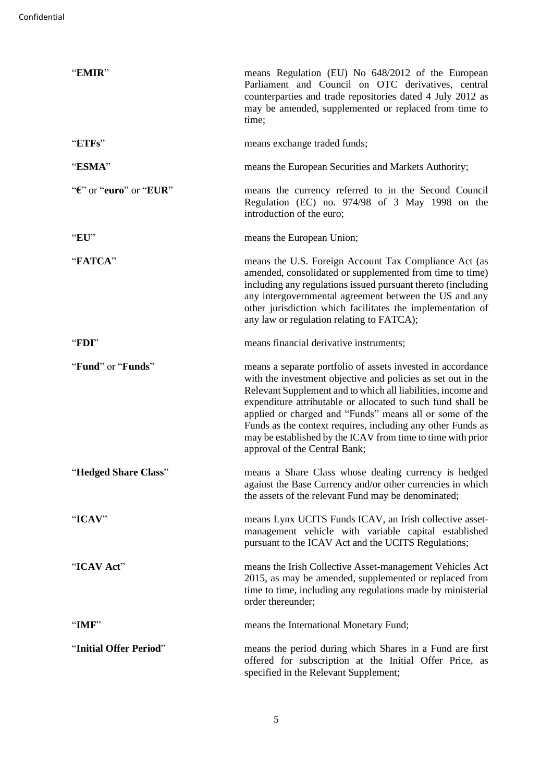| "EMIR"                              | means Regulation (EU) No 648/2012 of the European<br>Parliament and Council on OTC derivatives, central<br>counterparties and trade repositories dated 4 July 2012 as<br>may be amended, supplemented or replaced from time to<br>time;                                                                                                                                                                                                                                              |
|-------------------------------------|--------------------------------------------------------------------------------------------------------------------------------------------------------------------------------------------------------------------------------------------------------------------------------------------------------------------------------------------------------------------------------------------------------------------------------------------------------------------------------------|
| "ETFs"                              | means exchange traded funds;                                                                                                                                                                                                                                                                                                                                                                                                                                                         |
| "ESMA"                              | means the European Securities and Markets Authority;                                                                                                                                                                                                                                                                                                                                                                                                                                 |
| " $\mathbf{E}$ " or "euro" or "EUR" | means the currency referred to in the Second Council<br>Regulation (EC) no. 974/98 of 3 May 1998 on the<br>introduction of the euro;                                                                                                                                                                                                                                                                                                                                                 |
| "EU"                                | means the European Union;                                                                                                                                                                                                                                                                                                                                                                                                                                                            |
| "FATCA"                             | means the U.S. Foreign Account Tax Compliance Act (as<br>amended, consolidated or supplemented from time to time)<br>including any regulations issued pursuant thereto (including<br>any intergovernmental agreement between the US and any<br>other jurisdiction which facilitates the implementation of<br>any law or regulation relating to FATCA);                                                                                                                               |
| "FDI"                               | means financial derivative instruments;                                                                                                                                                                                                                                                                                                                                                                                                                                              |
| "Fund" or "Funds"                   | means a separate portfolio of assets invested in accordance<br>with the investment objective and policies as set out in the<br>Relevant Supplement and to which all liabilities, income and<br>expenditure attributable or allocated to such fund shall be<br>applied or charged and "Funds" means all or some of the<br>Funds as the context requires, including any other Funds as<br>may be established by the ICAV from time to time with prior<br>approval of the Central Bank; |
| "Hedged Share Class"                | means a Share Class whose dealing currency is hedged<br>against the Base Currency and/or other currencies in which<br>the assets of the relevant Fund may be denominated;                                                                                                                                                                                                                                                                                                            |
| "ICAV"                              | means Lynx UCITS Funds ICAV, an Irish collective asset-<br>management vehicle with variable capital established<br>pursuant to the ICAV Act and the UCITS Regulations;                                                                                                                                                                                                                                                                                                               |
| "ICAV Act"                          | means the Irish Collective Asset-management Vehicles Act<br>2015, as may be amended, supplemented or replaced from<br>time to time, including any regulations made by ministerial<br>order thereunder;                                                                                                                                                                                                                                                                               |
| "IMF"                               | means the International Monetary Fund;                                                                                                                                                                                                                                                                                                                                                                                                                                               |
| "Initial Offer Period"              | means the period during which Shares in a Fund are first<br>offered for subscription at the Initial Offer Price, as<br>specified in the Relevant Supplement;                                                                                                                                                                                                                                                                                                                         |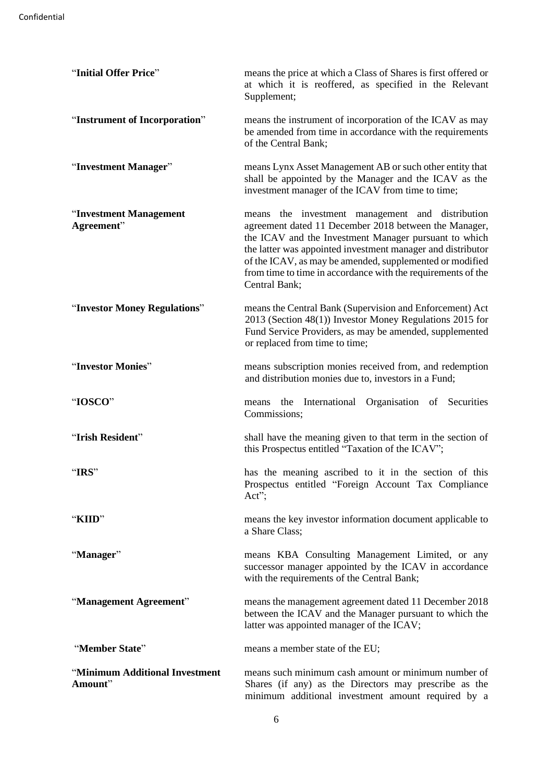| "Initial Offer Price"                     | means the price at which a Class of Shares is first offered or<br>at which it is reoffered, as specified in the Relevant<br>Supplement;                                                                                                                                                                                                                                        |
|-------------------------------------------|--------------------------------------------------------------------------------------------------------------------------------------------------------------------------------------------------------------------------------------------------------------------------------------------------------------------------------------------------------------------------------|
| "Instrument of Incorporation"             | means the instrument of incorporation of the ICAV as may<br>be amended from time in accordance with the requirements<br>of the Central Bank;                                                                                                                                                                                                                                   |
| "Investment Manager"                      | means Lynx Asset Management AB or such other entity that<br>shall be appointed by the Manager and the ICAV as the<br>investment manager of the ICAV from time to time;                                                                                                                                                                                                         |
| "Investment Management<br>Agreement"      | means the investment management and distribution<br>agreement dated 11 December 2018 between the Manager,<br>the ICAV and the Investment Manager pursuant to which<br>the latter was appointed investment manager and distributor<br>of the ICAV, as may be amended, supplemented or modified<br>from time to time in accordance with the requirements of the<br>Central Bank; |
| "Investor Money Regulations"              | means the Central Bank (Supervision and Enforcement) Act<br>2013 (Section 48(1)) Investor Money Regulations 2015 for<br>Fund Service Providers, as may be amended, supplemented<br>or replaced from time to time;                                                                                                                                                              |
| "Investor Monies"                         | means subscription monies received from, and redemption<br>and distribution monies due to, investors in a Fund;                                                                                                                                                                                                                                                                |
| "IOSCO"                                   | International<br>Organisation of Securities<br>the<br>means<br>Commissions;                                                                                                                                                                                                                                                                                                    |
| "Irish Resident"                          | shall have the meaning given to that term in the section of<br>this Prospectus entitled "Taxation of the ICAV";                                                                                                                                                                                                                                                                |
| "IRS"                                     | has the meaning ascribed to it in the section of this<br>Prospectus entitled "Foreign Account Tax Compliance"<br>$Act$ ";                                                                                                                                                                                                                                                      |
| "KIID"                                    | means the key investor information document applicable to<br>a Share Class;                                                                                                                                                                                                                                                                                                    |
| "Manager"                                 | means KBA Consulting Management Limited, or any<br>successor manager appointed by the ICAV in accordance<br>with the requirements of the Central Bank;                                                                                                                                                                                                                         |
| "Management Agreement"                    | means the management agreement dated 11 December 2018<br>between the ICAV and the Manager pursuant to which the<br>latter was appointed manager of the ICAV;                                                                                                                                                                                                                   |
| "Member State"                            | means a member state of the EU;                                                                                                                                                                                                                                                                                                                                                |
| "Minimum Additional Investment<br>Amount" | means such minimum cash amount or minimum number of<br>Shares (if any) as the Directors may prescribe as the<br>minimum additional investment amount required by a                                                                                                                                                                                                             |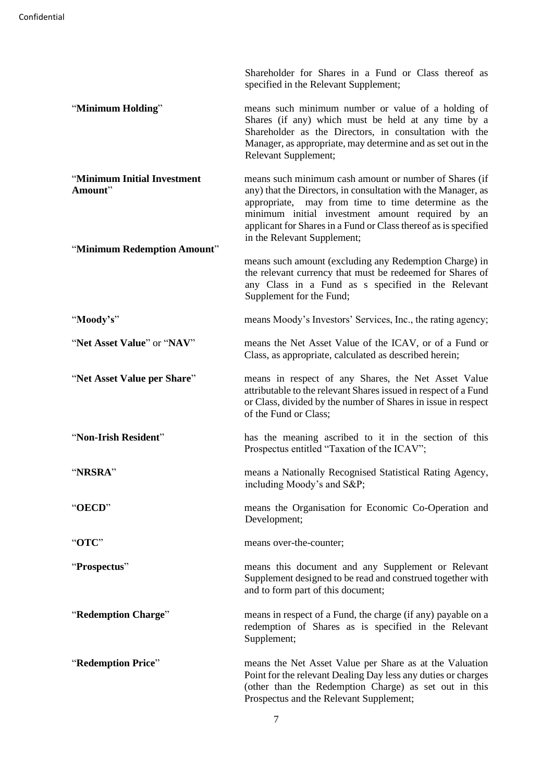Shareholder for Shares in a Fund or Class thereof as specified in the Relevant Supplement;

- "**Minimum Holding**" means such minimum number or value of a holding of Shares (if any) which must be held at any time by a Shareholder as the Directors, in consultation with the Manager, as appropriate, may determine and as set out in the Relevant Supplement;
- "**Minimum Initial Investment Amount**" "**Minimum Redemption Amount**" means such minimum cash amount or number of Shares (if any) that the Directors, in consultation with the Manager, as appropriate, may from time to time determine as the minimum initial investment amount required by an applicant for Shares in a Fund or Class thereof as is specified in the Relevant Supplement;
- means such amount (excluding any Redemption Charge) in the relevant currency that must be redeemed for Shares of any Class in a Fund as s specified in the Relevant Supplement for the Fund;
- "**Moody's**" means Moody's Investors' Services, Inc., the rating agency;
- "**Net Asset Value**" or "**NAV**" means the Net Asset Value of the ICAV, or of a Fund or Class, as appropriate, calculated as described herein;
- "**Net Asset Value per Share**" means in respect of any Shares, the Net Asset Value attributable to the relevant Shares issued in respect of a Fund or Class, divided by the number of Shares in issue in respect of the Fund or Class;
- "**Non-Irish Resident**" has the meaning ascribed to it in the section of this Prospectus entitled "Taxation of the ICAV";
- "**NRSRA**" means a Nationally Recognised Statistical Rating Agency, including Moody's and S&P;
- "**OECD**" means the Organisation for Economic Co-Operation and Development;
- "**OTC**" means over-the-counter;
- "**Prospectus**" means this document and any Supplement or Relevant Supplement designed to be read and construed together with and to form part of this document;
- "**Redemption Charge**" means in respect of a Fund, the charge (if any) payable on a redemption of Shares as is specified in the Relevant Supplement;
- "**Redemption Price**" means the Net Asset Value per Share as at the Valuation Point for the relevant Dealing Day less any duties or charges (other than the Redemption Charge) as set out in this Prospectus and the Relevant Supplement;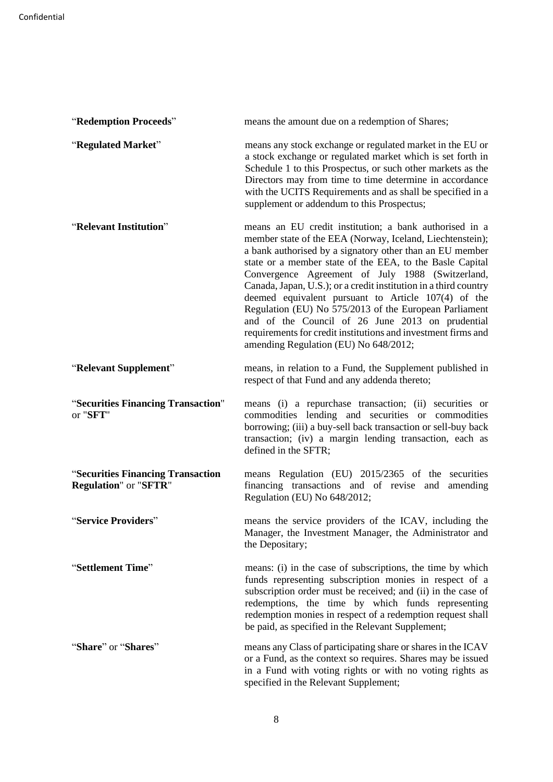| "Redemption Proceeds"                                             | means the amount due on a redemption of Shares;                                                                                                                                                                                                                                                                                                                                                                                                                                                                                                                                                                                                    |
|-------------------------------------------------------------------|----------------------------------------------------------------------------------------------------------------------------------------------------------------------------------------------------------------------------------------------------------------------------------------------------------------------------------------------------------------------------------------------------------------------------------------------------------------------------------------------------------------------------------------------------------------------------------------------------------------------------------------------------|
| "Regulated Market"                                                | means any stock exchange or regulated market in the EU or<br>a stock exchange or regulated market which is set forth in<br>Schedule 1 to this Prospectus, or such other markets as the<br>Directors may from time to time determine in accordance<br>with the UCITS Requirements and as shall be specified in a<br>supplement or addendum to this Prospectus;                                                                                                                                                                                                                                                                                      |
| "Relevant Institution"                                            | means an EU credit institution; a bank authorised in a<br>member state of the EEA (Norway, Iceland, Liechtenstein);<br>a bank authorised by a signatory other than an EU member<br>state or a member state of the EEA, to the Basle Capital<br>Convergence Agreement of July 1988 (Switzerland,<br>Canada, Japan, U.S.); or a credit institution in a third country<br>deemed equivalent pursuant to Article 107(4) of the<br>Regulation (EU) No 575/2013 of the European Parliament<br>and of the Council of 26 June 2013 on prudential<br>requirements for credit institutions and investment firms and<br>amending Regulation (EU) No 648/2012; |
| "Relevant Supplement"                                             | means, in relation to a Fund, the Supplement published in<br>respect of that Fund and any addenda thereto;                                                                                                                                                                                                                                                                                                                                                                                                                                                                                                                                         |
| "Securities Financing Transaction"<br>or "SFT"                    | means (i) a repurchase transaction; (ii) securities or<br>commodities lending and securities or commodities<br>borrowing; (iii) a buy-sell back transaction or sell-buy back<br>transaction; (iv) a margin lending transaction, each as<br>defined in the SFTR;                                                                                                                                                                                                                                                                                                                                                                                    |
| "Securities Financing Transaction<br><b>Regulation"</b> or "SFTR" | means Regulation (EU) 2015/2365 of the securities<br>financing transactions and of revise and amending<br>Regulation (EU) No 648/2012;                                                                                                                                                                                                                                                                                                                                                                                                                                                                                                             |
| "Service Providers"                                               | means the service providers of the ICAV, including the<br>Manager, the Investment Manager, the Administrator and<br>the Depositary;                                                                                                                                                                                                                                                                                                                                                                                                                                                                                                                |
| "Settlement Time"                                                 | means: (i) in the case of subscriptions, the time by which<br>funds representing subscription monies in respect of a<br>subscription order must be received; and (ii) in the case of<br>redemptions, the time by which funds representing<br>redemption monies in respect of a redemption request shall<br>be paid, as specified in the Relevant Supplement;                                                                                                                                                                                                                                                                                       |
| "Share" or "Shares"                                               | means any Class of participating share or shares in the ICAV<br>or a Fund, as the context so requires. Shares may be issued<br>in a Fund with voting rights or with no voting rights as<br>specified in the Relevant Supplement;                                                                                                                                                                                                                                                                                                                                                                                                                   |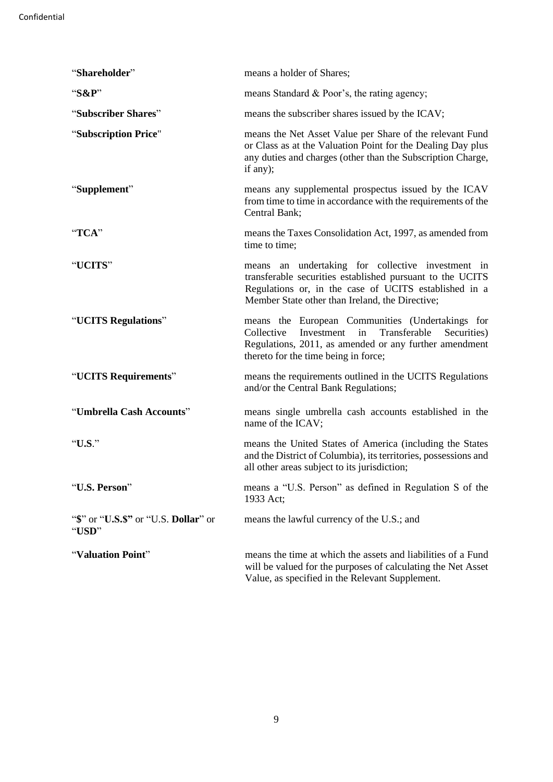| "Shareholder"                                 | means a holder of Shares;                                                                                                                                                                                                  |
|-----------------------------------------------|----------------------------------------------------------------------------------------------------------------------------------------------------------------------------------------------------------------------------|
| "S&P"                                         | means Standard & Poor's, the rating agency;                                                                                                                                                                                |
| "Subscriber Shares"                           | means the subscriber shares issued by the ICAV;                                                                                                                                                                            |
| "Subscription Price"                          | means the Net Asset Value per Share of the relevant Fund<br>or Class as at the Valuation Point for the Dealing Day plus<br>any duties and charges (other than the Subscription Charge,<br>if any);                         |
| "Supplement"                                  | means any supplemental prospectus issued by the ICAV<br>from time to time in accordance with the requirements of the<br>Central Bank;                                                                                      |
| "TCA"                                         | means the Taxes Consolidation Act, 1997, as amended from<br>time to time;                                                                                                                                                  |
| "UCITS"                                       | means an undertaking for collective investment in<br>transferable securities established pursuant to the UCITS<br>Regulations or, in the case of UCITS established in a<br>Member State other than Ireland, the Directive; |
| "UCITS Regulations"                           | means the European Communities (Undertakings for<br>Transferable<br>Collective<br>Investment<br>Securities)<br>in<br>Regulations, 2011, as amended or any further amendment<br>thereto for the time being in force;        |
| "UCITS Requirements"                          | means the requirements outlined in the UCITS Regulations<br>and/or the Central Bank Regulations;                                                                                                                           |
| "Umbrella Cash Accounts"                      | means single umbrella cash accounts established in the<br>name of the ICAV;                                                                                                                                                |
| "U.S."                                        | means the United States of America (including the States<br>and the District of Columbia), its territories, possessions and<br>all other areas subject to its jurisdiction;                                                |
| "U.S. Person"                                 | means a "U.S. Person" as defined in Regulation S of the<br>1933 Act;                                                                                                                                                       |
| "\$" or "U.S.\$" or "U.S. Dollar" or<br>"USD" | means the lawful currency of the U.S.; and                                                                                                                                                                                 |
| "Valuation Point"                             | means the time at which the assets and liabilities of a Fund<br>will be valued for the purposes of calculating the Net Asset<br>Value, as specified in the Relevant Supplement.                                            |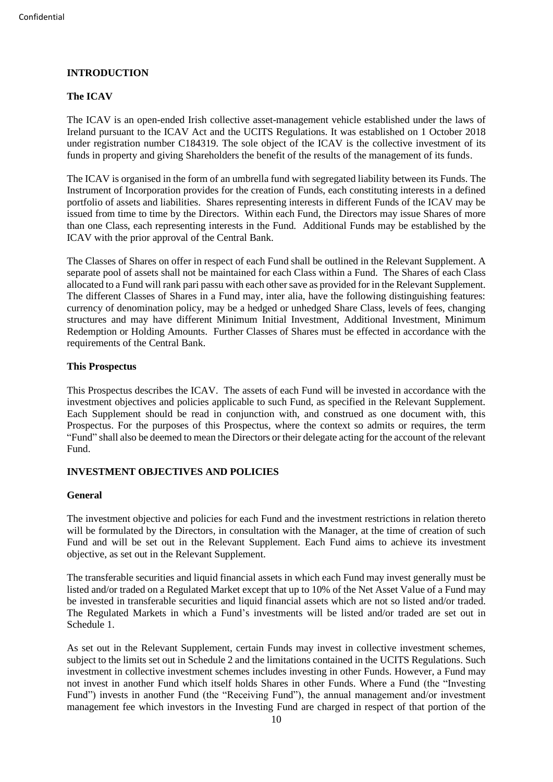# <span id="page-14-0"></span>**INTRODUCTION**

# <span id="page-14-1"></span>**The ICAV**

The ICAV is an open-ended Irish collective asset-management vehicle established under the laws of Ireland pursuant to the ICAV Act and the UCITS Regulations. It was established on 1 October 2018 under registration number C184319. The sole object of the ICAV is the collective investment of its funds in property and giving Shareholders the benefit of the results of the management of its funds.

The ICAV is organised in the form of an umbrella fund with segregated liability between its Funds. The Instrument of Incorporation provides for the creation of Funds, each constituting interests in a defined portfolio of assets and liabilities. Shares representing interests in different Funds of the ICAV may be issued from time to time by the Directors. Within each Fund, the Directors may issue Shares of more than one Class, each representing interests in the Fund. Additional Funds may be established by the ICAV with the prior approval of the Central Bank.

The Classes of Shares on offer in respect of each Fund shall be outlined in the Relevant Supplement. A separate pool of assets shall not be maintained for each Class within a Fund. The Shares of each Class allocated to a Fund will rank pari passu with each other save as provided for in the Relevant Supplement. The different Classes of Shares in a Fund may, inter alia, have the following distinguishing features: currency of denomination policy, may be a hedged or unhedged Share Class, levels of fees, changing structures and may have different Minimum Initial Investment, Additional Investment, Minimum Redemption or Holding Amounts. Further Classes of Shares must be effected in accordance with the requirements of the Central Bank.

#### <span id="page-14-2"></span>**This Prospectus**

This Prospectus describes the ICAV. The assets of each Fund will be invested in accordance with the investment objectives and policies applicable to such Fund, as specified in the Relevant Supplement. Each Supplement should be read in conjunction with, and construed as one document with, this Prospectus. For the purposes of this Prospectus, where the context so admits or requires, the term "Fund" shall also be deemed to mean the Directors or their delegate acting for the account of the relevant Fund.

# <span id="page-14-3"></span>**INVESTMENT OBJECTIVES AND POLICIES**

#### <span id="page-14-4"></span>**General**

The investment objective and policies for each Fund and the investment restrictions in relation thereto will be formulated by the Directors, in consultation with the Manager, at the time of creation of such Fund and will be set out in the Relevant Supplement. Each Fund aims to achieve its investment objective, as set out in the Relevant Supplement.

The transferable securities and liquid financial assets in which each Fund may invest generally must be listed and/or traded on a Regulated Market except that up to 10% of the Net Asset Value of a Fund may be invested in transferable securities and liquid financial assets which are not so listed and/or traded. The Regulated Markets in which a Fund's investments will be listed and/or traded are set out in Schedule 1.

As set out in the Relevant Supplement, certain Funds may invest in collective investment schemes, subject to the limits set out in Schedule 2 and the limitations contained in the UCITS Regulations. Such investment in collective investment schemes includes investing in other Funds. However, a Fund may not invest in another Fund which itself holds Shares in other Funds. Where a Fund (the "Investing Fund") invests in another Fund (the "Receiving Fund"), the annual management and/or investment management fee which investors in the Investing Fund are charged in respect of that portion of the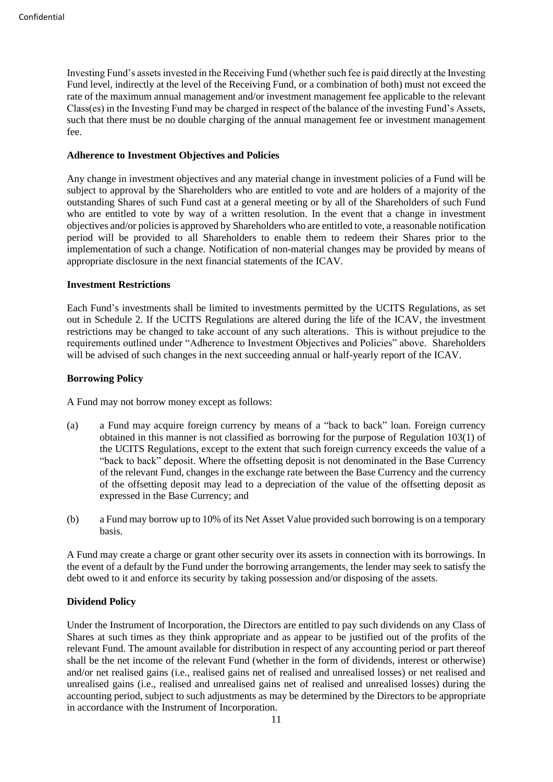Investing Fund's assets invested in the Receiving Fund (whether such fee is paid directly at the Investing Fund level, indirectly at the level of the Receiving Fund, or a combination of both) must not exceed the rate of the maximum annual management and/or investment management fee applicable to the relevant Class(es) in the Investing Fund may be charged in respect of the balance of the investing Fund's Assets, such that there must be no double charging of the annual management fee or investment management fee.

#### <span id="page-15-0"></span>**Adherence to Investment Objectives and Policies**

Any change in investment objectives and any material change in investment policies of a Fund will be subject to approval by the Shareholders who are entitled to vote and are holders of a majority of the outstanding Shares of such Fund cast at a general meeting or by all of the Shareholders of such Fund who are entitled to vote by way of a written resolution. In the event that a change in investment objectives and/or policies is approved by Shareholders who are entitled to vote, a reasonable notification period will be provided to all Shareholders to enable them to redeem their Shares prior to the implementation of such a change. Notification of non-material changes may be provided by means of appropriate disclosure in the next financial statements of the ICAV.

#### <span id="page-15-1"></span>**Investment Restrictions**

Each Fund's investments shall be limited to investments permitted by the UCITS Regulations, as set out in Schedule 2. If the UCITS Regulations are altered during the life of the ICAV, the investment restrictions may be changed to take account of any such alterations. This is without prejudice to the requirements outlined under "Adherence to Investment Objectives and Policies" above. Shareholders will be advised of such changes in the next succeeding annual or half-yearly report of the ICAV.

# <span id="page-15-2"></span>**Borrowing Policy**

A Fund may not borrow money except as follows:

- (a) a Fund may acquire foreign currency by means of a "back to back" loan. Foreign currency obtained in this manner is not classified as borrowing for the purpose of Regulation 103(1) of the UCITS Regulations, except to the extent that such foreign currency exceeds the value of a "back to back" deposit. Where the offsetting deposit is not denominated in the Base Currency of the relevant Fund, changes in the exchange rate between the Base Currency and the currency of the offsetting deposit may lead to a depreciation of the value of the offsetting deposit as expressed in the Base Currency; and
- (b) a Fund may borrow up to 10% of its Net Asset Value provided such borrowing is on a temporary basis.

A Fund may create a charge or grant other security over its assets in connection with its borrowings. In the event of a default by the Fund under the borrowing arrangements, the lender may seek to satisfy the debt owed to it and enforce its security by taking possession and/or disposing of the assets.

# <span id="page-15-3"></span>**Dividend Policy**

Under the Instrument of Incorporation, the Directors are entitled to pay such dividends on any Class of Shares at such times as they think appropriate and as appear to be justified out of the profits of the relevant Fund. The amount available for distribution in respect of any accounting period or part thereof shall be the net income of the relevant Fund (whether in the form of dividends, interest or otherwise) and/or net realised gains (i.e., realised gains net of realised and unrealised losses) or net realised and unrealised gains (i.e., realised and unrealised gains net of realised and unrealised losses) during the accounting period, subject to such adjustments as may be determined by the Directors to be appropriate in accordance with the Instrument of Incorporation.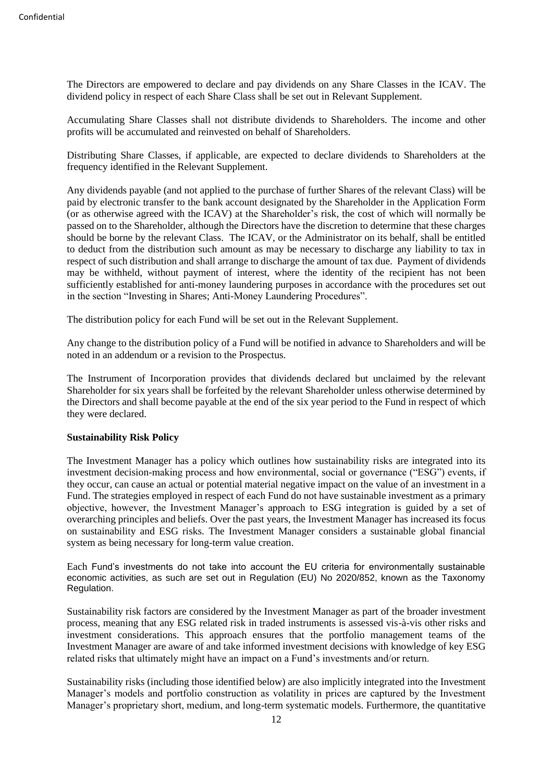The Directors are empowered to declare and pay dividends on any Share Classes in the ICAV. The dividend policy in respect of each Share Class shall be set out in Relevant Supplement.

Accumulating Share Classes shall not distribute dividends to Shareholders. The income and other profits will be accumulated and reinvested on behalf of Shareholders.

Distributing Share Classes, if applicable, are expected to declare dividends to Shareholders at the frequency identified in the Relevant Supplement.

Any dividends payable (and not applied to the purchase of further Shares of the relevant Class) will be paid by electronic transfer to the bank account designated by the Shareholder in the Application Form (or as otherwise agreed with the ICAV) at the Shareholder's risk, the cost of which will normally be passed on to the Shareholder, although the Directors have the discretion to determine that these charges should be borne by the relevant Class. The ICAV, or the Administrator on its behalf, shall be entitled to deduct from the distribution such amount as may be necessary to discharge any liability to tax in respect of such distribution and shall arrange to discharge the amount of tax due. Payment of dividends may be withheld, without payment of interest, where the identity of the recipient has not been sufficiently established for anti-money laundering purposes in accordance with the procedures set out in the section "Investing in Shares; Anti-Money Laundering Procedures".

The distribution policy for each Fund will be set out in the Relevant Supplement.

Any change to the distribution policy of a Fund will be notified in advance to Shareholders and will be noted in an addendum or a revision to the Prospectus.

The Instrument of Incorporation provides that dividends declared but unclaimed by the relevant Shareholder for six years shall be forfeited by the relevant Shareholder unless otherwise determined by the Directors and shall become payable at the end of the six year period to the Fund in respect of which they were declared.

#### <span id="page-16-0"></span>**Sustainability Risk Policy**

The Investment Manager has a policy which outlines how sustainability risks are integrated into its investment decision-making process and how environmental, social or governance ("ESG") events, if they occur, can cause an actual or potential material negative impact on the value of an investment in a Fund. The strategies employed in respect of each Fund do not have sustainable investment as a primary objective, however, the Investment Manager's approach to ESG integration is guided by a set of overarching principles and beliefs. Over the past years, the Investment Manager has increased its focus on sustainability and ESG risks. The Investment Manager considers a sustainable global financial system as being necessary for long-term value creation.

Each Fund's investments do not take into account the EU criteria for environmentally sustainable economic activities, as such are set out in Regulation (EU) No 2020/852, known as the Taxonomy Regulation.

Sustainability risk factors are considered by the Investment Manager as part of the broader investment process, meaning that any ESG related risk in traded instruments is assessed vis-à-vis other risks and investment considerations. This approach ensures that the portfolio management teams of the Investment Manager are aware of and take informed investment decisions with knowledge of key ESG related risks that ultimately might have an impact on a Fund's investments and/or return.

Sustainability risks (including those identified below) are also implicitly integrated into the Investment Manager's models and portfolio construction as volatility in prices are captured by the Investment Manager's proprietary short, medium, and long-term systematic models. Furthermore, the quantitative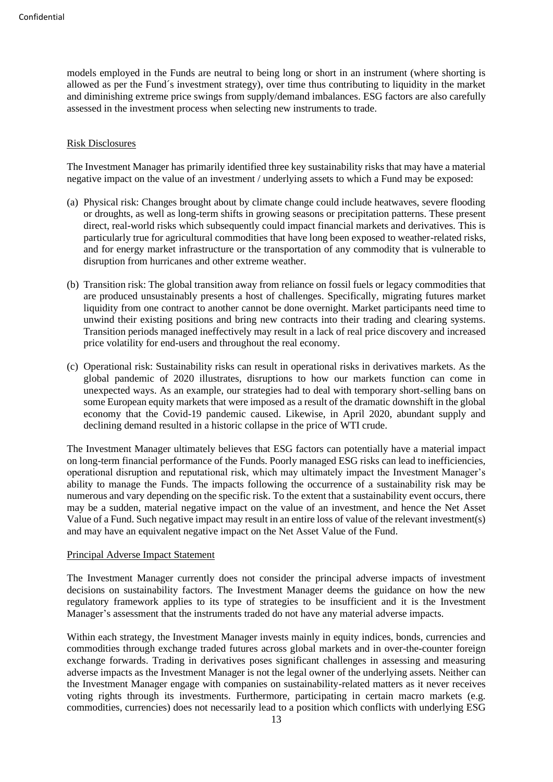models employed in the Funds are neutral to being long or short in an instrument (where shorting is allowed as per the Fund´s investment strategy), over time thus contributing to liquidity in the market and diminishing extreme price swings from supply/demand imbalances. ESG factors are also carefully assessed in the investment process when selecting new instruments to trade.

#### Risk Disclosures

The Investment Manager has primarily identified three key sustainability risks that may have a material negative impact on the value of an investment / underlying assets to which a Fund may be exposed:

- (a) Physical risk: Changes brought about by climate change could include heatwaves, severe flooding or droughts, as well as long-term shifts in growing seasons or precipitation patterns. These present direct, real-world risks which subsequently could impact financial markets and derivatives. This is particularly true for agricultural commodities that have long been exposed to weather-related risks, and for energy market infrastructure or the transportation of any commodity that is vulnerable to disruption from hurricanes and other extreme weather.
- (b) Transition risk: The global transition away from reliance on fossil fuels or legacy commodities that are produced unsustainably presents a host of challenges. Specifically, migrating futures market liquidity from one contract to another cannot be done overnight. Market participants need time to unwind their existing positions and bring new contracts into their trading and clearing systems. Transition periods managed ineffectively may result in a lack of real price discovery and increased price volatility for end-users and throughout the real economy.
- (c) Operational risk: Sustainability risks can result in operational risks in derivatives markets. As the global pandemic of 2020 illustrates, disruptions to how our markets function can come in unexpected ways. As an example, our strategies had to deal with temporary short-selling bans on some European equity markets that were imposed as a result of the dramatic downshift in the global economy that the Covid-19 pandemic caused. Likewise, in April 2020, abundant supply and declining demand resulted in a historic collapse in the price of WTI crude.

The Investment Manager ultimately believes that ESG factors can potentially have a material impact on long-term financial performance of the Funds. Poorly managed ESG risks can lead to inefficiencies, operational disruption and reputational risk, which may ultimately impact the Investment Manager's ability to manage the Funds. The impacts following the occurrence of a sustainability risk may be numerous and vary depending on the specific risk. To the extent that a sustainability event occurs, there may be a sudden, material negative impact on the value of an investment, and hence the Net Asset Value of a Fund. Such negative impact may result in an entire loss of value of the relevant investment(s) and may have an equivalent negative impact on the Net Asset Value of the Fund.

#### Principal Adverse Impact Statement

The Investment Manager currently does not consider the principal adverse impacts of investment decisions on sustainability factors. The Investment Manager deems the guidance on how the new regulatory framework applies to its type of strategies to be insufficient and it is the Investment Manager's assessment that the instruments traded do not have any material adverse impacts.

Within each strategy, the Investment Manager invests mainly in equity indices, bonds, currencies and commodities through exchange traded futures across global markets and in over-the-counter foreign exchange forwards. Trading in derivatives poses significant challenges in assessing and measuring adverse impacts as the Investment Manager is not the legal owner of the underlying assets. Neither can the Investment Manager engage with companies on sustainability-related matters as it never receives voting rights through its investments. Furthermore, participating in certain macro markets (e.g. commodities, currencies) does not necessarily lead to a position which conflicts with underlying ESG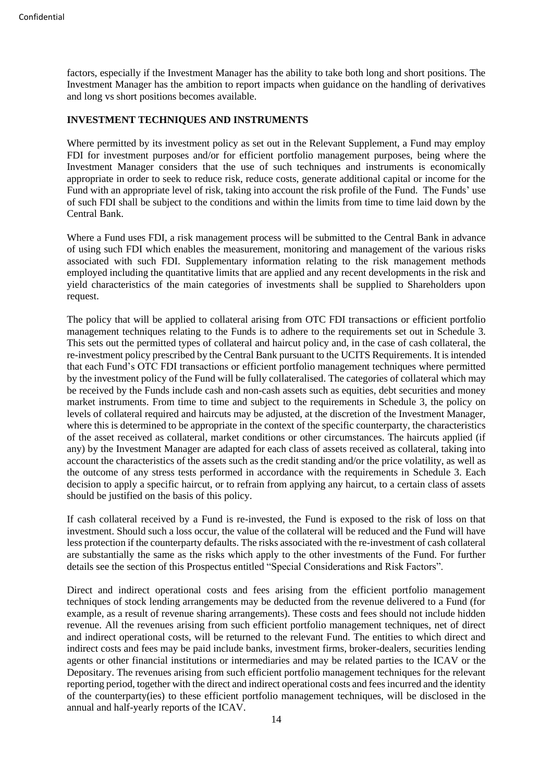factors, especially if the Investment Manager has the ability to take both long and short positions. The Investment Manager has the ambition to report impacts when guidance on the handling of derivatives and long vs short positions becomes available.

# <span id="page-18-0"></span>**INVESTMENT TECHNIQUES AND INSTRUMENTS**

Where permitted by its investment policy as set out in the Relevant Supplement, a Fund may employ FDI for investment purposes and/or for efficient portfolio management purposes, being where the Investment Manager considers that the use of such techniques and instruments is economically appropriate in order to seek to reduce risk, reduce costs, generate additional capital or income for the Fund with an appropriate level of risk, taking into account the risk profile of the Fund. The Funds' use of such FDI shall be subject to the conditions and within the limits from time to time laid down by the Central Bank.

Where a Fund uses FDI, a risk management process will be submitted to the Central Bank in advance of using such FDI which enables the measurement, monitoring and management of the various risks associated with such FDI. Supplementary information relating to the risk management methods employed including the quantitative limits that are applied and any recent developments in the risk and yield characteristics of the main categories of investments shall be supplied to Shareholders upon request.

The policy that will be applied to collateral arising from OTC FDI transactions or efficient portfolio management techniques relating to the Funds is to adhere to the requirements set out in Schedule 3. This sets out the permitted types of collateral and haircut policy and, in the case of cash collateral, the re-investment policy prescribed by the Central Bank pursuant to the UCITS Requirements. It is intended that each Fund's OTC FDI transactions or efficient portfolio management techniques where permitted by the investment policy of the Fund will be fully collateralised. The categories of collateral which may be received by the Funds include cash and non-cash assets such as equities, debt securities and money market instruments. From time to time and subject to the requirements in Schedule 3, the policy on levels of collateral required and haircuts may be adjusted, at the discretion of the Investment Manager, where this is determined to be appropriate in the context of the specific counterparty, the characteristics of the asset received as collateral, market conditions or other circumstances. The haircuts applied (if any) by the Investment Manager are adapted for each class of assets received as collateral, taking into account the characteristics of the assets such as the credit standing and/or the price volatility, as well as the outcome of any stress tests performed in accordance with the requirements in Schedule 3. Each decision to apply a specific haircut, or to refrain from applying any haircut, to a certain class of assets should be justified on the basis of this policy.

If cash collateral received by a Fund is re-invested, the Fund is exposed to the risk of loss on that investment. Should such a loss occur, the value of the collateral will be reduced and the Fund will have less protection if the counterparty defaults. The risks associated with the re-investment of cash collateral are substantially the same as the risks which apply to the other investments of the Fund. For further details see the section of this Prospectus entitled "Special Considerations and Risk Factors".

Direct and indirect operational costs and fees arising from the efficient portfolio management techniques of stock lending arrangements may be deducted from the revenue delivered to a Fund (for example, as a result of revenue sharing arrangements). These costs and fees should not include hidden revenue. All the revenues arising from such efficient portfolio management techniques, net of direct and indirect operational costs, will be returned to the relevant Fund. The entities to which direct and indirect costs and fees may be paid include banks, investment firms, broker-dealers, securities lending agents or other financial institutions or intermediaries and may be related parties to the ICAV or the Depositary. The revenues arising from such efficient portfolio management techniques for the relevant reporting period, together with the direct and indirect operational costs and fees incurred and the identity of the counterparty(ies) to these efficient portfolio management techniques, will be disclosed in the annual and half-yearly reports of the ICAV.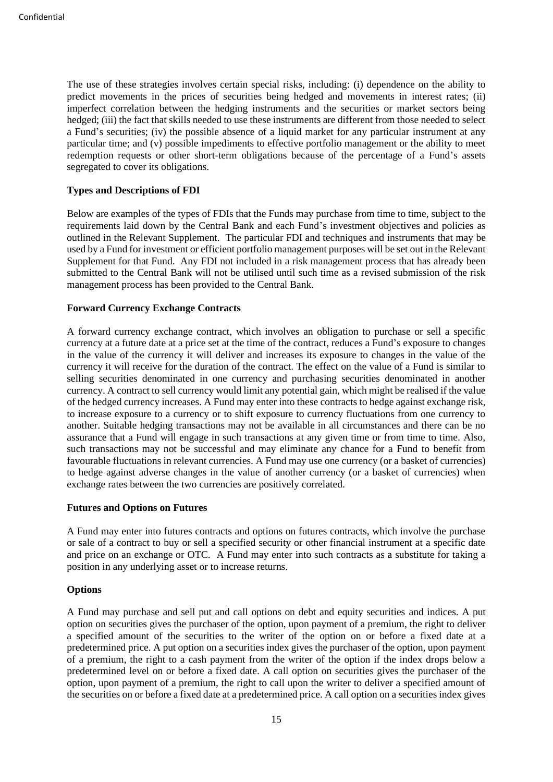The use of these strategies involves certain special risks, including: (i) dependence on the ability to predict movements in the prices of securities being hedged and movements in interest rates; (ii) imperfect correlation between the hedging instruments and the securities or market sectors being hedged; (iii) the fact that skills needed to use these instruments are different from those needed to select a Fund's securities; (iv) the possible absence of a liquid market for any particular instrument at any particular time; and (v) possible impediments to effective portfolio management or the ability to meet redemption requests or other short-term obligations because of the percentage of a Fund's assets segregated to cover its obligations.

# <span id="page-19-0"></span>**Types and Descriptions of FDI**

Below are examples of the types of FDIs that the Funds may purchase from time to time, subject to the requirements laid down by the Central Bank and each Fund's investment objectives and policies as outlined in the Relevant Supplement. The particular FDI and techniques and instruments that may be used by a Fund for investment or efficient portfolio management purposes will be set out in the Relevant Supplement for that Fund. Any FDI not included in a risk management process that has already been submitted to the Central Bank will not be utilised until such time as a revised submission of the risk management process has been provided to the Central Bank.

# **Forward Currency Exchange Contracts**

A forward currency exchange contract, which involves an obligation to purchase or sell a specific currency at a future date at a price set at the time of the contract, reduces a Fund's exposure to changes in the value of the currency it will deliver and increases its exposure to changes in the value of the currency it will receive for the duration of the contract. The effect on the value of a Fund is similar to selling securities denominated in one currency and purchasing securities denominated in another currency. A contract to sell currency would limit any potential gain, which might be realised if the value of the hedged currency increases. A Fund may enter into these contracts to hedge against exchange risk, to increase exposure to a currency or to shift exposure to currency fluctuations from one currency to another. Suitable hedging transactions may not be available in all circumstances and there can be no assurance that a Fund will engage in such transactions at any given time or from time to time. Also, such transactions may not be successful and may eliminate any chance for a Fund to benefit from favourable fluctuations in relevant currencies. A Fund may use one currency (or a basket of currencies) to hedge against adverse changes in the value of another currency (or a basket of currencies) when exchange rates between the two currencies are positively correlated.

#### **Futures and Options on Futures**

A Fund may enter into futures contracts and options on futures contracts, which involve the purchase or sale of a contract to buy or sell a specified security or other financial instrument at a specific date and price on an exchange or OTC. A Fund may enter into such contracts as a substitute for taking a position in any underlying asset or to increase returns.

#### **Options**

A Fund may purchase and sell put and call options on debt and equity securities and indices. A put option on securities gives the purchaser of the option, upon payment of a premium, the right to deliver a specified amount of the securities to the writer of the option on or before a fixed date at a predetermined price. A put option on a securities index gives the purchaser of the option, upon payment of a premium, the right to a cash payment from the writer of the option if the index drops below a predetermined level on or before a fixed date. A call option on securities gives the purchaser of the option, upon payment of a premium, the right to call upon the writer to deliver a specified amount of the securities on or before a fixed date at a predetermined price. A call option on a securities index gives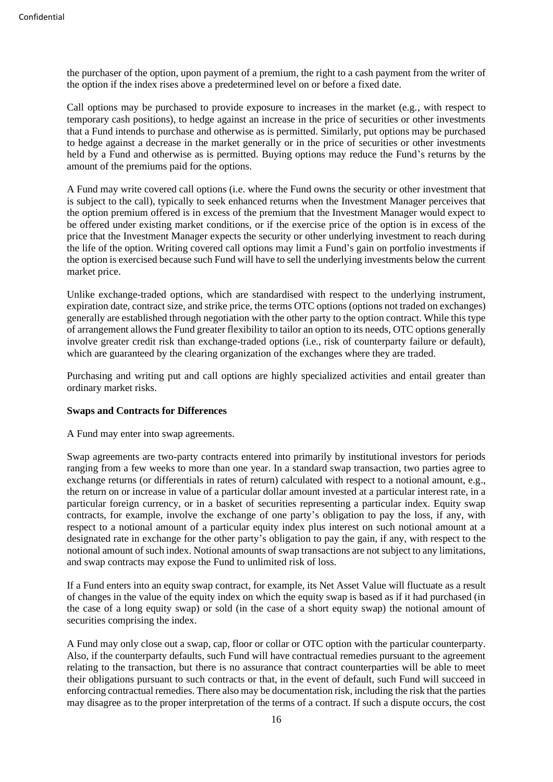the purchaser of the option, upon payment of a premium, the right to a cash payment from the writer of the option if the index rises above a predetermined level on or before a fixed date.

Call options may be purchased to provide exposure to increases in the market (e.g., with respect to temporary cash positions), to hedge against an increase in the price of securities or other investments that a Fund intends to purchase and otherwise as is permitted. Similarly, put options may be purchased to hedge against a decrease in the market generally or in the price of securities or other investments held by a Fund and otherwise as is permitted. Buying options may reduce the Fund's returns by the amount of the premiums paid for the options.

A Fund may write covered call options (i.e. where the Fund owns the security or other investment that is subject to the call), typically to seek enhanced returns when the Investment Manager perceives that the option premium offered is in excess of the premium that the Investment Manager would expect to be offered under existing market conditions, or if the exercise price of the option is in excess of the price that the Investment Manager expects the security or other underlying investment to reach during the life of the option. Writing covered call options may limit a Fund's gain on portfolio investments if the option is exercised because such Fund will have to sell the underlying investments below the current market price.

Unlike exchange-traded options, which are standardised with respect to the underlying instrument, expiration date, contract size, and strike price, the terms OTC options (options not traded on exchanges) generally are established through negotiation with the other party to the option contract. While this type of arrangement allows the Fund greater flexibility to tailor an option to its needs, OTC options generally involve greater credit risk than exchange-traded options (i.e., risk of counterparty failure or default), which are guaranteed by the clearing organization of the exchanges where they are traded.

Purchasing and writing put and call options are highly specialized activities and entail greater than ordinary market risks.

### **Swaps and Contracts for Differences**

A Fund may enter into swap agreements.

Swap agreements are two-party contracts entered into primarily by institutional investors for periods ranging from a few weeks to more than one year. In a standard swap transaction, two parties agree to exchange returns (or differentials in rates of return) calculated with respect to a notional amount, e.g., the return on or increase in value of a particular dollar amount invested at a particular interest rate, in a particular foreign currency, or in a basket of securities representing a particular index. Equity swap contracts, for example, involve the exchange of one party's obligation to pay the loss, if any, with respect to a notional amount of a particular equity index plus interest on such notional amount at a designated rate in exchange for the other party's obligation to pay the gain, if any, with respect to the notional amount of such index. Notional amounts of swap transactions are not subject to any limitations, and swap contracts may expose the Fund to unlimited risk of loss.

If a Fund enters into an equity swap contract, for example, its Net Asset Value will fluctuate as a result of changes in the value of the equity index on which the equity swap is based as if it had purchased (in the case of a long equity swap) or sold (in the case of a short equity swap) the notional amount of securities comprising the index.

A Fund may only close out a swap, cap, floor or collar or OTC option with the particular counterparty. Also, if the counterparty defaults, such Fund will have contractual remedies pursuant to the agreement relating to the transaction, but there is no assurance that contract counterparties will be able to meet their obligations pursuant to such contracts or that, in the event of default, such Fund will succeed in enforcing contractual remedies. There also may be documentation risk, including the risk that the parties may disagree as to the proper interpretation of the terms of a contract. If such a dispute occurs, the cost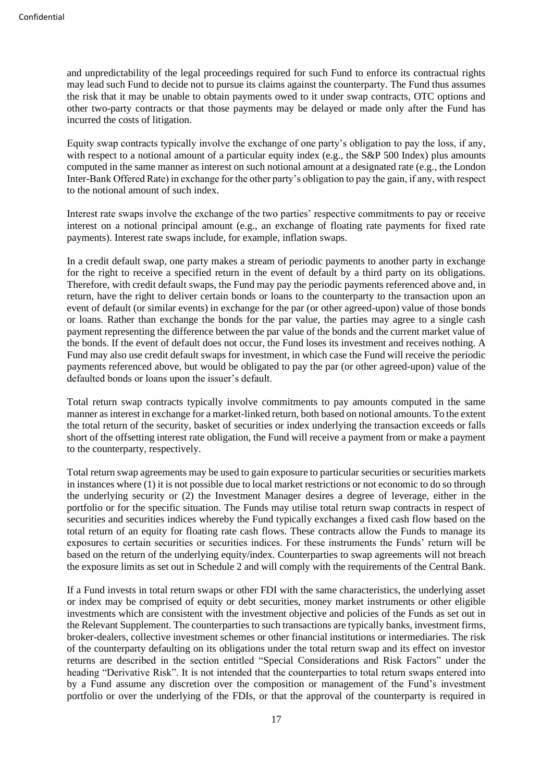and unpredictability of the legal proceedings required for such Fund to enforce its contractual rights may lead such Fund to decide not to pursue its claims against the counterparty. The Fund thus assumes the risk that it may be unable to obtain payments owed to it under swap contracts, OTC options and other two-party contracts or that those payments may be delayed or made only after the Fund has incurred the costs of litigation.

Equity swap contracts typically involve the exchange of one party's obligation to pay the loss, if any, with respect to a notional amount of a particular equity index (e.g., the S&P 500 Index) plus amounts computed in the same manner as interest on such notional amount at a designated rate (e.g., the London Inter-Bank Offered Rate) in exchange for the other party's obligation to pay the gain, if any, with respect to the notional amount of such index.

Interest rate swaps involve the exchange of the two parties' respective commitments to pay or receive interest on a notional principal amount (e.g., an exchange of floating rate payments for fixed rate payments). Interest rate swaps include, for example, inflation swaps.

In a credit default swap, one party makes a stream of periodic payments to another party in exchange for the right to receive a specified return in the event of default by a third party on its obligations. Therefore, with credit default swaps, the Fund may pay the periodic payments referenced above and, in return, have the right to deliver certain bonds or loans to the counterparty to the transaction upon an event of default (or similar events) in exchange for the par (or other agreed-upon) value of those bonds or loans. Rather than exchange the bonds for the par value, the parties may agree to a single cash payment representing the difference between the par value of the bonds and the current market value of the bonds. If the event of default does not occur, the Fund loses its investment and receives nothing. A Fund may also use credit default swaps for investment, in which case the Fund will receive the periodic payments referenced above, but would be obligated to pay the par (or other agreed-upon) value of the defaulted bonds or loans upon the issuer's default.

Total return swap contracts typically involve commitments to pay amounts computed in the same manner as interest in exchange for a market-linked return, both based on notional amounts. To the extent the total return of the security, basket of securities or index underlying the transaction exceeds or falls short of the offsetting interest rate obligation, the Fund will receive a payment from or make a payment to the counterparty, respectively.

Total return swap agreements may be used to gain exposure to particular securities or securities markets in instances where (1) it is not possible due to local market restrictions or not economic to do so through the underlying security or (2) the Investment Manager desires a degree of leverage, either in the portfolio or for the specific situation. The Funds may utilise total return swap contracts in respect of securities and securities indices whereby the Fund typically exchanges a fixed cash flow based on the total return of an equity for floating rate cash flows. These contracts allow the Funds to manage its exposures to certain securities or securities indices. For these instruments the Funds' return will be based on the return of the underlying equity/index. Counterparties to swap agreements will not breach the exposure limits as set out in Schedule 2 and will comply with the requirements of the Central Bank.

If a Fund invests in total return swaps or other FDI with the same characteristics, the underlying asset or index may be comprised of equity or debt securities, money market instruments or other eligible investments which are consistent with the investment objective and policies of the Funds as set out in the Relevant Supplement. The counterparties to such transactions are typically banks, investment firms, broker-dealers, collective investment schemes or other financial institutions or intermediaries. The risk of the counterparty defaulting on its obligations under the total return swap and its effect on investor returns are described in the section entitled "Special Considerations and Risk Factors" under the heading "Derivative Risk". It is not intended that the counterparties to total return swaps entered into by a Fund assume any discretion over the composition or management of the Fund's investment portfolio or over the underlying of the FDIs, or that the approval of the counterparty is required in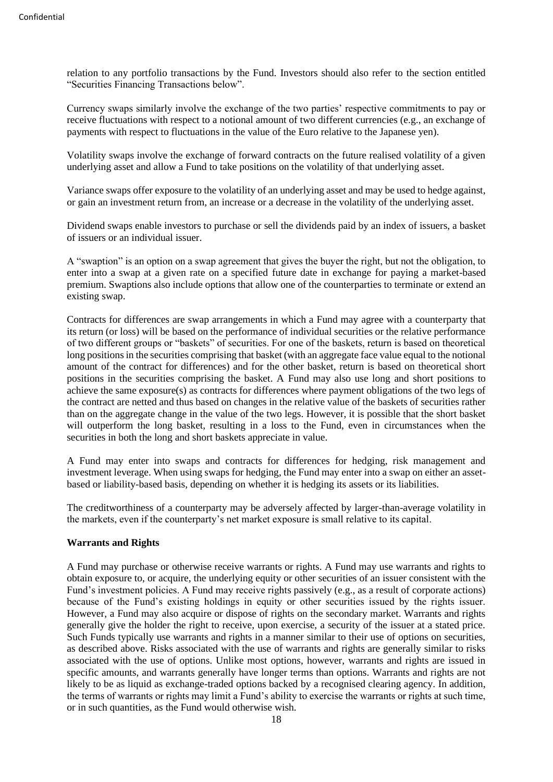relation to any portfolio transactions by the Fund. Investors should also refer to the section entitled "Securities Financing Transactions below".

Currency swaps similarly involve the exchange of the two parties' respective commitments to pay or receive fluctuations with respect to a notional amount of two different currencies (e.g., an exchange of payments with respect to fluctuations in the value of the Euro relative to the Japanese yen).

Volatility swaps involve the exchange of forward contracts on the future realised volatility of a given underlying asset and allow a Fund to take positions on the volatility of that underlying asset.

Variance swaps offer exposure to the volatility of an underlying asset and may be used to hedge against, or gain an investment return from, an increase or a decrease in the volatility of the underlying asset.

Dividend swaps enable investors to purchase or sell the dividends paid by an index of issuers, a basket of issuers or an individual issuer.

A "swaption" is an option on a swap agreement that gives the buyer the right, but not the obligation, to enter into a swap at a given rate on a specified future date in exchange for paying a market-based premium. Swaptions also include options that allow one of the counterparties to terminate or extend an existing swap.

Contracts for differences are swap arrangements in which a Fund may agree with a counterparty that its return (or loss) will be based on the performance of individual securities or the relative performance of two different groups or "baskets" of securities. For one of the baskets, return is based on theoretical long positions in the securities comprising that basket (with an aggregate face value equal to the notional amount of the contract for differences) and for the other basket, return is based on theoretical short positions in the securities comprising the basket. A Fund may also use long and short positions to achieve the same exposure(s) as contracts for differences where payment obligations of the two legs of the contract are netted and thus based on changes in the relative value of the baskets of securities rather than on the aggregate change in the value of the two legs. However, it is possible that the short basket will outperform the long basket, resulting in a loss to the Fund, even in circumstances when the securities in both the long and short baskets appreciate in value.

A Fund may enter into swaps and contracts for differences for hedging, risk management and investment leverage. When using swaps for hedging, the Fund may enter into a swap on either an assetbased or liability-based basis, depending on whether it is hedging its assets or its liabilities.

The creditworthiness of a counterparty may be adversely affected by larger-than-average volatility in the markets, even if the counterparty's net market exposure is small relative to its capital.

#### **Warrants and Rights**

A Fund may purchase or otherwise receive warrants or rights. A Fund may use warrants and rights to obtain exposure to, or acquire, the underlying equity or other securities of an issuer consistent with the Fund's investment policies. A Fund may receive rights passively (e.g., as a result of corporate actions) because of the Fund's existing holdings in equity or other securities issued by the rights issuer. However, a Fund may also acquire or dispose of rights on the secondary market. Warrants and rights generally give the holder the right to receive, upon exercise, a security of the issuer at a stated price. Such Funds typically use warrants and rights in a manner similar to their use of options on securities, as described above. Risks associated with the use of warrants and rights are generally similar to risks associated with the use of options. Unlike most options, however, warrants and rights are issued in specific amounts, and warrants generally have longer terms than options. Warrants and rights are not likely to be as liquid as exchange-traded options backed by a recognised clearing agency. In addition, the terms of warrants or rights may limit a Fund's ability to exercise the warrants or rights at such time, or in such quantities, as the Fund would otherwise wish.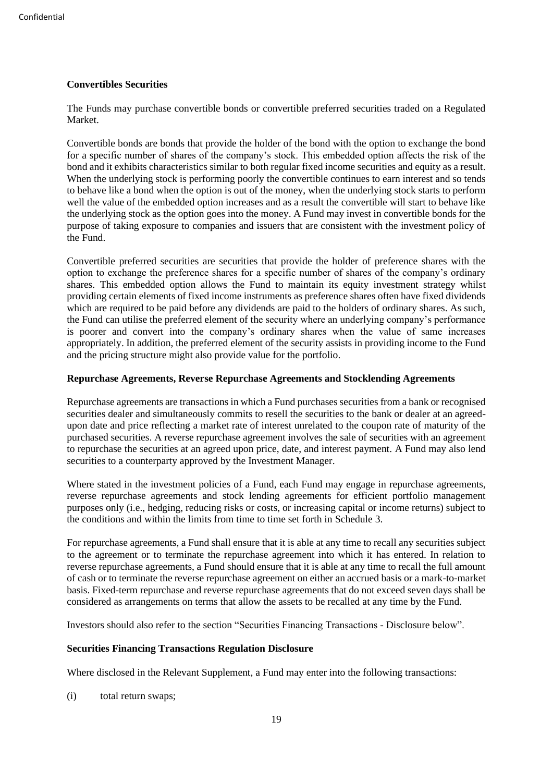# **Convertibles Securities**

The Funds may purchase convertible bonds or convertible preferred securities traded on a Regulated Market.

Convertible bonds are bonds that provide the holder of the bond with the option to exchange the bond for a specific number of shares of the company's stock. This embedded option affects the risk of the bond and it exhibits characteristics similar to both regular fixed income securities and equity as a result. When the underlying stock is performing poorly the convertible continues to earn interest and so tends to behave like a bond when the option is out of the money, when the underlying stock starts to perform well the value of the embedded option increases and as a result the convertible will start to behave like the underlying stock as the option goes into the money. A Fund may invest in convertible bonds for the purpose of taking exposure to companies and issuers that are consistent with the investment policy of the Fund.

Convertible preferred securities are securities that provide the holder of preference shares with the option to exchange the preference shares for a specific number of shares of the company's ordinary shares. This embedded option allows the Fund to maintain its equity investment strategy whilst providing certain elements of fixed income instruments as preference shares often have fixed dividends which are required to be paid before any dividends are paid to the holders of ordinary shares. As such, the Fund can utilise the preferred element of the security where an underlying company's performance is poorer and convert into the company's ordinary shares when the value of same increases appropriately. In addition, the preferred element of the security assists in providing income to the Fund and the pricing structure might also provide value for the portfolio.

# **Repurchase Agreements, Reverse Repurchase Agreements and Stocklending Agreements**

Repurchase agreements are transactions in which a Fund purchases securities from a bank or recognised securities dealer and simultaneously commits to resell the securities to the bank or dealer at an agreedupon date and price reflecting a market rate of interest unrelated to the coupon rate of maturity of the purchased securities. A reverse repurchase agreement involves the sale of securities with an agreement to repurchase the securities at an agreed upon price, date, and interest payment. A Fund may also lend securities to a counterparty approved by the Investment Manager.

Where stated in the investment policies of a Fund, each Fund may engage in repurchase agreements, reverse repurchase agreements and stock lending agreements for efficient portfolio management purposes only (i.e., hedging, reducing risks or costs, or increasing capital or income returns) subject to the conditions and within the limits from time to time set forth in Schedule 3.

For repurchase agreements, a Fund shall ensure that it is able at any time to recall any securities subject to the agreement or to terminate the repurchase agreement into which it has entered. In relation to reverse repurchase agreements, a Fund should ensure that it is able at any time to recall the full amount of cash or to terminate the reverse repurchase agreement on either an accrued basis or a mark-to-market basis. Fixed-term repurchase and reverse repurchase agreements that do not exceed seven days shall be considered as arrangements on terms that allow the assets to be recalled at any time by the Fund.

Investors should also refer to the section "Securities Financing Transactions - Disclosure below".

# **Securities Financing Transactions Regulation Disclosure**

Where disclosed in the Relevant Supplement, a Fund may enter into the following transactions:

(i) total return swaps;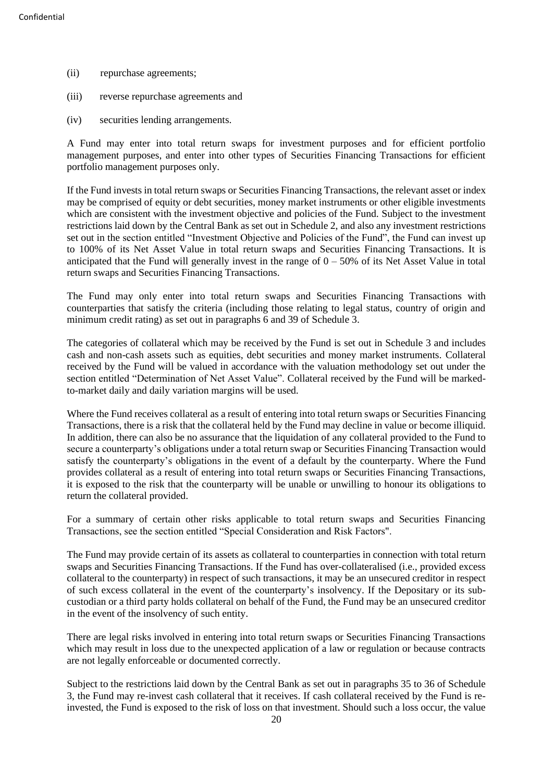- (ii) repurchase agreements;
- (iii) reverse repurchase agreements and
- (iv) securities lending arrangements.

A Fund may enter into total return swaps for investment purposes and for efficient portfolio management purposes, and enter into other types of Securities Financing Transactions for efficient portfolio management purposes only.

If the Fund invests in total return swaps or Securities Financing Transactions, the relevant asset or index may be comprised of equity or debt securities, money market instruments or other eligible investments which are consistent with the investment objective and policies of the Fund. Subject to the investment restrictions laid down by the Central Bank as set out in Schedule 2, and also any investment restrictions set out in the section entitled "Investment Objective and Policies of the Fund", the Fund can invest up to 100% of its Net Asset Value in total return swaps and Securities Financing Transactions. It is anticipated that the Fund will generally invest in the range of  $0 - 50\%$  of its Net Asset Value in total return swaps and Securities Financing Transactions.

The Fund may only enter into total return swaps and Securities Financing Transactions with counterparties that satisfy the criteria (including those relating to legal status, country of origin and minimum credit rating) as set out in paragraphs 6 and 39 of Schedule 3.

The categories of collateral which may be received by the Fund is set out in Schedule 3 and includes cash and non-cash assets such as equities, debt securities and money market instruments. Collateral received by the Fund will be valued in accordance with the valuation methodology set out under the section entitled "Determination of Net Asset Value". Collateral received by the Fund will be markedto-market daily and daily variation margins will be used.

Where the Fund receives collateral as a result of entering into total return swaps or Securities Financing Transactions, there is a risk that the collateral held by the Fund may decline in value or become illiquid. In addition, there can also be no assurance that the liquidation of any collateral provided to the Fund to secure a counterparty's obligations under a total return swap or Securities Financing Transaction would satisfy the counterparty's obligations in the event of a default by the counterparty. Where the Fund provides collateral as a result of entering into total return swaps or Securities Financing Transactions, it is exposed to the risk that the counterparty will be unable or unwilling to honour its obligations to return the collateral provided.

For a summary of certain other risks applicable to total return swaps and Securities Financing Transactions, see the section entitled "Special Consideration and Risk Factors".

The Fund may provide certain of its assets as collateral to counterparties in connection with total return swaps and Securities Financing Transactions. If the Fund has over-collateralised (i.e., provided excess collateral to the counterparty) in respect of such transactions, it may be an unsecured creditor in respect of such excess collateral in the event of the counterparty's insolvency. If the Depositary or its subcustodian or a third party holds collateral on behalf of the Fund, the Fund may be an unsecured creditor in the event of the insolvency of such entity.

There are legal risks involved in entering into total return swaps or Securities Financing Transactions which may result in loss due to the unexpected application of a law or regulation or because contracts are not legally enforceable or documented correctly.

Subject to the restrictions laid down by the Central Bank as set out in paragraphs 35 to 36 of Schedule 3, the Fund may re-invest cash collateral that it receives. If cash collateral received by the Fund is reinvested, the Fund is exposed to the risk of loss on that investment. Should such a loss occur, the value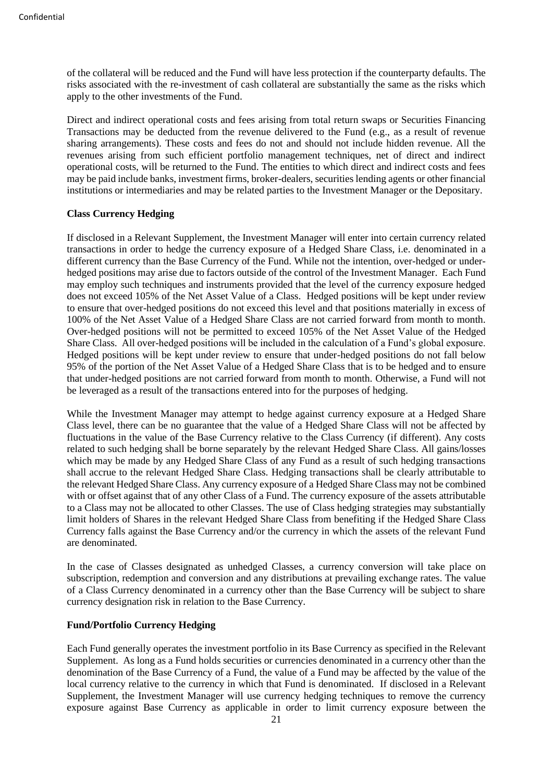of the collateral will be reduced and the Fund will have less protection if the counterparty defaults. The risks associated with the re-investment of cash collateral are substantially the same as the risks which apply to the other investments of the Fund.

Direct and indirect operational costs and fees arising from total return swaps or Securities Financing Transactions may be deducted from the revenue delivered to the Fund (e.g., as a result of revenue sharing arrangements). These costs and fees do not and should not include hidden revenue. All the revenues arising from such efficient portfolio management techniques, net of direct and indirect operational costs, will be returned to the Fund. The entities to which direct and indirect costs and fees may be paid include banks, investment firms, broker-dealers, securities lending agents or other financial institutions or intermediaries and may be related parties to the Investment Manager or the Depositary.

#### **Class Currency Hedging**

If disclosed in a Relevant Supplement, the Investment Manager will enter into certain currency related transactions in order to hedge the currency exposure of a Hedged Share Class, i.e. denominated in a different currency than the Base Currency of the Fund. While not the intention, over-hedged or underhedged positions may arise due to factors outside of the control of the Investment Manager. Each Fund may employ such techniques and instruments provided that the level of the currency exposure hedged does not exceed 105% of the Net Asset Value of a Class. Hedged positions will be kept under review to ensure that over-hedged positions do not exceed this level and that positions materially in excess of 100% of the Net Asset Value of a Hedged Share Class are not carried forward from month to month. Over-hedged positions will not be permitted to exceed 105% of the Net Asset Value of the Hedged Share Class. All over-hedged positions will be included in the calculation of a Fund's global exposure. Hedged positions will be kept under review to ensure that under-hedged positions do not fall below 95% of the portion of the Net Asset Value of a Hedged Share Class that is to be hedged and to ensure that under-hedged positions are not carried forward from month to month. Otherwise, a Fund will not be leveraged as a result of the transactions entered into for the purposes of hedging.

While the Investment Manager may attempt to hedge against currency exposure at a Hedged Share Class level, there can be no guarantee that the value of a Hedged Share Class will not be affected by fluctuations in the value of the Base Currency relative to the Class Currency (if different). Any costs related to such hedging shall be borne separately by the relevant Hedged Share Class. All gains/losses which may be made by any Hedged Share Class of any Fund as a result of such hedging transactions shall accrue to the relevant Hedged Share Class. Hedging transactions shall be clearly attributable to the relevant Hedged Share Class. Any currency exposure of a Hedged Share Class may not be combined with or offset against that of any other Class of a Fund. The currency exposure of the assets attributable to a Class may not be allocated to other Classes. The use of Class hedging strategies may substantially limit holders of Shares in the relevant Hedged Share Class from benefiting if the Hedged Share Class Currency falls against the Base Currency and/or the currency in which the assets of the relevant Fund are denominated.

In the case of Classes designated as unhedged Classes, a currency conversion will take place on subscription, redemption and conversion and any distributions at prevailing exchange rates. The value of a Class Currency denominated in a currency other than the Base Currency will be subject to share currency designation risk in relation to the Base Currency.

#### **Fund/Portfolio Currency Hedging**

Each Fund generally operates the investment portfolio in its Base Currency as specified in the Relevant Supplement. As long as a Fund holds securities or currencies denominated in a currency other than the denomination of the Base Currency of a Fund, the value of a Fund may be affected by the value of the local currency relative to the currency in which that Fund is denominated. If disclosed in a Relevant Supplement, the Investment Manager will use currency hedging techniques to remove the currency exposure against Base Currency as applicable in order to limit currency exposure between the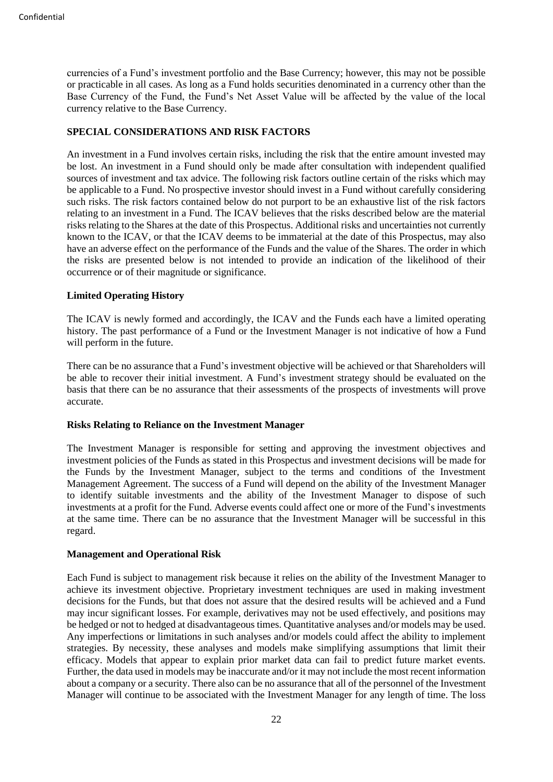currencies of a Fund's investment portfolio and the Base Currency; however, this may not be possible or practicable in all cases. As long as a Fund holds securities denominated in a currency other than the Base Currency of the Fund, the Fund's Net Asset Value will be affected by the value of the local currency relative to the Base Currency.

# <span id="page-26-0"></span>**SPECIAL CONSIDERATIONS AND RISK FACTORS**

An investment in a Fund involves certain risks, including the risk that the entire amount invested may be lost. An investment in a Fund should only be made after consultation with independent qualified sources of investment and tax advice. The following risk factors outline certain of the risks which may be applicable to a Fund. No prospective investor should invest in a Fund without carefully considering such risks. The risk factors contained below do not purport to be an exhaustive list of the risk factors relating to an investment in a Fund. The ICAV believes that the risks described below are the material risks relating to the Shares at the date of this Prospectus. Additional risks and uncertainties not currently known to the ICAV, or that the ICAV deems to be immaterial at the date of this Prospectus, may also have an adverse effect on the performance of the Funds and the value of the Shares. The order in which the risks are presented below is not intended to provide an indication of the likelihood of their occurrence or of their magnitude or significance.

# **Limited Operating History**

The ICAV is newly formed and accordingly, the ICAV and the Funds each have a limited operating history. The past performance of a Fund or the Investment Manager is not indicative of how a Fund will perform in the future.

There can be no assurance that a Fund's investment objective will be achieved or that Shareholders will be able to recover their initial investment. A Fund's investment strategy should be evaluated on the basis that there can be no assurance that their assessments of the prospects of investments will prove accurate.

#### **Risks Relating to Reliance on the Investment Manager**

The Investment Manager is responsible for setting and approving the investment objectives and investment policies of the Funds as stated in this Prospectus and investment decisions will be made for the Funds by the Investment Manager, subject to the terms and conditions of the Investment Management Agreement. The success of a Fund will depend on the ability of the Investment Manager to identify suitable investments and the ability of the Investment Manager to dispose of such investments at a profit for the Fund. Adverse events could affect one or more of the Fund's investments at the same time. There can be no assurance that the Investment Manager will be successful in this regard.

#### **Management and Operational Risk**

Each Fund is subject to management risk because it relies on the ability of the Investment Manager to achieve its investment objective. Proprietary investment techniques are used in making investment decisions for the Funds, but that does not assure that the desired results will be achieved and a Fund may incur significant losses. For example, derivatives may not be used effectively, and positions may be hedged or not to hedged at disadvantageous times. Quantitative analyses and/or models may be used. Any imperfections or limitations in such analyses and/or models could affect the ability to implement strategies. By necessity, these analyses and models make simplifying assumptions that limit their efficacy. Models that appear to explain prior market data can fail to predict future market events. Further, the data used in models may be inaccurate and/or it may not include the most recent information about a company or a security. There also can be no assurance that all of the personnel of the Investment Manager will continue to be associated with the Investment Manager for any length of time. The loss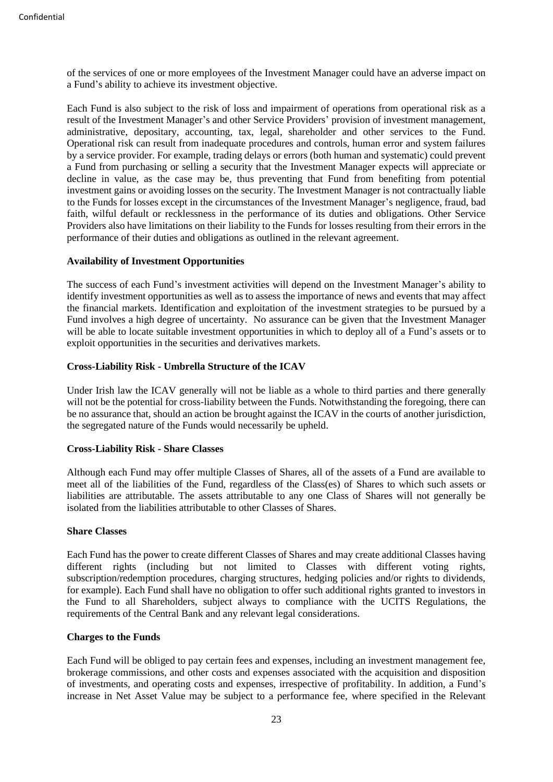of the services of one or more employees of the Investment Manager could have an adverse impact on a Fund's ability to achieve its investment objective.

Each Fund is also subject to the risk of loss and impairment of operations from operational risk as a result of the Investment Manager's and other Service Providers' provision of investment management, administrative, depositary, accounting, tax, legal, shareholder and other services to the Fund. Operational risk can result from inadequate procedures and controls, human error and system failures by a service provider. For example, trading delays or errors (both human and systematic) could prevent a Fund from purchasing or selling a security that the Investment Manager expects will appreciate or decline in value, as the case may be, thus preventing that Fund from benefiting from potential investment gains or avoiding losses on the security. The Investment Manager is not contractually liable to the Funds for losses except in the circumstances of the Investment Manager's negligence, fraud, bad faith, wilful default or recklessness in the performance of its duties and obligations. Other Service Providers also have limitations on their liability to the Funds for losses resulting from their errors in the performance of their duties and obligations as outlined in the relevant agreement.

# **Availability of Investment Opportunities**

The success of each Fund's investment activities will depend on the Investment Manager's ability to identify investment opportunities as well as to assess the importance of news and events that may affect the financial markets. Identification and exploitation of the investment strategies to be pursued by a Fund involves a high degree of uncertainty. No assurance can be given that the Investment Manager will be able to locate suitable investment opportunities in which to deploy all of a Fund's assets or to exploit opportunities in the securities and derivatives markets.

# **Cross-Liability Risk - Umbrella Structure of the ICAV**

Under Irish law the ICAV generally will not be liable as a whole to third parties and there generally will not be the potential for cross-liability between the Funds. Notwithstanding the foregoing, there can be no assurance that, should an action be brought against the ICAV in the courts of another jurisdiction, the segregated nature of the Funds would necessarily be upheld.

#### **Cross-Liability Risk - Share Classes**

Although each Fund may offer multiple Classes of Shares, all of the assets of a Fund are available to meet all of the liabilities of the Fund, regardless of the Class(es) of Shares to which such assets or liabilities are attributable. The assets attributable to any one Class of Shares will not generally be isolated from the liabilities attributable to other Classes of Shares.

#### **Share Classes**

Each Fund has the power to create different Classes of Shares and may create additional Classes having different rights (including but not limited to Classes with different voting rights, subscription/redemption procedures, charging structures, hedging policies and/or rights to dividends, for example). Each Fund shall have no obligation to offer such additional rights granted to investors in the Fund to all Shareholders, subject always to compliance with the UCITS Regulations, the requirements of the Central Bank and any relevant legal considerations.

#### **Charges to the Funds**

Each Fund will be obliged to pay certain fees and expenses, including an investment management fee, brokerage commissions, and other costs and expenses associated with the acquisition and disposition of investments, and operating costs and expenses, irrespective of profitability. In addition, a Fund's increase in Net Asset Value may be subject to a performance fee, where specified in the Relevant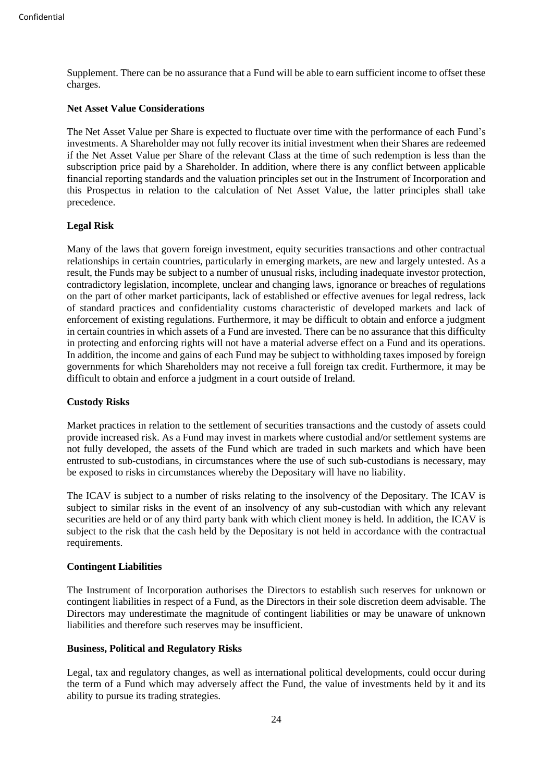Supplement. There can be no assurance that a Fund will be able to earn sufficient income to offset these charges.

#### **Net Asset Value Considerations**

The Net Asset Value per Share is expected to fluctuate over time with the performance of each Fund's investments. A Shareholder may not fully recover its initial investment when their Shares are redeemed if the Net Asset Value per Share of the relevant Class at the time of such redemption is less than the subscription price paid by a Shareholder. In addition, where there is any conflict between applicable financial reporting standards and the valuation principles set out in the Instrument of Incorporation and this Prospectus in relation to the calculation of Net Asset Value, the latter principles shall take precedence.

#### **Legal Risk**

Many of the laws that govern foreign investment, equity securities transactions and other contractual relationships in certain countries, particularly in emerging markets, are new and largely untested. As a result, the Funds may be subject to a number of unusual risks, including inadequate investor protection, contradictory legislation, incomplete, unclear and changing laws, ignorance or breaches of regulations on the part of other market participants, lack of established or effective avenues for legal redress, lack of standard practices and confidentiality customs characteristic of developed markets and lack of enforcement of existing regulations. Furthermore, it may be difficult to obtain and enforce a judgment in certain countries in which assets of a Fund are invested. There can be no assurance that this difficulty in protecting and enforcing rights will not have a material adverse effect on a Fund and its operations. In addition, the income and gains of each Fund may be subject to withholding taxes imposed by foreign governments for which Shareholders may not receive a full foreign tax credit. Furthermore, it may be difficult to obtain and enforce a judgment in a court outside of Ireland.

#### **Custody Risks**

Market practices in relation to the settlement of securities transactions and the custody of assets could provide increased risk. As a Fund may invest in markets where custodial and/or settlement systems are not fully developed, the assets of the Fund which are traded in such markets and which have been entrusted to sub-custodians, in circumstances where the use of such sub-custodians is necessary, may be exposed to risks in circumstances whereby the Depositary will have no liability.

The ICAV is subject to a number of risks relating to the insolvency of the Depositary. The ICAV is subject to similar risks in the event of an insolvency of any sub-custodian with which any relevant securities are held or of any third party bank with which client money is held. In addition, the ICAV is subject to the risk that the cash held by the Depositary is not held in accordance with the contractual requirements.

#### **Contingent Liabilities**

The Instrument of Incorporation authorises the Directors to establish such reserves for unknown or contingent liabilities in respect of a Fund, as the Directors in their sole discretion deem advisable. The Directors may underestimate the magnitude of contingent liabilities or may be unaware of unknown liabilities and therefore such reserves may be insufficient.

#### **Business, Political and Regulatory Risks**

Legal, tax and regulatory changes, as well as international political developments, could occur during the term of a Fund which may adversely affect the Fund, the value of investments held by it and its ability to pursue its trading strategies.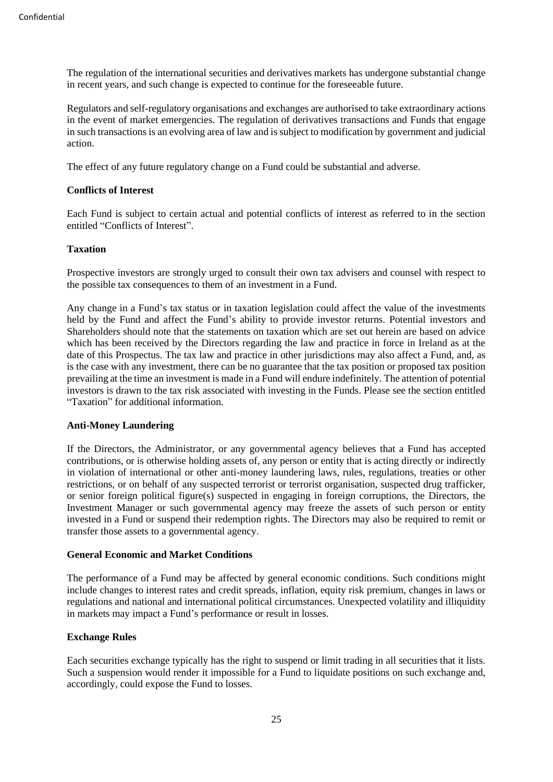The regulation of the international securities and derivatives markets has undergone substantial change in recent years, and such change is expected to continue for the foreseeable future.

Regulators and self-regulatory organisations and exchanges are authorised to take extraordinary actions in the event of market emergencies. The regulation of derivatives transactions and Funds that engage in such transactions is an evolving area of law and is subject to modification by government and judicial action.

The effect of any future regulatory change on a Fund could be substantial and adverse.

# **Conflicts of Interest**

Each Fund is subject to certain actual and potential conflicts of interest as referred to in the section entitled "Conflicts of Interest".

# **Taxation**

Prospective investors are strongly urged to consult their own tax advisers and counsel with respect to the possible tax consequences to them of an investment in a Fund.

Any change in a Fund's tax status or in taxation legislation could affect the value of the investments held by the Fund and affect the Fund's ability to provide investor returns. Potential investors and Shareholders should note that the statements on taxation which are set out herein are based on advice which has been received by the Directors regarding the law and practice in force in Ireland as at the date of this Prospectus. The tax law and practice in other jurisdictions may also affect a Fund, and, as is the case with any investment, there can be no guarantee that the tax position or proposed tax position prevailing at the time an investment is made in a Fund will endure indefinitely. The attention of potential investors is drawn to the tax risk associated with investing in the Funds. Please see the section entitled "Taxation" for additional information.

#### **Anti-Money Laundering**

If the Directors, the Administrator, or any governmental agency believes that a Fund has accepted contributions, or is otherwise holding assets of, any person or entity that is acting directly or indirectly in violation of international or other anti-money laundering laws, rules, regulations, treaties or other restrictions, or on behalf of any suspected terrorist or terrorist organisation, suspected drug trafficker, or senior foreign political figure(s) suspected in engaging in foreign corruptions, the Directors, the Investment Manager or such governmental agency may freeze the assets of such person or entity invested in a Fund or suspend their redemption rights. The Directors may also be required to remit or transfer those assets to a governmental agency.

#### **General Economic and Market Conditions**

The performance of a Fund may be affected by general economic conditions. Such conditions might include changes to interest rates and credit spreads, inflation, equity risk premium, changes in laws or regulations and national and international political circumstances. Unexpected volatility and illiquidity in markets may impact a Fund's performance or result in losses.

#### **Exchange Rules**

Each securities exchange typically has the right to suspend or limit trading in all securities that it lists. Such a suspension would render it impossible for a Fund to liquidate positions on such exchange and, accordingly, could expose the Fund to losses.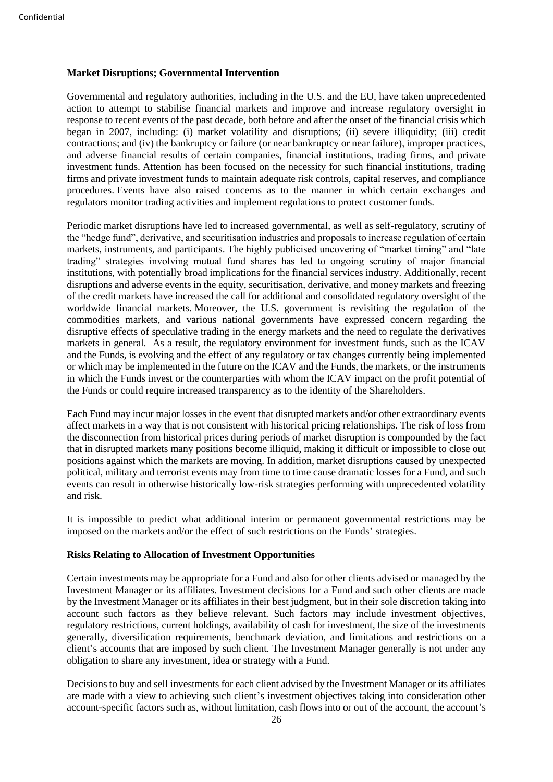#### **Market Disruptions; Governmental Intervention**

Governmental and regulatory authorities, including in the U.S. and the EU, have taken unprecedented action to attempt to stabilise financial markets and improve and increase regulatory oversight in response to recent events of the past decade, both before and after the onset of the financial crisis which began in 2007, including: (i) market volatility and disruptions; (ii) severe illiquidity; (iii) credit contractions; and (iv) the bankruptcy or failure (or near bankruptcy or near failure), improper practices, and adverse financial results of certain companies, financial institutions, trading firms, and private investment funds. Attention has been focused on the necessity for such financial institutions, trading firms and private investment funds to maintain adequate risk controls, capital reserves, and compliance procedures. Events have also raised concerns as to the manner in which certain exchanges and regulators monitor trading activities and implement regulations to protect customer funds.

Periodic market disruptions have led to increased governmental, as well as self-regulatory, scrutiny of the "hedge fund", derivative, and securitisation industries and proposals to increase regulation of certain markets, instruments, and participants. The highly publicised uncovering of "market timing" and "late trading" strategies involving mutual fund shares has led to ongoing scrutiny of major financial institutions, with potentially broad implications for the financial services industry. Additionally, recent disruptions and adverse events in the equity, securitisation, derivative, and money markets and freezing of the credit markets have increased the call for additional and consolidated regulatory oversight of the worldwide financial markets. Moreover, the U.S. government is revisiting the regulation of the commodities markets, and various national governments have expressed concern regarding the disruptive effects of speculative trading in the energy markets and the need to regulate the derivatives markets in general. As a result, the regulatory environment for investment funds, such as the ICAV and the Funds, is evolving and the effect of any regulatory or tax changes currently being implemented or which may be implemented in the future on the ICAV and the Funds, the markets, or the instruments in which the Funds invest or the counterparties with whom the ICAV impact on the profit potential of the Funds or could require increased transparency as to the identity of the Shareholders.

Each Fund may incur major losses in the event that disrupted markets and/or other extraordinary events affect markets in a way that is not consistent with historical pricing relationships. The risk of loss from the disconnection from historical prices during periods of market disruption is compounded by the fact that in disrupted markets many positions become illiquid, making it difficult or impossible to close out positions against which the markets are moving. In addition, market disruptions caused by unexpected political, military and terrorist events may from time to time cause dramatic losses for a Fund, and such events can result in otherwise historically low-risk strategies performing with unprecedented volatility and risk.

It is impossible to predict what additional interim or permanent governmental restrictions may be imposed on the markets and/or the effect of such restrictions on the Funds' strategies.

#### **Risks Relating to Allocation of Investment Opportunities**

Certain investments may be appropriate for a Fund and also for other clients advised or managed by the Investment Manager or its affiliates. Investment decisions for a Fund and such other clients are made by the Investment Manager or its affiliates in their best judgment, but in their sole discretion taking into account such factors as they believe relevant. Such factors may include investment objectives, regulatory restrictions, current holdings, availability of cash for investment, the size of the investments generally, diversification requirements, benchmark deviation, and limitations and restrictions on a client's accounts that are imposed by such client. The Investment Manager generally is not under any obligation to share any investment, idea or strategy with a Fund.

Decisions to buy and sell investments for each client advised by the Investment Manager or its affiliates are made with a view to achieving such client's investment objectives taking into consideration other account-specific factors such as, without limitation, cash flows into or out of the account, the account's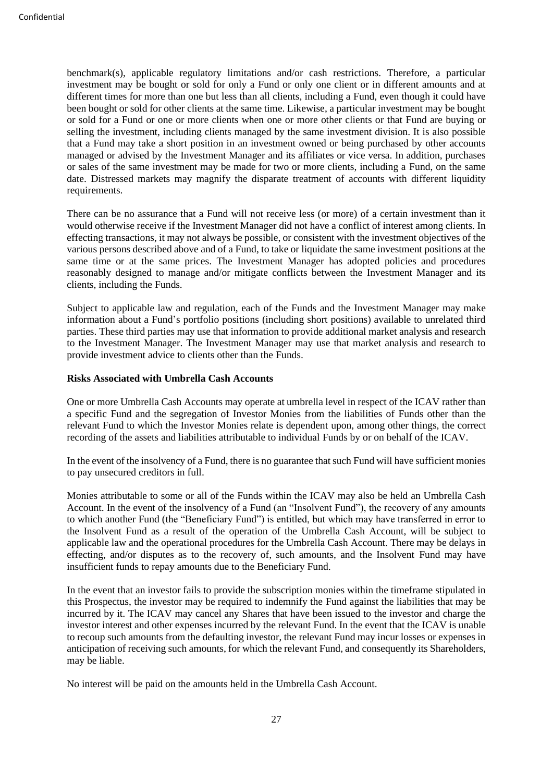benchmark(s), applicable regulatory limitations and/or cash restrictions. Therefore, a particular investment may be bought or sold for only a Fund or only one client or in different amounts and at different times for more than one but less than all clients, including a Fund, even though it could have been bought or sold for other clients at the same time. Likewise, a particular investment may be bought or sold for a Fund or one or more clients when one or more other clients or that Fund are buying or selling the investment, including clients managed by the same investment division. It is also possible that a Fund may take a short position in an investment owned or being purchased by other accounts managed or advised by the Investment Manager and its affiliates or vice versa. In addition, purchases or sales of the same investment may be made for two or more clients, including a Fund, on the same date. Distressed markets may magnify the disparate treatment of accounts with different liquidity requirements.

There can be no assurance that a Fund will not receive less (or more) of a certain investment than it would otherwise receive if the Investment Manager did not have a conflict of interest among clients. In effecting transactions, it may not always be possible, or consistent with the investment objectives of the various persons described above and of a Fund, to take or liquidate the same investment positions at the same time or at the same prices. The Investment Manager has adopted policies and procedures reasonably designed to manage and/or mitigate conflicts between the Investment Manager and its clients, including the Funds.

Subject to applicable law and regulation, each of the Funds and the Investment Manager may make information about a Fund's portfolio positions (including short positions) available to unrelated third parties. These third parties may use that information to provide additional market analysis and research to the Investment Manager. The Investment Manager may use that market analysis and research to provide investment advice to clients other than the Funds.

#### **Risks Associated with Umbrella Cash Accounts**

One or more Umbrella Cash Accounts may operate at umbrella level in respect of the ICAV rather than a specific Fund and the segregation of Investor Monies from the liabilities of Funds other than the relevant Fund to which the Investor Monies relate is dependent upon, among other things, the correct recording of the assets and liabilities attributable to individual Funds by or on behalf of the ICAV.

In the event of the insolvency of a Fund, there is no guarantee that such Fund will have sufficient monies to pay unsecured creditors in full.

Monies attributable to some or all of the Funds within the ICAV may also be held an Umbrella Cash Account. In the event of the insolvency of a Fund (an "Insolvent Fund"), the recovery of any amounts to which another Fund (the "Beneficiary Fund") is entitled, but which may have transferred in error to the Insolvent Fund as a result of the operation of the Umbrella Cash Account, will be subject to applicable law and the operational procedures for the Umbrella Cash Account. There may be delays in effecting, and/or disputes as to the recovery of, such amounts, and the Insolvent Fund may have insufficient funds to repay amounts due to the Beneficiary Fund.

In the event that an investor fails to provide the subscription monies within the timeframe stipulated in this Prospectus, the investor may be required to indemnify the Fund against the liabilities that may be incurred by it. The ICAV may cancel any Shares that have been issued to the investor and charge the investor interest and other expenses incurred by the relevant Fund. In the event that the ICAV is unable to recoup such amounts from the defaulting investor, the relevant Fund may incur losses or expenses in anticipation of receiving such amounts, for which the relevant Fund, and consequently its Shareholders, may be liable.

No interest will be paid on the amounts held in the Umbrella Cash Account.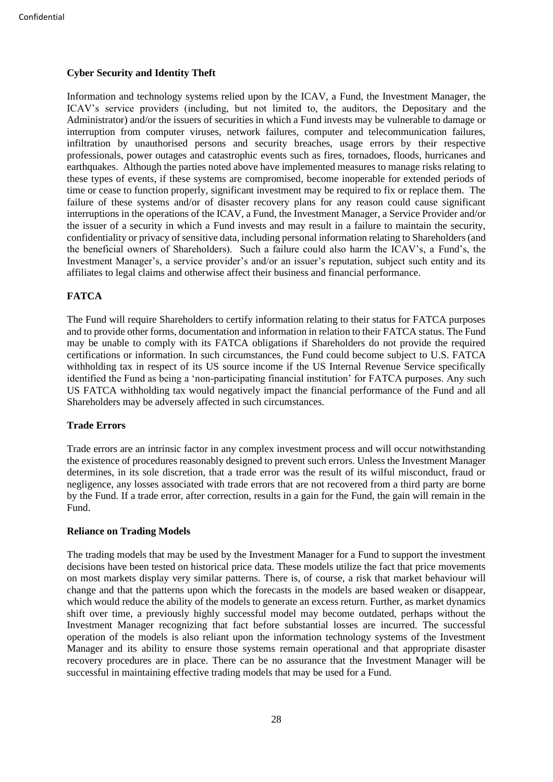# **Cyber Security and Identity Theft**

Information and technology systems relied upon by the ICAV, a Fund, the Investment Manager, the ICAV's service providers (including, but not limited to, the auditors, the Depositary and the Administrator) and/or the issuers of securities in which a Fund invests may be vulnerable to damage or interruption from computer viruses, network failures, computer and telecommunication failures, infiltration by unauthorised persons and security breaches, usage errors by their respective professionals, power outages and catastrophic events such as fires, tornadoes, floods, hurricanes and earthquakes. Although the parties noted above have implemented measures to manage risks relating to these types of events, if these systems are compromised, become inoperable for extended periods of time or cease to function properly, significant investment may be required to fix or replace them. The failure of these systems and/or of disaster recovery plans for any reason could cause significant interruptions in the operations of the ICAV, a Fund, the Investment Manager, a Service Provider and/or the issuer of a security in which a Fund invests and may result in a failure to maintain the security, confidentiality or privacy of sensitive data, including personal information relating to Shareholders (and the beneficial owners of Shareholders). Such a failure could also harm the ICAV's, a Fund's, the Investment Manager's, a service provider's and/or an issuer's reputation, subject such entity and its affiliates to legal claims and otherwise affect their business and financial performance.

# **FATCA**

The Fund will require Shareholders to certify information relating to their status for FATCA purposes and to provide other forms, documentation and information in relation to their FATCA status. The Fund may be unable to comply with its FATCA obligations if Shareholders do not provide the required certifications or information. In such circumstances, the Fund could become subject to U.S. FATCA withholding tax in respect of its US source income if the US Internal Revenue Service specifically identified the Fund as being a 'non-participating financial institution' for FATCA purposes. Any such US FATCA withholding tax would negatively impact the financial performance of the Fund and all Shareholders may be adversely affected in such circumstances.

#### **Trade Errors**

Trade errors are an intrinsic factor in any complex investment process and will occur notwithstanding the existence of procedures reasonably designed to prevent such errors. Unless the Investment Manager determines, in its sole discretion, that a trade error was the result of its wilful misconduct, fraud or negligence, any losses associated with trade errors that are not recovered from a third party are borne by the Fund. If a trade error, after correction, results in a gain for the Fund, the gain will remain in the Fund.

#### **Reliance on Trading Models**

The trading models that may be used by the Investment Manager for a Fund to support the investment decisions have been tested on historical price data. These models utilize the fact that price movements on most markets display very similar patterns. There is, of course, a risk that market behaviour will change and that the patterns upon which the forecasts in the models are based weaken or disappear, which would reduce the ability of the models to generate an excess return. Further, as market dynamics shift over time, a previously highly successful model may become outdated, perhaps without the Investment Manager recognizing that fact before substantial losses are incurred. The successful operation of the models is also reliant upon the information technology systems of the Investment Manager and its ability to ensure those systems remain operational and that appropriate disaster recovery procedures are in place. There can be no assurance that the Investment Manager will be successful in maintaining effective trading models that may be used for a Fund.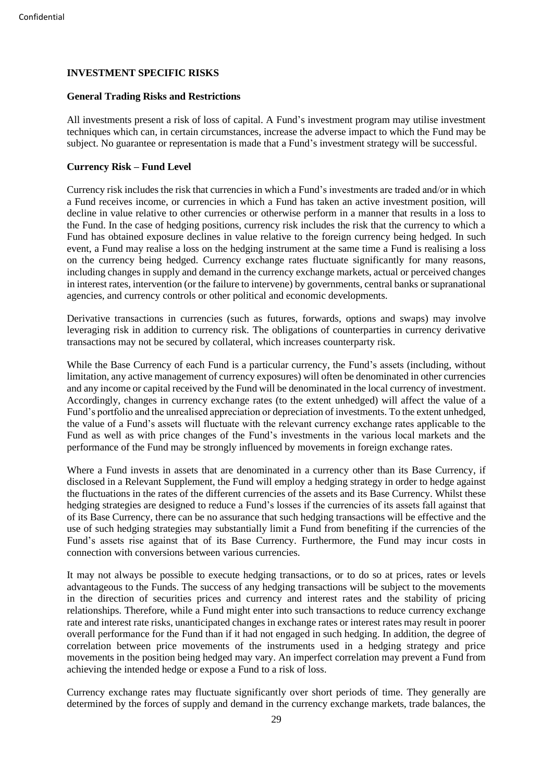# <span id="page-33-0"></span>**INVESTMENT SPECIFIC RISKS**

#### **General Trading Risks and Restrictions**

All investments present a risk of loss of capital. A Fund's investment program may utilise investment techniques which can, in certain circumstances, increase the adverse impact to which the Fund may be subject. No guarantee or representation is made that a Fund's investment strategy will be successful.

# **Currency Risk – Fund Level**

Currency risk includes the risk that currencies in which a Fund's investments are traded and/or in which a Fund receives income, or currencies in which a Fund has taken an active investment position, will decline in value relative to other currencies or otherwise perform in a manner that results in a loss to the Fund. In the case of hedging positions, currency risk includes the risk that the currency to which a Fund has obtained exposure declines in value relative to the foreign currency being hedged. In such event, a Fund may realise a loss on the hedging instrument at the same time a Fund is realising a loss on the currency being hedged. Currency exchange rates fluctuate significantly for many reasons, including changes in supply and demand in the currency exchange markets, actual or perceived changes in interest rates, intervention (or the failure to intervene) by governments, central banks or supranational agencies, and currency controls or other political and economic developments.

Derivative transactions in currencies (such as futures, forwards, options and swaps) may involve leveraging risk in addition to currency risk. The obligations of counterparties in currency derivative transactions may not be secured by collateral, which increases counterparty risk.

While the Base Currency of each Fund is a particular currency, the Fund's assets (including, without limitation, any active management of currency exposures) will often be denominated in other currencies and any income or capital received by the Fund will be denominated in the local currency of investment. Accordingly, changes in currency exchange rates (to the extent unhedged) will affect the value of a Fund's portfolio and the unrealised appreciation or depreciation of investments. To the extent unhedged, the value of a Fund's assets will fluctuate with the relevant currency exchange rates applicable to the Fund as well as with price changes of the Fund's investments in the various local markets and the performance of the Fund may be strongly influenced by movements in foreign exchange rates.

Where a Fund invests in assets that are denominated in a currency other than its Base Currency, if disclosed in a Relevant Supplement, the Fund will employ a hedging strategy in order to hedge against the fluctuations in the rates of the different currencies of the assets and its Base Currency. Whilst these hedging strategies are designed to reduce a Fund's losses if the currencies of its assets fall against that of its Base Currency, there can be no assurance that such hedging transactions will be effective and the use of such hedging strategies may substantially limit a Fund from benefiting if the currencies of the Fund's assets rise against that of its Base Currency. Furthermore, the Fund may incur costs in connection with conversions between various currencies.

It may not always be possible to execute hedging transactions, or to do so at prices, rates or levels advantageous to the Funds. The success of any hedging transactions will be subject to the movements in the direction of securities prices and currency and interest rates and the stability of pricing relationships. Therefore, while a Fund might enter into such transactions to reduce currency exchange rate and interest rate risks, unanticipated changes in exchange rates or interest rates may result in poorer overall performance for the Fund than if it had not engaged in such hedging. In addition, the degree of correlation between price movements of the instruments used in a hedging strategy and price movements in the position being hedged may vary. An imperfect correlation may prevent a Fund from achieving the intended hedge or expose a Fund to a risk of loss.

Currency exchange rates may fluctuate significantly over short periods of time. They generally are determined by the forces of supply and demand in the currency exchange markets, trade balances, the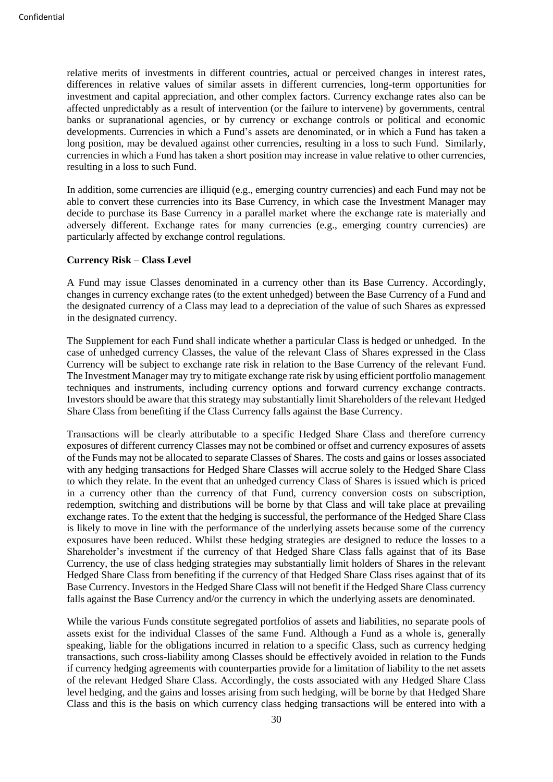relative merits of investments in different countries, actual or perceived changes in interest rates, differences in relative values of similar assets in different currencies, long-term opportunities for investment and capital appreciation, and other complex factors. Currency exchange rates also can be affected unpredictably as a result of intervention (or the failure to intervene) by governments, central banks or supranational agencies, or by currency or exchange controls or political and economic developments. Currencies in which a Fund's assets are denominated, or in which a Fund has taken a long position, may be devalued against other currencies, resulting in a loss to such Fund. Similarly, currencies in which a Fund has taken a short position may increase in value relative to other currencies, resulting in a loss to such Fund.

In addition, some currencies are illiquid (e.g., emerging country currencies) and each Fund may not be able to convert these currencies into its Base Currency, in which case the Investment Manager may decide to purchase its Base Currency in a parallel market where the exchange rate is materially and adversely different. Exchange rates for many currencies (e.g., emerging country currencies) are particularly affected by exchange control regulations.

#### **Currency Risk – Class Level**

A Fund may issue Classes denominated in a currency other than its Base Currency. Accordingly, changes in currency exchange rates (to the extent unhedged) between the Base Currency of a Fund and the designated currency of a Class may lead to a depreciation of the value of such Shares as expressed in the designated currency.

The Supplement for each Fund shall indicate whether a particular Class is hedged or unhedged. In the case of unhedged currency Classes, the value of the relevant Class of Shares expressed in the Class Currency will be subject to exchange rate risk in relation to the Base Currency of the relevant Fund. The Investment Manager may try to mitigate exchange rate risk by using efficient portfolio management techniques and instruments, including currency options and forward currency exchange contracts. Investors should be aware that this strategy may substantially limit Shareholders of the relevant Hedged Share Class from benefiting if the Class Currency falls against the Base Currency.

Transactions will be clearly attributable to a specific Hedged Share Class and therefore currency exposures of different currency Classes may not be combined or offset and currency exposures of assets of the Funds may not be allocated to separate Classes of Shares. The costs and gains or losses associated with any hedging transactions for Hedged Share Classes will accrue solely to the Hedged Share Class to which they relate. In the event that an unhedged currency Class of Shares is issued which is priced in a currency other than the currency of that Fund, currency conversion costs on subscription, redemption, switching and distributions will be borne by that Class and will take place at prevailing exchange rates. To the extent that the hedging is successful, the performance of the Hedged Share Class is likely to move in line with the performance of the underlying assets because some of the currency exposures have been reduced. Whilst these hedging strategies are designed to reduce the losses to a Shareholder's investment if the currency of that Hedged Share Class falls against that of its Base Currency, the use of class hedging strategies may substantially limit holders of Shares in the relevant Hedged Share Class from benefiting if the currency of that Hedged Share Class rises against that of its Base Currency. Investors in the Hedged Share Class will not benefit if the Hedged Share Class currency falls against the Base Currency and/or the currency in which the underlying assets are denominated.

While the various Funds constitute segregated portfolios of assets and liabilities, no separate pools of assets exist for the individual Classes of the same Fund. Although a Fund as a whole is, generally speaking, liable for the obligations incurred in relation to a specific Class, such as currency hedging transactions, such cross-liability among Classes should be effectively avoided in relation to the Funds if currency hedging agreements with counterparties provide for a limitation of liability to the net assets of the relevant Hedged Share Class. Accordingly, the costs associated with any Hedged Share Class level hedging, and the gains and losses arising from such hedging, will be borne by that Hedged Share Class and this is the basis on which currency class hedging transactions will be entered into with a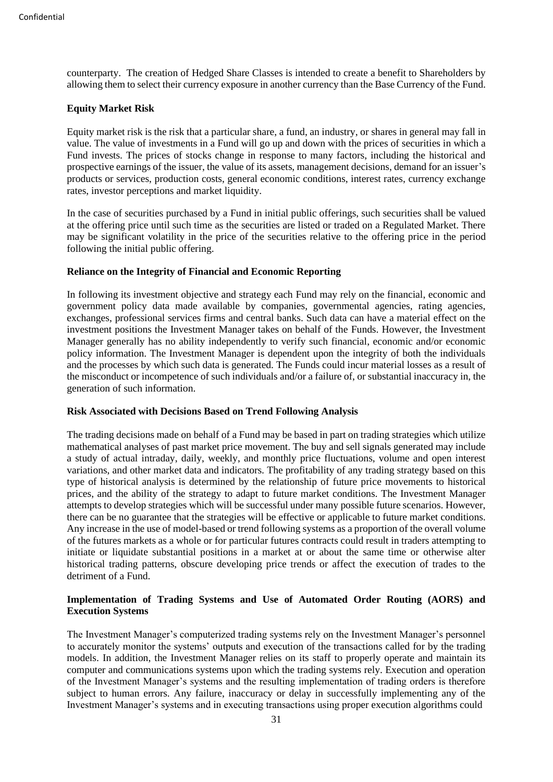counterparty. The creation of Hedged Share Classes is intended to create a benefit to Shareholders by allowing them to select their currency exposure in another currency than the Base Currency of the Fund.

# **Equity Market Risk**

Equity market risk is the risk that a particular share, a fund, an industry, or shares in general may fall in value. The value of investments in a Fund will go up and down with the prices of securities in which a Fund invests. The prices of stocks change in response to many factors, including the historical and prospective earnings of the issuer, the value of its assets, management decisions, demand for an issuer's products or services, production costs, general economic conditions, interest rates, currency exchange rates, investor perceptions and market liquidity.

In the case of securities purchased by a Fund in initial public offerings, such securities shall be valued at the offering price until such time as the securities are listed or traded on a Regulated Market. There may be significant volatility in the price of the securities relative to the offering price in the period following the initial public offering.

# **Reliance on the Integrity of Financial and Economic Reporting**

In following its investment objective and strategy each Fund may rely on the financial, economic and government policy data made available by companies, governmental agencies, rating agencies, exchanges, professional services firms and central banks. Such data can have a material effect on the investment positions the Investment Manager takes on behalf of the Funds. However, the Investment Manager generally has no ability independently to verify such financial, economic and/or economic policy information. The Investment Manager is dependent upon the integrity of both the individuals and the processes by which such data is generated. The Funds could incur material losses as a result of the misconduct or incompetence of such individuals and/or a failure of, or substantial inaccuracy in, the generation of such information.

## **Risk Associated with Decisions Based on Trend Following Analysis**

The trading decisions made on behalf of a Fund may be based in part on trading strategies which utilize mathematical analyses of past market price movement. The buy and sell signals generated may include a study of actual intraday, daily, weekly, and monthly price fluctuations, volume and open interest variations, and other market data and indicators. The profitability of any trading strategy based on this type of historical analysis is determined by the relationship of future price movements to historical prices, and the ability of the strategy to adapt to future market conditions. The Investment Manager attempts to develop strategies which will be successful under many possible future scenarios. However, there can be no guarantee that the strategies will be effective or applicable to future market conditions. Any increase in the use of model-based or trend following systems as a proportion of the overall volume of the futures markets as a whole or for particular futures contracts could result in traders attempting to initiate or liquidate substantial positions in a market at or about the same time or otherwise alter historical trading patterns, obscure developing price trends or affect the execution of trades to the detriment of a Fund.

# **Implementation of Trading Systems and Use of Automated Order Routing (AORS) and Execution Systems**

The Investment Manager's computerized trading systems rely on the Investment Manager's personnel to accurately monitor the systems' outputs and execution of the transactions called for by the trading models. In addition, the Investment Manager relies on its staff to properly operate and maintain its computer and communications systems upon which the trading systems rely. Execution and operation of the Investment Manager's systems and the resulting implementation of trading orders is therefore subject to human errors. Any failure, inaccuracy or delay in successfully implementing any of the Investment Manager's systems and in executing transactions using proper execution algorithms could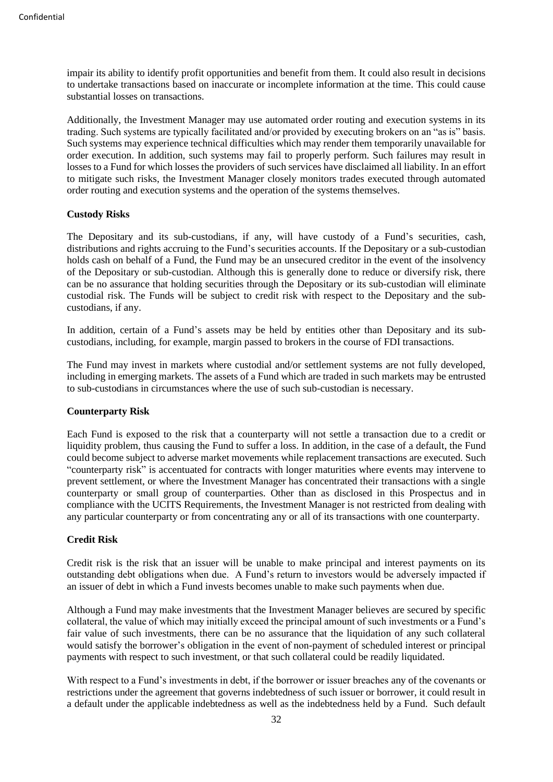impair its ability to identify profit opportunities and benefit from them. It could also result in decisions to undertake transactions based on inaccurate or incomplete information at the time. This could cause substantial losses on transactions.

Additionally, the Investment Manager may use automated order routing and execution systems in its trading. Such systems are typically facilitated and/or provided by executing brokers on an "as is" basis. Such systems may experience technical difficulties which may render them temporarily unavailable for order execution. In addition, such systems may fail to properly perform. Such failures may result in losses to a Fund for which losses the providers of such services have disclaimed all liability. In an effort to mitigate such risks, the Investment Manager closely monitors trades executed through automated order routing and execution systems and the operation of the systems themselves.

### **Custody Risks**

The Depositary and its sub-custodians, if any, will have custody of a Fund's securities, cash, distributions and rights accruing to the Fund's securities accounts. If the Depositary or a sub-custodian holds cash on behalf of a Fund, the Fund may be an unsecured creditor in the event of the insolvency of the Depositary or sub-custodian. Although this is generally done to reduce or diversify risk, there can be no assurance that holding securities through the Depositary or its sub-custodian will eliminate custodial risk. The Funds will be subject to credit risk with respect to the Depositary and the subcustodians, if any.

In addition, certain of a Fund's assets may be held by entities other than Depositary and its subcustodians, including, for example, margin passed to brokers in the course of FDI transactions.

The Fund may invest in markets where custodial and/or settlement systems are not fully developed, including in emerging markets. The assets of a Fund which are traded in such markets may be entrusted to sub-custodians in circumstances where the use of such sub-custodian is necessary.

#### **Counterparty Risk**

Each Fund is exposed to the risk that a counterparty will not settle a transaction due to a credit or liquidity problem, thus causing the Fund to suffer a loss. In addition, in the case of a default, the Fund could become subject to adverse market movements while replacement transactions are executed. Such "counterparty risk" is accentuated for contracts with longer maturities where events may intervene to prevent settlement, or where the Investment Manager has concentrated their transactions with a single counterparty or small group of counterparties. Other than as disclosed in this Prospectus and in compliance with the UCITS Requirements, the Investment Manager is not restricted from dealing with any particular counterparty or from concentrating any or all of its transactions with one counterparty.

#### **Credit Risk**

Credit risk is the risk that an issuer will be unable to make principal and interest payments on its outstanding debt obligations when due. A Fund's return to investors would be adversely impacted if an issuer of debt in which a Fund invests becomes unable to make such payments when due.

Although a Fund may make investments that the Investment Manager believes are secured by specific collateral, the value of which may initially exceed the principal amount of such investments or a Fund's fair value of such investments, there can be no assurance that the liquidation of any such collateral would satisfy the borrower's obligation in the event of non-payment of scheduled interest or principal payments with respect to such investment, or that such collateral could be readily liquidated.

With respect to a Fund's investments in debt, if the borrower or issuer breaches any of the covenants or restrictions under the agreement that governs indebtedness of such issuer or borrower, it could result in a default under the applicable indebtedness as well as the indebtedness held by a Fund. Such default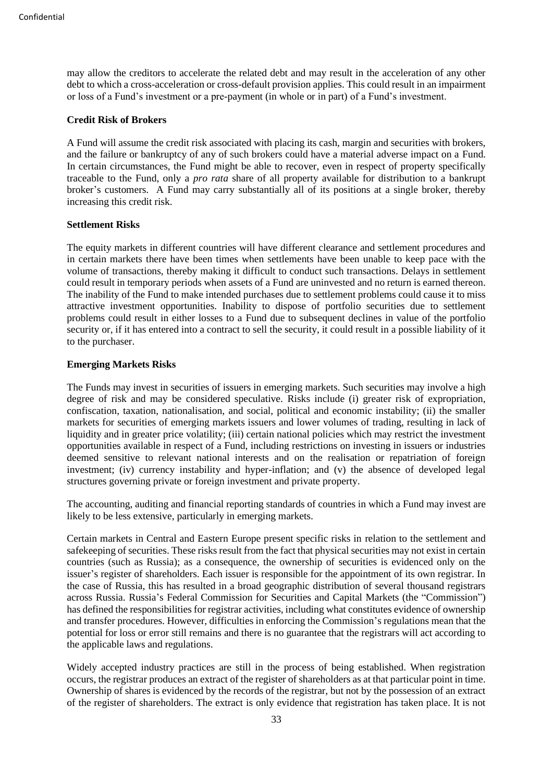may allow the creditors to accelerate the related debt and may result in the acceleration of any other debt to which a cross-acceleration or cross-default provision applies. This could result in an impairment or loss of a Fund's investment or a pre-payment (in whole or in part) of a Fund's investment.

#### **Credit Risk of Brokers**

A Fund will assume the credit risk associated with placing its cash, margin and securities with brokers, and the failure or bankruptcy of any of such brokers could have a material adverse impact on a Fund. In certain circumstances, the Fund might be able to recover, even in respect of property specifically traceable to the Fund, only a *pro rata* share of all property available for distribution to a bankrupt broker's customers. A Fund may carry substantially all of its positions at a single broker, thereby increasing this credit risk.

### **Settlement Risks**

The equity markets in different countries will have different clearance and settlement procedures and in certain markets there have been times when settlements have been unable to keep pace with the volume of transactions, thereby making it difficult to conduct such transactions. Delays in settlement could result in temporary periods when assets of a Fund are uninvested and no return is earned thereon. The inability of the Fund to make intended purchases due to settlement problems could cause it to miss attractive investment opportunities. Inability to dispose of portfolio securities due to settlement problems could result in either losses to a Fund due to subsequent declines in value of the portfolio security or, if it has entered into a contract to sell the security, it could result in a possible liability of it to the purchaser.

### **Emerging Markets Risks**

The Funds may invest in securities of issuers in emerging markets. Such securities may involve a high degree of risk and may be considered speculative. Risks include (i) greater risk of expropriation, confiscation, taxation, nationalisation, and social, political and economic instability; (ii) the smaller markets for securities of emerging markets issuers and lower volumes of trading, resulting in lack of liquidity and in greater price volatility; (iii) certain national policies which may restrict the investment opportunities available in respect of a Fund, including restrictions on investing in issuers or industries deemed sensitive to relevant national interests and on the realisation or repatriation of foreign investment; (iv) currency instability and hyper-inflation; and (v) the absence of developed legal structures governing private or foreign investment and private property.

The accounting, auditing and financial reporting standards of countries in which a Fund may invest are likely to be less extensive, particularly in emerging markets.

Certain markets in Central and Eastern Europe present specific risks in relation to the settlement and safekeeping of securities. These risks result from the fact that physical securities may not exist in certain countries (such as Russia); as a consequence, the ownership of securities is evidenced only on the issuer's register of shareholders. Each issuer is responsible for the appointment of its own registrar. In the case of Russia, this has resulted in a broad geographic distribution of several thousand registrars across Russia. Russia's Federal Commission for Securities and Capital Markets (the "Commission") has defined the responsibilities for registrar activities, including what constitutes evidence of ownership and transfer procedures. However, difficulties in enforcing the Commission's regulations mean that the potential for loss or error still remains and there is no guarantee that the registrars will act according to the applicable laws and regulations.

Widely accepted industry practices are still in the process of being established. When registration occurs, the registrar produces an extract of the register of shareholders as at that particular point in time. Ownership of shares is evidenced by the records of the registrar, but not by the possession of an extract of the register of shareholders. The extract is only evidence that registration has taken place. It is not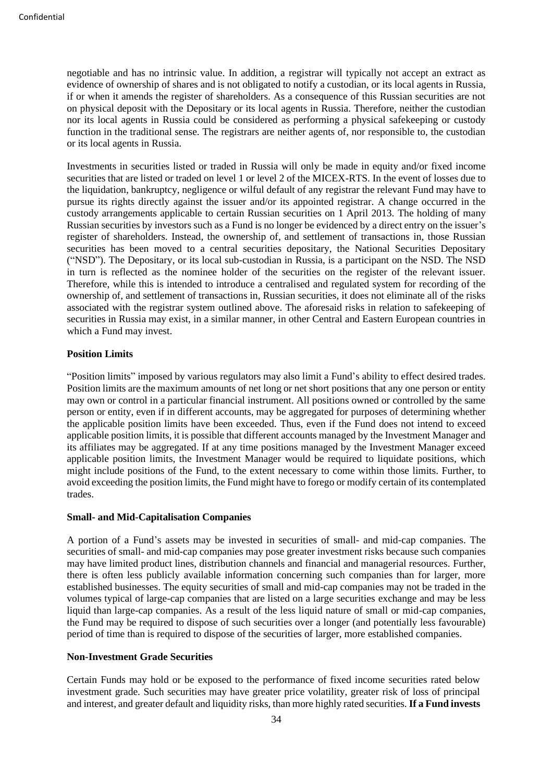negotiable and has no intrinsic value. In addition, a registrar will typically not accept an extract as evidence of ownership of shares and is not obligated to notify a custodian, or its local agents in Russia, if or when it amends the register of shareholders. As a consequence of this Russian securities are not on physical deposit with the Depositary or its local agents in Russia. Therefore, neither the custodian nor its local agents in Russia could be considered as performing a physical safekeeping or custody function in the traditional sense. The registrars are neither agents of, nor responsible to, the custodian or its local agents in Russia.

Investments in securities listed or traded in Russia will only be made in equity and/or fixed income securities that are listed or traded on level 1 or level 2 of the MICEX-RTS. In the event of losses due to the liquidation, bankruptcy, negligence or wilful default of any registrar the relevant Fund may have to pursue its rights directly against the issuer and/or its appointed registrar. A change occurred in the custody arrangements applicable to certain Russian securities on 1 April 2013. The holding of many Russian securities by investors such as a Fund is no longer be evidenced by a direct entry on the issuer's register of shareholders. Instead, the ownership of, and settlement of transactions in, those Russian securities has been moved to a central securities depositary, the National Securities Depositary ("NSD"). The Depositary, or its local sub-custodian in Russia, is a participant on the NSD. The NSD in turn is reflected as the nominee holder of the securities on the register of the relevant issuer. Therefore, while this is intended to introduce a centralised and regulated system for recording of the ownership of, and settlement of transactions in, Russian securities, it does not eliminate all of the risks associated with the registrar system outlined above. The aforesaid risks in relation to safekeeping of securities in Russia may exist, in a similar manner, in other Central and Eastern European countries in which a Fund may invest.

### **Position Limits**

"Position limits" imposed by various regulators may also limit a Fund's ability to effect desired trades. Position limits are the maximum amounts of net long or net short positions that any one person or entity may own or control in a particular financial instrument. All positions owned or controlled by the same person or entity, even if in different accounts, may be aggregated for purposes of determining whether the applicable position limits have been exceeded. Thus, even if the Fund does not intend to exceed applicable position limits, it is possible that different accounts managed by the Investment Manager and its affiliates may be aggregated. If at any time positions managed by the Investment Manager exceed applicable position limits, the Investment Manager would be required to liquidate positions, which might include positions of the Fund, to the extent necessary to come within those limits. Further, to avoid exceeding the position limits, the Fund might have to forego or modify certain of its contemplated trades.

### **Small- and Mid-Capitalisation Companies**

A portion of a Fund's assets may be invested in securities of small- and mid-cap companies. The securities of small- and mid-cap companies may pose greater investment risks because such companies may have limited product lines, distribution channels and financial and managerial resources. Further, there is often less publicly available information concerning such companies than for larger, more established businesses. The equity securities of small and mid-cap companies may not be traded in the volumes typical of large-cap companies that are listed on a large securities exchange and may be less liquid than large-cap companies. As a result of the less liquid nature of small or mid-cap companies, the Fund may be required to dispose of such securities over a longer (and potentially less favourable) period of time than is required to dispose of the securities of larger, more established companies.

#### **Non-Investment Grade Securities**

Certain Funds may hold or be exposed to the performance of fixed income securities rated below investment grade. Such securities may have greater price volatility, greater risk of loss of principal and interest, and greater default and liquidity risks, than more highly rated securities. **If a Fund invests**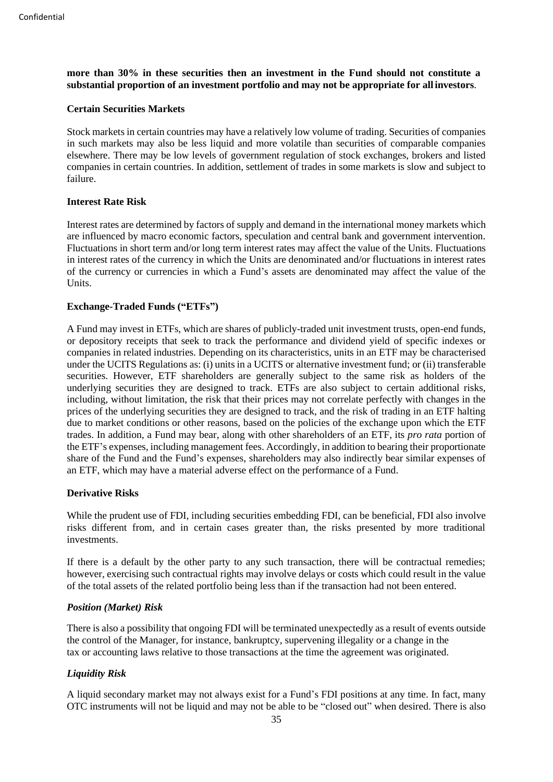**more than 30% in these securities then an investment in the Fund should not constitute a substantial proportion of an investment portfolio and may not be appropriate for all investors**.

#### **Certain Securities Markets**

Stock markets in certain countries may have a relatively low volume of trading. Securities of companies in such markets may also be less liquid and more volatile than securities of comparable companies elsewhere. There may be low levels of government regulation of stock exchanges, brokers and listed companies in certain countries. In addition, settlement of trades in some markets is slow and subject to failure.

### **Interest Rate Risk**

Interest rates are determined by factors of supply and demand in the international money markets which are influenced by macro economic factors, speculation and central bank and government intervention. Fluctuations in short term and/or long term interest rates may affect the value of the Units. Fluctuations in interest rates of the currency in which the Units are denominated and/or fluctuations in interest rates of the currency or currencies in which a Fund's assets are denominated may affect the value of the Units.

### **Exchange-Traded Funds ("ETFs")**

A Fund may invest in ETFs, which are shares of publicly-traded unit investment trusts, open-end funds, or depository receipts that seek to track the performance and dividend yield of specific indexes or companies in related industries. Depending on its characteristics, units in an ETF may be characterised under the UCITS Regulations as: (i) units in a UCITS or alternative investment fund; or (ii) transferable securities. However, ETF shareholders are generally subject to the same risk as holders of the underlying securities they are designed to track. ETFs are also subject to certain additional risks, including, without limitation, the risk that their prices may not correlate perfectly with changes in the prices of the underlying securities they are designed to track, and the risk of trading in an ETF halting due to market conditions or other reasons, based on the policies of the exchange upon which the ETF trades. In addition, a Fund may bear, along with other shareholders of an ETF, its *pro rata* portion of the ETF's expenses, including management fees. Accordingly, in addition to bearing their proportionate share of the Fund and the Fund's expenses, shareholders may also indirectly bear similar expenses of an ETF, which may have a material adverse effect on the performance of a Fund.

#### **Derivative Risks**

While the prudent use of FDI, including securities embedding FDI, can be beneficial, FDI also involve risks different from, and in certain cases greater than, the risks presented by more traditional investments.

If there is a default by the other party to any such transaction, there will be contractual remedies; however, exercising such contractual rights may involve delays or costs which could result in the value of the total assets of the related portfolio being less than if the transaction had not been entered.

#### *Position (Market) Risk*

There is also a possibility that ongoing FDI will be terminated unexpectedly as a result of events outside the control of the Manager, for instance, bankruptcy, supervening illegality or a change in the tax or accounting laws relative to those transactions at the time the agreement was originated.

#### *Liquidity Risk*

A liquid secondary market may not always exist for a Fund's FDI positions at any time. In fact, many OTC instruments will not be liquid and may not be able to be "closed out" when desired. There is also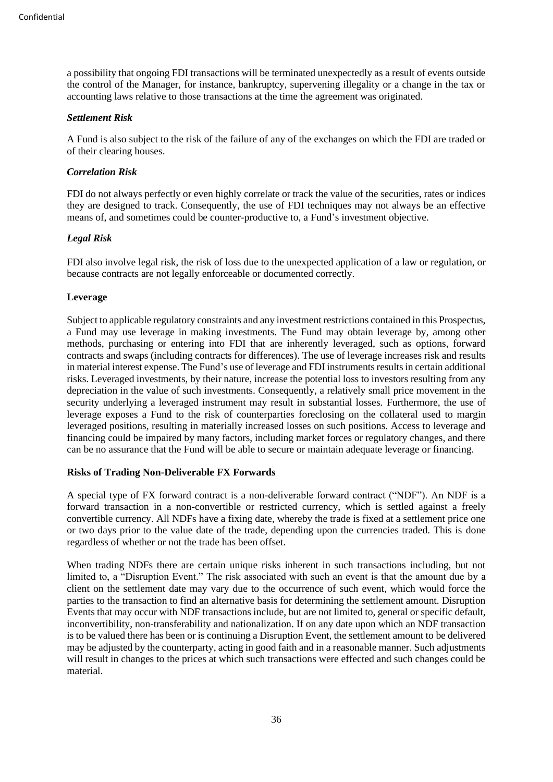a possibility that ongoing FDI transactions will be terminated unexpectedly as a result of events outside the control of the Manager, for instance, bankruptcy, supervening illegality or a change in the tax or accounting laws relative to those transactions at the time the agreement was originated.

#### *Settlement Risk*

A Fund is also subject to the risk of the failure of any of the exchanges on which the FDI are traded or of their clearing houses.

# *Correlation Risk*

FDI do not always perfectly or even highly correlate or track the value of the securities, rates or indices they are designed to track. Consequently, the use of FDI techniques may not always be an effective means of, and sometimes could be counter-productive to, a Fund's investment objective.

# *Legal Risk*

FDI also involve legal risk, the risk of loss due to the unexpected application of a law or regulation, or because contracts are not legally enforceable or documented correctly.

# **Leverage**

Subject to applicable regulatory constraints and any investment restrictions contained in this Prospectus, a Fund may use leverage in making investments. The Fund may obtain leverage by, among other methods, purchasing or entering into FDI that are inherently leveraged, such as options, forward contracts and swaps (including contracts for differences). The use of leverage increases risk and results in material interest expense. The Fund's use of leverage and FDI instruments results in certain additional risks. Leveraged investments, by their nature, increase the potential loss to investors resulting from any depreciation in the value of such investments. Consequently, a relatively small price movement in the security underlying a leveraged instrument may result in substantial losses. Furthermore, the use of leverage exposes a Fund to the risk of counterparties foreclosing on the collateral used to margin leveraged positions, resulting in materially increased losses on such positions. Access to leverage and financing could be impaired by many factors, including market forces or regulatory changes, and there can be no assurance that the Fund will be able to secure or maintain adequate leverage or financing.

# **Risks of Trading Non-Deliverable FX Forwards**

A special type of FX forward contract is a non-deliverable forward contract ("NDF"). An NDF is a forward transaction in a non-convertible or restricted currency, which is settled against a freely convertible currency. All NDFs have a fixing date, whereby the trade is fixed at a settlement price one or two days prior to the value date of the trade, depending upon the currencies traded. This is done regardless of whether or not the trade has been offset.

When trading NDFs there are certain unique risks inherent in such transactions including, but not limited to, a "Disruption Event." The risk associated with such an event is that the amount due by a client on the settlement date may vary due to the occurrence of such event, which would force the parties to the transaction to find an alternative basis for determining the settlement amount. Disruption Events that may occur with NDF transactions include, but are not limited to, general or specific default, inconvertibility, non-transferability and nationalization. If on any date upon which an NDF transaction is to be valued there has been or is continuing a Disruption Event, the settlement amount to be delivered may be adjusted by the counterparty, acting in good faith and in a reasonable manner. Such adjustments will result in changes to the prices at which such transactions were effected and such changes could be material.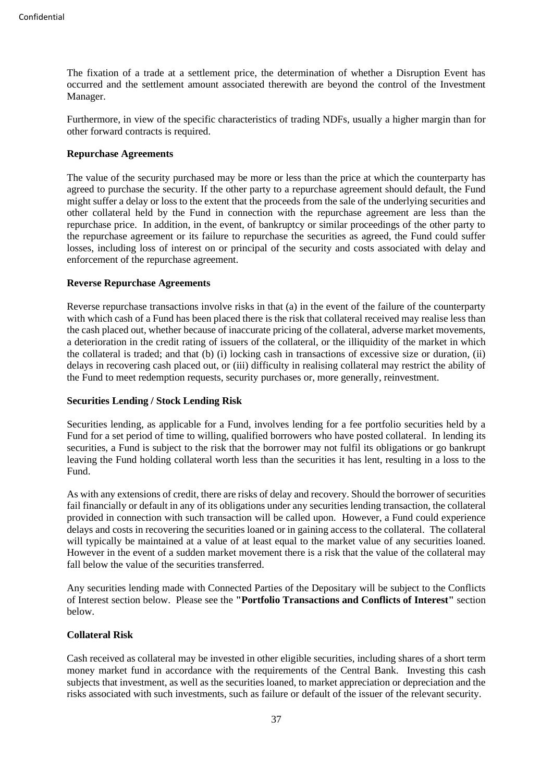The fixation of a trade at a settlement price, the determination of whether a Disruption Event has occurred and the settlement amount associated therewith are beyond the control of the Investment Manager.

Furthermore, in view of the specific characteristics of trading NDFs, usually a higher margin than for other forward contracts is required.

### **Repurchase Agreements**

The value of the security purchased may be more or less than the price at which the counterparty has agreed to purchase the security. If the other party to a repurchase agreement should default, the Fund might suffer a delay or loss to the extent that the proceeds from the sale of the underlying securities and other collateral held by the Fund in connection with the repurchase agreement are less than the repurchase price. In addition, in the event, of bankruptcy or similar proceedings of the other party to the repurchase agreement or its failure to repurchase the securities as agreed, the Fund could suffer losses, including loss of interest on or principal of the security and costs associated with delay and enforcement of the repurchase agreement.

### **Reverse Repurchase Agreements**

Reverse repurchase transactions involve risks in that (a) in the event of the failure of the counterparty with which cash of a Fund has been placed there is the risk that collateral received may realise less than the cash placed out, whether because of inaccurate pricing of the collateral, adverse market movements, a deterioration in the credit rating of issuers of the collateral, or the illiquidity of the market in which the collateral is traded; and that (b) (i) locking cash in transactions of excessive size or duration, (ii) delays in recovering cash placed out, or (iii) difficulty in realising collateral may restrict the ability of the Fund to meet redemption requests, security purchases or, more generally, reinvestment.

### **Securities Lending / Stock Lending Risk**

Securities lending, as applicable for a Fund, involves lending for a fee portfolio securities held by a Fund for a set period of time to willing, qualified borrowers who have posted collateral. In lending its securities, a Fund is subject to the risk that the borrower may not fulfil its obligations or go bankrupt leaving the Fund holding collateral worth less than the securities it has lent, resulting in a loss to the Fund.

As with any extensions of credit, there are risks of delay and recovery. Should the borrower of securities fail financially or default in any of its obligations under any securities lending transaction, the collateral provided in connection with such transaction will be called upon. However, a Fund could experience delays and costs in recovering the securities loaned or in gaining access to the collateral. The collateral will typically be maintained at a value of at least equal to the market value of any securities loaned. However in the event of a sudden market movement there is a risk that the value of the collateral may fall below the value of the securities transferred.

Any securities lending made with Connected Parties of the Depositary will be subject to the Conflicts of Interest section below. Please see the **"Portfolio Transactions and Conflicts of Interest"** section below.

#### **Collateral Risk**

Cash received as collateral may be invested in other eligible securities, including shares of a short term money market fund in accordance with the requirements of the Central Bank. Investing this cash subjects that investment, as well as the securities loaned, to market appreciation or depreciation and the risks associated with such investments, such as failure or default of the issuer of the relevant security.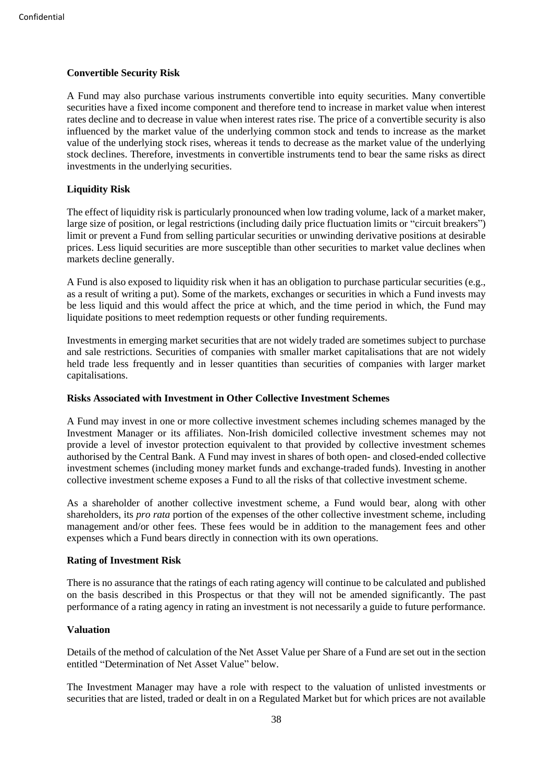# **Convertible Security Risk**

A Fund may also purchase various instruments convertible into equity securities. Many convertible securities have a fixed income component and therefore tend to increase in market value when interest rates decline and to decrease in value when interest rates rise. The price of a convertible security is also influenced by the market value of the underlying common stock and tends to increase as the market value of the underlying stock rises, whereas it tends to decrease as the market value of the underlying stock declines. Therefore, investments in convertible instruments tend to bear the same risks as direct investments in the underlying securities.

# **Liquidity Risk**

The effect of liquidity risk is particularly pronounced when low trading volume, lack of a market maker, large size of position, or legal restrictions (including daily price fluctuation limits or "circuit breakers") limit or prevent a Fund from selling particular securities or unwinding derivative positions at desirable prices. Less liquid securities are more susceptible than other securities to market value declines when markets decline generally.

A Fund is also exposed to liquidity risk when it has an obligation to purchase particular securities (e.g., as a result of writing a put). Some of the markets, exchanges or securities in which a Fund invests may be less liquid and this would affect the price at which, and the time period in which, the Fund may liquidate positions to meet redemption requests or other funding requirements.

Investments in emerging market securities that are not widely traded are sometimes subject to purchase and sale restrictions. Securities of companies with smaller market capitalisations that are not widely held trade less frequently and in lesser quantities than securities of companies with larger market capitalisations.

# **Risks Associated with Investment in Other Collective Investment Schemes**

A Fund may invest in one or more collective investment schemes including schemes managed by the Investment Manager or its affiliates. Non-Irish domiciled collective investment schemes may not provide a level of investor protection equivalent to that provided by collective investment schemes authorised by the Central Bank. A Fund may invest in shares of both open- and closed-ended collective investment schemes (including money market funds and exchange-traded funds). Investing in another collective investment scheme exposes a Fund to all the risks of that collective investment scheme.

As a shareholder of another collective investment scheme, a Fund would bear, along with other shareholders, its *pro rata* portion of the expenses of the other collective investment scheme, including management and/or other fees. These fees would be in addition to the management fees and other expenses which a Fund bears directly in connection with its own operations.

#### **Rating of Investment Risk**

There is no assurance that the ratings of each rating agency will continue to be calculated and published on the basis described in this Prospectus or that they will not be amended significantly. The past performance of a rating agency in rating an investment is not necessarily a guide to future performance.

# **Valuation**

Details of the method of calculation of the Net Asset Value per Share of a Fund are set out in the section entitled "Determination of Net Asset Value" below.

The Investment Manager may have a role with respect to the valuation of unlisted investments or securities that are listed, traded or dealt in on a Regulated Market but for which prices are not available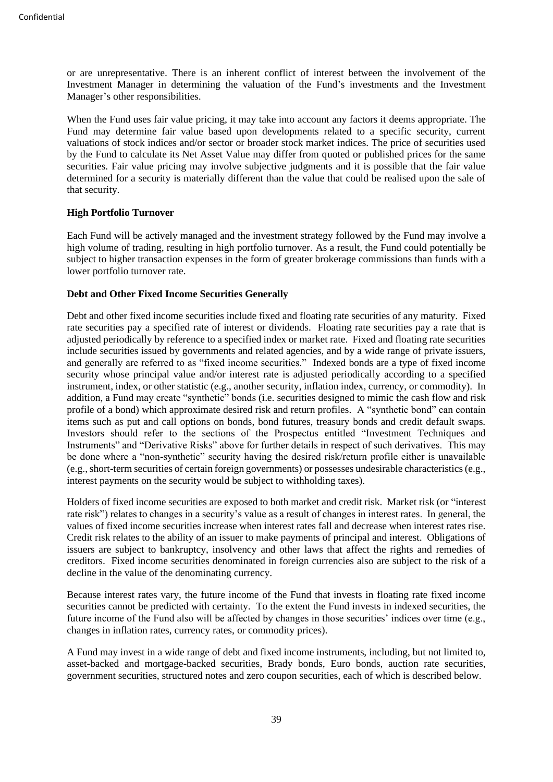or are unrepresentative. There is an inherent conflict of interest between the involvement of the Investment Manager in determining the valuation of the Fund's investments and the Investment Manager's other responsibilities.

When the Fund uses fair value pricing, it may take into account any factors it deems appropriate. The Fund may determine fair value based upon developments related to a specific security, current valuations of stock indices and/or sector or broader stock market indices. The price of securities used by the Fund to calculate its Net Asset Value may differ from quoted or published prices for the same securities. Fair value pricing may involve subjective judgments and it is possible that the fair value determined for a security is materially different than the value that could be realised upon the sale of that security.

# **High Portfolio Turnover**

Each Fund will be actively managed and the investment strategy followed by the Fund may involve a high volume of trading, resulting in high portfolio turnover. As a result, the Fund could potentially be subject to higher transaction expenses in the form of greater brokerage commissions than funds with a lower portfolio turnover rate.

### **Debt and Other Fixed Income Securities Generally**

Debt and other fixed income securities include fixed and floating rate securities of any maturity. Fixed rate securities pay a specified rate of interest or dividends. Floating rate securities pay a rate that is adjusted periodically by reference to a specified index or market rate. Fixed and floating rate securities include securities issued by governments and related agencies, and by a wide range of private issuers, and generally are referred to as "fixed income securities." Indexed bonds are a type of fixed income security whose principal value and/or interest rate is adjusted periodically according to a specified instrument, index, or other statistic (e.g., another security, inflation index, currency, or commodity). In addition, a Fund may create "synthetic" bonds (i.e. securities designed to mimic the cash flow and risk profile of a bond) which approximate desired risk and return profiles. A "synthetic bond" can contain items such as put and call options on bonds, bond futures, treasury bonds and credit default swaps. Investors should refer to the sections of the Prospectus entitled "Investment Techniques and Instruments" and "Derivative Risks" above for further details in respect of such derivatives. This may be done where a "non-synthetic" security having the desired risk/return profile either is unavailable (e.g., short-term securities of certain foreign governments) or possesses undesirable characteristics (e.g., interest payments on the security would be subject to withholding taxes).

Holders of fixed income securities are exposed to both market and credit risk. Market risk (or "interest rate risk") relates to changes in a security's value as a result of changes in interest rates. In general, the values of fixed income securities increase when interest rates fall and decrease when interest rates rise. Credit risk relates to the ability of an issuer to make payments of principal and interest. Obligations of issuers are subject to bankruptcy, insolvency and other laws that affect the rights and remedies of creditors. Fixed income securities denominated in foreign currencies also are subject to the risk of a decline in the value of the denominating currency.

Because interest rates vary, the future income of the Fund that invests in floating rate fixed income securities cannot be predicted with certainty. To the extent the Fund invests in indexed securities, the future income of the Fund also will be affected by changes in those securities' indices over time (e.g., changes in inflation rates, currency rates, or commodity prices).

A Fund may invest in a wide range of debt and fixed income instruments, including, but not limited to, asset-backed and mortgage-backed securities, Brady bonds, Euro bonds, auction rate securities, government securities, structured notes and zero coupon securities, each of which is described below.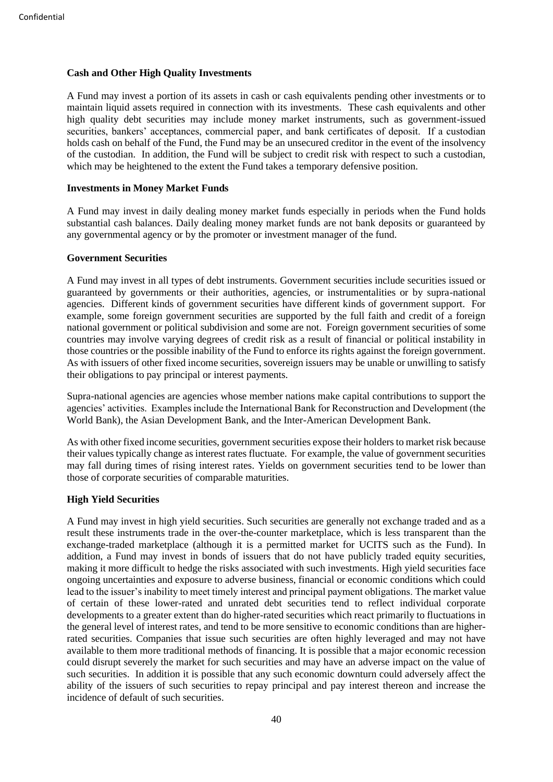### **Cash and Other High Quality Investments**

A Fund may invest a portion of its assets in cash or cash equivalents pending other investments or to maintain liquid assets required in connection with its investments. These cash equivalents and other high quality debt securities may include money market instruments, such as government-issued securities, bankers' acceptances, commercial paper, and bank certificates of deposit. If a custodian holds cash on behalf of the Fund, the Fund may be an unsecured creditor in the event of the insolvency of the custodian. In addition, the Fund will be subject to credit risk with respect to such a custodian, which may be heightened to the extent the Fund takes a temporary defensive position.

### **Investments in Money Market Funds**

A Fund may invest in daily dealing money market funds especially in periods when the Fund holds substantial cash balances. Daily dealing money market funds are not bank deposits or guaranteed by any governmental agency or by the promoter or investment manager of the fund.

### **Government Securities**

A Fund may invest in all types of debt instruments. Government securities include securities issued or guaranteed by governments or their authorities, agencies, or instrumentalities or by supra-national agencies. Different kinds of government securities have different kinds of government support. For example, some foreign government securities are supported by the full faith and credit of a foreign national government or political subdivision and some are not. Foreign government securities of some countries may involve varying degrees of credit risk as a result of financial or political instability in those countries or the possible inability of the Fund to enforce its rights against the foreign government. As with issuers of other fixed income securities, sovereign issuers may be unable or unwilling to satisfy their obligations to pay principal or interest payments.

Supra-national agencies are agencies whose member nations make capital contributions to support the agencies' activities. Examples include the International Bank for Reconstruction and Development (the World Bank), the Asian Development Bank, and the Inter-American Development Bank.

As with other fixed income securities, government securities expose their holders to market risk because their values typically change as interest rates fluctuate. For example, the value of government securities may fall during times of rising interest rates. Yields on government securities tend to be lower than those of corporate securities of comparable maturities.

#### **High Yield Securities**

A Fund may invest in high yield securities. Such securities are generally not exchange traded and as a result these instruments trade in the over-the-counter marketplace, which is less transparent than the exchange-traded marketplace (although it is a permitted market for UCITS such as the Fund). In addition, a Fund may invest in bonds of issuers that do not have publicly traded equity securities, making it more difficult to hedge the risks associated with such investments. High yield securities face ongoing uncertainties and exposure to adverse business, financial or economic conditions which could lead to the issuer's inability to meet timely interest and principal payment obligations. The market value of certain of these lower-rated and unrated debt securities tend to reflect individual corporate developments to a greater extent than do higher-rated securities which react primarily to fluctuations in the general level of interest rates, and tend to be more sensitive to economic conditions than are higherrated securities. Companies that issue such securities are often highly leveraged and may not have available to them more traditional methods of financing. It is possible that a major economic recession could disrupt severely the market for such securities and may have an adverse impact on the value of such securities. In addition it is possible that any such economic downturn could adversely affect the ability of the issuers of such securities to repay principal and pay interest thereon and increase the incidence of default of such securities.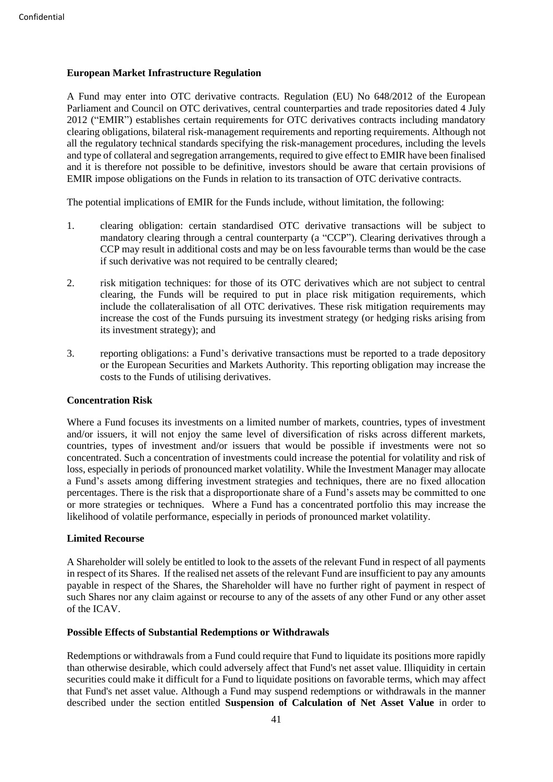# **European Market Infrastructure Regulation**

A Fund may enter into OTC derivative contracts. Regulation (EU) No 648/2012 of the European Parliament and Council on OTC derivatives, central counterparties and trade repositories dated 4 July 2012 ("EMIR") establishes certain requirements for OTC derivatives contracts including mandatory clearing obligations, bilateral risk-management requirements and reporting requirements. Although not all the regulatory technical standards specifying the risk-management procedures, including the levels and type of collateral and segregation arrangements, required to give effect to EMIR have been finalised and it is therefore not possible to be definitive, investors should be aware that certain provisions of EMIR impose obligations on the Funds in relation to its transaction of OTC derivative contracts.

The potential implications of EMIR for the Funds include, without limitation, the following:

- 1. clearing obligation: certain standardised OTC derivative transactions will be subject to mandatory clearing through a central counterparty (a "CCP"). Clearing derivatives through a CCP may result in additional costs and may be on less favourable terms than would be the case if such derivative was not required to be centrally cleared;
- 2. risk mitigation techniques: for those of its OTC derivatives which are not subject to central clearing, the Funds will be required to put in place risk mitigation requirements, which include the collateralisation of all OTC derivatives. These risk mitigation requirements may increase the cost of the Funds pursuing its investment strategy (or hedging risks arising from its investment strategy); and
- 3. reporting obligations: a Fund's derivative transactions must be reported to a trade depository or the European Securities and Markets Authority. This reporting obligation may increase the costs to the Funds of utilising derivatives.

# **Concentration Risk**

Where a Fund focuses its investments on a limited number of markets, countries, types of investment and/or issuers, it will not enjoy the same level of diversification of risks across different markets, countries, types of investment and/or issuers that would be possible if investments were not so concentrated. Such a concentration of investments could increase the potential for volatility and risk of loss, especially in periods of pronounced market volatility. While the Investment Manager may allocate a Fund's assets among differing investment strategies and techniques, there are no fixed allocation percentages. There is the risk that a disproportionate share of a Fund's assets may be committed to one or more strategies or techniques. Where a Fund has a concentrated portfolio this may increase the likelihood of volatile performance, especially in periods of pronounced market volatility.

# **Limited Recourse**

A Shareholder will solely be entitled to look to the assets of the relevant Fund in respect of all payments in respect of its Shares. If the realised net assets of the relevant Fund are insufficient to pay any amounts payable in respect of the Shares, the Shareholder will have no further right of payment in respect of such Shares nor any claim against or recourse to any of the assets of any other Fund or any other asset of the ICAV.

# **Possible Effects of Substantial Redemptions or Withdrawals**

Redemptions or withdrawals from a Fund could require that Fund to liquidate its positions more rapidly than otherwise desirable, which could adversely affect that Fund's net asset value. Illiquidity in certain securities could make it difficult for a Fund to liquidate positions on favorable terms, which may affect that Fund's net asset value. Although a Fund may suspend redemptions or withdrawals in the manner described under the section entitled **Suspension of Calculation of Net Asset Value** in order to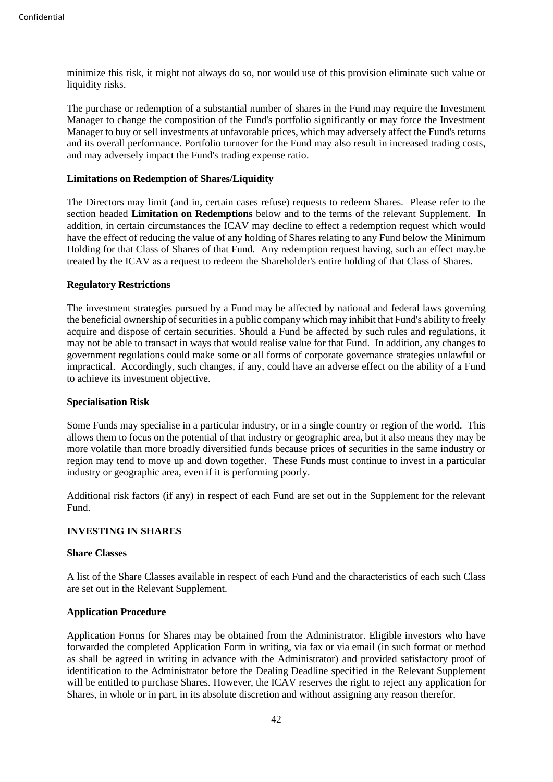minimize this risk, it might not always do so, nor would use of this provision eliminate such value or liquidity risks.

The purchase or redemption of a substantial number of shares in the Fund may require the Investment Manager to change the composition of the Fund's portfolio significantly or may force the Investment Manager to buy or sell investments at unfavorable prices, which may adversely affect the Fund's returns and its overall performance. Portfolio turnover for the Fund may also result in increased trading costs, and may adversely impact the Fund's trading expense ratio.

#### **Limitations on Redemption of Shares/Liquidity**

The Directors may limit (and in, certain cases refuse) requests to redeem Shares. Please refer to the section headed **Limitation on Redemptions** below and to the terms of the relevant Supplement. In addition, in certain circumstances the ICAV may decline to effect a redemption request which would have the effect of reducing the value of any holding of Shares relating to any Fund below the Minimum Holding for that Class of Shares of that Fund. Any redemption request having, such an effect may.be treated by the ICAV as a request to redeem the Shareholder's entire holding of that Class of Shares.

### **Regulatory Restrictions**

The investment strategies pursued by a Fund may be affected by national and federal laws governing the beneficial ownership of securities in a public company which may inhibit that Fund's ability to freely acquire and dispose of certain securities. Should a Fund be affected by such rules and regulations, it may not be able to transact in ways that would realise value for that Fund. In addition, any changes to government regulations could make some or all forms of corporate governance strategies unlawful or impractical. Accordingly, such changes, if any, could have an adverse effect on the ability of a Fund to achieve its investment objective.

#### **Specialisation Risk**

Some Funds may specialise in a particular industry, or in a single country or region of the world. This allows them to focus on the potential of that industry or geographic area, but it also means they may be more volatile than more broadly diversified funds because prices of securities in the same industry or region may tend to move up and down together. These Funds must continue to invest in a particular industry or geographic area, even if it is performing poorly.

Additional risk factors (if any) in respect of each Fund are set out in the Supplement for the relevant Fund.

# **INVESTING IN SHARES**

### **Share Classes**

A list of the Share Classes available in respect of each Fund and the characteristics of each such Class are set out in the Relevant Supplement.

#### **Application Procedure**

Application Forms for Shares may be obtained from the Administrator. Eligible investors who have forwarded the completed Application Form in writing, via fax or via email (in such format or method as shall be agreed in writing in advance with the Administrator) and provided satisfactory proof of identification to the Administrator before the Dealing Deadline specified in the Relevant Supplement will be entitled to purchase Shares. However, the ICAV reserves the right to reject any application for Shares, in whole or in part, in its absolute discretion and without assigning any reason therefor.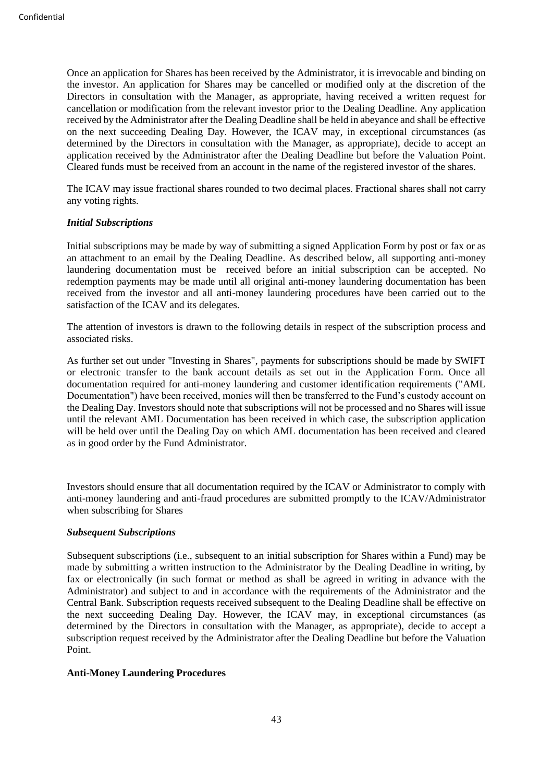Once an application for Shares has been received by the Administrator, it is irrevocable and binding on the investor. An application for Shares may be cancelled or modified only at the discretion of the Directors in consultation with the Manager, as appropriate, having received a written request for cancellation or modification from the relevant investor prior to the Dealing Deadline. Any application received by the Administrator after the Dealing Deadline shall be held in abeyance and shall be effective on the next succeeding Dealing Day. However, the ICAV may, in exceptional circumstances (as determined by the Directors in consultation with the Manager, as appropriate), decide to accept an application received by the Administrator after the Dealing Deadline but before the Valuation Point. Cleared funds must be received from an account in the name of the registered investor of the shares.

The ICAV may issue fractional shares rounded to two decimal places. Fractional shares shall not carry any voting rights.

### *Initial Subscriptions*

Initial subscriptions may be made by way of submitting a signed Application Form by post or fax or as an attachment to an email by the Dealing Deadline. As described below, all supporting anti-money laundering documentation must be received before an initial subscription can be accepted. No redemption payments may be made until all original anti-money laundering documentation has been received from the investor and all anti-money laundering procedures have been carried out to the satisfaction of the ICAV and its delegates.

The attention of investors is drawn to the following details in respect of the subscription process and associated risks.

As further set out under "Investing in Shares", payments for subscriptions should be made by SWIFT or electronic transfer to the bank account details as set out in the Application Form. Once all documentation required for anti-money laundering and customer identification requirements ("AML Documentation") have been received, monies will then be transferred to the Fund's custody account on the Dealing Day. Investors should note that subscriptions will not be processed and no Shares will issue until the relevant AML Documentation has been received in which case, the subscription application will be held over until the Dealing Day on which AML documentation has been received and cleared as in good order by the Fund Administrator.

Investors should ensure that all documentation required by the ICAV or Administrator to comply with anti-money laundering and anti-fraud procedures are submitted promptly to the ICAV/Administrator when subscribing for Shares

#### *Subsequent Subscriptions*

Subsequent subscriptions (i.e., subsequent to an initial subscription for Shares within a Fund) may be made by submitting a written instruction to the Administrator by the Dealing Deadline in writing, by fax or electronically (in such format or method as shall be agreed in writing in advance with the Administrator) and subject to and in accordance with the requirements of the Administrator and the Central Bank. Subscription requests received subsequent to the Dealing Deadline shall be effective on the next succeeding Dealing Day. However, the ICAV may, in exceptional circumstances (as determined by the Directors in consultation with the Manager, as appropriate), decide to accept a subscription request received by the Administrator after the Dealing Deadline but before the Valuation Point.

# **Anti-Money Laundering Procedures**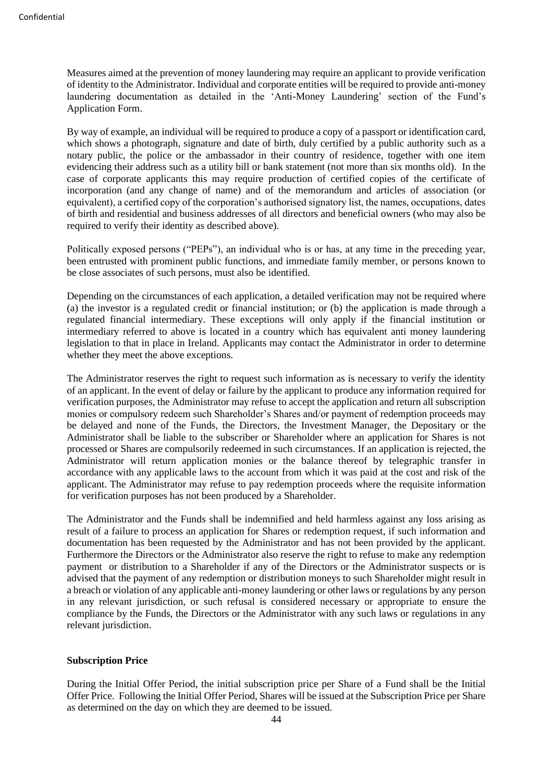Measures aimed at the prevention of money laundering may require an applicant to provide verification of identity to the Administrator. Individual and corporate entities will be required to provide anti-money laundering documentation as detailed in the 'Anti-Money Laundering' section of the Fund's Application Form.

By way of example, an individual will be required to produce a copy of a passport or identification card, which shows a photograph, signature and date of birth, duly certified by a public authority such as a notary public, the police or the ambassador in their country of residence, together with one item evidencing their address such as a utility bill or bank statement (not more than six months old). In the case of corporate applicants this may require production of certified copies of the certificate of incorporation (and any change of name) and of the memorandum and articles of association (or equivalent), a certified copy of the corporation's authorised signatory list, the names, occupations, dates of birth and residential and business addresses of all directors and beneficial owners (who may also be required to verify their identity as described above).

Politically exposed persons ("PEPs"), an individual who is or has, at any time in the preceding year, been entrusted with prominent public functions, and immediate family member, or persons known to be close associates of such persons, must also be identified.

Depending on the circumstances of each application, a detailed verification may not be required where (a) the investor is a regulated credit or financial institution; or (b) the application is made through a regulated financial intermediary. These exceptions will only apply if the financial institution or intermediary referred to above is located in a country which has equivalent anti money laundering legislation to that in place in Ireland. Applicants may contact the Administrator in order to determine whether they meet the above exceptions.

The Administrator reserves the right to request such information as is necessary to verify the identity of an applicant. In the event of delay or failure by the applicant to produce any information required for verification purposes, the Administrator may refuse to accept the application and return all subscription monies or compulsory redeem such Shareholder's Shares and/or payment of redemption proceeds may be delayed and none of the Funds, the Directors, the Investment Manager, the Depositary or the Administrator shall be liable to the subscriber or Shareholder where an application for Shares is not processed or Shares are compulsorily redeemed in such circumstances. If an application is rejected, the Administrator will return application monies or the balance thereof by telegraphic transfer in accordance with any applicable laws to the account from which it was paid at the cost and risk of the applicant. The Administrator may refuse to pay redemption proceeds where the requisite information for verification purposes has not been produced by a Shareholder.

The Administrator and the Funds shall be indemnified and held harmless against any loss arising as result of a failure to process an application for Shares or redemption request, if such information and documentation has been requested by the Administrator and has not been provided by the applicant. Furthermore the Directors or the Administrator also reserve the right to refuse to make any redemption payment or distribution to a Shareholder if any of the Directors or the Administrator suspects or is advised that the payment of any redemption or distribution moneys to such Shareholder might result in a breach or violation of any applicable anti-money laundering or other laws or regulations by any person in any relevant jurisdiction, or such refusal is considered necessary or appropriate to ensure the compliance by the Funds, the Directors or the Administrator with any such laws or regulations in any relevant jurisdiction.

#### **Subscription Price**

During the Initial Offer Period, the initial subscription price per Share of a Fund shall be the Initial Offer Price. Following the Initial Offer Period, Shares will be issued at the Subscription Price per Share as determined on the day on which they are deemed to be issued.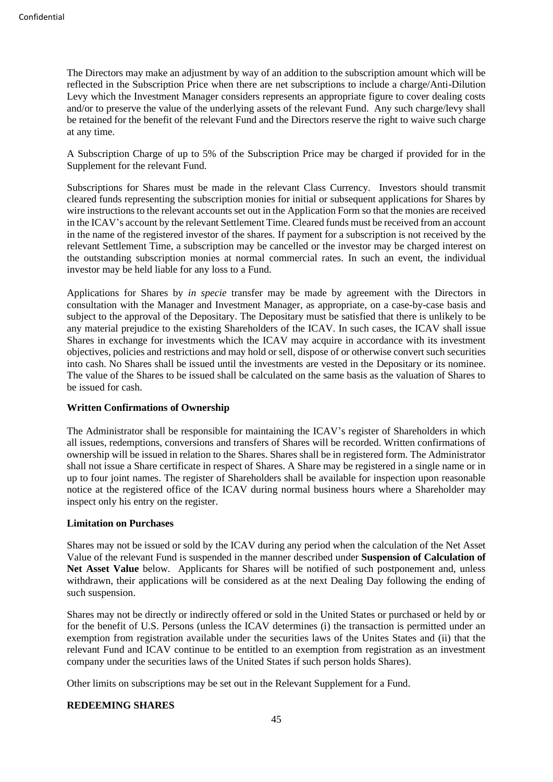The Directors may make an adjustment by way of an addition to the subscription amount which will be reflected in the Subscription Price when there are net subscriptions to include a charge/Anti-Dilution Levy which the Investment Manager considers represents an appropriate figure to cover dealing costs and/or to preserve the value of the underlying assets of the relevant Fund. Any such charge/levy shall be retained for the benefit of the relevant Fund and the Directors reserve the right to waive such charge at any time.

A Subscription Charge of up to 5% of the Subscription Price may be charged if provided for in the Supplement for the relevant Fund.

Subscriptions for Shares must be made in the relevant Class Currency. Investors should transmit cleared funds representing the subscription monies for initial or subsequent applications for Shares by wire instructions to the relevant accounts set out in the Application Form so that the monies are received in the ICAV's account by the relevant Settlement Time. Cleared funds must be received from an account in the name of the registered investor of the shares. If payment for a subscription is not received by the relevant Settlement Time, a subscription may be cancelled or the investor may be charged interest on the outstanding subscription monies at normal commercial rates. In such an event, the individual investor may be held liable for any loss to a Fund.

Applications for Shares by *in specie* transfer may be made by agreement with the Directors in consultation with the Manager and Investment Manager, as appropriate, on a case-by-case basis and subject to the approval of the Depositary. The Depositary must be satisfied that there is unlikely to be any material prejudice to the existing Shareholders of the ICAV. In such cases, the ICAV shall issue Shares in exchange for investments which the ICAV may acquire in accordance with its investment objectives, policies and restrictions and may hold or sell, dispose of or otherwise convert such securities into cash. No Shares shall be issued until the investments are vested in the Depositary or its nominee. The value of the Shares to be issued shall be calculated on the same basis as the valuation of Shares to be issued for cash.

# **Written Confirmations of Ownership**

The Administrator shall be responsible for maintaining the ICAV's register of Shareholders in which all issues, redemptions, conversions and transfers of Shares will be recorded. Written confirmations of ownership will be issued in relation to the Shares. Shares shall be in registered form. The Administrator shall not issue a Share certificate in respect of Shares. A Share may be registered in a single name or in up to four joint names. The register of Shareholders shall be available for inspection upon reasonable notice at the registered office of the ICAV during normal business hours where a Shareholder may inspect only his entry on the register.

#### **Limitation on Purchases**

Shares may not be issued or sold by the ICAV during any period when the calculation of the Net Asset Value of the relevant Fund is suspended in the manner described under **Suspension of Calculation of Net Asset Value** below. Applicants for Shares will be notified of such postponement and, unless withdrawn, their applications will be considered as at the next Dealing Day following the ending of such suspension.

Shares may not be directly or indirectly offered or sold in the United States or purchased or held by or for the benefit of U.S. Persons (unless the ICAV determines (i) the transaction is permitted under an exemption from registration available under the securities laws of the Unites States and (ii) that the relevant Fund and ICAV continue to be entitled to an exemption from registration as an investment company under the securities laws of the United States if such person holds Shares).

Other limits on subscriptions may be set out in the Relevant Supplement for a Fund.

#### **REDEEMING SHARES**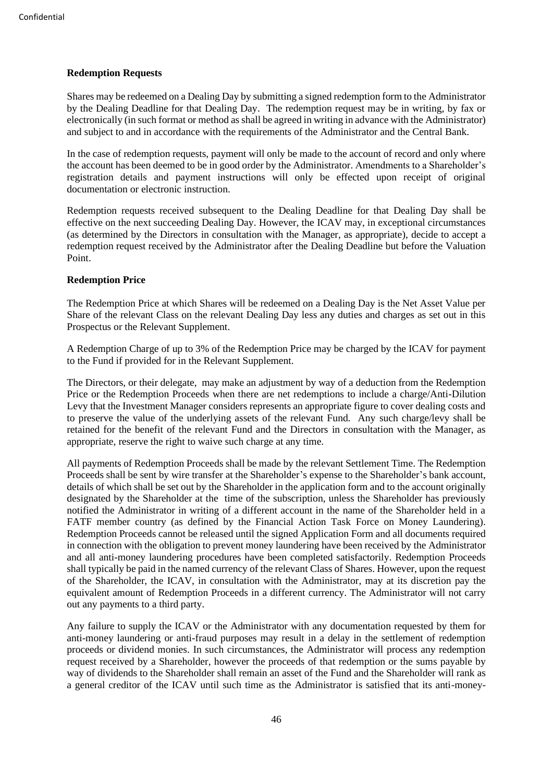# **Redemption Requests**

Shares may be redeemed on a Dealing Day by submitting a signed redemption form to the Administrator by the Dealing Deadline for that Dealing Day. The redemption request may be in writing, by fax or electronically (in such format or method as shall be agreed in writing in advance with the Administrator) and subject to and in accordance with the requirements of the Administrator and the Central Bank.

In the case of redemption requests, payment will only be made to the account of record and only where the account has been deemed to be in good order by the Administrator. Amendments to a Shareholder's registration details and payment instructions will only be effected upon receipt of original documentation or electronic instruction.

Redemption requests received subsequent to the Dealing Deadline for that Dealing Day shall be effective on the next succeeding Dealing Day. However, the ICAV may, in exceptional circumstances (as determined by the Directors in consultation with the Manager, as appropriate), decide to accept a redemption request received by the Administrator after the Dealing Deadline but before the Valuation Point.

### **Redemption Price**

The Redemption Price at which Shares will be redeemed on a Dealing Day is the Net Asset Value per Share of the relevant Class on the relevant Dealing Day less any duties and charges as set out in this Prospectus or the Relevant Supplement.

A Redemption Charge of up to 3% of the Redemption Price may be charged by the ICAV for payment to the Fund if provided for in the Relevant Supplement.

The Directors, or their delegate, may make an adjustment by way of a deduction from the Redemption Price or the Redemption Proceeds when there are net redemptions to include a charge/Anti-Dilution Levy that the Investment Manager considers represents an appropriate figure to cover dealing costs and to preserve the value of the underlying assets of the relevant Fund. Any such charge/levy shall be retained for the benefit of the relevant Fund and the Directors in consultation with the Manager, as appropriate, reserve the right to waive such charge at any time.

All payments of Redemption Proceeds shall be made by the relevant Settlement Time. The Redemption Proceeds shall be sent by wire transfer at the Shareholder's expense to the Shareholder's bank account, details of which shall be set out by the Shareholder in the application form and to the account originally designated by the Shareholder at the time of the subscription, unless the Shareholder has previously notified the Administrator in writing of a different account in the name of the Shareholder held in a FATF member country (as defined by the Financial Action Task Force on Money Laundering). Redemption Proceeds cannot be released until the signed Application Form and all documents required in connection with the obligation to prevent money laundering have been received by the Administrator and all anti-money laundering procedures have been completed satisfactorily. Redemption Proceeds shall typically be paid in the named currency of the relevant Class of Shares. However, upon the request of the Shareholder, the ICAV, in consultation with the Administrator, may at its discretion pay the equivalent amount of Redemption Proceeds in a different currency. The Administrator will not carry out any payments to a third party.

Any failure to supply the ICAV or the Administrator with any documentation requested by them for anti-money laundering or anti-fraud purposes may result in a delay in the settlement of redemption proceeds or dividend monies. In such circumstances, the Administrator will process any redemption request received by a Shareholder, however the proceeds of that redemption or the sums payable by way of dividends to the Shareholder shall remain an asset of the Fund and the Shareholder will rank as a general creditor of the ICAV until such time as the Administrator is satisfied that its anti-money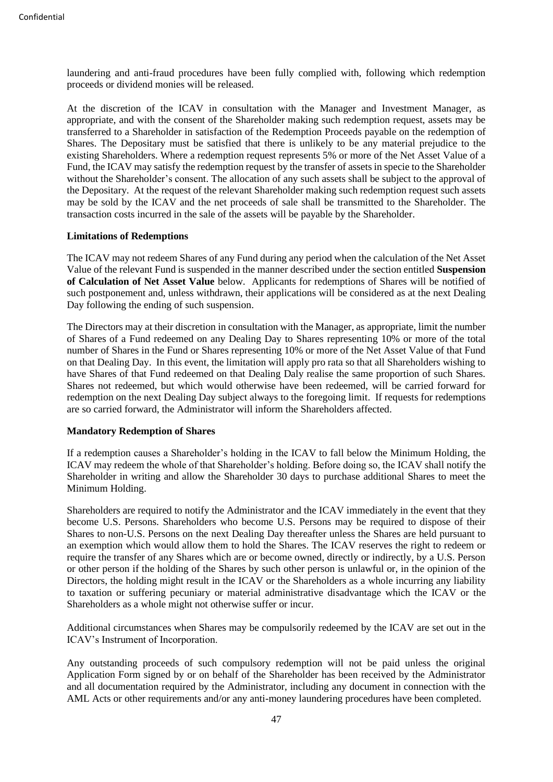laundering and anti-fraud procedures have been fully complied with, following which redemption proceeds or dividend monies will be released.

At the discretion of the ICAV in consultation with the Manager and Investment Manager, as appropriate, and with the consent of the Shareholder making such redemption request, assets may be transferred to a Shareholder in satisfaction of the Redemption Proceeds payable on the redemption of Shares. The Depositary must be satisfied that there is unlikely to be any material prejudice to the existing Shareholders. Where a redemption request represents 5% or more of the Net Asset Value of a Fund, the ICAV may satisfy the redemption request by the transfer of assets in specie to the Shareholder without the Shareholder's consent. The allocation of any such assets shall be subject to the approval of the Depositary. At the request of the relevant Shareholder making such redemption request such assets may be sold by the ICAV and the net proceeds of sale shall be transmitted to the Shareholder. The transaction costs incurred in the sale of the assets will be payable by the Shareholder.

#### **Limitations of Redemptions**

The ICAV may not redeem Shares of any Fund during any period when the calculation of the Net Asset Value of the relevant Fund is suspended in the manner described under the section entitled **Suspension of Calculation of Net Asset Value** below. Applicants for redemptions of Shares will be notified of such postponement and, unless withdrawn, their applications will be considered as at the next Dealing Day following the ending of such suspension.

The Directors may at their discretion in consultation with the Manager, as appropriate, limit the number of Shares of a Fund redeemed on any Dealing Day to Shares representing 10% or more of the total number of Shares in the Fund or Shares representing 10% or more of the Net Asset Value of that Fund on that Dealing Day. In this event, the limitation will apply pro rata so that all Shareholders wishing to have Shares of that Fund redeemed on that Dealing Daly realise the same proportion of such Shares. Shares not redeemed, but which would otherwise have been redeemed, will be carried forward for redemption on the next Dealing Day subject always to the foregoing limit. If requests for redemptions are so carried forward, the Administrator will inform the Shareholders affected.

### **Mandatory Redemption of Shares**

If a redemption causes a Shareholder's holding in the ICAV to fall below the Minimum Holding, the ICAV may redeem the whole of that Shareholder's holding. Before doing so, the ICAV shall notify the Shareholder in writing and allow the Shareholder 30 days to purchase additional Shares to meet the Minimum Holding.

Shareholders are required to notify the Administrator and the ICAV immediately in the event that they become U.S. Persons. Shareholders who become U.S. Persons may be required to dispose of their Shares to non-U.S. Persons on the next Dealing Day thereafter unless the Shares are held pursuant to an exemption which would allow them to hold the Shares. The ICAV reserves the right to redeem or require the transfer of any Shares which are or become owned, directly or indirectly, by a U.S. Person or other person if the holding of the Shares by such other person is unlawful or, in the opinion of the Directors, the holding might result in the ICAV or the Shareholders as a whole incurring any liability to taxation or suffering pecuniary or material administrative disadvantage which the ICAV or the Shareholders as a whole might not otherwise suffer or incur.

Additional circumstances when Shares may be compulsorily redeemed by the ICAV are set out in the ICAV's Instrument of Incorporation.

Any outstanding proceeds of such compulsory redemption will not be paid unless the original Application Form signed by or on behalf of the Shareholder has been received by the Administrator and all documentation required by the Administrator, including any document in connection with the AML Acts or other requirements and/or any anti-money laundering procedures have been completed.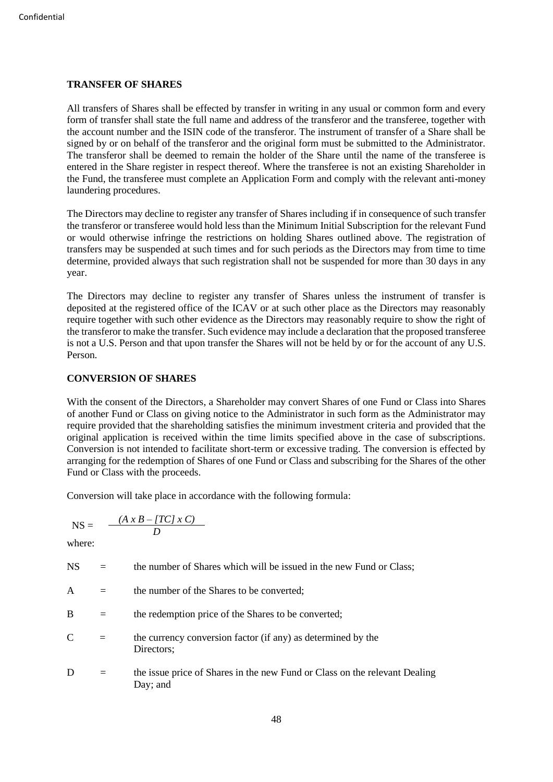### **TRANSFER OF SHARES**

All transfers of Shares shall be effected by transfer in writing in any usual or common form and every form of transfer shall state the full name and address of the transferor and the transferee, together with the account number and the ISIN code of the transferor. The instrument of transfer of a Share shall be signed by or on behalf of the transferor and the original form must be submitted to the Administrator. The transferor shall be deemed to remain the holder of the Share until the name of the transferee is entered in the Share register in respect thereof. Where the transferee is not an existing Shareholder in the Fund, the transferee must complete an Application Form and comply with the relevant anti-money laundering procedures.

The Directors may decline to register any transfer of Shares including if in consequence of such transfer the transferor or transferee would hold less than the Minimum Initial Subscription for the relevant Fund or would otherwise infringe the restrictions on holding Shares outlined above. The registration of transfers may be suspended at such times and for such periods as the Directors may from time to time determine, provided always that such registration shall not be suspended for more than 30 days in any year.

The Directors may decline to register any transfer of Shares unless the instrument of transfer is deposited at the registered office of the ICAV or at such other place as the Directors may reasonably require together with such other evidence as the Directors may reasonably require to show the right of the transferor to make the transfer. Such evidence may include a declaration that the proposed transferee is not a U.S. Person and that upon transfer the Shares will not be held by or for the account of any U.S. Person.

# **CONVERSION OF SHARES**

With the consent of the Directors, a Shareholder may convert Shares of one Fund or Class into Shares of another Fund or Class on giving notice to the Administrator in such form as the Administrator may require provided that the shareholding satisfies the minimum investment criteria and provided that the original application is received within the time limits specified above in the case of subscriptions. Conversion is not intended to facilitate short-term or excessive trading. The conversion is effected by arranging for the redemption of Shares of one Fund or Class and subscribing for the Shares of the other Fund or Class with the proceeds.

Conversion will take place in accordance with the following formula:

$$
NS = \frac{(A \times B - [TC] \times C)}{D}
$$

where:

- NS = the number of Shares which will be issued in the new Fund or Class;
- $A =$  the number of the Shares to be converted;
- B  $=$  the redemption price of the Shares to be converted;
- $C =$  the currency conversion factor (if any) as determined by the Directors;
- D  $=$  the issue price of Shares in the new Fund or Class on the relevant Dealing Day; and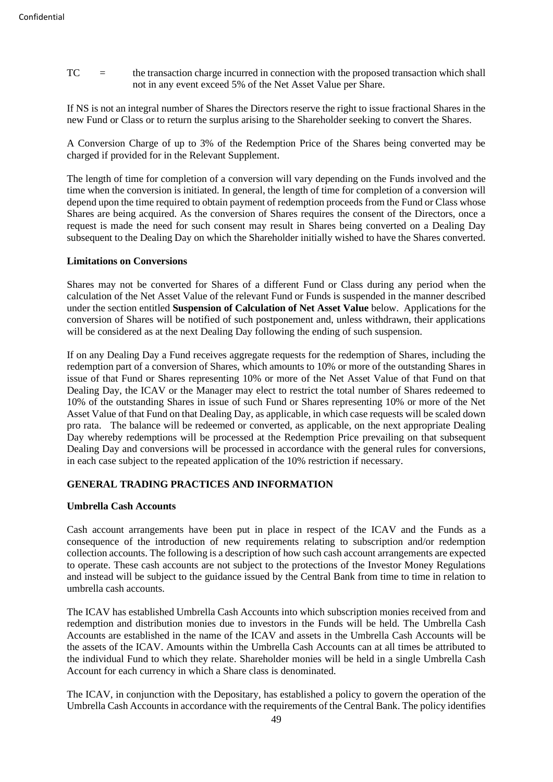TC = the transaction charge incurred in connection with the proposed transaction which shall not in any event exceed 5% of the Net Asset Value per Share.

If NS is not an integral number of Shares the Directors reserve the right to issue fractional Shares in the new Fund or Class or to return the surplus arising to the Shareholder seeking to convert the Shares.

A Conversion Charge of up to 3% of the Redemption Price of the Shares being converted may be charged if provided for in the Relevant Supplement.

The length of time for completion of a conversion will vary depending on the Funds involved and the time when the conversion is initiated. In general, the length of time for completion of a conversion will depend upon the time required to obtain payment of redemption proceeds from the Fund or Class whose Shares are being acquired. As the conversion of Shares requires the consent of the Directors, once a request is made the need for such consent may result in Shares being converted on a Dealing Day subsequent to the Dealing Day on which the Shareholder initially wished to have the Shares converted.

### **Limitations on Conversions**

Shares may not be converted for Shares of a different Fund or Class during any period when the calculation of the Net Asset Value of the relevant Fund or Funds is suspended in the manner described under the section entitled **Suspension of Calculation of Net Asset Value** below. Applications for the conversion of Shares will be notified of such postponement and, unless withdrawn, their applications will be considered as at the next Dealing Day following the ending of such suspension.

If on any Dealing Day a Fund receives aggregate requests for the redemption of Shares, including the redemption part of a conversion of Shares, which amounts to 10% or more of the outstanding Shares in issue of that Fund or Shares representing 10% or more of the Net Asset Value of that Fund on that Dealing Day, the ICAV or the Manager may elect to restrict the total number of Shares redeemed to 10% of the outstanding Shares in issue of such Fund or Shares representing 10% or more of the Net Asset Value of that Fund on that Dealing Day, as applicable, in which case requests will be scaled down pro rata. The balance will be redeemed or converted, as applicable, on the next appropriate Dealing Day whereby redemptions will be processed at the Redemption Price prevailing on that subsequent Dealing Day and conversions will be processed in accordance with the general rules for conversions, in each case subject to the repeated application of the 10% restriction if necessary.

# **GENERAL TRADING PRACTICES AND INFORMATION**

### **Umbrella Cash Accounts**

Cash account arrangements have been put in place in respect of the ICAV and the Funds as a consequence of the introduction of new requirements relating to subscription and/or redemption collection accounts. The following is a description of how such cash account arrangements are expected to operate. These cash accounts are not subject to the protections of the Investor Money Regulations and instead will be subject to the guidance issued by the Central Bank from time to time in relation to umbrella cash accounts.

The ICAV has established Umbrella Cash Accounts into which subscription monies received from and redemption and distribution monies due to investors in the Funds will be held. The Umbrella Cash Accounts are established in the name of the ICAV and assets in the Umbrella Cash Accounts will be the assets of the ICAV. Amounts within the Umbrella Cash Accounts can at all times be attributed to the individual Fund to which they relate. Shareholder monies will be held in a single Umbrella Cash Account for each currency in which a Share class is denominated.

The ICAV, in conjunction with the Depositary, has established a policy to govern the operation of the Umbrella Cash Accounts in accordance with the requirements of the Central Bank. The policy identifies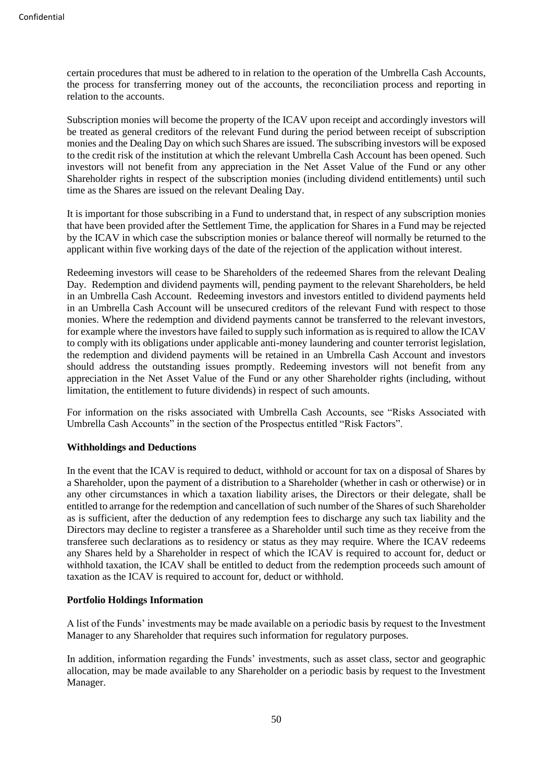certain procedures that must be adhered to in relation to the operation of the Umbrella Cash Accounts, the process for transferring money out of the accounts, the reconciliation process and reporting in relation to the accounts.

Subscription monies will become the property of the ICAV upon receipt and accordingly investors will be treated as general creditors of the relevant Fund during the period between receipt of subscription monies and the Dealing Day on which such Shares are issued. The subscribing investors will be exposed to the credit risk of the institution at which the relevant Umbrella Cash Account has been opened. Such investors will not benefit from any appreciation in the Net Asset Value of the Fund or any other Shareholder rights in respect of the subscription monies (including dividend entitlements) until such time as the Shares are issued on the relevant Dealing Day.

It is important for those subscribing in a Fund to understand that, in respect of any subscription monies that have been provided after the Settlement Time, the application for Shares in a Fund may be rejected by the ICAV in which case the subscription monies or balance thereof will normally be returned to the applicant within five working days of the date of the rejection of the application without interest.

Redeeming investors will cease to be Shareholders of the redeemed Shares from the relevant Dealing Day. Redemption and dividend payments will, pending payment to the relevant Shareholders, be held in an Umbrella Cash Account. Redeeming investors and investors entitled to dividend payments held in an Umbrella Cash Account will be unsecured creditors of the relevant Fund with respect to those monies. Where the redemption and dividend payments cannot be transferred to the relevant investors, for example where the investors have failed to supply such information as is required to allow the ICAV to comply with its obligations under applicable anti-money laundering and counter terrorist legislation, the redemption and dividend payments will be retained in an Umbrella Cash Account and investors should address the outstanding issues promptly. Redeeming investors will not benefit from any appreciation in the Net Asset Value of the Fund or any other Shareholder rights (including, without limitation, the entitlement to future dividends) in respect of such amounts.

For information on the risks associated with Umbrella Cash Accounts, see "Risks Associated with Umbrella Cash Accounts" in the section of the Prospectus entitled "Risk Factors".

#### **Withholdings and Deductions**

In the event that the ICAV is required to deduct, withhold or account for tax on a disposal of Shares by a Shareholder, upon the payment of a distribution to a Shareholder (whether in cash or otherwise) or in any other circumstances in which a taxation liability arises, the Directors or their delegate, shall be entitled to arrange for the redemption and cancellation of such number of the Shares of such Shareholder as is sufficient, after the deduction of any redemption fees to discharge any such tax liability and the Directors may decline to register a transferee as a Shareholder until such time as they receive from the transferee such declarations as to residency or status as they may require. Where the ICAV redeems any Shares held by a Shareholder in respect of which the ICAV is required to account for, deduct or withhold taxation, the ICAV shall be entitled to deduct from the redemption proceeds such amount of taxation as the ICAV is required to account for, deduct or withhold.

#### **Portfolio Holdings Information**

A list of the Funds' investments may be made available on a periodic basis by request to the Investment Manager to any Shareholder that requires such information for regulatory purposes.

In addition, information regarding the Funds' investments, such as asset class, sector and geographic allocation, may be made available to any Shareholder on a periodic basis by request to the Investment Manager.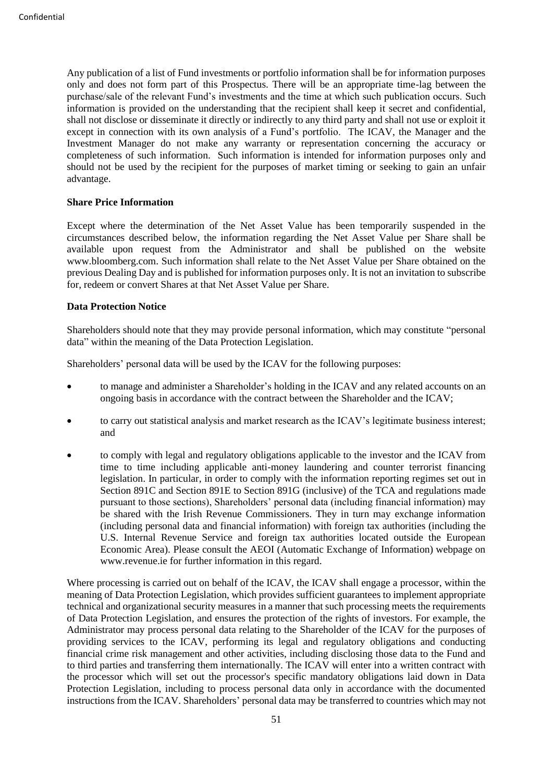Any publication of a list of Fund investments or portfolio information shall be for information purposes only and does not form part of this Prospectus. There will be an appropriate time-lag between the purchase/sale of the relevant Fund's investments and the time at which such publication occurs. Such information is provided on the understanding that the recipient shall keep it secret and confidential, shall not disclose or disseminate it directly or indirectly to any third party and shall not use or exploit it except in connection with its own analysis of a Fund's portfolio. The ICAV, the Manager and the Investment Manager do not make any warranty or representation concerning the accuracy or completeness of such information. Such information is intended for information purposes only and should not be used by the recipient for the purposes of market timing or seeking to gain an unfair advantage.

### **Share Price Information**

Except where the determination of the Net Asset Value has been temporarily suspended in the circumstances described below, the information regarding the Net Asset Value per Share shall be available upon request from the Administrator and shall be published on the website www.bloomberg.com. Such information shall relate to the Net Asset Value per Share obtained on the previous Dealing Day and is published for information purposes only. It is not an invitation to subscribe for, redeem or convert Shares at that Net Asset Value per Share.

### **Data Protection Notice**

Shareholders should note that they may provide personal information, which may constitute "personal data" within the meaning of the Data Protection Legislation.

Shareholders' personal data will be used by the ICAV for the following purposes:

- to manage and administer a Shareholder's holding in the ICAV and any related accounts on an ongoing basis in accordance with the contract between the Shareholder and the ICAV;
- to carry out statistical analysis and market research as the ICAV's legitimate business interest; and
- to comply with legal and regulatory obligations applicable to the investor and the ICAV from time to time including applicable anti-money laundering and counter terrorist financing legislation. In particular, in order to comply with the information reporting regimes set out in Section 891C and Section 891E to Section 891G (inclusive) of the TCA and regulations made pursuant to those sections), Shareholders' personal data (including financial information) may be shared with the Irish Revenue Commissioners. They in turn may exchange information (including personal data and financial information) with foreign tax authorities (including the U.S. Internal Revenue Service and foreign tax authorities located outside the European Economic Area). Please consult the AEOI (Automatic Exchange of Information) webpage on www.revenue.ie for further information in this regard.

Where processing is carried out on behalf of the ICAV, the ICAV shall engage a processor, within the meaning of Data Protection Legislation, which provides sufficient guarantees to implement appropriate technical and organizational security measures in a manner that such processing meets the requirements of Data Protection Legislation, and ensures the protection of the rights of investors. For example, the Administrator may process personal data relating to the Shareholder of the ICAV for the purposes of providing services to the ICAV, performing its legal and regulatory obligations and conducting financial crime risk management and other activities, including disclosing those data to the Fund and to third parties and transferring them internationally. The ICAV will enter into a written contract with the processor which will set out the processor's specific mandatory obligations laid down in Data Protection Legislation, including to process personal data only in accordance with the documented instructions from the ICAV. Shareholders' personal data may be transferred to countries which may not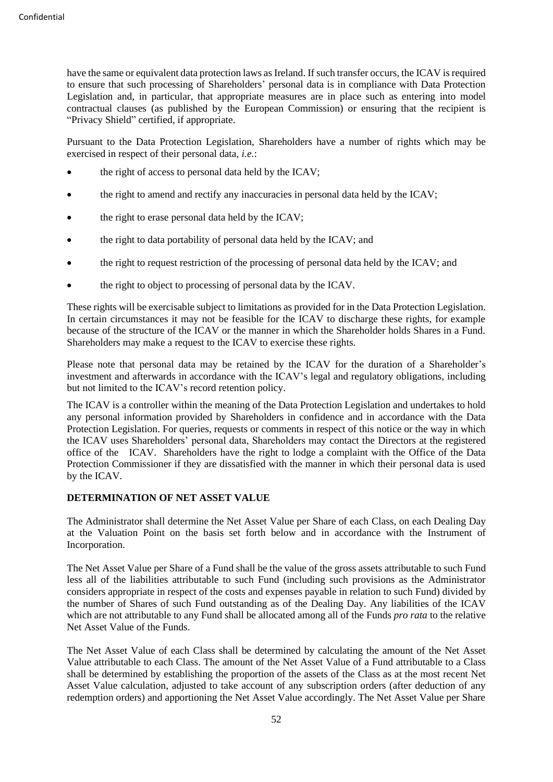have the same or equivalent data protection laws as Ireland. If such transfer occurs, the ICAV is required to ensure that such processing of Shareholders' personal data is in compliance with Data Protection Legislation and, in particular, that appropriate measures are in place such as entering into model contractual clauses (as published by the European Commission) or ensuring that the recipient is "Privacy Shield" certified, if appropriate.

Pursuant to the Data Protection Legislation, Shareholders have a number of rights which may be exercised in respect of their personal data, *i.e.*:

- the right of access to personal data held by the ICAV;
- the right to amend and rectify any inaccuracies in personal data held by the ICAV;
- the right to erase personal data held by the ICAV;
- the right to data portability of personal data held by the ICAV; and
- the right to request restriction of the processing of personal data held by the ICAV; and
- the right to object to processing of personal data by the ICAV.

These rights will be exercisable subject to limitations as provided for in the Data Protection Legislation. In certain circumstances it may not be feasible for the ICAV to discharge these rights, for example because of the structure of the ICAV or the manner in which the Shareholder holds Shares in a Fund. Shareholders may make a request to the ICAV to exercise these rights.

Please note that personal data may be retained by the ICAV for the duration of a Shareholder's investment and afterwards in accordance with the ICAV's legal and regulatory obligations, including but not limited to the ICAV's record retention policy.

The ICAV is a controller within the meaning of the Data Protection Legislation and undertakes to hold any personal information provided by Shareholders in confidence and in accordance with the Data Protection Legislation. For queries, requests or comments in respect of this notice or the way in which the ICAV uses Shareholders' personal data, Shareholders may contact the Directors at the registered office of the ICAV. Shareholders have the right to lodge a complaint with the Office of the Data Protection Commissioner if they are dissatisfied with the manner in which their personal data is used by the ICAV.

#### **DETERMINATION OF NET ASSET VALUE**

The Administrator shall determine the Net Asset Value per Share of each Class, on each Dealing Day at the Valuation Point on the basis set forth below and in accordance with the Instrument of Incorporation.

The Net Asset Value per Share of a Fund shall be the value of the gross assets attributable to such Fund less all of the liabilities attributable to such Fund (including such provisions as the Administrator considers appropriate in respect of the costs and expenses payable in relation to such Fund) divided by the number of Shares of such Fund outstanding as of the Dealing Day. Any liabilities of the ICAV which are not attributable to any Fund shall be allocated among all of the Funds *pro rata* to the relative Net Asset Value of the Funds.

The Net Asset Value of each Class shall be determined by calculating the amount of the Net Asset Value attributable to each Class. The amount of the Net Asset Value of a Fund attributable to a Class shall be determined by establishing the proportion of the assets of the Class as at the most recent Net Asset Value calculation, adjusted to take account of any subscription orders (after deduction of any redemption orders) and apportioning the Net Asset Value accordingly. The Net Asset Value per Share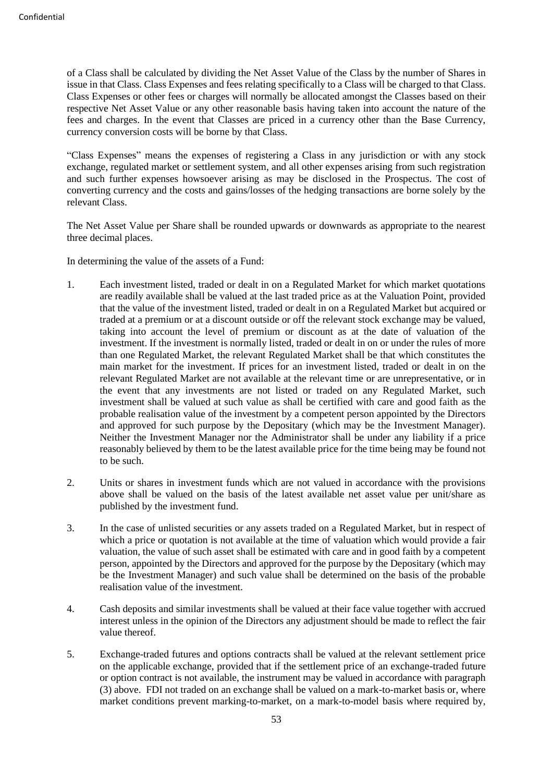of a Class shall be calculated by dividing the Net Asset Value of the Class by the number of Shares in issue in that Class. Class Expenses and fees relating specifically to a Class will be charged to that Class. Class Expenses or other fees or charges will normally be allocated amongst the Classes based on their respective Net Asset Value or any other reasonable basis having taken into account the nature of the fees and charges. In the event that Classes are priced in a currency other than the Base Currency, currency conversion costs will be borne by that Class.

"Class Expenses" means the expenses of registering a Class in any jurisdiction or with any stock exchange, regulated market or settlement system, and all other expenses arising from such registration and such further expenses howsoever arising as may be disclosed in the Prospectus. The cost of converting currency and the costs and gains/losses of the hedging transactions are borne solely by the relevant Class.

The Net Asset Value per Share shall be rounded upwards or downwards as appropriate to the nearest three decimal places.

In determining the value of the assets of a Fund:

- 1. Each investment listed, traded or dealt in on a Regulated Market for which market quotations are readily available shall be valued at the last traded price as at the Valuation Point, provided that the value of the investment listed, traded or dealt in on a Regulated Market but acquired or traded at a premium or at a discount outside or off the relevant stock exchange may be valued, taking into account the level of premium or discount as at the date of valuation of the investment. If the investment is normally listed, traded or dealt in on or under the rules of more than one Regulated Market, the relevant Regulated Market shall be that which constitutes the main market for the investment. If prices for an investment listed, traded or dealt in on the relevant Regulated Market are not available at the relevant time or are unrepresentative, or in the event that any investments are not listed or traded on any Regulated Market, such investment shall be valued at such value as shall be certified with care and good faith as the probable realisation value of the investment by a competent person appointed by the Directors and approved for such purpose by the Depositary (which may be the Investment Manager). Neither the Investment Manager nor the Administrator shall be under any liability if a price reasonably believed by them to be the latest available price for the time being may be found not to be such.
- 2. Units or shares in investment funds which are not valued in accordance with the provisions above shall be valued on the basis of the latest available net asset value per unit/share as published by the investment fund.
- 3. In the case of unlisted securities or any assets traded on a Regulated Market, but in respect of which a price or quotation is not available at the time of valuation which would provide a fair valuation, the value of such asset shall be estimated with care and in good faith by a competent person, appointed by the Directors and approved for the purpose by the Depositary (which may be the Investment Manager) and such value shall be determined on the basis of the probable realisation value of the investment.
- 4. Cash deposits and similar investments shall be valued at their face value together with accrued interest unless in the opinion of the Directors any adjustment should be made to reflect the fair value thereof.
- 5. Exchange-traded futures and options contracts shall be valued at the relevant settlement price on the applicable exchange, provided that if the settlement price of an exchange-traded future or option contract is not available, the instrument may be valued in accordance with paragraph (3) above. FDI not traded on an exchange shall be valued on a mark-to-market basis or, where market conditions prevent marking-to-market, on a mark-to-model basis where required by,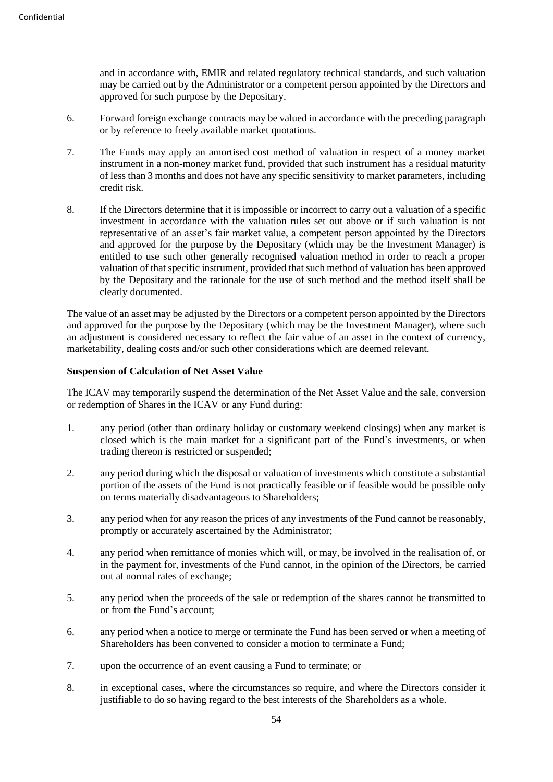and in accordance with, EMIR and related regulatory technical standards, and such valuation may be carried out by the Administrator or a competent person appointed by the Directors and approved for such purpose by the Depositary.

- 6. Forward foreign exchange contracts may be valued in accordance with the preceding paragraph or by reference to freely available market quotations.
- 7. The Funds may apply an amortised cost method of valuation in respect of a money market instrument in a non-money market fund, provided that such instrument has a residual maturity of less than 3 months and does not have any specific sensitivity to market parameters, including credit risk.
- 8. If the Directors determine that it is impossible or incorrect to carry out a valuation of a specific investment in accordance with the valuation rules set out above or if such valuation is not representative of an asset's fair market value, a competent person appointed by the Directors and approved for the purpose by the Depositary (which may be the Investment Manager) is entitled to use such other generally recognised valuation method in order to reach a proper valuation of that specific instrument, provided that such method of valuation has been approved by the Depositary and the rationale for the use of such method and the method itself shall be clearly documented.

The value of an asset may be adjusted by the Directors or a competent person appointed by the Directors and approved for the purpose by the Depositary (which may be the Investment Manager), where such an adjustment is considered necessary to reflect the fair value of an asset in the context of currency, marketability, dealing costs and/or such other considerations which are deemed relevant.

### **Suspension of Calculation of Net Asset Value**

The ICAV may temporarily suspend the determination of the Net Asset Value and the sale, conversion or redemption of Shares in the ICAV or any Fund during:

- 1. any period (other than ordinary holiday or customary weekend closings) when any market is closed which is the main market for a significant part of the Fund's investments, or when trading thereon is restricted or suspended;
- 2. any period during which the disposal or valuation of investments which constitute a substantial portion of the assets of the Fund is not practically feasible or if feasible would be possible only on terms materially disadvantageous to Shareholders;
- 3. any period when for any reason the prices of any investments of the Fund cannot be reasonably, promptly or accurately ascertained by the Administrator;
- 4. any period when remittance of monies which will, or may, be involved in the realisation of, or in the payment for, investments of the Fund cannot, in the opinion of the Directors, be carried out at normal rates of exchange;
- 5. any period when the proceeds of the sale or redemption of the shares cannot be transmitted to or from the Fund's account;
- 6. any period when a notice to merge or terminate the Fund has been served or when a meeting of Shareholders has been convened to consider a motion to terminate a Fund;
- 7. upon the occurrence of an event causing a Fund to terminate; or
- 8. in exceptional cases, where the circumstances so require, and where the Directors consider it justifiable to do so having regard to the best interests of the Shareholders as a whole.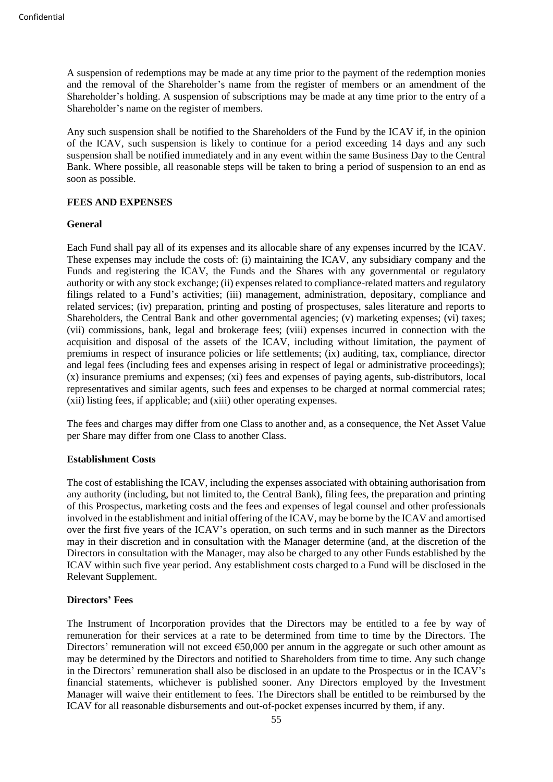A suspension of redemptions may be made at any time prior to the payment of the redemption monies and the removal of the Shareholder's name from the register of members or an amendment of the Shareholder's holding. A suspension of subscriptions may be made at any time prior to the entry of a Shareholder's name on the register of members.

Any such suspension shall be notified to the Shareholders of the Fund by the ICAV if, in the opinion of the ICAV, such suspension is likely to continue for a period exceeding 14 days and any such suspension shall be notified immediately and in any event within the same Business Day to the Central Bank. Where possible, all reasonable steps will be taken to bring a period of suspension to an end as soon as possible.

# **FEES AND EXPENSES**

### **General**

Each Fund shall pay all of its expenses and its allocable share of any expenses incurred by the ICAV. These expenses may include the costs of: (i) maintaining the ICAV, any subsidiary company and the Funds and registering the ICAV, the Funds and the Shares with any governmental or regulatory authority or with any stock exchange; (ii) expenses related to compliance-related matters and regulatory filings related to a Fund's activities; (iii) management, administration, depositary, compliance and related services; (iv) preparation, printing and posting of prospectuses, sales literature and reports to Shareholders, the Central Bank and other governmental agencies; (v) marketing expenses; (vi) taxes; (vii) commissions, bank, legal and brokerage fees; (viii) expenses incurred in connection with the acquisition and disposal of the assets of the ICAV, including without limitation, the payment of premiums in respect of insurance policies or life settlements; (ix) auditing, tax, compliance, director and legal fees (including fees and expenses arising in respect of legal or administrative proceedings); (x) insurance premiums and expenses; (xi) fees and expenses of paying agents, sub-distributors, local representatives and similar agents, such fees and expenses to be charged at normal commercial rates; (xii) listing fees, if applicable; and (xiii) other operating expenses.

The fees and charges may differ from one Class to another and, as a consequence, the Net Asset Value per Share may differ from one Class to another Class.

#### **Establishment Costs**

The cost of establishing the ICAV, including the expenses associated with obtaining authorisation from any authority (including, but not limited to, the Central Bank), filing fees, the preparation and printing of this Prospectus, marketing costs and the fees and expenses of legal counsel and other professionals involved in the establishment and initial offering of the ICAV, may be borne by the ICAV and amortised over the first five years of the ICAV's operation, on such terms and in such manner as the Directors may in their discretion and in consultation with the Manager determine (and, at the discretion of the Directors in consultation with the Manager, may also be charged to any other Funds established by the ICAV within such five year period. Any establishment costs charged to a Fund will be disclosed in the Relevant Supplement.

# **Directors' Fees**

The Instrument of Incorporation provides that the Directors may be entitled to a fee by way of remuneration for their services at a rate to be determined from time to time by the Directors. The Directors' remuneration will not exceed  $650,000$  per annum in the aggregate or such other amount as may be determined by the Directors and notified to Shareholders from time to time. Any such change in the Directors' remuneration shall also be disclosed in an update to the Prospectus or in the ICAV's financial statements, whichever is published sooner. Any Directors employed by the Investment Manager will waive their entitlement to fees. The Directors shall be entitled to be reimbursed by the ICAV for all reasonable disbursements and out-of-pocket expenses incurred by them, if any.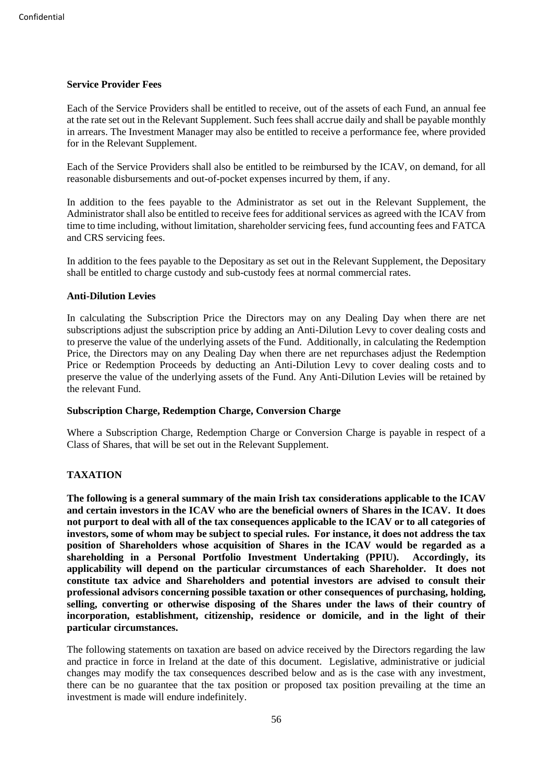### **Service Provider Fees**

Each of the Service Providers shall be entitled to receive, out of the assets of each Fund, an annual fee at the rate set out in the Relevant Supplement. Such fees shall accrue daily and shall be payable monthly in arrears. The Investment Manager may also be entitled to receive a performance fee, where provided for in the Relevant Supplement.

Each of the Service Providers shall also be entitled to be reimbursed by the ICAV, on demand, for all reasonable disbursements and out-of-pocket expenses incurred by them, if any.

In addition to the fees payable to the Administrator as set out in the Relevant Supplement, the Administrator shall also be entitled to receive fees for additional services as agreed with the ICAV from time to time including, without limitation, shareholder servicing fees, fund accounting fees and FATCA and CRS servicing fees.

In addition to the fees payable to the Depositary as set out in the Relevant Supplement, the Depositary shall be entitled to charge custody and sub-custody fees at normal commercial rates.

### **Anti-Dilution Levies**

In calculating the Subscription Price the Directors may on any Dealing Day when there are net subscriptions adjust the subscription price by adding an Anti-Dilution Levy to cover dealing costs and to preserve the value of the underlying assets of the Fund. Additionally, in calculating the Redemption Price, the Directors may on any Dealing Day when there are net repurchases adjust the Redemption Price or Redemption Proceeds by deducting an Anti-Dilution Levy to cover dealing costs and to preserve the value of the underlying assets of the Fund. Any Anti-Dilution Levies will be retained by the relevant Fund.

#### **Subscription Charge, Redemption Charge, Conversion Charge**

Where a Subscription Charge, Redemption Charge or Conversion Charge is payable in respect of a Class of Shares, that will be set out in the Relevant Supplement.

# **TAXATION**

**The following is a general summary of the main Irish tax considerations applicable to the ICAV and certain investors in the ICAV who are the beneficial owners of Shares in the ICAV. It does not purport to deal with all of the tax consequences applicable to the ICAV or to all categories of investors, some of whom may be subject to special rules. For instance, it does not address the tax position of Shareholders whose acquisition of Shares in the ICAV would be regarded as a shareholding in a Personal Portfolio Investment Undertaking (PPIU). Accordingly, its applicability will depend on the particular circumstances of each Shareholder. It does not constitute tax advice and Shareholders and potential investors are advised to consult their professional advisors concerning possible taxation or other consequences of purchasing, holding, selling, converting or otherwise disposing of the Shares under the laws of their country of incorporation, establishment, citizenship, residence or domicile, and in the light of their particular circumstances.**

The following statements on taxation are based on advice received by the Directors regarding the law and practice in force in Ireland at the date of this document. Legislative, administrative or judicial changes may modify the tax consequences described below and as is the case with any investment, there can be no guarantee that the tax position or proposed tax position prevailing at the time an investment is made will endure indefinitely.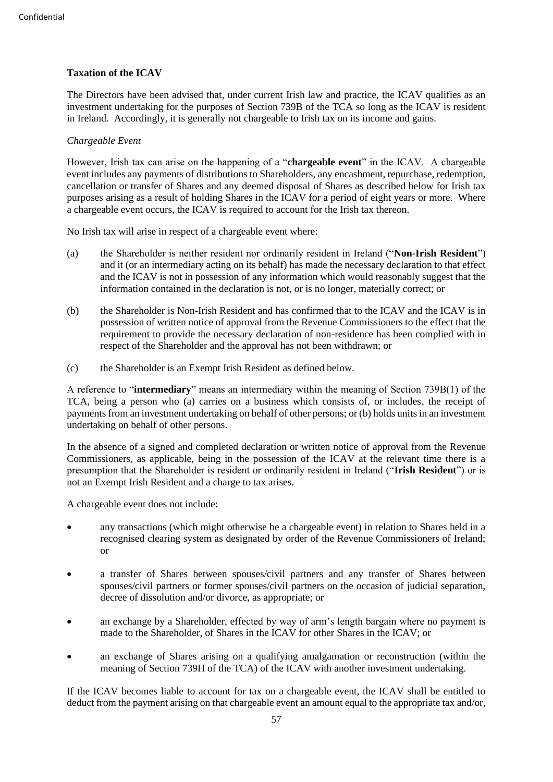# **Taxation of the ICAV**

The Directors have been advised that, under current Irish law and practice, the ICAV qualifies as an investment undertaking for the purposes of Section 739B of the TCA so long as the ICAV is resident in Ireland. Accordingly, it is generally not chargeable to Irish tax on its income and gains.

# *Chargeable Event*

However, Irish tax can arise on the happening of a "**chargeable event**" in the ICAV. A chargeable event includes any payments of distributions to Shareholders, any encashment, repurchase, redemption, cancellation or transfer of Shares and any deemed disposal of Shares as described below for Irish tax purposes arising as a result of holding Shares in the ICAV for a period of eight years or more. Where a chargeable event occurs, the ICAV is required to account for the Irish tax thereon.

No Irish tax will arise in respect of a chargeable event where:

- (a) the Shareholder is neither resident nor ordinarily resident in Ireland ("**Non-Irish Resident**") and it (or an intermediary acting on its behalf) has made the necessary declaration to that effect and the ICAV is not in possession of any information which would reasonably suggest that the information contained in the declaration is not, or is no longer, materially correct; or
- (b) the Shareholder is Non-Irish Resident and has confirmed that to the ICAV and the ICAV is in possession of written notice of approval from the Revenue Commissioners to the effect that the requirement to provide the necessary declaration of non-residence has been complied with in respect of the Shareholder and the approval has not been withdrawn; or
- (c) the Shareholder is an Exempt Irish Resident as defined below.

A reference to "**intermediary**" means an intermediary within the meaning of Section 739B(1) of the TCA, being a person who (a) carries on a business which consists of, or includes, the receipt of payments from an investment undertaking on behalf of other persons; or (b) holds units in an investment undertaking on behalf of other persons.

In the absence of a signed and completed declaration or written notice of approval from the Revenue Commissioners, as applicable, being in the possession of the ICAV at the relevant time there is a presumption that the Shareholder is resident or ordinarily resident in Ireland ("**Irish Resident**") or is not an Exempt Irish Resident and a charge to tax arises.

A chargeable event does not include:

- any transactions (which might otherwise be a chargeable event) in relation to Shares held in a recognised clearing system as designated by order of the Revenue Commissioners of Ireland; or
- a transfer of Shares between spouses/civil partners and any transfer of Shares between spouses/civil partners or former spouses/civil partners on the occasion of judicial separation, decree of dissolution and/or divorce, as appropriate; or
- an exchange by a Shareholder, effected by way of arm's length bargain where no payment is made to the Shareholder, of Shares in the ICAV for other Shares in the ICAV; or
- an exchange of Shares arising on a qualifying amalgamation or reconstruction (within the meaning of Section 739H of the TCA) of the ICAV with another investment undertaking.

If the ICAV becomes liable to account for tax on a chargeable event, the ICAV shall be entitled to deduct from the payment arising on that chargeable event an amount equal to the appropriate tax and/or,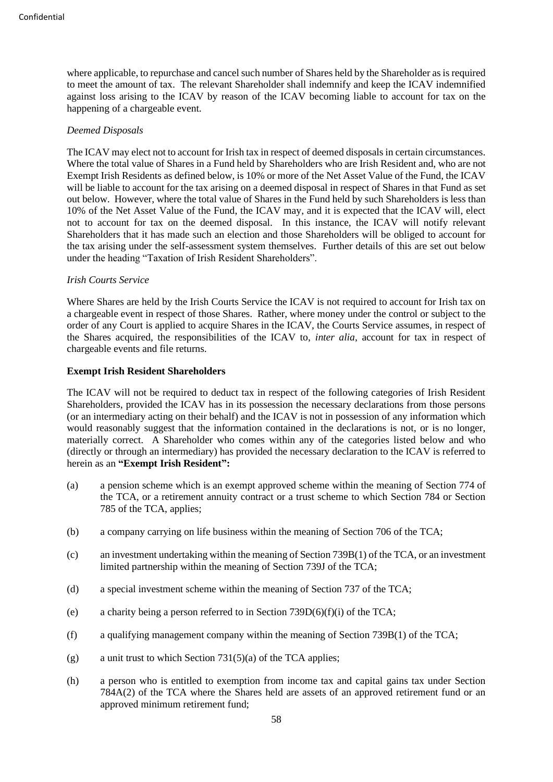where applicable, to repurchase and cancel such number of Shares held by the Shareholder as is required to meet the amount of tax. The relevant Shareholder shall indemnify and keep the ICAV indemnified against loss arising to the ICAV by reason of the ICAV becoming liable to account for tax on the happening of a chargeable event.

### *Deemed Disposals*

The ICAV may elect not to account for Irish tax in respect of deemed disposals in certain circumstances. Where the total value of Shares in a Fund held by Shareholders who are Irish Resident and, who are not Exempt Irish Residents as defined below, is 10% or more of the Net Asset Value of the Fund, the ICAV will be liable to account for the tax arising on a deemed disposal in respect of Shares in that Fund as set out below. However, where the total value of Shares in the Fund held by such Shareholders is less than 10% of the Net Asset Value of the Fund, the ICAV may, and it is expected that the ICAV will, elect not to account for tax on the deemed disposal. In this instance, the ICAV will notify relevant Shareholders that it has made such an election and those Shareholders will be obliged to account for the tax arising under the self-assessment system themselves. Further details of this are set out below under the heading "Taxation of Irish Resident Shareholders".

#### *Irish Courts Service*

Where Shares are held by the Irish Courts Service the ICAV is not required to account for Irish tax on a chargeable event in respect of those Shares. Rather, where money under the control or subject to the order of any Court is applied to acquire Shares in the ICAV, the Courts Service assumes, in respect of the Shares acquired, the responsibilities of the ICAV to, *inter alia*, account for tax in respect of chargeable events and file returns.

### **Exempt Irish Resident Shareholders**

The ICAV will not be required to deduct tax in respect of the following categories of Irish Resident Shareholders, provided the ICAV has in its possession the necessary declarations from those persons (or an intermediary acting on their behalf) and the ICAV is not in possession of any information which would reasonably suggest that the information contained in the declarations is not, or is no longer, materially correct. A Shareholder who comes within any of the categories listed below and who (directly or through an intermediary) has provided the necessary declaration to the ICAV is referred to herein as an **"Exempt Irish Resident":**

- (a) a pension scheme which is an exempt approved scheme within the meaning of Section 774 of the TCA, or a retirement annuity contract or a trust scheme to which Section 784 or Section 785 of the TCA, applies;
- (b) a company carrying on life business within the meaning of Section 706 of the TCA;
- (c) an investment undertaking within the meaning of Section 739B(1) of the TCA, or an investment limited partnership within the meaning of Section 739J of the TCA;
- (d) a special investment scheme within the meaning of Section 737 of the TCA;
- (e) a charity being a person referred to in Section  $739D(6)(f)(i)$  of the TCA;
- (f) a qualifying management company within the meaning of Section 739B(1) of the TCA;
- (g) a unit trust to which Section  $731(5)(a)$  of the TCA applies;
- (h) a person who is entitled to exemption from income tax and capital gains tax under Section 784A(2) of the TCA where the Shares held are assets of an approved retirement fund or an approved minimum retirement fund;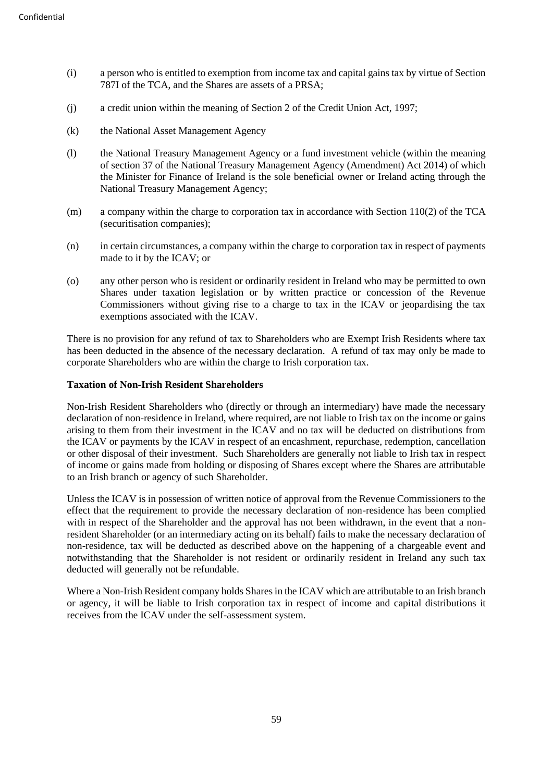- (i) a person who is entitled to exemption from income tax and capital gains tax by virtue of Section 787I of the TCA, and the Shares are assets of a PRSA;
- (j) a credit union within the meaning of Section 2 of the Credit Union Act, 1997;
- (k) the National Asset Management Agency
- (l) the National Treasury Management Agency or a fund investment vehicle (within the meaning of section 37 of the National Treasury Management Agency (Amendment) Act 2014) of which the Minister for Finance of Ireland is the sole beneficial owner or Ireland acting through the National Treasury Management Agency;
- (m) a company within the charge to corporation tax in accordance with Section 110(2) of the TCA (securitisation companies);
- (n) in certain circumstances, a company within the charge to corporation tax in respect of payments made to it by the ICAV; or
- (o) any other person who is resident or ordinarily resident in Ireland who may be permitted to own Shares under taxation legislation or by written practice or concession of the Revenue Commissioners without giving rise to a charge to tax in the ICAV or jeopardising the tax exemptions associated with the ICAV.

There is no provision for any refund of tax to Shareholders who are Exempt Irish Residents where tax has been deducted in the absence of the necessary declaration. A refund of tax may only be made to corporate Shareholders who are within the charge to Irish corporation tax.

### **Taxation of Non-Irish Resident Shareholders**

Non-Irish Resident Shareholders who (directly or through an intermediary) have made the necessary declaration of non-residence in Ireland, where required, are not liable to Irish tax on the income or gains arising to them from their investment in the ICAV and no tax will be deducted on distributions from the ICAV or payments by the ICAV in respect of an encashment, repurchase, redemption, cancellation or other disposal of their investment. Such Shareholders are generally not liable to Irish tax in respect of income or gains made from holding or disposing of Shares except where the Shares are attributable to an Irish branch or agency of such Shareholder.

Unless the ICAV is in possession of written notice of approval from the Revenue Commissioners to the effect that the requirement to provide the necessary declaration of non-residence has been complied with in respect of the Shareholder and the approval has not been withdrawn, in the event that a nonresident Shareholder (or an intermediary acting on its behalf) fails to make the necessary declaration of non-residence, tax will be deducted as described above on the happening of a chargeable event and notwithstanding that the Shareholder is not resident or ordinarily resident in Ireland any such tax deducted will generally not be refundable.

Where a Non-Irish Resident company holds Shares in the ICAV which are attributable to an Irish branch or agency, it will be liable to Irish corporation tax in respect of income and capital distributions it receives from the ICAV under the self-assessment system.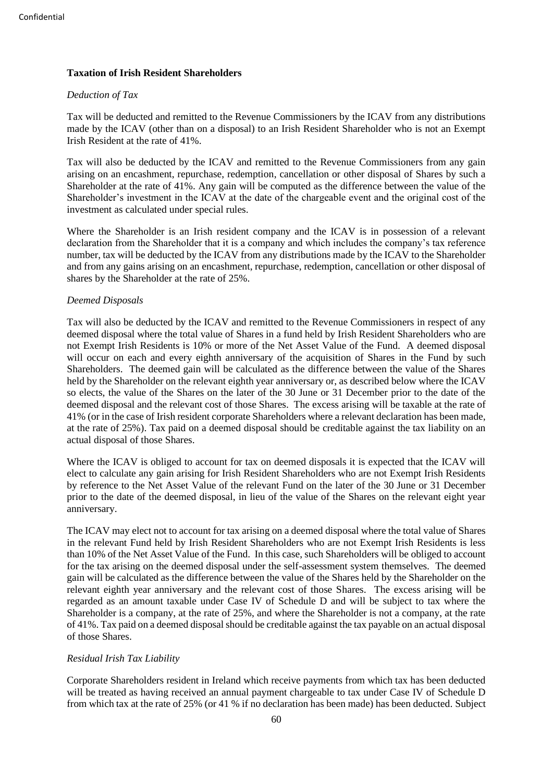# **Taxation of Irish Resident Shareholders**

# *Deduction of Tax*

Tax will be deducted and remitted to the Revenue Commissioners by the ICAV from any distributions made by the ICAV (other than on a disposal) to an Irish Resident Shareholder who is not an Exempt Irish Resident at the rate of 41%.

Tax will also be deducted by the ICAV and remitted to the Revenue Commissioners from any gain arising on an encashment, repurchase, redemption, cancellation or other disposal of Shares by such a Shareholder at the rate of 41%. Any gain will be computed as the difference between the value of the Shareholder's investment in the ICAV at the date of the chargeable event and the original cost of the investment as calculated under special rules.

Where the Shareholder is an Irish resident company and the ICAV is in possession of a relevant declaration from the Shareholder that it is a company and which includes the company's tax reference number, tax will be deducted by the ICAV from any distributions made by the ICAV to the Shareholder and from any gains arising on an encashment, repurchase, redemption, cancellation or other disposal of shares by the Shareholder at the rate of 25%.

### *Deemed Disposals*

Tax will also be deducted by the ICAV and remitted to the Revenue Commissioners in respect of any deemed disposal where the total value of Shares in a fund held by Irish Resident Shareholders who are not Exempt Irish Residents is 10% or more of the Net Asset Value of the Fund. A deemed disposal will occur on each and every eighth anniversary of the acquisition of Shares in the Fund by such Shareholders. The deemed gain will be calculated as the difference between the value of the Shares held by the Shareholder on the relevant eighth year anniversary or, as described below where the ICAV so elects, the value of the Shares on the later of the 30 June or 31 December prior to the date of the deemed disposal and the relevant cost of those Shares. The excess arising will be taxable at the rate of 41% (or in the case of Irish resident corporate Shareholders where a relevant declaration has been made, at the rate of 25%). Tax paid on a deemed disposal should be creditable against the tax liability on an actual disposal of those Shares.

Where the ICAV is obliged to account for tax on deemed disposals it is expected that the ICAV will elect to calculate any gain arising for Irish Resident Shareholders who are not Exempt Irish Residents by reference to the Net Asset Value of the relevant Fund on the later of the 30 June or 31 December prior to the date of the deemed disposal, in lieu of the value of the Shares on the relevant eight year anniversary.

The ICAV may elect not to account for tax arising on a deemed disposal where the total value of Shares in the relevant Fund held by Irish Resident Shareholders who are not Exempt Irish Residents is less than 10% of the Net Asset Value of the Fund. In this case, such Shareholders will be obliged to account for the tax arising on the deemed disposal under the self-assessment system themselves. The deemed gain will be calculated as the difference between the value of the Shares held by the Shareholder on the relevant eighth year anniversary and the relevant cost of those Shares. The excess arising will be regarded as an amount taxable under Case IV of Schedule D and will be subject to tax where the Shareholder is a company, at the rate of 25%, and where the Shareholder is not a company, at the rate of 41%. Tax paid on a deemed disposal should be creditable against the tax payable on an actual disposal of those Shares.

# *Residual Irish Tax Liability*

Corporate Shareholders resident in Ireland which receive payments from which tax has been deducted will be treated as having received an annual payment chargeable to tax under Case IV of Schedule D from which tax at the rate of 25% (or 41 % if no declaration has been made) has been deducted. Subject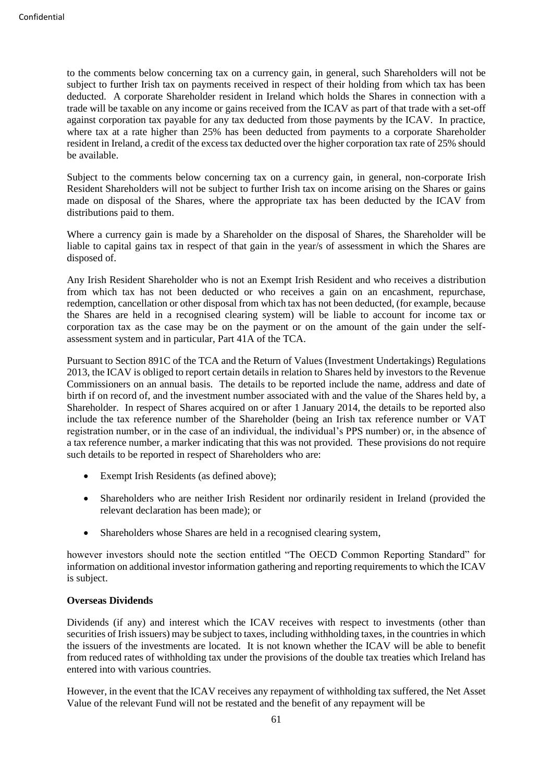to the comments below concerning tax on a currency gain, in general, such Shareholders will not be subject to further Irish tax on payments received in respect of their holding from which tax has been deducted. A corporate Shareholder resident in Ireland which holds the Shares in connection with a trade will be taxable on any income or gains received from the ICAV as part of that trade with a set-off against corporation tax payable for any tax deducted from those payments by the ICAV. In practice, where tax at a rate higher than 25% has been deducted from payments to a corporate Shareholder resident in Ireland, a credit of the excess tax deducted over the higher corporation tax rate of 25% should be available.

Subject to the comments below concerning tax on a currency gain, in general, non-corporate Irish Resident Shareholders will not be subject to further Irish tax on income arising on the Shares or gains made on disposal of the Shares, where the appropriate tax has been deducted by the ICAV from distributions paid to them.

Where a currency gain is made by a Shareholder on the disposal of Shares, the Shareholder will be liable to capital gains tax in respect of that gain in the year/s of assessment in which the Shares are disposed of.

Any Irish Resident Shareholder who is not an Exempt Irish Resident and who receives a distribution from which tax has not been deducted or who receives a gain on an encashment, repurchase, redemption, cancellation or other disposal from which tax has not been deducted, (for example, because the Shares are held in a recognised clearing system) will be liable to account for income tax or corporation tax as the case may be on the payment or on the amount of the gain under the selfassessment system and in particular, Part 41A of the TCA.

Pursuant to Section 891C of the TCA and the Return of Values (Investment Undertakings) Regulations 2013, the ICAV is obliged to report certain details in relation to Shares held by investors to the Revenue Commissioners on an annual basis. The details to be reported include the name, address and date of birth if on record of, and the investment number associated with and the value of the Shares held by, a Shareholder. In respect of Shares acquired on or after 1 January 2014, the details to be reported also include the tax reference number of the Shareholder (being an Irish tax reference number or VAT registration number, or in the case of an individual, the individual's PPS number) or, in the absence of a tax reference number, a marker indicating that this was not provided. These provisions do not require such details to be reported in respect of Shareholders who are:

- Exempt Irish Residents (as defined above);
- Shareholders who are neither Irish Resident nor ordinarily resident in Ireland (provided the relevant declaration has been made); or
- Shareholders whose Shares are held in a recognised clearing system,

however investors should note the section entitled "The OECD Common Reporting Standard" for information on additional investor information gathering and reporting requirements to which the ICAV is subject.

#### **Overseas Dividends**

Dividends (if any) and interest which the ICAV receives with respect to investments (other than securities of Irish issuers) may be subject to taxes, including withholding taxes, in the countries in which the issuers of the investments are located. It is not known whether the ICAV will be able to benefit from reduced rates of withholding tax under the provisions of the double tax treaties which Ireland has entered into with various countries.

However, in the event that the ICAV receives any repayment of withholding tax suffered, the Net Asset Value of the relevant Fund will not be restated and the benefit of any repayment will be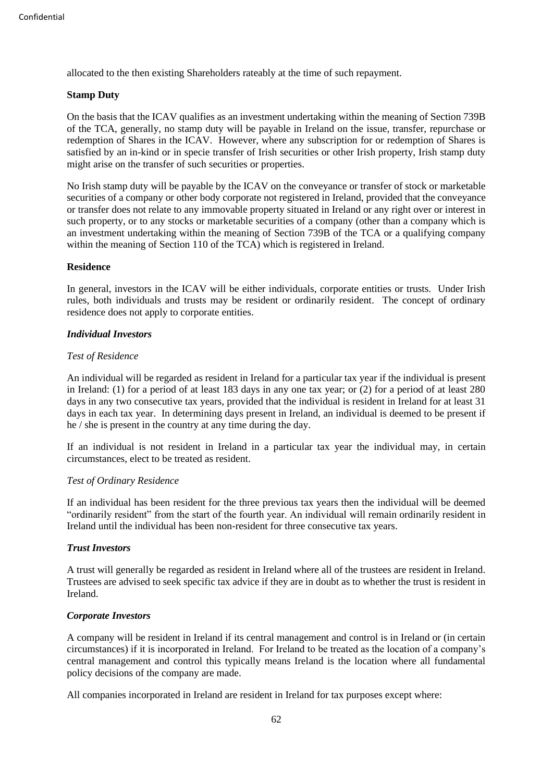allocated to the then existing Shareholders rateably at the time of such repayment.

### **Stamp Duty**

On the basis that the ICAV qualifies as an investment undertaking within the meaning of Section 739B of the TCA, generally, no stamp duty will be payable in Ireland on the issue, transfer, repurchase or redemption of Shares in the ICAV. However, where any subscription for or redemption of Shares is satisfied by an in-kind or in specie transfer of Irish securities or other Irish property, Irish stamp duty might arise on the transfer of such securities or properties.

No Irish stamp duty will be payable by the ICAV on the conveyance or transfer of stock or marketable securities of a company or other body corporate not registered in Ireland, provided that the conveyance or transfer does not relate to any immovable property situated in Ireland or any right over or interest in such property, or to any stocks or marketable securities of a company (other than a company which is an investment undertaking within the meaning of Section 739B of the TCA or a qualifying company within the meaning of Section 110 of the TCA) which is registered in Ireland.

### **Residence**

In general, investors in the ICAV will be either individuals, corporate entities or trusts. Under Irish rules, both individuals and trusts may be resident or ordinarily resident. The concept of ordinary residence does not apply to corporate entities.

# *Individual Investors*

### *Test of Residence*

An individual will be regarded as resident in Ireland for a particular tax year if the individual is present in Ireland: (1) for a period of at least 183 days in any one tax year; or (2) for a period of at least 280 days in any two consecutive tax years, provided that the individual is resident in Ireland for at least 31 days in each tax year. In determining days present in Ireland, an individual is deemed to be present if he / she is present in the country at any time during the day.

If an individual is not resident in Ireland in a particular tax year the individual may, in certain circumstances, elect to be treated as resident.

#### *Test of Ordinary Residence*

If an individual has been resident for the three previous tax years then the individual will be deemed "ordinarily resident" from the start of the fourth year. An individual will remain ordinarily resident in Ireland until the individual has been non-resident for three consecutive tax years.

# *Trust Investors*

A trust will generally be regarded as resident in Ireland where all of the trustees are resident in Ireland. Trustees are advised to seek specific tax advice if they are in doubt as to whether the trust is resident in Ireland.

# *Corporate Investors*

A company will be resident in Ireland if its central management and control is in Ireland or (in certain circumstances) if it is incorporated in Ireland. For Ireland to be treated as the location of a company's central management and control this typically means Ireland is the location where all fundamental policy decisions of the company are made.

All companies incorporated in Ireland are resident in Ireland for tax purposes except where: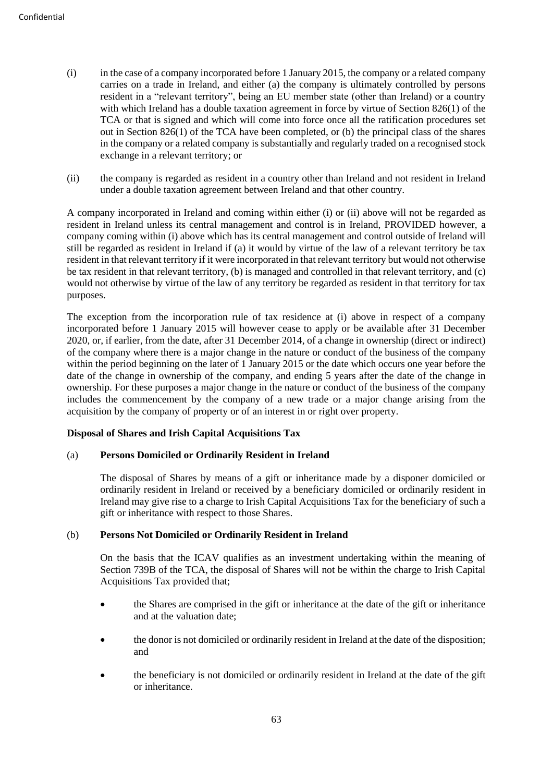- (i) in the case of a company incorporated before 1 January 2015, the company or a related company carries on a trade in Ireland, and either (a) the company is ultimately controlled by persons resident in a "relevant territory", being an EU member state (other than Ireland) or a country with which Ireland has a double taxation agreement in force by virtue of Section 826(1) of the TCA or that is signed and which will come into force once all the ratification procedures set out in Section 826(1) of the TCA have been completed, or (b) the principal class of the shares in the company or a related company is substantially and regularly traded on a recognised stock exchange in a relevant territory; or
- (ii) the company is regarded as resident in a country other than Ireland and not resident in Ireland under a double taxation agreement between Ireland and that other country.

A company incorporated in Ireland and coming within either (i) or (ii) above will not be regarded as resident in Ireland unless its central management and control is in Ireland, PROVIDED however, a company coming within (i) above which has its central management and control outside of Ireland will still be regarded as resident in Ireland if (a) it would by virtue of the law of a relevant territory be tax resident in that relevant territory if it were incorporated in that relevant territory but would not otherwise be tax resident in that relevant territory, (b) is managed and controlled in that relevant territory, and (c) would not otherwise by virtue of the law of any territory be regarded as resident in that territory for tax purposes.

The exception from the incorporation rule of tax residence at (i) above in respect of a company incorporated before 1 January 2015 will however cease to apply or be available after 31 December 2020, or, if earlier, from the date, after 31 December 2014, of a change in ownership (direct or indirect) of the company where there is a major change in the nature or conduct of the business of the company within the period beginning on the later of 1 January 2015 or the date which occurs one year before the date of the change in ownership of the company, and ending 5 years after the date of the change in ownership. For these purposes a major change in the nature or conduct of the business of the company includes the commencement by the company of a new trade or a major change arising from the acquisition by the company of property or of an interest in or right over property.

# **Disposal of Shares and Irish Capital Acquisitions Tax**

# (a) **Persons Domiciled or Ordinarily Resident in Ireland**

The disposal of Shares by means of a gift or inheritance made by a disponer domiciled or ordinarily resident in Ireland or received by a beneficiary domiciled or ordinarily resident in Ireland may give rise to a charge to Irish Capital Acquisitions Tax for the beneficiary of such a gift or inheritance with respect to those Shares.

# (b) **Persons Not Domiciled or Ordinarily Resident in Ireland**

On the basis that the ICAV qualifies as an investment undertaking within the meaning of Section 739B of the TCA, the disposal of Shares will not be within the charge to Irish Capital Acquisitions Tax provided that;

- the Shares are comprised in the gift or inheritance at the date of the gift or inheritance and at the valuation date;
- the donor is not domiciled or ordinarily resident in Ireland at the date of the disposition; and
- the beneficiary is not domiciled or ordinarily resident in Ireland at the date of the gift or inheritance.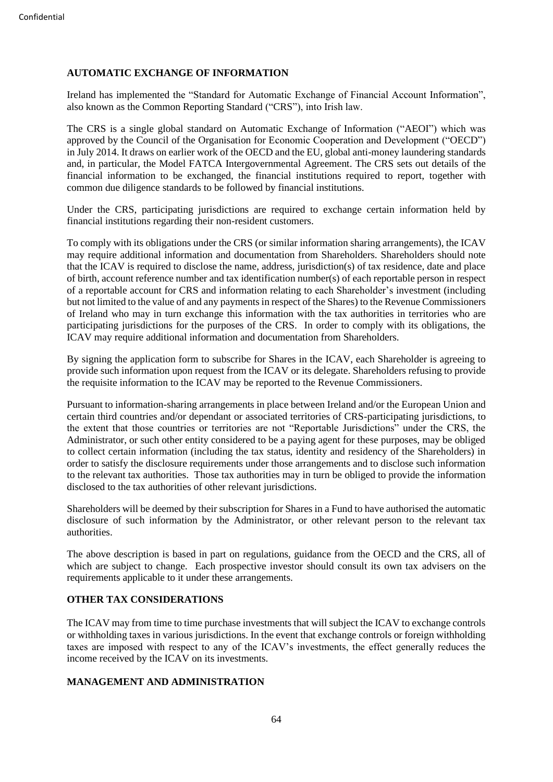# **AUTOMATIC EXCHANGE OF INFORMATION**

Ireland has implemented the "Standard for Automatic Exchange of Financial Account Information", also known as the Common Reporting Standard ("CRS"), into Irish law.

The CRS is a single global standard on Automatic Exchange of Information ("AEOI") which was approved by the Council of the Organisation for Economic Cooperation and Development ("OECD") in July 2014. It draws on earlier work of the OECD and the EU, global anti-money laundering standards and, in particular, the Model FATCA Intergovernmental Agreement. The CRS sets out details of the financial information to be exchanged, the financial institutions required to report, together with common due diligence standards to be followed by financial institutions.

Under the CRS, participating jurisdictions are required to exchange certain information held by financial institutions regarding their non-resident customers.

To comply with its obligations under the CRS (or similar information sharing arrangements), the ICAV may require additional information and documentation from Shareholders. Shareholders should note that the ICAV is required to disclose the name, address, jurisdiction(s) of tax residence, date and place of birth, account reference number and tax identification number(s) of each reportable person in respect of a reportable account for CRS and information relating to each Shareholder's investment (including but not limited to the value of and any payments in respect of the Shares) to the Revenue Commissioners of Ireland who may in turn exchange this information with the tax authorities in territories who are participating jurisdictions for the purposes of the CRS. In order to comply with its obligations, the ICAV may require additional information and documentation from Shareholders.

By signing the application form to subscribe for Shares in the ICAV, each Shareholder is agreeing to provide such information upon request from the ICAV or its delegate. Shareholders refusing to provide the requisite information to the ICAV may be reported to the Revenue Commissioners.

Pursuant to information-sharing arrangements in place between Ireland and/or the European Union and certain third countries and/or dependant or associated territories of CRS-participating jurisdictions, to the extent that those countries or territories are not "Reportable Jurisdictions" under the CRS, the Administrator, or such other entity considered to be a paying agent for these purposes, may be obliged to collect certain information (including the tax status, identity and residency of the Shareholders) in order to satisfy the disclosure requirements under those arrangements and to disclose such information to the relevant tax authorities. Those tax authorities may in turn be obliged to provide the information disclosed to the tax authorities of other relevant jurisdictions.

Shareholders will be deemed by their subscription for Shares in a Fund to have authorised the automatic disclosure of such information by the Administrator, or other relevant person to the relevant tax authorities.

The above description is based in part on regulations, guidance from the OECD and the CRS, all of which are subject to change. Each prospective investor should consult its own tax advisers on the requirements applicable to it under these arrangements.

# **OTHER TAX CONSIDERATIONS**

The ICAV may from time to time purchase investments that will subject the ICAV to exchange controls or withholding taxes in various jurisdictions. In the event that exchange controls or foreign withholding taxes are imposed with respect to any of the ICAV's investments, the effect generally reduces the income received by the ICAV on its investments.

# **MANAGEMENT AND ADMINISTRATION**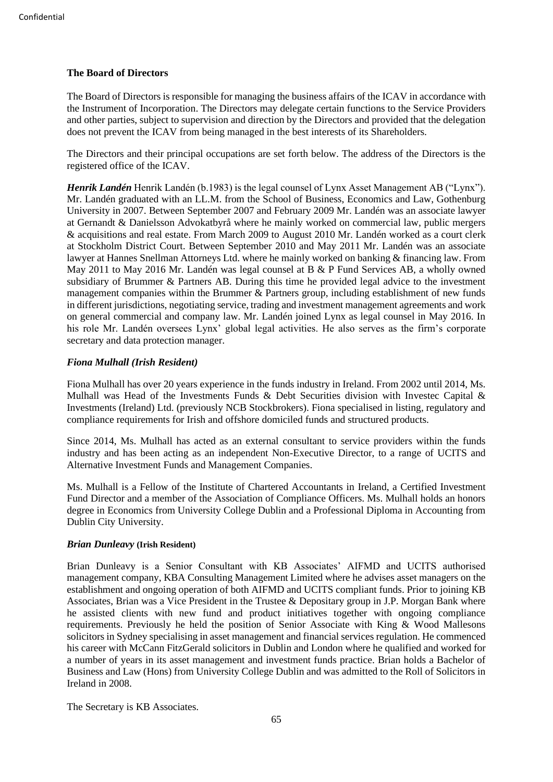# **The Board of Directors**

The Board of Directors is responsible for managing the business affairs of the ICAV in accordance with the Instrument of Incorporation. The Directors may delegate certain functions to the Service Providers and other parties, subject to supervision and direction by the Directors and provided that the delegation does not prevent the ICAV from being managed in the best interests of its Shareholders.

The Directors and their principal occupations are set forth below. The address of the Directors is the registered office of the ICAV.

*Henrik Landén* Henrik Landén (b.1983) is the legal counsel of Lynx Asset Management AB ("Lynx"). Mr. Landén graduated with an LL.M. from the School of Business, Economics and Law, Gothenburg University in 2007. Between September 2007 and February 2009 Mr. Landén was an associate lawyer at Gernandt & Danielsson Advokatbyrå where he mainly worked on commercial law, public mergers & acquisitions and real estate. From March 2009 to August 2010 Mr. Landén worked as a court clerk at Stockholm District Court. Between September 2010 and May 2011 Mr. Landén was an associate lawyer at Hannes Snellman Attorneys Ltd. where he mainly worked on banking & financing law. From May 2011 to May 2016 Mr. Landén was legal counsel at B & P Fund Services AB, a wholly owned subsidiary of Brummer & Partners AB. During this time he provided legal advice to the investment management companies within the Brummer & Partners group, including establishment of new funds in different jurisdictions, negotiating service, trading and investment management agreements and work on general commercial and company law. Mr. Landén joined Lynx as legal counsel in May 2016. In his role Mr. Landén oversees Lynx' global legal activities. He also serves as the firm's corporate secretary and data protection manager.

# *Fiona Mulhall (Irish Resident)*

Fiona Mulhall has over 20 years experience in the funds industry in Ireland. From 2002 until 2014, Ms. Mulhall was Head of the Investments Funds & Debt Securities division with Investec Capital & Investments (Ireland) Ltd. (previously NCB Stockbrokers). Fiona specialised in listing, regulatory and compliance requirements for Irish and offshore domiciled funds and structured products.

Since 2014, Ms. Mulhall has acted as an external consultant to service providers within the funds industry and has been acting as an independent Non-Executive Director, to a range of UCITS and Alternative Investment Funds and Management Companies.

Ms. Mulhall is a Fellow of the Institute of Chartered Accountants in Ireland, a Certified Investment Fund Director and a member of the Association of Compliance Officers. Ms. Mulhall holds an honors degree in Economics from University College Dublin and a Professional Diploma in Accounting from Dublin City University.

#### *Brian Dunleavy* **(Irish Resident)**

Brian Dunleavy is a Senior Consultant with KB Associates' AIFMD and UCITS authorised management company, KBA Consulting Management Limited where he advises asset managers on the establishment and ongoing operation of both AIFMD and UCITS compliant funds. Prior to joining KB Associates, Brian was a Vice President in the Trustee & Depositary group in J.P. Morgan Bank where he assisted clients with new fund and product initiatives together with ongoing compliance requirements. Previously he held the position of Senior Associate with King & Wood Mallesons solicitors in Sydney specialising in asset management and financial services regulation. He commenced his career with McCann FitzGerald solicitors in Dublin and London where he qualified and worked for a number of years in its asset management and investment funds practice. Brian holds a Bachelor of Business and Law (Hons) from University College Dublin and was admitted to the Roll of Solicitors in Ireland in 2008.

The Secretary is KB Associates.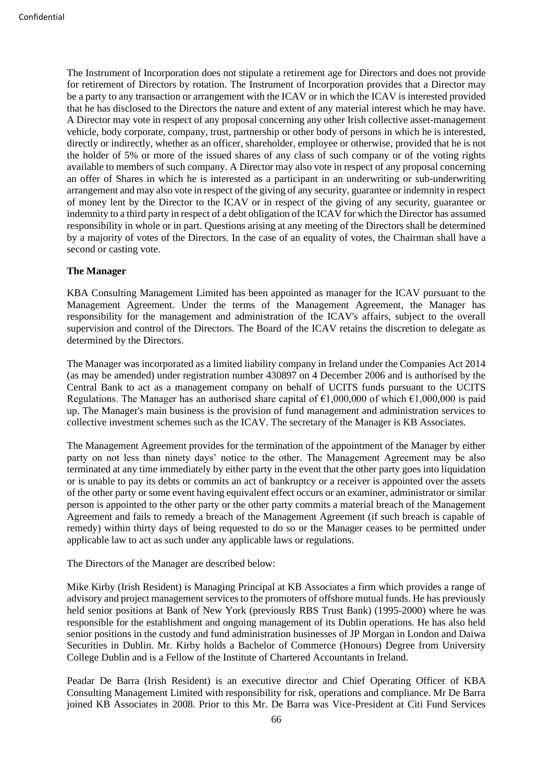The Instrument of Incorporation does not stipulate a retirement age for Directors and does not provide for retirement of Directors by rotation. The Instrument of Incorporation provides that a Director may be a party to any transaction or arrangement with the ICAV or in which the ICAV is interested provided that he has disclosed to the Directors the nature and extent of any material interest which he may have. A Director may vote in respect of any proposal concerning any other Irish collective asset-management vehicle, body corporate, company, trust, partnership or other body of persons in which he is interested, directly or indirectly, whether as an officer, shareholder, employee or otherwise, provided that he is not the holder of 5% or more of the issued shares of any class of such company or of the voting rights available to members of such company. A Director may also vote in respect of any proposal concerning an offer of Shares in which he is interested as a participant in an underwriting or sub-underwriting arrangement and may also vote in respect of the giving of any security, guarantee or indemnity in respect of money lent by the Director to the ICAV or in respect of the giving of any security, guarantee or indemnity to a third party in respect of a debt obligation of the ICAV for which the Director has assumed responsibility in whole or in part. Questions arising at any meeting of the Directors shall be determined by a majority of votes of the Directors. In the case of an equality of votes, the Chairman shall have a second or casting vote.

#### **The Manager**

KBA Consulting Management Limited has been appointed as manager for the ICAV pursuant to the Management Agreement. Under the terms of the Management Agreement, the Manager has responsibility for the management and administration of the ICAV's affairs, subject to the overall supervision and control of the Directors. The Board of the ICAV retains the discretion to delegate as determined by the Directors.

The Manager was incorporated as a limited liability company in Ireland under the Companies Act 2014 (as may be amended) under registration number 430897 on 4 December 2006 and is authorised by the Central Bank to act as a management company on behalf of UCITS funds pursuant to the UCITS Regulations. The Manager has an authorised share capital of  $\epsilon 1,000,000$  of which  $\epsilon 1,000,000$  is paid up. The Manager's main business is the provision of fund management and administration services to collective investment schemes such as the ICAV. The secretary of the Manager is KB Associates.

The Management Agreement provides for the termination of the appointment of the Manager by either party on not less than ninety days' notice to the other. The Management Agreement may be also terminated at any time immediately by either party in the event that the other party goes into liquidation or is unable to pay its debts or commits an act of bankruptcy or a receiver is appointed over the assets of the other party or some event having equivalent effect occurs or an examiner, administrator or similar person is appointed to the other party or the other party commits a material breach of the Management Agreement and fails to remedy a breach of the Management Agreement (if such breach is capable of remedy) within thirty days of being requested to do so or the Manager ceases to be permitted under applicable law to act as such under any applicable laws or regulations.

The Directors of the Manager are described below:

Mike Kirby (Irish Resident) is Managing Principal at KB Associates a firm which provides a range of advisory and project management services to the promoters of offshore mutual funds. He has previously held senior positions at Bank of New York (previously RBS Trust Bank) (1995-2000) where he was responsible for the establishment and ongoing management of its Dublin operations. He has also held senior positions in the custody and fund administration businesses of JP Morgan in London and Daiwa Securities in Dublin. Mr. Kirby holds a Bachelor of Commerce (Honours) Degree from University College Dublin and is a Fellow of the Institute of Chartered Accountants in Ireland.

Peadar De Barra (Irish Resident) is an executive director and Chief Operating Officer of KBA Consulting Management Limited with responsibility for risk, operations and compliance. Mr De Barra joined KB Associates in 2008. Prior to this Mr. De Barra was Vice-President at Citi Fund Services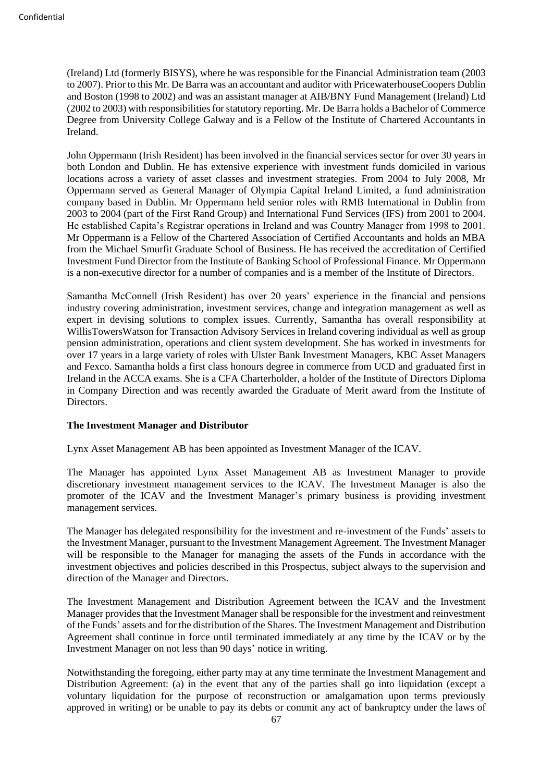(Ireland) Ltd (formerly BISYS), where he was responsible for the Financial Administration team (2003 to 2007). Prior to this Mr. De Barra was an accountant and auditor with PricewaterhouseCoopers Dublin and Boston (1998 to 2002) and was an assistant manager at AIB/BNY Fund Management (Ireland) Ltd (2002 to 2003) with responsibilities for statutory reporting. Mr. De Barra holds a Bachelor of Commerce Degree from University College Galway and is a Fellow of the Institute of Chartered Accountants in Ireland.

John Oppermann (Irish Resident) has been involved in the financial services sector for over 30 years in both London and Dublin. He has extensive experience with investment funds domiciled in various locations across a variety of asset classes and investment strategies. From 2004 to July 2008, Mr Oppermann served as General Manager of Olympia Capital Ireland Limited, a fund administration company based in Dublin. Mr Oppermann held senior roles with RMB International in Dublin from 2003 to 2004 (part of the First Rand Group) and International Fund Services (IFS) from 2001 to 2004. He established Capita's Registrar operations in Ireland and was Country Manager from 1998 to 2001. Mr Oppermann is a Fellow of the Chartered Association of Certified Accountants and holds an MBA from the Michael Smurfit Graduate School of Business. He has received the accreditation of Certified Investment Fund Director from the Institute of Banking School of Professional Finance. Mr Oppermann is a non-executive director for a number of companies and is a member of the Institute of Directors.

Samantha McConnell (Irish Resident) has over 20 years' experience in the financial and pensions industry covering administration, investment services, change and integration management as well as expert in devising solutions to complex issues. Currently, Samantha has overall responsibility at WillisTowersWatson for Transaction Advisory Services in Ireland covering individual as well as group pension administration, operations and client system development. She has worked in investments for over 17 years in a large variety of roles with Ulster Bank Investment Managers, KBC Asset Managers and Fexco. Samantha holds a first class honours degree in commerce from UCD and graduated first in Ireland in the ACCA exams. She is a CFA Charterholder, a holder of the Institute of Directors Diploma in Company Direction and was recently awarded the Graduate of Merit award from the Institute of Directors.

#### **The Investment Manager and Distributor**

Lynx Asset Management AB has been appointed as Investment Manager of the ICAV.

The Manager has appointed Lynx Asset Management AB as Investment Manager to provide discretionary investment management services to the ICAV. The Investment Manager is also the promoter of the ICAV and the Investment Manager's primary business is providing investment management services.

The Manager has delegated responsibility for the investment and re-investment of the Funds' assets to the Investment Manager, pursuant to the Investment Management Agreement. The Investment Manager will be responsible to the Manager for managing the assets of the Funds in accordance with the investment objectives and policies described in this Prospectus, subject always to the supervision and direction of the Manager and Directors.

The Investment Management and Distribution Agreement between the ICAV and the Investment Manager provides that the Investment Manager shall be responsible for the investment and reinvestment of the Funds' assets and for the distribution of the Shares. The Investment Management and Distribution Agreement shall continue in force until terminated immediately at any time by the ICAV or by the Investment Manager on not less than 90 days' notice in writing.

Notwithstanding the foregoing, either party may at any time terminate the Investment Management and Distribution Agreement: (a) in the event that any of the parties shall go into liquidation (except a voluntary liquidation for the purpose of reconstruction or amalgamation upon terms previously approved in writing) or be unable to pay its debts or commit any act of bankruptcy under the laws of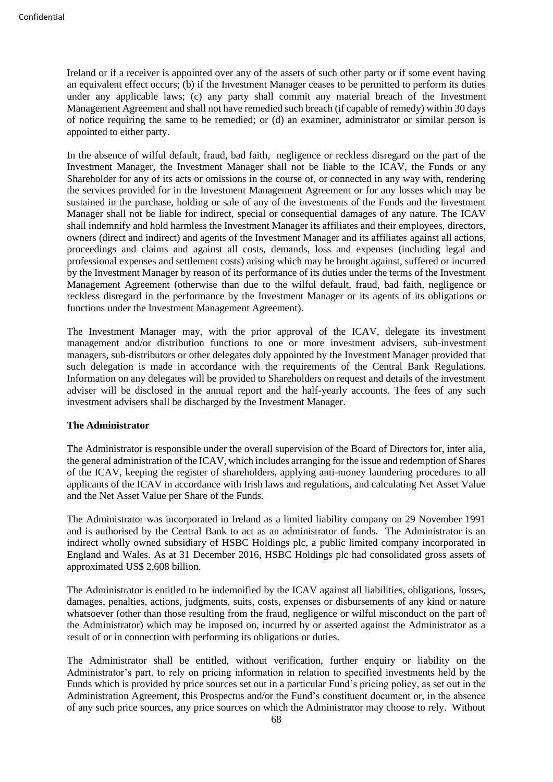Ireland or if a receiver is appointed over any of the assets of such other party or if some event having an equivalent effect occurs; (b) if the Investment Manager ceases to be permitted to perform its duties under any applicable laws; (c) any party shall commit any material breach of the Investment Management Agreement and shall not have remedied such breach (if capable of remedy) within 30 days of notice requiring the same to be remedied; or (d) an examiner, administrator or similar person is appointed to either party.

In the absence of wilful default, fraud, bad faith, negligence or reckless disregard on the part of the Investment Manager, the Investment Manager shall not be liable to the ICAV, the Funds or any Shareholder for any of its acts or omissions in the course of, or connected in any way with, rendering the services provided for in the Investment Management Agreement or for any losses which may be sustained in the purchase, holding or sale of any of the investments of the Funds and the Investment Manager shall not be liable for indirect, special or consequential damages of any nature. The ICAV shall indemnify and hold harmless the Investment Manager its affiliates and their employees, directors, owners (direct and indirect) and agents of the Investment Manager and its affiliates against all actions, proceedings and claims and against all costs, demands, loss and expenses (including legal and professional expenses and settlement costs) arising which may be brought against, suffered or incurred by the Investment Manager by reason of its performance of its duties under the terms of the Investment Management Agreement (otherwise than due to the wilful default, fraud, bad faith, negligence or reckless disregard in the performance by the Investment Manager or its agents of its obligations or functions under the Investment Management Agreement).

The Investment Manager may, with the prior approval of the ICAV, delegate its investment management and/or distribution functions to one or more investment advisers, sub-investment managers, sub-distributors or other delegates duly appointed by the Investment Manager provided that such delegation is made in accordance with the requirements of the Central Bank Regulations. Information on any delegates will be provided to Shareholders on request and details of the investment adviser will be disclosed in the annual report and the half-yearly accounts. The fees of any such investment advisers shall be discharged by the Investment Manager.

### **The Administrator**

The Administrator is responsible under the overall supervision of the Board of Directors for, inter alia, the general administration of the ICAV, which includes arranging for the issue and redemption of Shares of the ICAV, keeping the register of shareholders, applying anti-money laundering procedures to all applicants of the ICAV in accordance with Irish laws and regulations, and calculating Net Asset Value and the Net Asset Value per Share of the Funds.

The Administrator was incorporated in Ireland as a limited liability company on 29 November 1991 and is authorised by the Central Bank to act as an administrator of funds. The Administrator is an indirect wholly owned subsidiary of HSBC Holdings plc, a public limited company incorporated in England and Wales. As at 31 December 2016, HSBC Holdings plc had consolidated gross assets of approximated US\$ 2,608 billion.

The Administrator is entitled to be indemnified by the ICAV against all liabilities, obligations, losses, damages, penalties, actions, judgments, suits, costs, expenses or disbursements of any kind or nature whatsoever (other than those resulting from the fraud, negligence or wilful misconduct on the part of the Administrator) which may be imposed on, incurred by or asserted against the Administrator as a result of or in connection with performing its obligations or duties.

The Administrator shall be entitled, without verification, further enquiry or liability on the Administrator's part, to rely on pricing information in relation to specified investments held by the Funds which is provided by price sources set out in a particular Fund's pricing policy, as set out in the Administration Agreement, this Prospectus and/or the Fund's constituent document or, in the absence of any such price sources, any price sources on which the Administrator may choose to rely. Without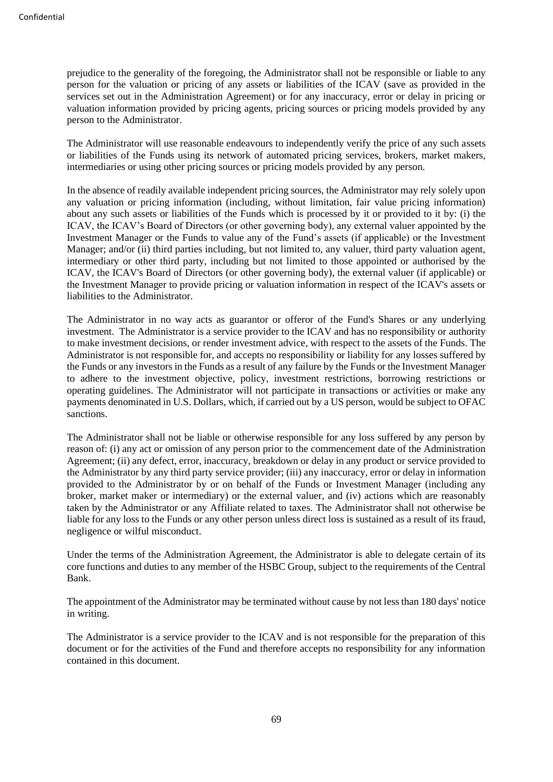prejudice to the generality of the foregoing, the Administrator shall not be responsible or liable to any person for the valuation or pricing of any assets or liabilities of the ICAV (save as provided in the services set out in the Administration Agreement) or for any inaccuracy, error or delay in pricing or valuation information provided by pricing agents, pricing sources or pricing models provided by any person to the Administrator.

The Administrator will use reasonable endeavours to independently verify the price of any such assets or liabilities of the Funds using its network of automated pricing services, brokers, market makers, intermediaries or using other pricing sources or pricing models provided by any person.

In the absence of readily available independent pricing sources, the Administrator may rely solely upon any valuation or pricing information (including, without limitation, fair value pricing information) about any such assets or liabilities of the Funds which is processed by it or provided to it by: (i) the ICAV, the ICAV's Board of Directors (or other governing body), any external valuer appointed by the Investment Manager or the Funds to value any of the Fund's assets (if applicable) or the Investment Manager; and/or (ii) third parties including, but not limited to, any valuer, third party valuation agent, intermediary or other third party, including but not limited to those appointed or authorised by the ICAV, the ICAV's Board of Directors (or other governing body), the external valuer (if applicable) or the Investment Manager to provide pricing or valuation information in respect of the ICAV's assets or liabilities to the Administrator.

The Administrator in no way acts as guarantor or offeror of the Fund's Shares or any underlying investment. The Administrator is a service provider to the ICAV and has no responsibility or authority to make investment decisions, or render investment advice, with respect to the assets of the Funds. The Administrator is not responsible for, and accepts no responsibility or liability for any losses suffered by the Funds or any investors in the Funds as a result of any failure by the Funds or the Investment Manager to adhere to the investment objective, policy, investment restrictions, borrowing restrictions or operating guidelines. The Administrator will not participate in transactions or activities or make any payments denominated in U.S. Dollars, which, if carried out by a US person, would be subject to OFAC sanctions.

The Administrator shall not be liable or otherwise responsible for any loss suffered by any person by reason of: (i) any act or omission of any person prior to the commencement date of the Administration Agreement; (ii) any defect, error, inaccuracy, breakdown or delay in any product or service provided to the Administrator by any third party service provider; (iii) any inaccuracy, error or delay in information provided to the Administrator by or on behalf of the Funds or Investment Manager (including any broker, market maker or intermediary) or the external valuer, and (iv) actions which are reasonably taken by the Administrator or any Affiliate related to taxes. The Administrator shall not otherwise be liable for any loss to the Funds or any other person unless direct loss is sustained as a result of its fraud, negligence or wilful misconduct.

Under the terms of the Administration Agreement, the Administrator is able to delegate certain of its core functions and duties to any member of the HSBC Group, subject to the requirements of the Central Bank.

The appointment of the Administrator may be terminated without cause by not less than 180 days' notice in writing.

The Administrator is a service provider to the ICAV and is not responsible for the preparation of this document or for the activities of the Fund and therefore accepts no responsibility for any information contained in this document.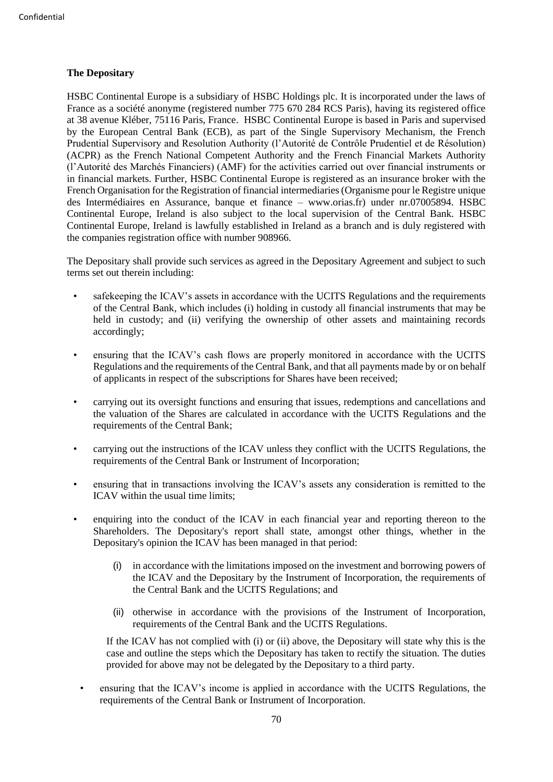# **The Depositary**

HSBC Continental Europe is a subsidiary of HSBC Holdings plc. It is incorporated under the laws of France as a société anonyme (registered number 775 670 284 RCS Paris), having its registered office at 38 avenue Kléber, 75116 Paris, France. HSBC Continental Europe is based in Paris and supervised by the European Central Bank (ECB), as part of the Single Supervisory Mechanism, the French Prudential Supervisory and Resolution Authority (l'Autorité de Contrôle Prudentiel et de Résolution) (ACPR) as the French National Competent Authority and the French Financial Markets Authority (l'Autorité des Marchés Financiers) (AMF) for the activities carried out over financial instruments or in financial markets. Further, HSBC Continental Europe is registered as an insurance broker with the French Organisation for the Registration of financial intermediaries (Organisme pour le Registre unique des Intermédiaires en Assurance, banque et finance – www.orias.fr) under nr.07005894. HSBC Continental Europe, Ireland is also subject to the local supervision of the Central Bank. HSBC Continental Europe, Ireland is lawfully established in Ireland as a branch and is duly registered with the companies registration office with number 908966.

The Depositary shall provide such services as agreed in the Depositary Agreement and subject to such terms set out therein including:

- safekeeping the ICAV's assets in accordance with the UCITS Regulations and the requirements of the Central Bank, which includes (i) holding in custody all financial instruments that may be held in custody; and (ii) verifying the ownership of other assets and maintaining records accordingly;
- ensuring that the ICAV's cash flows are properly monitored in accordance with the UCITS Regulations and the requirements of the Central Bank, and that all payments made by or on behalf of applicants in respect of the subscriptions for Shares have been received;
- carrying out its oversight functions and ensuring that issues, redemptions and cancellations and the valuation of the Shares are calculated in accordance with the UCITS Regulations and the requirements of the Central Bank;
- carrying out the instructions of the ICAV unless they conflict with the UCITS Regulations, the requirements of the Central Bank or Instrument of Incorporation;
- ensuring that in transactions involving the ICAV's assets any consideration is remitted to the ICAV within the usual time limits;
- enquiring into the conduct of the ICAV in each financial year and reporting thereon to the Shareholders. The Depositary's report shall state, amongst other things, whether in the Depositary's opinion the ICAV has been managed in that period:
	- (i) in accordance with the limitations imposed on the investment and borrowing powers of the ICAV and the Depositary by the Instrument of Incorporation, the requirements of the Central Bank and the UCITS Regulations; and
	- (ii) otherwise in accordance with the provisions of the Instrument of Incorporation, requirements of the Central Bank and the UCITS Regulations.

If the ICAV has not complied with (i) or (ii) above, the Depositary will state why this is the case and outline the steps which the Depositary has taken to rectify the situation. The duties provided for above may not be delegated by the Depositary to a third party.

• ensuring that the ICAV's income is applied in accordance with the UCITS Regulations, the requirements of the Central Bank or Instrument of Incorporation.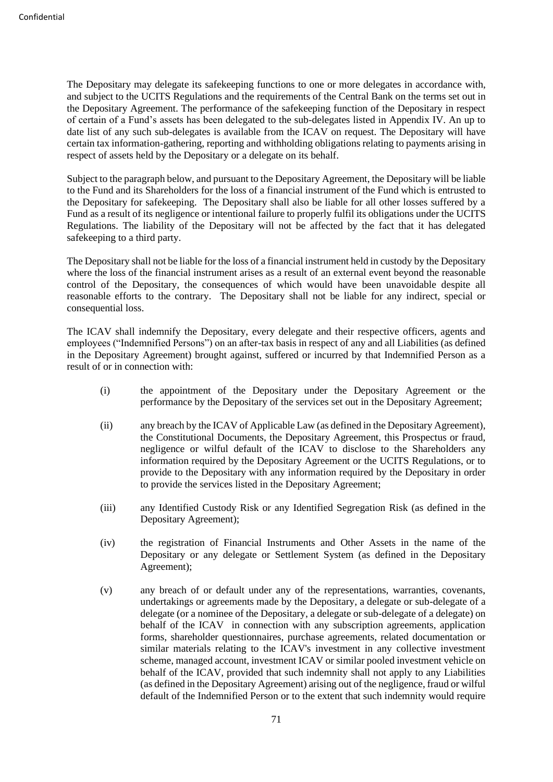The Depositary may delegate its safekeeping functions to one or more delegates in accordance with, and subject to the UCITS Regulations and the requirements of the Central Bank on the terms set out in the Depositary Agreement. The performance of the safekeeping function of the Depositary in respect of certain of a Fund's assets has been delegated to the sub-delegates listed in Appendix IV. An up to date list of any such sub-delegates is available from the ICAV on request. The Depositary will have certain tax information-gathering, reporting and withholding obligations relating to payments arising in respect of assets held by the Depositary or a delegate on its behalf.

Subject to the paragraph below, and pursuant to the Depositary Agreement, the Depositary will be liable to the Fund and its Shareholders for the loss of a financial instrument of the Fund which is entrusted to the Depositary for safekeeping. The Depositary shall also be liable for all other losses suffered by a Fund as a result of its negligence or intentional failure to properly fulfil its obligations under the UCITS Regulations. The liability of the Depositary will not be affected by the fact that it has delegated safekeeping to a third party.

The Depositary shall not be liable for the loss of a financial instrument held in custody by the Depositary where the loss of the financial instrument arises as a result of an external event beyond the reasonable control of the Depositary, the consequences of which would have been unavoidable despite all reasonable efforts to the contrary. The Depositary shall not be liable for any indirect, special or consequential loss.

The ICAV shall indemnify the Depositary, every delegate and their respective officers, agents and employees ("Indemnified Persons") on an after-tax basis in respect of any and all Liabilities (as defined in the Depositary Agreement) brought against, suffered or incurred by that Indemnified Person as a result of or in connection with:

- (i) the appointment of the Depositary under the Depositary Agreement or the performance by the Depositary of the services set out in the Depositary Agreement;
- (ii) any breach by the ICAV of Applicable Law (as defined in the Depositary Agreement), the Constitutional Documents, the Depositary Agreement, this Prospectus or fraud, negligence or wilful default of the ICAV to disclose to the Shareholders any information required by the Depositary Agreement or the UCITS Regulations, or to provide to the Depositary with any information required by the Depositary in order to provide the services listed in the Depositary Agreement;
- (iii) any Identified Custody Risk or any Identified Segregation Risk (as defined in the Depositary Agreement);
- (iv) the registration of Financial Instruments and Other Assets in the name of the Depositary or any delegate or Settlement System (as defined in the Depositary Agreement);
- (v) any breach of or default under any of the representations, warranties, covenants, undertakings or agreements made by the Depositary, a delegate or sub-delegate of a delegate (or a nominee of the Depositary, a delegate or sub-delegate of a delegate) on behalf of the ICAV in connection with any subscription agreements, application forms, shareholder questionnaires, purchase agreements, related documentation or similar materials relating to the ICAV's investment in any collective investment scheme, managed account, investment ICAV or similar pooled investment vehicle on behalf of the ICAV, provided that such indemnity shall not apply to any Liabilities (as defined in the Depositary Agreement) arising out of the negligence, fraud or wilful default of the Indemnified Person or to the extent that such indemnity would require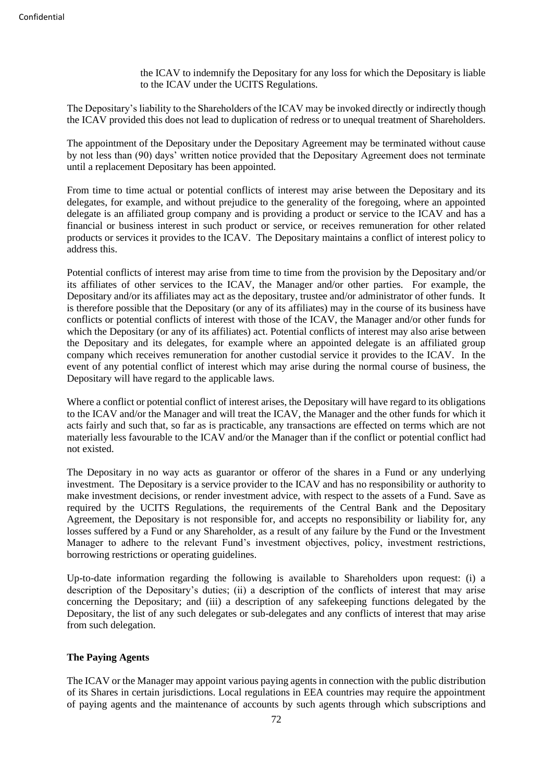the ICAV to indemnify the Depositary for any loss for which the Depositary is liable to the ICAV under the UCITS Regulations.

The Depositary's liability to the Shareholders of the ICAV may be invoked directly or indirectly though the ICAV provided this does not lead to duplication of redress or to unequal treatment of Shareholders.

The appointment of the Depositary under the Depositary Agreement may be terminated without cause by not less than (90) days' written notice provided that the Depositary Agreement does not terminate until a replacement Depositary has been appointed.

From time to time actual or potential conflicts of interest may arise between the Depositary and its delegates, for example, and without prejudice to the generality of the foregoing, where an appointed delegate is an affiliated group company and is providing a product or service to the ICAV and has a financial or business interest in such product or service, or receives remuneration for other related products or services it provides to the ICAV. The Depositary maintains a conflict of interest policy to address this.

Potential conflicts of interest may arise from time to time from the provision by the Depositary and/or its affiliates of other services to the ICAV, the Manager and/or other parties. For example, the Depositary and/or its affiliates may act as the depositary, trustee and/or administrator of other funds. It is therefore possible that the Depositary (or any of its affiliates) may in the course of its business have conflicts or potential conflicts of interest with those of the ICAV, the Manager and/or other funds for which the Depositary (or any of its affiliates) act. Potential conflicts of interest may also arise between the Depositary and its delegates, for example where an appointed delegate is an affiliated group company which receives remuneration for another custodial service it provides to the ICAV. In the event of any potential conflict of interest which may arise during the normal course of business, the Depositary will have regard to the applicable laws.

Where a conflict or potential conflict of interest arises, the Depositary will have regard to its obligations to the ICAV and/or the Manager and will treat the ICAV, the Manager and the other funds for which it acts fairly and such that, so far as is practicable, any transactions are effected on terms which are not materially less favourable to the ICAV and/or the Manager than if the conflict or potential conflict had not existed.

The Depositary in no way acts as guarantor or offeror of the shares in a Fund or any underlying investment. The Depositary is a service provider to the ICAV and has no responsibility or authority to make investment decisions, or render investment advice, with respect to the assets of a Fund. Save as required by the UCITS Regulations, the requirements of the Central Bank and the Depositary Agreement, the Depositary is not responsible for, and accepts no responsibility or liability for, any losses suffered by a Fund or any Shareholder, as a result of any failure by the Fund or the Investment Manager to adhere to the relevant Fund's investment objectives, policy, investment restrictions, borrowing restrictions or operating guidelines.

Up-to-date information regarding the following is available to Shareholders upon request: (i) a description of the Depositary's duties; (ii) a description of the conflicts of interest that may arise concerning the Depositary; and (iii) a description of any safekeeping functions delegated by the Depositary, the list of any such delegates or sub-delegates and any conflicts of interest that may arise from such delegation.

# **The Paying Agents**

The ICAV or the Manager may appoint various paying agents in connection with the public distribution of its Shares in certain jurisdictions. Local regulations in EEA countries may require the appointment of paying agents and the maintenance of accounts by such agents through which subscriptions and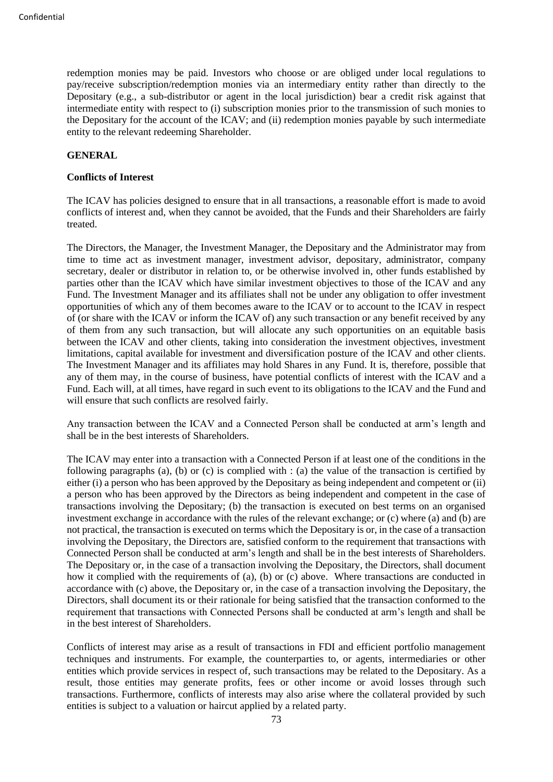redemption monies may be paid. Investors who choose or are obliged under local regulations to pay/receive subscription/redemption monies via an intermediary entity rather than directly to the Depositary (e.g., a sub-distributor or agent in the local jurisdiction) bear a credit risk against that intermediate entity with respect to (i) subscription monies prior to the transmission of such monies to the Depositary for the account of the ICAV; and (ii) redemption monies payable by such intermediate entity to the relevant redeeming Shareholder.

## **GENERAL**

### **Conflicts of Interest**

The ICAV has policies designed to ensure that in all transactions, a reasonable effort is made to avoid conflicts of interest and, when they cannot be avoided, that the Funds and their Shareholders are fairly treated.

The Directors, the Manager, the Investment Manager, the Depositary and the Administrator may from time to time act as investment manager, investment advisor, depositary, administrator, company secretary, dealer or distributor in relation to, or be otherwise involved in, other funds established by parties other than the ICAV which have similar investment objectives to those of the ICAV and any Fund. The Investment Manager and its affiliates shall not be under any obligation to offer investment opportunities of which any of them becomes aware to the ICAV or to account to the ICAV in respect of (or share with the ICAV or inform the ICAV of) any such transaction or any benefit received by any of them from any such transaction, but will allocate any such opportunities on an equitable basis between the ICAV and other clients, taking into consideration the investment objectives, investment limitations, capital available for investment and diversification posture of the ICAV and other clients. The Investment Manager and its affiliates may hold Shares in any Fund. It is, therefore, possible that any of them may, in the course of business, have potential conflicts of interest with the ICAV and a Fund. Each will, at all times, have regard in such event to its obligations to the ICAV and the Fund and will ensure that such conflicts are resolved fairly.

Any transaction between the ICAV and a Connected Person shall be conducted at arm's length and shall be in the best interests of Shareholders.

The ICAV may enter into a transaction with a Connected Person if at least one of the conditions in the following paragraphs (a), (b) or (c) is complied with : (a) the value of the transaction is certified by either (i) a person who has been approved by the Depositary as being independent and competent or (ii) a person who has been approved by the Directors as being independent and competent in the case of transactions involving the Depositary; (b) the transaction is executed on best terms on an organised investment exchange in accordance with the rules of the relevant exchange; or (c) where (a) and (b) are not practical, the transaction is executed on terms which the Depositary is or, in the case of a transaction involving the Depositary, the Directors are, satisfied conform to the requirement that transactions with Connected Person shall be conducted at arm's length and shall be in the best interests of Shareholders. The Depositary or, in the case of a transaction involving the Depositary, the Directors, shall document how it complied with the requirements of (a), (b) or (c) above. Where transactions are conducted in accordance with (c) above, the Depositary or, in the case of a transaction involving the Depositary, the Directors, shall document its or their rationale for being satisfied that the transaction conformed to the requirement that transactions with Connected Persons shall be conducted at arm's length and shall be in the best interest of Shareholders.

Conflicts of interest may arise as a result of transactions in FDI and efficient portfolio management techniques and instruments. For example, the counterparties to, or agents, intermediaries or other entities which provide services in respect of, such transactions may be related to the Depositary. As a result, those entities may generate profits, fees or other income or avoid losses through such transactions. Furthermore, conflicts of interests may also arise where the collateral provided by such entities is subject to a valuation or haircut applied by a related party.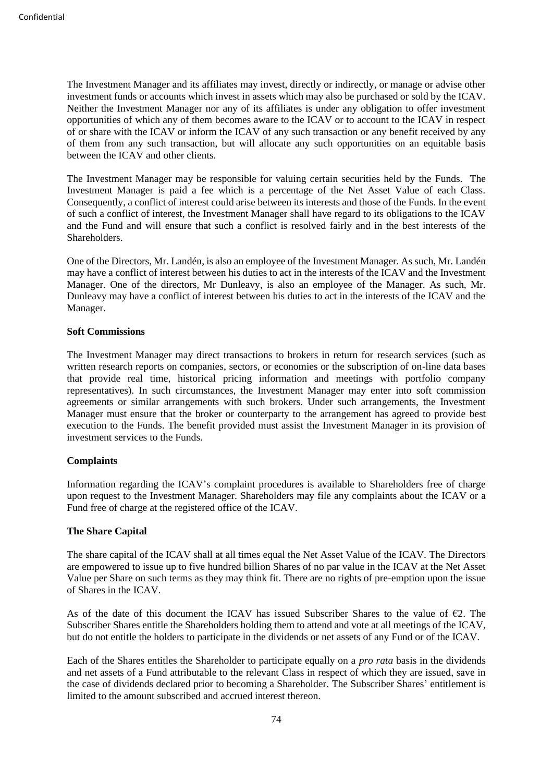The Investment Manager and its affiliates may invest, directly or indirectly, or manage or advise other investment funds or accounts which invest in assets which may also be purchased or sold by the ICAV. Neither the Investment Manager nor any of its affiliates is under any obligation to offer investment opportunities of which any of them becomes aware to the ICAV or to account to the ICAV in respect of or share with the ICAV or inform the ICAV of any such transaction or any benefit received by any of them from any such transaction, but will allocate any such opportunities on an equitable basis between the ICAV and other clients.

The Investment Manager may be responsible for valuing certain securities held by the Funds. The Investment Manager is paid a fee which is a percentage of the Net Asset Value of each Class. Consequently, a conflict of interest could arise between its interests and those of the Funds. In the event of such a conflict of interest, the Investment Manager shall have regard to its obligations to the ICAV and the Fund and will ensure that such a conflict is resolved fairly and in the best interests of the Shareholders.

One of the Directors, Mr. Landén, is also an employee of the Investment Manager. As such, Mr. Landén may have a conflict of interest between his duties to act in the interests of the ICAV and the Investment Manager. One of the directors, Mr Dunleavy, is also an employee of the Manager. As such, Mr. Dunleavy may have a conflict of interest between his duties to act in the interests of the ICAV and the Manager.

### **Soft Commissions**

The Investment Manager may direct transactions to brokers in return for research services (such as written research reports on companies, sectors, or economies or the subscription of on-line data bases that provide real time, historical pricing information and meetings with portfolio company representatives). In such circumstances, the Investment Manager may enter into soft commission agreements or similar arrangements with such brokers. Under such arrangements, the Investment Manager must ensure that the broker or counterparty to the arrangement has agreed to provide best execution to the Funds. The benefit provided must assist the Investment Manager in its provision of investment services to the Funds.

# **Complaints**

Information regarding the ICAV's complaint procedures is available to Shareholders free of charge upon request to the Investment Manager. Shareholders may file any complaints about the ICAV or a Fund free of charge at the registered office of the ICAV.

### **The Share Capital**

The share capital of the ICAV shall at all times equal the Net Asset Value of the ICAV. The Directors are empowered to issue up to five hundred billion Shares of no par value in the ICAV at the Net Asset Value per Share on such terms as they may think fit. There are no rights of pre-emption upon the issue of Shares in the ICAV.

As of the date of this document the ICAV has issued Subscriber Shares to the value of  $\epsilon$ 2. The Subscriber Shares entitle the Shareholders holding them to attend and vote at all meetings of the ICAV, but do not entitle the holders to participate in the dividends or net assets of any Fund or of the ICAV.

Each of the Shares entitles the Shareholder to participate equally on a *pro rata* basis in the dividends and net assets of a Fund attributable to the relevant Class in respect of which they are issued, save in the case of dividends declared prior to becoming a Shareholder. The Subscriber Shares' entitlement is limited to the amount subscribed and accrued interest thereon.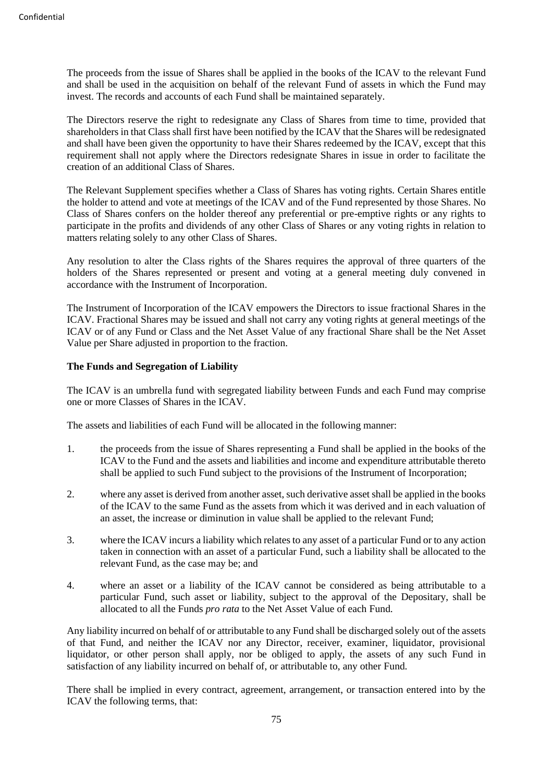The proceeds from the issue of Shares shall be applied in the books of the ICAV to the relevant Fund and shall be used in the acquisition on behalf of the relevant Fund of assets in which the Fund may invest. The records and accounts of each Fund shall be maintained separately.

The Directors reserve the right to redesignate any Class of Shares from time to time, provided that shareholders in that Class shall first have been notified by the ICAV that the Shares will be redesignated and shall have been given the opportunity to have their Shares redeemed by the ICAV, except that this requirement shall not apply where the Directors redesignate Shares in issue in order to facilitate the creation of an additional Class of Shares.

The Relevant Supplement specifies whether a Class of Shares has voting rights. Certain Shares entitle the holder to attend and vote at meetings of the ICAV and of the Fund represented by those Shares. No Class of Shares confers on the holder thereof any preferential or pre-emptive rights or any rights to participate in the profits and dividends of any other Class of Shares or any voting rights in relation to matters relating solely to any other Class of Shares.

Any resolution to alter the Class rights of the Shares requires the approval of three quarters of the holders of the Shares represented or present and voting at a general meeting duly convened in accordance with the Instrument of Incorporation.

The Instrument of Incorporation of the ICAV empowers the Directors to issue fractional Shares in the ICAV. Fractional Shares may be issued and shall not carry any voting rights at general meetings of the ICAV or of any Fund or Class and the Net Asset Value of any fractional Share shall be the Net Asset Value per Share adjusted in proportion to the fraction.

# **The Funds and Segregation of Liability**

The ICAV is an umbrella fund with segregated liability between Funds and each Fund may comprise one or more Classes of Shares in the ICAV.

The assets and liabilities of each Fund will be allocated in the following manner:

- 1. the proceeds from the issue of Shares representing a Fund shall be applied in the books of the ICAV to the Fund and the assets and liabilities and income and expenditure attributable thereto shall be applied to such Fund subject to the provisions of the Instrument of Incorporation;
- 2. where any asset is derived from another asset, such derivative asset shall be applied in the books of the ICAV to the same Fund as the assets from which it was derived and in each valuation of an asset, the increase or diminution in value shall be applied to the relevant Fund;
- 3. where the ICAV incurs a liability which relates to any asset of a particular Fund or to any action taken in connection with an asset of a particular Fund, such a liability shall be allocated to the relevant Fund, as the case may be; and
- 4. where an asset or a liability of the ICAV cannot be considered as being attributable to a particular Fund, such asset or liability, subject to the approval of the Depositary, shall be allocated to all the Funds *pro rata* to the Net Asset Value of each Fund.

Any liability incurred on behalf of or attributable to any Fund shall be discharged solely out of the assets of that Fund, and neither the ICAV nor any Director, receiver, examiner, liquidator, provisional liquidator, or other person shall apply, nor be obliged to apply, the assets of any such Fund in satisfaction of any liability incurred on behalf of, or attributable to, any other Fund.

There shall be implied in every contract, agreement, arrangement, or transaction entered into by the ICAV the following terms, that: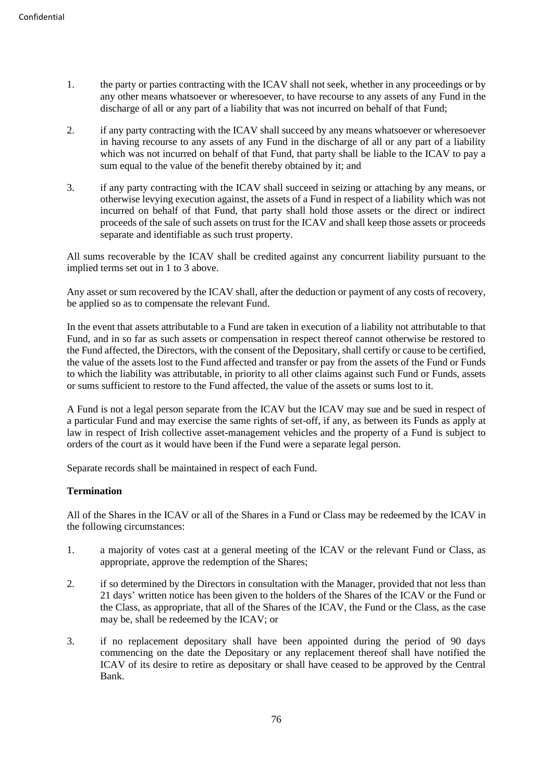- 1. the party or parties contracting with the ICAV shall not seek, whether in any proceedings or by any other means whatsoever or wheresoever, to have recourse to any assets of any Fund in the discharge of all or any part of a liability that was not incurred on behalf of that Fund;
- 2. if any party contracting with the ICAV shall succeed by any means whatsoever or wheresoever in having recourse to any assets of any Fund in the discharge of all or any part of a liability which was not incurred on behalf of that Fund, that party shall be liable to the ICAV to pay a sum equal to the value of the benefit thereby obtained by it; and
- 3. if any party contracting with the ICAV shall succeed in seizing or attaching by any means, or otherwise levying execution against, the assets of a Fund in respect of a liability which was not incurred on behalf of that Fund, that party shall hold those assets or the direct or indirect proceeds of the sale of such assets on trust for the ICAV and shall keep those assets or proceeds separate and identifiable as such trust property.

All sums recoverable by the ICAV shall be credited against any concurrent liability pursuant to the implied terms set out in 1 to 3 above.

Any asset or sum recovered by the ICAV shall, after the deduction or payment of any costs of recovery, be applied so as to compensate the relevant Fund.

In the event that assets attributable to a Fund are taken in execution of a liability not attributable to that Fund, and in so far as such assets or compensation in respect thereof cannot otherwise be restored to the Fund affected, the Directors, with the consent of the Depositary, shall certify or cause to be certified, the value of the assets lost to the Fund affected and transfer or pay from the assets of the Fund or Funds to which the liability was attributable, in priority to all other claims against such Fund or Funds, assets or sums sufficient to restore to the Fund affected, the value of the assets or sums lost to it.

A Fund is not a legal person separate from the ICAV but the ICAV may sue and be sued in respect of a particular Fund and may exercise the same rights of set-off, if any, as between its Funds as apply at law in respect of Irish collective asset-management vehicles and the property of a Fund is subject to orders of the court as it would have been if the Fund were a separate legal person.

Separate records shall be maintained in respect of each Fund.

# **Termination**

All of the Shares in the ICAV or all of the Shares in a Fund or Class may be redeemed by the ICAV in the following circumstances:

- 1. a majority of votes cast at a general meeting of the ICAV or the relevant Fund or Class, as appropriate, approve the redemption of the Shares;
- 2. if so determined by the Directors in consultation with the Manager, provided that not less than 21 days' written notice has been given to the holders of the Shares of the ICAV or the Fund or the Class, as appropriate, that all of the Shares of the ICAV, the Fund or the Class, as the case may be, shall be redeemed by the ICAV; or
- 3. if no replacement depositary shall have been appointed during the period of 90 days commencing on the date the Depositary or any replacement thereof shall have notified the ICAV of its desire to retire as depositary or shall have ceased to be approved by the Central Bank.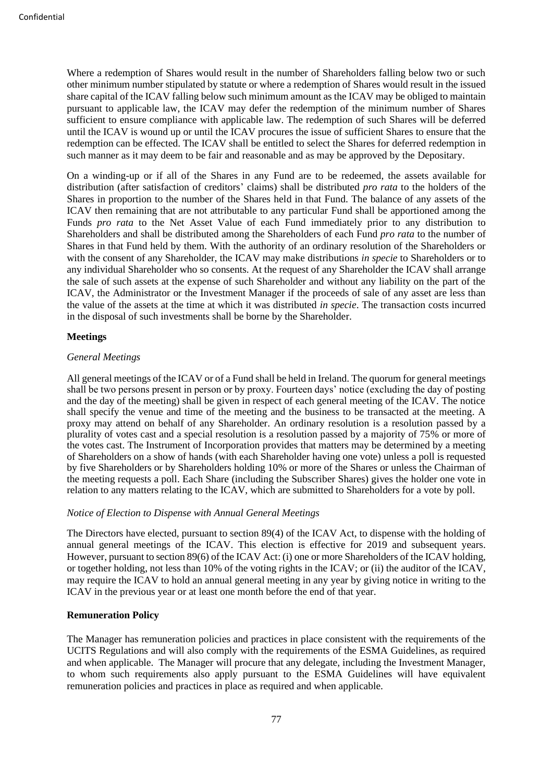Where a redemption of Shares would result in the number of Shareholders falling below two or such other minimum number stipulated by statute or where a redemption of Shares would result in the issued share capital of the ICAV falling below such minimum amount as the ICAV may be obliged to maintain pursuant to applicable law, the ICAV may defer the redemption of the minimum number of Shares sufficient to ensure compliance with applicable law. The redemption of such Shares will be deferred until the ICAV is wound up or until the ICAV procures the issue of sufficient Shares to ensure that the redemption can be effected. The ICAV shall be entitled to select the Shares for deferred redemption in such manner as it may deem to be fair and reasonable and as may be approved by the Depositary.

On a winding-up or if all of the Shares in any Fund are to be redeemed, the assets available for distribution (after satisfaction of creditors' claims) shall be distributed *pro rata* to the holders of the Shares in proportion to the number of the Shares held in that Fund. The balance of any assets of the ICAV then remaining that are not attributable to any particular Fund shall be apportioned among the Funds *pro rata* to the Net Asset Value of each Fund immediately prior to any distribution to Shareholders and shall be distributed among the Shareholders of each Fund *pro rata* to the number of Shares in that Fund held by them. With the authority of an ordinary resolution of the Shareholders or with the consent of any Shareholder, the ICAV may make distributions *in specie* to Shareholders or to any individual Shareholder who so consents. At the request of any Shareholder the ICAV shall arrange the sale of such assets at the expense of such Shareholder and without any liability on the part of the ICAV, the Administrator or the Investment Manager if the proceeds of sale of any asset are less than the value of the assets at the time at which it was distributed *in specie*. The transaction costs incurred in the disposal of such investments shall be borne by the Shareholder.

### **Meetings**

### *General Meetings*

All general meetings of the ICAV or of a Fund shall be held in Ireland. The quorum for general meetings shall be two persons present in person or by proxy. Fourteen days' notice (excluding the day of posting and the day of the meeting) shall be given in respect of each general meeting of the ICAV. The notice shall specify the venue and time of the meeting and the business to be transacted at the meeting. A proxy may attend on behalf of any Shareholder. An ordinary resolution is a resolution passed by a plurality of votes cast and a special resolution is a resolution passed by a majority of 75% or more of the votes cast. The Instrument of Incorporation provides that matters may be determined by a meeting of Shareholders on a show of hands (with each Shareholder having one vote) unless a poll is requested by five Shareholders or by Shareholders holding 10% or more of the Shares or unless the Chairman of the meeting requests a poll. Each Share (including the Subscriber Shares) gives the holder one vote in relation to any matters relating to the ICAV, which are submitted to Shareholders for a vote by poll.

### *Notice of Election to Dispense with Annual General Meetings*

The Directors have elected, pursuant to section 89(4) of the ICAV Act, to dispense with the holding of annual general meetings of the ICAV. This election is effective for 2019 and subsequent years. However, pursuant to section 89(6) of the ICAV Act: (i) one or more Shareholders of the ICAV holding, or together holding, not less than 10% of the voting rights in the ICAV; or (ii) the auditor of the ICAV, may require the ICAV to hold an annual general meeting in any year by giving notice in writing to the ICAV in the previous year or at least one month before the end of that year.

# **Remuneration Policy**

The Manager has remuneration policies and practices in place consistent with the requirements of the UCITS Regulations and will also comply with the requirements of the ESMA Guidelines, as required and when applicable. The Manager will procure that any delegate, including the Investment Manager, to whom such requirements also apply pursuant to the ESMA Guidelines will have equivalent remuneration policies and practices in place as required and when applicable.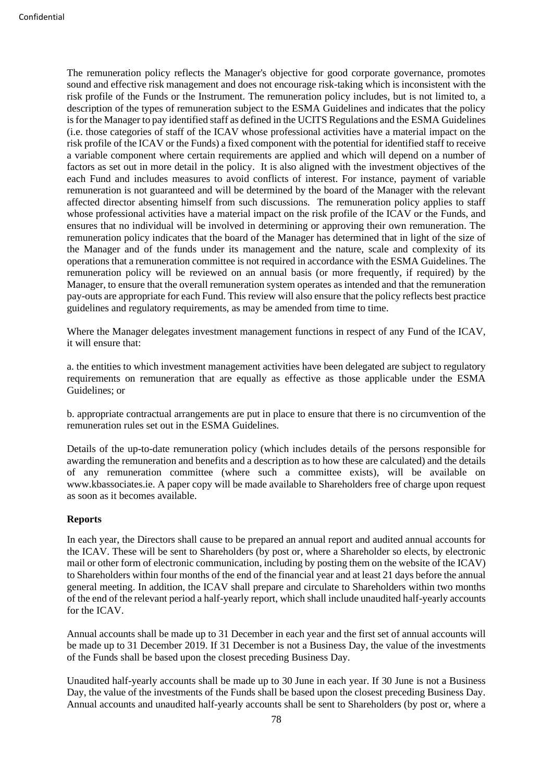The remuneration policy reflects the Manager's objective for good corporate governance, promotes sound and effective risk management and does not encourage risk-taking which is inconsistent with the risk profile of the Funds or the Instrument. The remuneration policy includes, but is not limited to, a description of the types of remuneration subject to the ESMA Guidelines and indicates that the policy is for the Manager to pay identified staff as defined in the UCITS Regulations and the ESMA Guidelines (i.e. those categories of staff of the ICAV whose professional activities have a material impact on the risk profile of the ICAV or the Funds) a fixed component with the potential for identified staff to receive a variable component where certain requirements are applied and which will depend on a number of factors as set out in more detail in the policy. It is also aligned with the investment objectives of the each Fund and includes measures to avoid conflicts of interest. For instance, payment of variable remuneration is not guaranteed and will be determined by the board of the Manager with the relevant affected director absenting himself from such discussions. The remuneration policy applies to staff whose professional activities have a material impact on the risk profile of the ICAV or the Funds, and ensures that no individual will be involved in determining or approving their own remuneration. The remuneration policy indicates that the board of the Manager has determined that in light of the size of the Manager and of the funds under its management and the nature, scale and complexity of its operations that a remuneration committee is not required in accordance with the ESMA Guidelines. The remuneration policy will be reviewed on an annual basis (or more frequently, if required) by the Manager, to ensure that the overall remuneration system operates as intended and that the remuneration pay-outs are appropriate for each Fund. This review will also ensure that the policy reflects best practice guidelines and regulatory requirements, as may be amended from time to time.

Where the Manager delegates investment management functions in respect of any Fund of the ICAV, it will ensure that:

a. the entities to which investment management activities have been delegated are subject to regulatory requirements on remuneration that are equally as effective as those applicable under the ESMA Guidelines; or

b. appropriate contractual arrangements are put in place to ensure that there is no circumvention of the remuneration rules set out in the ESMA Guidelines.

Details of the up-to-date remuneration policy (which includes details of the persons responsible for awarding the remuneration and benefits and a description as to how these are calculated) and the details of any remuneration committee (where such a committee exists), will be available on www.kbassociates.ie. A paper copy will be made available to Shareholders free of charge upon request as soon as it becomes available.

### **Reports**

In each year, the Directors shall cause to be prepared an annual report and audited annual accounts for the ICAV. These will be sent to Shareholders (by post or, where a Shareholder so elects, by electronic mail or other form of electronic communication, including by posting them on the website of the ICAV) to Shareholders within four months of the end of the financial year and at least 21 days before the annual general meeting. In addition, the ICAV shall prepare and circulate to Shareholders within two months of the end of the relevant period a half-yearly report, which shall include unaudited half-yearly accounts for the ICAV.

Annual accounts shall be made up to 31 December in each year and the first set of annual accounts will be made up to 31 December 2019. If 31 December is not a Business Day, the value of the investments of the Funds shall be based upon the closest preceding Business Day.

Unaudited half-yearly accounts shall be made up to 30 June in each year. If 30 June is not a Business Day, the value of the investments of the Funds shall be based upon the closest preceding Business Day. Annual accounts and unaudited half-yearly accounts shall be sent to Shareholders (by post or, where a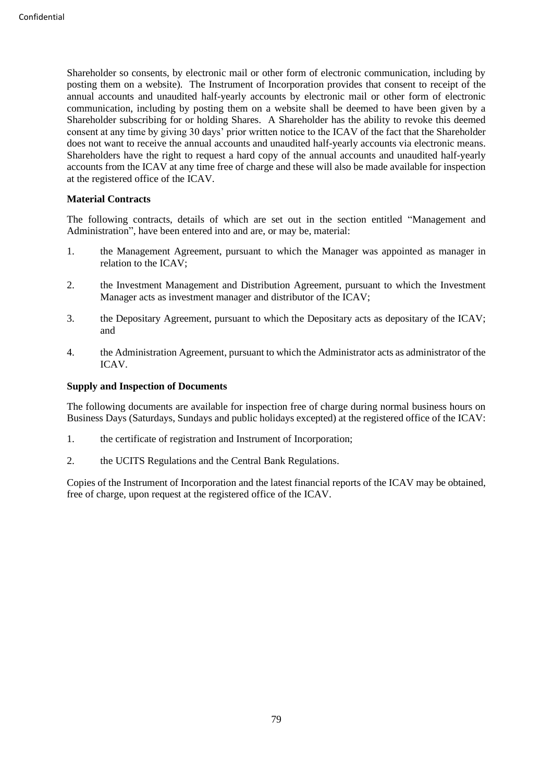Shareholder so consents, by electronic mail or other form of electronic communication, including by posting them on a website). The Instrument of Incorporation provides that consent to receipt of the annual accounts and unaudited half-yearly accounts by electronic mail or other form of electronic communication, including by posting them on a website shall be deemed to have been given by a Shareholder subscribing for or holding Shares. A Shareholder has the ability to revoke this deemed consent at any time by giving 30 days' prior written notice to the ICAV of the fact that the Shareholder does not want to receive the annual accounts and unaudited half-yearly accounts via electronic means. Shareholders have the right to request a hard copy of the annual accounts and unaudited half-yearly accounts from the ICAV at any time free of charge and these will also be made available for inspection at the registered office of the ICAV.

# **Material Contracts**

The following contracts, details of which are set out in the section entitled "Management and Administration", have been entered into and are, or may be, material:

- 1. the Management Agreement, pursuant to which the Manager was appointed as manager in relation to the ICAV;
- 2. the Investment Management and Distribution Agreement, pursuant to which the Investment Manager acts as investment manager and distributor of the ICAV;
- 3. the Depositary Agreement, pursuant to which the Depositary acts as depositary of the ICAV; and
- 4. the Administration Agreement, pursuant to which the Administrator acts as administrator of the ICAV.

## **Supply and Inspection of Documents**

The following documents are available for inspection free of charge during normal business hours on Business Days (Saturdays, Sundays and public holidays excepted) at the registered office of the ICAV:

- 1. the certificate of registration and Instrument of Incorporation;
- 2. the UCITS Regulations and the Central Bank Regulations.

Copies of the Instrument of Incorporation and the latest financial reports of the ICAV may be obtained, free of charge, upon request at the registered office of the ICAV.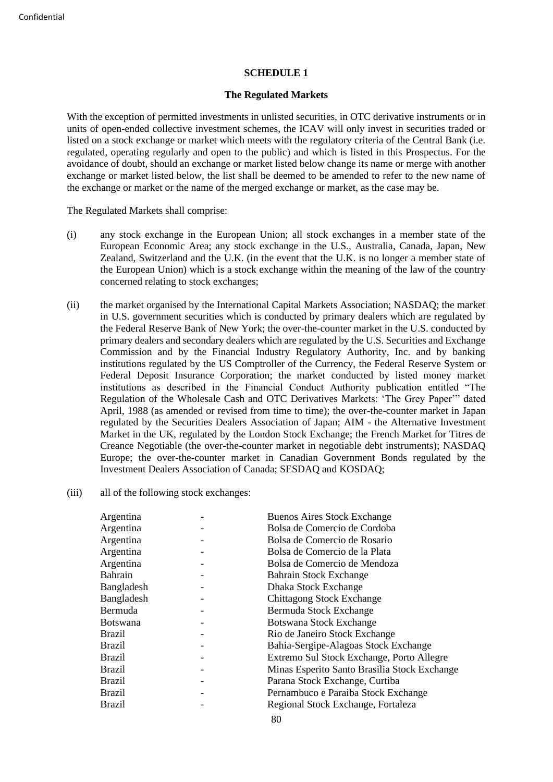### **SCHEDULE 1**

### **The Regulated Markets**

With the exception of permitted investments in unlisted securities, in OTC derivative instruments or in units of open-ended collective investment schemes, the ICAV will only invest in securities traded or listed on a stock exchange or market which meets with the regulatory criteria of the Central Bank (i.e. regulated, operating regularly and open to the public) and which is listed in this Prospectus. For the avoidance of doubt, should an exchange or market listed below change its name or merge with another exchange or market listed below, the list shall be deemed to be amended to refer to the new name of the exchange or market or the name of the merged exchange or market, as the case may be.

The Regulated Markets shall comprise:

- (i) any stock exchange in the European Union; all stock exchanges in a member state of the European Economic Area; any stock exchange in the U.S., Australia, Canada, Japan, New Zealand, Switzerland and the U.K. (in the event that the U.K. is no longer a member state of the European Union) which is a stock exchange within the meaning of the law of the country concerned relating to stock exchanges;
- (ii) the market organised by the International Capital Markets Association; NASDAQ; the market in U.S. government securities which is conducted by primary dealers which are regulated by the Federal Reserve Bank of New York; the over-the-counter market in the U.S. conducted by primary dealers and secondary dealers which are regulated by the U.S. Securities and Exchange Commission and by the Financial Industry Regulatory Authority, Inc. and by banking institutions regulated by the US Comptroller of the Currency, the Federal Reserve System or Federal Deposit Insurance Corporation; the market conducted by listed money market institutions as described in the Financial Conduct Authority publication entitled "The Regulation of the Wholesale Cash and OTC Derivatives Markets: 'The Grey Paper'" dated April, 1988 (as amended or revised from time to time); the over-the-counter market in Japan regulated by the Securities Dealers Association of Japan; AIM - the Alternative Investment Market in the UK, regulated by the London Stock Exchange; the French Market for Titres de Creance Negotiable (the over-the-counter market in negotiable debt instruments); NASDAQ Europe; the over-the-counter market in Canadian Government Bonds regulated by the Investment Dealers Association of Canada; SESDAQ and KOSDAQ;
- (iii) all of the following stock exchanges:

| Argentina       | <b>Buenos Aires Stock Exchange</b>           |
|-----------------|----------------------------------------------|
| Argentina       | Bolsa de Comercio de Cordoba                 |
| Argentina       | Bolsa de Comercio de Rosario                 |
| Argentina       | Bolsa de Comercio de la Plata                |
| Argentina       | Bolsa de Comercio de Mendoza                 |
| <b>Bahrain</b>  | <b>Bahrain Stock Exchange</b>                |
| Bangladesh      | Dhaka Stock Exchange                         |
| Bangladesh      | <b>Chittagong Stock Exchange</b>             |
| Bermuda         | Bermuda Stock Exchange                       |
| <b>Botswana</b> | Botswana Stock Exchange                      |
| <b>Brazil</b>   | Rio de Janeiro Stock Exchange                |
| <b>Brazil</b>   | Bahia-Sergipe-Alagoas Stock Exchange         |
| <b>Brazil</b>   | Extremo Sul Stock Exchange, Porto Allegre    |
| <b>Brazil</b>   | Minas Esperito Santo Brasilia Stock Exchange |
| <b>Brazil</b>   | Parana Stock Exchange, Curtiba               |
| Brazil          | Pernambuco e Paraiba Stock Exchange          |
| <b>Brazil</b>   | Regional Stock Exchange, Fortaleza           |
|                 |                                              |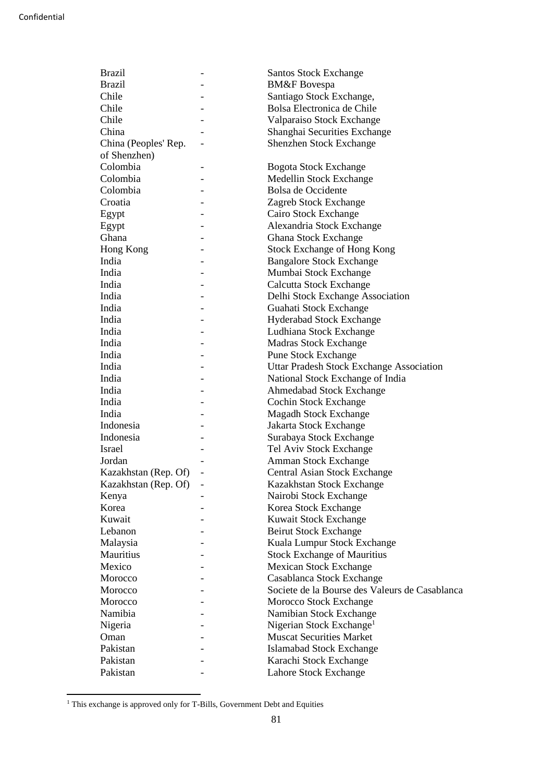| <b>Brazil</b>        | -                            | <b>Santos Stock Exchange</b>                    |
|----------------------|------------------------------|-------------------------------------------------|
| <b>Brazil</b>        |                              | <b>BM&amp;F</b> Bovespa                         |
| Chile                |                              | Santiago Stock Exchange,                        |
| Chile                |                              | Bolsa Electronica de Chile                      |
| Chile                |                              | Valparaiso Stock Exchange                       |
| China                |                              | Shanghai Securities Exchange                    |
| China (Peoples' Rep. |                              | Shenzhen Stock Exchange                         |
| of Shenzhen)         |                              |                                                 |
| Colombia             |                              | <b>Bogota Stock Exchange</b>                    |
| Colombia             | $\qquad \qquad \blacksquare$ | Medellin Stock Exchange                         |
| Colombia             |                              | Bolsa de Occidente                              |
| Croatia              |                              | Zagreb Stock Exchange                           |
| Egypt                |                              | Cairo Stock Exchange                            |
| Egypt                |                              | Alexandria Stock Exchange                       |
| Ghana                |                              | Ghana Stock Exchange                            |
| Hong Kong            |                              | <b>Stock Exchange of Hong Kong</b>              |
| India                |                              | <b>Bangalore Stock Exchange</b>                 |
| India                |                              | Mumbai Stock Exchange                           |
| India                |                              | <b>Calcutta Stock Exchange</b>                  |
| India                |                              | Delhi Stock Exchange Association                |
| India                |                              | Guahati Stock Exchange                          |
| India                |                              | Hyderabad Stock Exchange                        |
| India                |                              | Ludhiana Stock Exchange                         |
| India                |                              | <b>Madras Stock Exchange</b>                    |
| India                |                              | <b>Pune Stock Exchange</b>                      |
| India                |                              | <b>Uttar Pradesh Stock Exchange Association</b> |
| India                |                              |                                                 |
| India                |                              | National Stock Exchange of India                |
| India                |                              | Ahmedabad Stock Exchange                        |
|                      |                              | Cochin Stock Exchange                           |
| India                |                              | <b>Magadh Stock Exchange</b>                    |
| Indonesia            |                              | Jakarta Stock Exchange                          |
| Indonesia            |                              | Surabaya Stock Exchange                         |
| <b>Israel</b>        |                              | Tel Aviv Stock Exchange                         |
| Jordan               |                              | Amman Stock Exchange                            |
| Kazakhstan (Rep. Of) |                              | Central Asian Stock Exchange                    |
| Kazakhstan (Rep. Of) |                              | Kazakhstan Stock Exchange                       |
| Kenya                |                              | Nairobi Stock Exchange                          |
| Korea                |                              | Korea Stock Exchange                            |
| Kuwait               |                              | Kuwait Stock Exchange                           |
| Lebanon              |                              | <b>Beirut Stock Exchange</b>                    |
| Malaysia             |                              | Kuala Lumpur Stock Exchange                     |
| Mauritius            |                              | <b>Stock Exchange of Mauritius</b>              |
| Mexico               |                              | <b>Mexican Stock Exchange</b>                   |
| Morocco              |                              | Casablanca Stock Exchange                       |
| Morocco              |                              | Societe de la Bourse des Valeurs de Casablanca  |
| Morocco              |                              | Morocco Stock Exchange                          |
| Namibia              |                              | Namibian Stock Exchange                         |
| Nigeria              |                              | Nigerian Stock Exchange <sup>1</sup>            |
| Oman                 |                              | <b>Muscat Securities Market</b>                 |
| Pakistan             |                              | Islamabad Stock Exchange                        |
| Pakistan             |                              | Karachi Stock Exchange                          |
| Pakistan             |                              | Lahore Stock Exchange                           |
|                      |                              |                                                 |

<sup>&</sup>lt;sup>1</sup> This exchange is approved only for T-Bills, Government Debt and Equities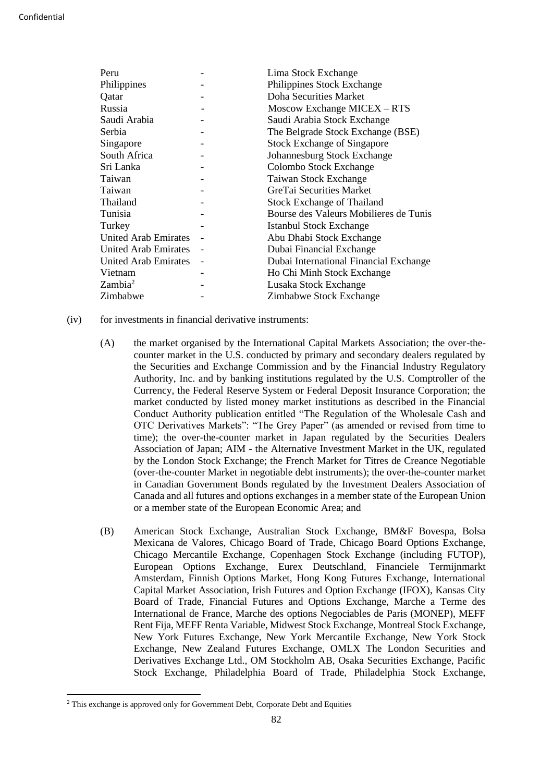| Peru                        | Lima Stock Exchange                    |
|-----------------------------|----------------------------------------|
| Philippines                 | Philippines Stock Exchange             |
| Qatar                       | Doha Securities Market                 |
| Russia                      | Moscow Exchange MICEX - RTS            |
| Saudi Arabia                | Saudi Arabia Stock Exchange            |
| Serbia                      | The Belgrade Stock Exchange (BSE)      |
| Singapore                   | <b>Stock Exchange of Singapore</b>     |
| South Africa                | Johannesburg Stock Exchange            |
| Sri Lanka                   | Colombo Stock Exchange                 |
| Taiwan                      | Taiwan Stock Exchange                  |
| Taiwan                      | GreTai Securities Market               |
| Thailand                    | <b>Stock Exchange of Thailand</b>      |
| Tunisia                     | Bourse des Valeurs Mobilieres de Tunis |
| Turkey                      | Istanbul Stock Exchange                |
| <b>United Arab Emirates</b> | Abu Dhabi Stock Exchange               |
| <b>United Arab Emirates</b> | Dubai Financial Exchange               |
| United Arab Emirates        | Dubai International Financial Exchange |
| Vietnam                     | Ho Chi Minh Stock Exchange             |
| Zambia <sup>2</sup>         | Lusaka Stock Exchange                  |
| Zimbabwe                    | Zimbabwe Stock Exchange                |

- (iv) for investments in financial derivative instruments:
	- (A) the market organised by the International Capital Markets Association; the over-thecounter market in the U.S. conducted by primary and secondary dealers regulated by the Securities and Exchange Commission and by the Financial Industry Regulatory Authority, Inc. and by banking institutions regulated by the U.S. Comptroller of the Currency, the Federal Reserve System or Federal Deposit Insurance Corporation; the market conducted by listed money market institutions as described in the Financial Conduct Authority publication entitled "The Regulation of the Wholesale Cash and OTC Derivatives Markets": "The Grey Paper" (as amended or revised from time to time); the over-the-counter market in Japan regulated by the Securities Dealers Association of Japan; AIM - the Alternative Investment Market in the UK, regulated by the London Stock Exchange; the French Market for Titres de Creance Negotiable (over-the-counter Market in negotiable debt instruments); the over-the-counter market in Canadian Government Bonds regulated by the Investment Dealers Association of Canada and all futures and options exchanges in a member state of the European Union or a member state of the European Economic Area; and
	- (B) American Stock Exchange, Australian Stock Exchange, BM&F Bovespa, Bolsa Mexicana de Valores, Chicago Board of Trade, Chicago Board Options Exchange, Chicago Mercantile Exchange, Copenhagen Stock Exchange (including FUTOP), European Options Exchange, Eurex Deutschland, Financiele Termijnmarkt Amsterdam, Finnish Options Market, Hong Kong Futures Exchange, International Capital Market Association, Irish Futures and Option Exchange (IFOX), Kansas City Board of Trade, Financial Futures and Options Exchange, Marche a Terme des International de France, Marche des options Negociables de Paris (MONEP), MEFF Rent Fija, MEFF Renta Variable, Midwest Stock Exchange, Montreal Stock Exchange, New York Futures Exchange, New York Mercantile Exchange, New York Stock Exchange, New Zealand Futures Exchange, OMLX The London Securities and Derivatives Exchange Ltd., OM Stockholm AB, Osaka Securities Exchange, Pacific Stock Exchange, Philadelphia Board of Trade, Philadelphia Stock Exchange,

<sup>&</sup>lt;sup>2</sup> This exchange is approved only for Government Debt, Corporate Debt and Equities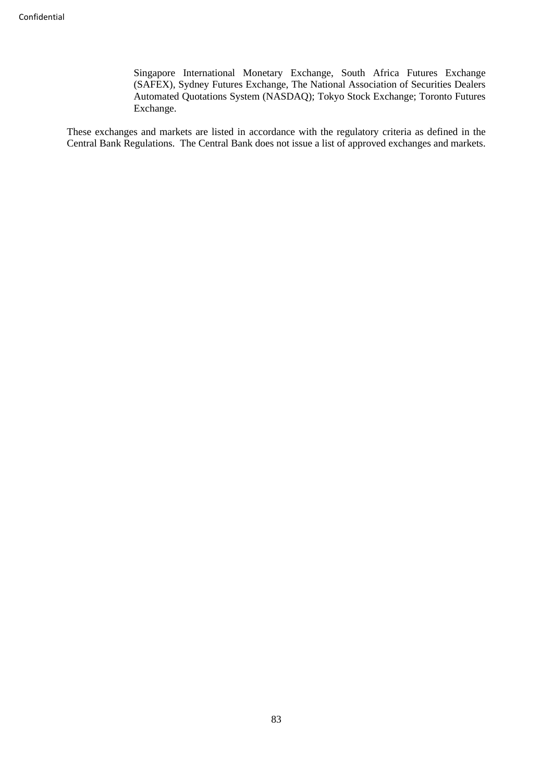Singapore International Monetary Exchange, South Africa Futures Exchange (SAFEX), Sydney Futures Exchange, The National Association of Securities Dealers Automated Quotations System (NASDAQ); Tokyo Stock Exchange; Toronto Futures Exchange.

These exchanges and markets are listed in accordance with the regulatory criteria as defined in the Central Bank Regulations. The Central Bank does not issue a list of approved exchanges and markets.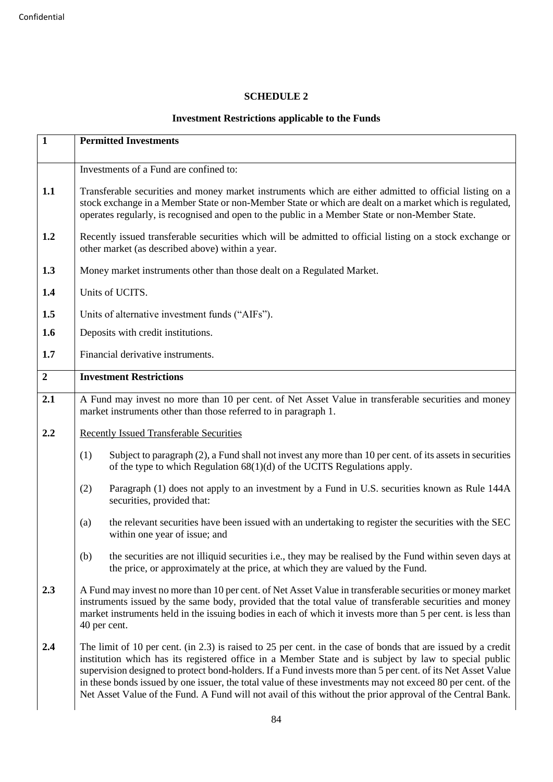# **SCHEDULE 2**

# **Investment Restrictions applicable to the Funds**

| $\mathbf{1}$   | <b>Permitted Investments</b>                                                                                                                                                                                                                                                                                                                                                                                                                                                                                                                                         |  |
|----------------|----------------------------------------------------------------------------------------------------------------------------------------------------------------------------------------------------------------------------------------------------------------------------------------------------------------------------------------------------------------------------------------------------------------------------------------------------------------------------------------------------------------------------------------------------------------------|--|
|                | Investments of a Fund are confined to:                                                                                                                                                                                                                                                                                                                                                                                                                                                                                                                               |  |
| 1.1            | Transferable securities and money market instruments which are either admitted to official listing on a<br>stock exchange in a Member State or non-Member State or which are dealt on a market which is regulated,<br>operates regularly, is recognised and open to the public in a Member State or non-Member State.                                                                                                                                                                                                                                                |  |
| 1.2            | Recently issued transferable securities which will be admitted to official listing on a stock exchange or<br>other market (as described above) within a year.                                                                                                                                                                                                                                                                                                                                                                                                        |  |
| 1.3            | Money market instruments other than those dealt on a Regulated Market.                                                                                                                                                                                                                                                                                                                                                                                                                                                                                               |  |
| 1.4            | Units of UCITS.                                                                                                                                                                                                                                                                                                                                                                                                                                                                                                                                                      |  |
| 1.5            | Units of alternative investment funds ("AIFs").                                                                                                                                                                                                                                                                                                                                                                                                                                                                                                                      |  |
| 1.6            | Deposits with credit institutions.                                                                                                                                                                                                                                                                                                                                                                                                                                                                                                                                   |  |
| 1.7            | Financial derivative instruments.                                                                                                                                                                                                                                                                                                                                                                                                                                                                                                                                    |  |
| $\overline{2}$ | <b>Investment Restrictions</b>                                                                                                                                                                                                                                                                                                                                                                                                                                                                                                                                       |  |
| 2.1            | A Fund may invest no more than 10 per cent. of Net Asset Value in transferable securities and money<br>market instruments other than those referred to in paragraph 1.                                                                                                                                                                                                                                                                                                                                                                                               |  |
| 2.2            | <b>Recently Issued Transferable Securities</b>                                                                                                                                                                                                                                                                                                                                                                                                                                                                                                                       |  |
|                | Subject to paragraph (2), a Fund shall not invest any more than 10 per cent. of its assets in securities<br>(1)<br>of the type to which Regulation $68(1)(d)$ of the UCITS Regulations apply.                                                                                                                                                                                                                                                                                                                                                                        |  |
|                | (2)<br>Paragraph (1) does not apply to an investment by a Fund in U.S. securities known as Rule 144A<br>securities, provided that:                                                                                                                                                                                                                                                                                                                                                                                                                                   |  |
|                | the relevant securities have been issued with an undertaking to register the securities with the SEC<br>(a)<br>within one year of issue; and                                                                                                                                                                                                                                                                                                                                                                                                                         |  |
|                | (b)<br>the securities are not illiquid securities i.e., they may be realised by the Fund within seven days at<br>the price, or approximately at the price, at which they are valued by the Fund.                                                                                                                                                                                                                                                                                                                                                                     |  |
| 2.3            | A Fund may invest no more than 10 per cent. of Net Asset Value in transferable securities or money market<br>instruments issued by the same body, provided that the total value of transferable securities and money<br>market instruments held in the issuing bodies in each of which it invests more than 5 per cent. is less than<br>40 per cent.                                                                                                                                                                                                                 |  |
| 2.4            | The limit of 10 per cent. (in 2.3) is raised to 25 per cent. in the case of bonds that are issued by a credit<br>institution which has its registered office in a Member State and is subject by law to special public<br>supervision designed to protect bond-holders. If a Fund invests more than 5 per cent. of its Net Asset Value<br>in these bonds issued by one issuer, the total value of these investments may not exceed 80 per cent. of the<br>Net Asset Value of the Fund. A Fund will not avail of this without the prior approval of the Central Bank. |  |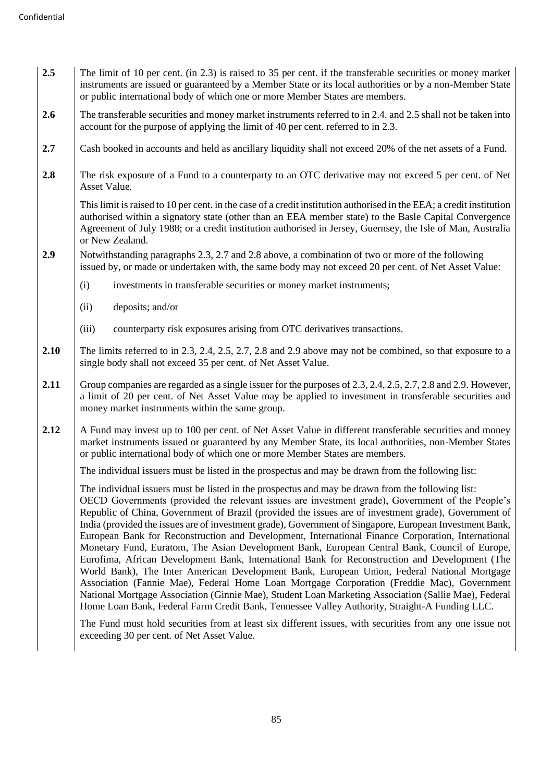- **2.5** The limit of 10 per cent. (in 2.3) is raised to 35 per cent. if the transferable securities or money market instruments are issued or guaranteed by a Member State or its local authorities or by a non-Member State or public international body of which one or more Member States are members.
- **2.6** The transferable securities and money market instruments referred to in 2.4. and 2.5 shall not be taken into account for the purpose of applying the limit of 40 per cent. referred to in 2.3.
- **2.7** Cash booked in accounts and held as ancillary liquidity shall not exceed 20% of the net assets of a Fund.
- **2.8** The risk exposure of a Fund to a counterparty to an OTC derivative may not exceed 5 per cent. of Net Asset Value.

This limit is raised to 10 per cent. in the case of a credit institution authorised in the EEA; a credit institution authorised within a signatory state (other than an EEA member state) to the Basle Capital Convergence Agreement of July 1988; or a credit institution authorised in Jersey, Guernsey, the Isle of Man, Australia or New Zealand.

- **2.9** Notwithstanding paragraphs 2.3, 2.7 and 2.8 above, a combination of two or more of the following issued by, or made or undertaken with, the same body may not exceed 20 per cent. of Net Asset Value:
	- (i) investments in transferable securities or money market instruments;
	- (ii) deposits; and/or
	- (iii) counterparty risk exposures arising from OTC derivatives transactions.
- **2.10** The limits referred to in 2.3, 2.4, 2.5, 2.7, 2.8 and 2.9 above may not be combined, so that exposure to a single body shall not exceed 35 per cent. of Net Asset Value.
- **2.11** Group companies are regarded as a single issuer for the purposes of 2.3, 2.4, 2.5, 2.7, 2.8 and 2.9. However, a limit of 20 per cent. of Net Asset Value may be applied to investment in transferable securities and money market instruments within the same group.
- **2.12** A Fund may invest up to 100 per cent. of Net Asset Value in different transferable securities and money market instruments issued or guaranteed by any Member State, its local authorities, non-Member States or public international body of which one or more Member States are members.

The individual issuers must be listed in the prospectus and may be drawn from the following list:

The individual issuers must be listed in the prospectus and may be drawn from the following list:

OECD Governments (provided the relevant issues are investment grade), Government of the People's Republic of China, Government of Brazil (provided the issues are of investment grade), Government of India (provided the issues are of investment grade), Government of Singapore, European Investment Bank, European Bank for Reconstruction and Development, International Finance Corporation, International Monetary Fund, Euratom, The Asian Development Bank, European Central Bank, Council of Europe, Eurofima, African Development Bank, International Bank for Reconstruction and Development (The World Bank), The Inter American Development Bank, European Union, Federal National Mortgage Association (Fannie Mae), Federal Home Loan Mortgage Corporation (Freddie Mac), Government National Mortgage Association (Ginnie Mae), Student Loan Marketing Association (Sallie Mae), Federal Home Loan Bank, Federal Farm Credit Bank, Tennessee Valley Authority, Straight-A Funding LLC.

The Fund must hold securities from at least six different issues, with securities from any one issue not exceeding 30 per cent. of Net Asset Value.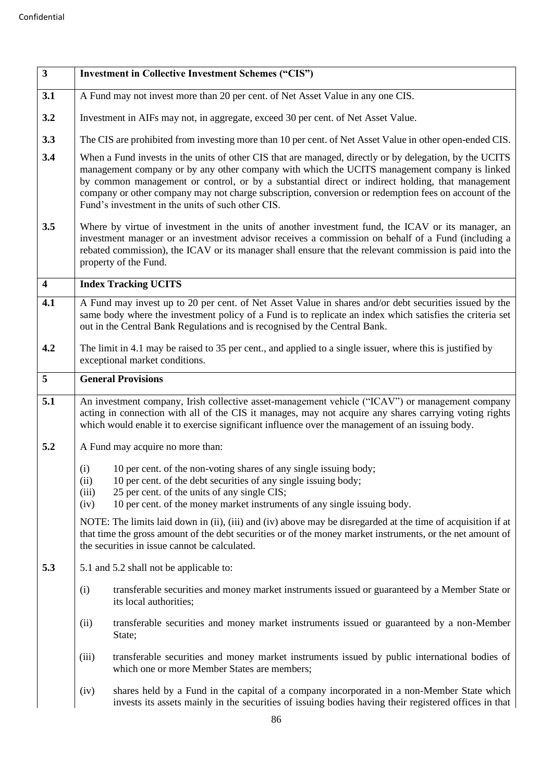| $\overline{\mathbf{3}}$ | <b>Investment in Collective Investment Schemes ("CIS")</b>                                                                                                                                                                                                                                                                                                                                                                                                                |  |
|-------------------------|---------------------------------------------------------------------------------------------------------------------------------------------------------------------------------------------------------------------------------------------------------------------------------------------------------------------------------------------------------------------------------------------------------------------------------------------------------------------------|--|
| 3.1                     | A Fund may not invest more than 20 per cent. of Net Asset Value in any one CIS.                                                                                                                                                                                                                                                                                                                                                                                           |  |
| 3.2                     | Investment in AIFs may not, in aggregate, exceed 30 per cent. of Net Asset Value.                                                                                                                                                                                                                                                                                                                                                                                         |  |
| 3.3                     | The CIS are prohibited from investing more than 10 per cent. of Net Asset Value in other open-ended CIS.                                                                                                                                                                                                                                                                                                                                                                  |  |
| 3.4                     | When a Fund invests in the units of other CIS that are managed, directly or by delegation, by the UCITS<br>management company or by any other company with which the UCITS management company is linked<br>by common management or control, or by a substantial direct or indirect holding, that management<br>company or other company may not charge subscription, conversion or redemption fees on account of the<br>Fund's investment in the units of such other CIS. |  |
| 3.5                     | Where by virtue of investment in the units of another investment fund, the ICAV or its manager, an<br>investment manager or an investment advisor receives a commission on behalf of a Fund (including a<br>rebated commission), the ICAV or its manager shall ensure that the relevant commission is paid into the<br>property of the Fund.                                                                                                                              |  |
| $\overline{\mathbf{4}}$ | <b>Index Tracking UCITS</b>                                                                                                                                                                                                                                                                                                                                                                                                                                               |  |
| 4.1                     | A Fund may invest up to 20 per cent. of Net Asset Value in shares and/or debt securities issued by the<br>same body where the investment policy of a Fund is to replicate an index which satisfies the criteria set<br>out in the Central Bank Regulations and is recognised by the Central Bank.                                                                                                                                                                         |  |
| 4.2                     | The limit in 4.1 may be raised to 35 per cent., and applied to a single issuer, where this is justified by<br>exceptional market conditions.                                                                                                                                                                                                                                                                                                                              |  |
| 5                       | <b>General Provisions</b>                                                                                                                                                                                                                                                                                                                                                                                                                                                 |  |
| 5.1                     | An investment company, Irish collective asset-management vehicle ("ICAV") or management company<br>acting in connection with all of the CIS it manages, may not acquire any shares carrying voting rights<br>which would enable it to exercise significant influence over the management of an issuing body.                                                                                                                                                              |  |
| 5.2                     | A Fund may acquire no more than:                                                                                                                                                                                                                                                                                                                                                                                                                                          |  |
|                         | 10 per cent. of the non-voting shares of any single issuing body;<br>(i)<br>10 per cent. of the debt securities of any single issuing body;<br>(ii)<br>25 per cent. of the units of any single CIS;<br>(iii)<br>10 per cent. of the money market instruments of any single issuing body.<br>(iv)                                                                                                                                                                          |  |
|                         | NOTE: The limits laid down in (ii), (iii) and (iv) above may be disregarded at the time of acquisition if at<br>that time the gross amount of the debt securities or of the money market instruments, or the net amount of<br>the securities in issue cannot be calculated.                                                                                                                                                                                               |  |
| 5.3                     | 5.1 and 5.2 shall not be applicable to:                                                                                                                                                                                                                                                                                                                                                                                                                                   |  |
|                         | transferable securities and money market instruments issued or guaranteed by a Member State or<br>(i)<br>its local authorities;                                                                                                                                                                                                                                                                                                                                           |  |
|                         | transferable securities and money market instruments issued or guaranteed by a non-Member<br>(ii)<br>State;                                                                                                                                                                                                                                                                                                                                                               |  |
|                         | transferable securities and money market instruments issued by public international bodies of<br>(iii)<br>which one or more Member States are members;                                                                                                                                                                                                                                                                                                                    |  |
|                         | shares held by a Fund in the capital of a company incorporated in a non-Member State which<br>(iv)<br>invests its assets mainly in the securities of issuing bodies having their registered offices in that                                                                                                                                                                                                                                                               |  |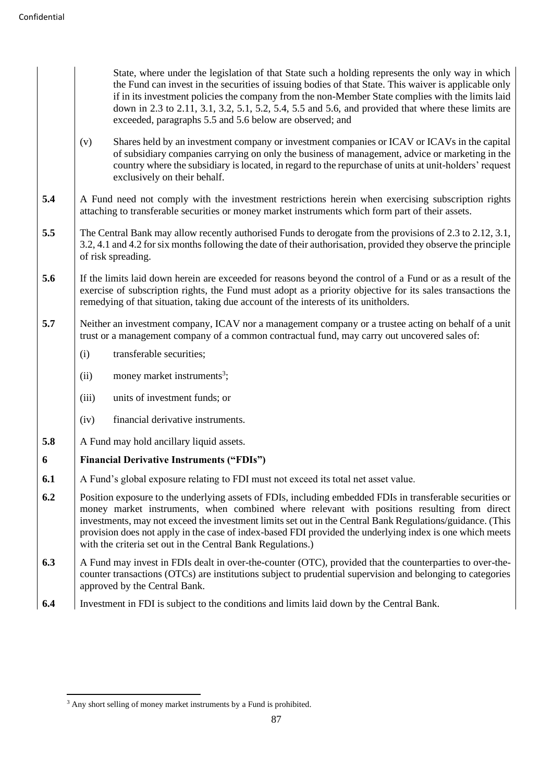State, where under the legislation of that State such a holding represents the only way in which the Fund can invest in the securities of issuing bodies of that State. This waiver is applicable only if in its investment policies the company from the non-Member State complies with the limits laid down in 2.3 to 2.11, 3.1, 3.2, 5.1, 5.2, 5.4, 5.5 and 5.6, and provided that where these limits are exceeded, paragraphs 5.5 and 5.6 below are observed; and

- (v) Shares held by an investment company or investment companies or ICAV or ICAVs in the capital of subsidiary companies carrying on only the business of management, advice or marketing in the country where the subsidiary is located, in regard to the repurchase of units at unit-holders' request exclusively on their behalf.
- **5.4** A Fund need not comply with the investment restrictions herein when exercising subscription rights attaching to transferable securities or money market instruments which form part of their assets.
- **5.5** The Central Bank may allow recently authorised Funds to derogate from the provisions of 2.3 to 2.12, 3.1, 3.2, 4.1 and 4.2 for six months following the date of their authorisation, provided they observe the principle of risk spreading.
- **5.6** If the limits laid down herein are exceeded for reasons beyond the control of a Fund or as a result of the exercise of subscription rights, the Fund must adopt as a priority objective for its sales transactions the remedying of that situation, taking due account of the interests of its unitholders.
- **5.7** Neither an investment company, ICAV nor a management company or a trustee acting on behalf of a unit trust or a management company of a common contractual fund, may carry out uncovered sales of:
	- (i) transferable securities;
	- $(ii)$  money market instruments<sup>3</sup>;
	- (iii) units of investment funds; or
	- (iv) financial derivative instruments.
- **5.8** A Fund may hold ancillary liquid assets.

# **6 Financial Derivative Instruments ("FDIs")**

- **6.1** A Fund's global exposure relating to FDI must not exceed its total net asset value.
- **6.2** Position exposure to the underlying assets of FDIs, including embedded FDIs in transferable securities or money market instruments, when combined where relevant with positions resulting from direct investments, may not exceed the investment limits set out in the Central Bank Regulations/guidance. (This provision does not apply in the case of index-based FDI provided the underlying index is one which meets with the criteria set out in the Central Bank Regulations.
- **6.3** A Fund may invest in FDIs dealt in over-the-counter (OTC), provided that the counterparties to over-thecounter transactions (OTCs) are institutions subject to prudential supervision and belonging to categories approved by the Central Bank.
- **6.4** Investment in FDI is subject to the conditions and limits laid down by the Central Bank.

<sup>&</sup>lt;sup>3</sup> Any short selling of money market instruments by a Fund is prohibited.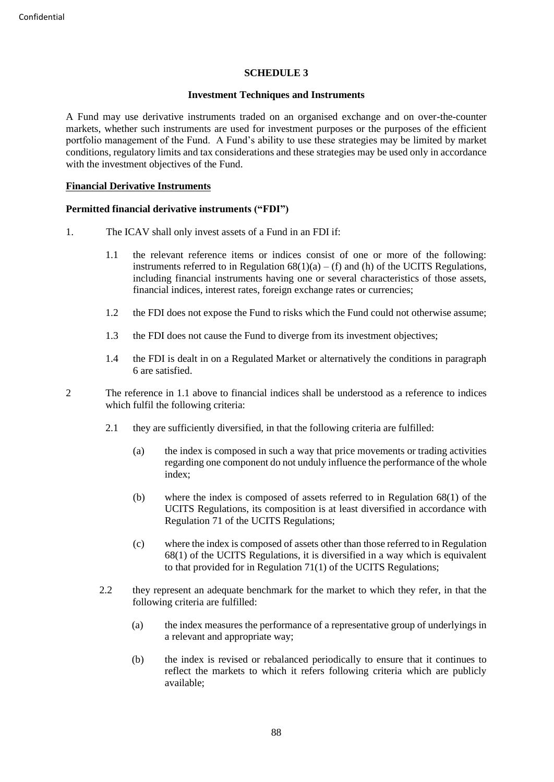### **SCHEDULE 3**

### **Investment Techniques and Instruments**

A Fund may use derivative instruments traded on an organised exchange and on over-the-counter markets, whether such instruments are used for investment purposes or the purposes of the efficient portfolio management of the Fund. A Fund's ability to use these strategies may be limited by market conditions, regulatory limits and tax considerations and these strategies may be used only in accordance with the investment objectives of the Fund.

### **Financial Derivative Instruments**

### **Permitted financial derivative instruments ("FDI")**

- 1. The ICAV shall only invest assets of a Fund in an FDI if:
	- 1.1 the relevant reference items or indices consist of one or more of the following: instruments referred to in Regulation  $68(1)(a) - (f)$  and (h) of the UCITS Regulations, including financial instruments having one or several characteristics of those assets, financial indices, interest rates, foreign exchange rates or currencies;
	- 1.2 the FDI does not expose the Fund to risks which the Fund could not otherwise assume;
	- 1.3 the FDI does not cause the Fund to diverge from its investment objectives;
	- 1.4 the FDI is dealt in on a Regulated Market or alternatively the conditions in paragraph 6 are satisfied.
- 2 The reference in 1.1 above to financial indices shall be understood as a reference to indices which fulfil the following criteria:
	- 2.1 they are sufficiently diversified, in that the following criteria are fulfilled:
		- (a) the index is composed in such a way that price movements or trading activities regarding one component do not unduly influence the performance of the whole index;
		- (b) where the index is composed of assets referred to in Regulation 68(1) of the UCITS Regulations, its composition is at least diversified in accordance with Regulation 71 of the UCITS Regulations;
		- (c) where the index is composed of assets other than those referred to in Regulation 68(1) of the UCITS Regulations, it is diversified in a way which is equivalent to that provided for in Regulation 71(1) of the UCITS Regulations;
	- 2.2 they represent an adequate benchmark for the market to which they refer, in that the following criteria are fulfilled:
		- (a) the index measures the performance of a representative group of underlyings in a relevant and appropriate way;
		- (b) the index is revised or rebalanced periodically to ensure that it continues to reflect the markets to which it refers following criteria which are publicly available;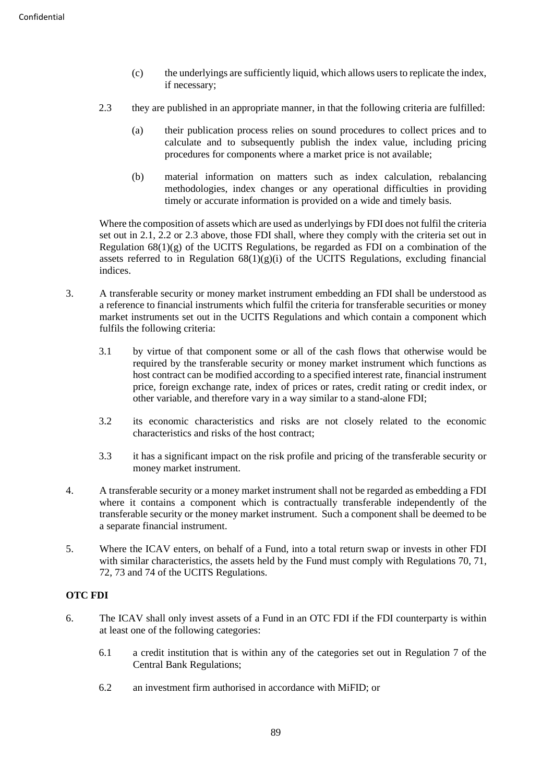- (c) the underlyings are sufficiently liquid, which allows users to replicate the index, if necessary;
- 2.3 they are published in an appropriate manner, in that the following criteria are fulfilled:
	- (a) their publication process relies on sound procedures to collect prices and to calculate and to subsequently publish the index value, including pricing procedures for components where a market price is not available;
	- (b) material information on matters such as index calculation, rebalancing methodologies, index changes or any operational difficulties in providing timely or accurate information is provided on a wide and timely basis.

Where the composition of assets which are used as underlyings by FDI does not fulfil the criteria set out in 2.1, 2.2 or 2.3 above, those FDI shall, where they comply with the criteria set out in Regulation  $68(1)(g)$  of the UCITS Regulations, be regarded as FDI on a combination of the assets referred to in Regulation  $68(1)(g)(i)$  of the UCITS Regulations, excluding financial indices.

- 3. A transferable security or money market instrument embedding an FDI shall be understood as a reference to financial instruments which fulfil the criteria for transferable securities or money market instruments set out in the UCITS Regulations and which contain a component which fulfils the following criteria:
	- 3.1 by virtue of that component some or all of the cash flows that otherwise would be required by the transferable security or money market instrument which functions as host contract can be modified according to a specified interest rate, financial instrument price, foreign exchange rate, index of prices or rates, credit rating or credit index, or other variable, and therefore vary in a way similar to a stand-alone FDI;
	- 3.2 its economic characteristics and risks are not closely related to the economic characteristics and risks of the host contract;
	- 3.3 it has a significant impact on the risk profile and pricing of the transferable security or money market instrument.
- 4. A transferable security or a money market instrument shall not be regarded as embedding a FDI where it contains a component which is contractually transferable independently of the transferable security or the money market instrument. Such a component shall be deemed to be a separate financial instrument.
- 5. Where the ICAV enters, on behalf of a Fund, into a total return swap or invests in other FDI with similar characteristics, the assets held by the Fund must comply with Regulations 70, 71, 72, 73 and 74 of the UCITS Regulations.

# **OTC FDI**

- 6. The ICAV shall only invest assets of a Fund in an OTC FDI if the FDI counterparty is within at least one of the following categories:
	- 6.1 a credit institution that is within any of the categories set out in Regulation 7 of the Central Bank Regulations;
	- 6.2 an investment firm authorised in accordance with MiFID; or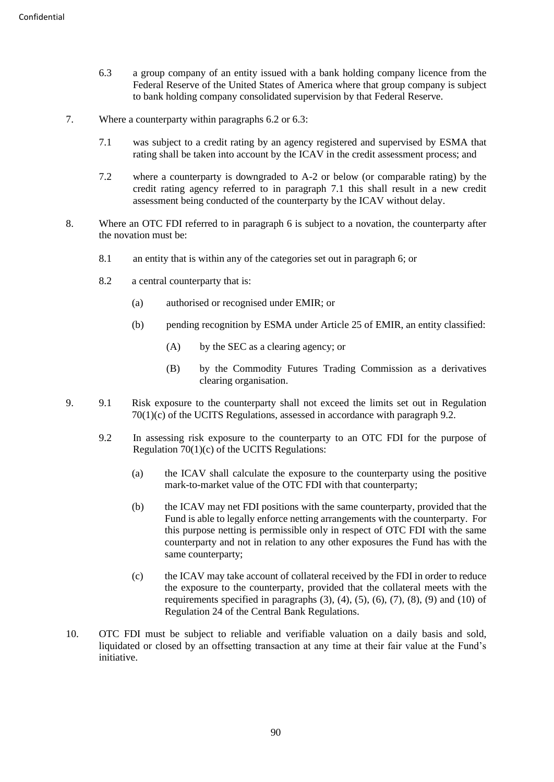- 6.3 a group company of an entity issued with a bank holding company licence from the Federal Reserve of the United States of America where that group company is subject to bank holding company consolidated supervision by that Federal Reserve.
- 7. Where a counterparty within paragraphs 6.2 or 6.3:
	- 7.1 was subject to a credit rating by an agency registered and supervised by ESMA that rating shall be taken into account by the ICAV in the credit assessment process; and
	- 7.2 where a counterparty is downgraded to A-2 or below (or comparable rating) by the credit rating agency referred to in paragraph 7.1 this shall result in a new credit assessment being conducted of the counterparty by the ICAV without delay.
- 8. Where an OTC FDI referred to in paragraph 6 is subject to a novation, the counterparty after the novation must be:
	- 8.1 an entity that is within any of the categories set out in paragraph 6; or
	- 8.2 a central counterparty that is:
		- (a) authorised or recognised under EMIR; or
		- (b) pending recognition by ESMA under Article 25 of EMIR, an entity classified:
			- (A) by the SEC as a clearing agency; or
			- (B) by the Commodity Futures Trading Commission as a derivatives clearing organisation.
- 9. 9.1 Risk exposure to the counterparty shall not exceed the limits set out in Regulation 70(1)(c) of the UCITS Regulations, assessed in accordance with paragraph 9.2.
	- 9.2 In assessing risk exposure to the counterparty to an OTC FDI for the purpose of Regulation 70(1)(c) of the UCITS Regulations:
		- (a) the ICAV shall calculate the exposure to the counterparty using the positive mark-to-market value of the OTC FDI with that counterparty;
		- (b) the ICAV may net FDI positions with the same counterparty, provided that the Fund is able to legally enforce netting arrangements with the counterparty. For this purpose netting is permissible only in respect of OTC FDI with the same counterparty and not in relation to any other exposures the Fund has with the same counterparty;
		- (c) the ICAV may take account of collateral received by the FDI in order to reduce the exposure to the counterparty, provided that the collateral meets with the requirements specified in paragraphs  $(3)$ ,  $(4)$ ,  $(5)$ ,  $(6)$ ,  $(7)$ ,  $(8)$ ,  $(9)$  and  $(10)$  of Regulation 24 of the Central Bank Regulations.
- 10. OTC FDI must be subject to reliable and verifiable valuation on a daily basis and sold, liquidated or closed by an offsetting transaction at any time at their fair value at the Fund's initiative.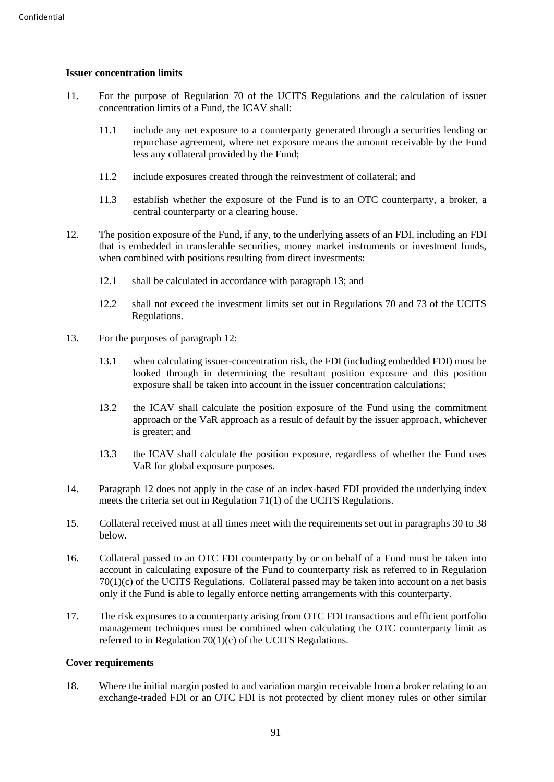# **Issuer concentration limits**

- 11. For the purpose of Regulation 70 of the UCITS Regulations and the calculation of issuer concentration limits of a Fund, the ICAV shall:
	- 11.1 include any net exposure to a counterparty generated through a securities lending or repurchase agreement, where net exposure means the amount receivable by the Fund less any collateral provided by the Fund;
	- 11.2 include exposures created through the reinvestment of collateral; and
	- 11.3 establish whether the exposure of the Fund is to an OTC counterparty, a broker, a central counterparty or a clearing house.
- 12. The position exposure of the Fund, if any, to the underlying assets of an FDI, including an FDI that is embedded in transferable securities, money market instruments or investment funds, when combined with positions resulting from direct investments:
	- 12.1 shall be calculated in accordance with paragraph 13; and
	- 12.2 shall not exceed the investment limits set out in Regulations 70 and 73 of the UCITS Regulations.
- 13. For the purposes of paragraph 12:
	- 13.1 when calculating issuer-concentration risk, the FDI (including embedded FDI) must be looked through in determining the resultant position exposure and this position exposure shall be taken into account in the issuer concentration calculations;
	- 13.2 the ICAV shall calculate the position exposure of the Fund using the commitment approach or the VaR approach as a result of default by the issuer approach, whichever is greater; and
	- 13.3 the ICAV shall calculate the position exposure, regardless of whether the Fund uses VaR for global exposure purposes.
- 14. Paragraph 12 does not apply in the case of an index-based FDI provided the underlying index meets the criteria set out in Regulation 71(1) of the UCITS Regulations.
- 15. Collateral received must at all times meet with the requirements set out in paragraphs 30 to 38 below.
- 16. Collateral passed to an OTC FDI counterparty by or on behalf of a Fund must be taken into account in calculating exposure of the Fund to counterparty risk as referred to in Regulation  $70(1)(c)$  of the UCITS Regulations. Collateral passed may be taken into account on a net basis only if the Fund is able to legally enforce netting arrangements with this counterparty.
- 17. The risk exposures to a counterparty arising from OTC FDI transactions and efficient portfolio management techniques must be combined when calculating the OTC counterparty limit as referred to in Regulation 70(1)(c) of the UCITS Regulations.

# **Cover requirements**

18. Where the initial margin posted to and variation margin receivable from a broker relating to an exchange-traded FDI or an OTC FDI is not protected by client money rules or other similar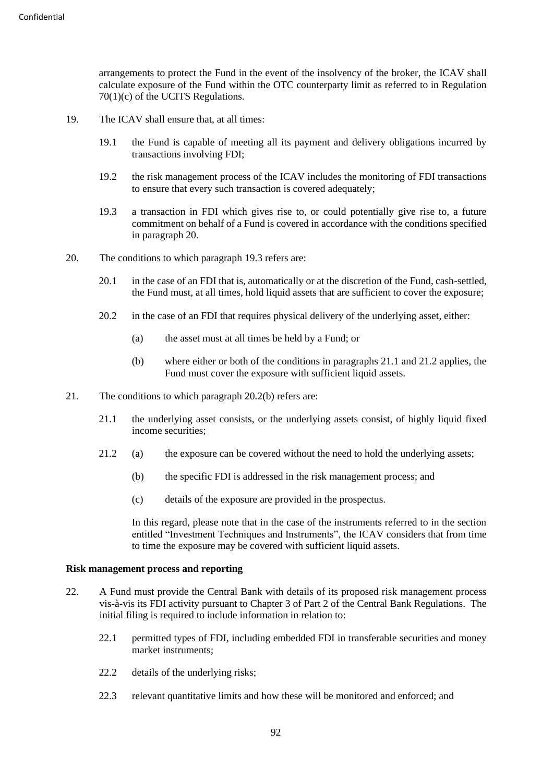arrangements to protect the Fund in the event of the insolvency of the broker, the ICAV shall calculate exposure of the Fund within the OTC counterparty limit as referred to in Regulation 70(1)(c) of the UCITS Regulations.

- 19. The ICAV shall ensure that, at all times:
	- 19.1 the Fund is capable of meeting all its payment and delivery obligations incurred by transactions involving FDI;
	- 19.2 the risk management process of the ICAV includes the monitoring of FDI transactions to ensure that every such transaction is covered adequately;
	- 19.3 a transaction in FDI which gives rise to, or could potentially give rise to, a future commitment on behalf of a Fund is covered in accordance with the conditions specified in paragraph 20.
- 20. The conditions to which paragraph 19.3 refers are:
	- 20.1 in the case of an FDI that is, automatically or at the discretion of the Fund, cash-settled, the Fund must, at all times, hold liquid assets that are sufficient to cover the exposure;
	- 20.2 in the case of an FDI that requires physical delivery of the underlying asset, either:
		- (a) the asset must at all times be held by a Fund; or
		- (b) where either or both of the conditions in paragraphs 21.1 and 21.2 applies, the Fund must cover the exposure with sufficient liquid assets.
- 21. The conditions to which paragraph 20.2(b) refers are:
	- 21.1 the underlying asset consists, or the underlying assets consist, of highly liquid fixed income securities;
	- 21.2 (a) the exposure can be covered without the need to hold the underlying assets;
		- (b) the specific FDI is addressed in the risk management process; and
		- (c) details of the exposure are provided in the prospectus.

In this regard, please note that in the case of the instruments referred to in the section entitled "Investment Techniques and Instruments", the ICAV considers that from time to time the exposure may be covered with sufficient liquid assets.

### **Risk management process and reporting**

- 22. A Fund must provide the Central Bank with details of its proposed risk management process vis-à-vis its FDI activity pursuant to Chapter 3 of Part 2 of the Central Bank Regulations. The initial filing is required to include information in relation to:
	- 22.1 permitted types of FDI, including embedded FDI in transferable securities and money market instruments;
	- 22.2 details of the underlying risks;
	- 22.3 relevant quantitative limits and how these will be monitored and enforced; and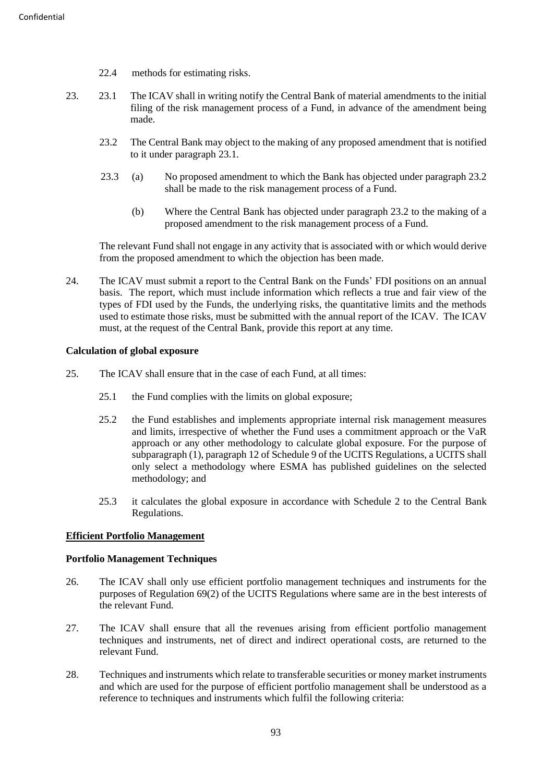- 22.4 methods for estimating risks.
- 23. 23.1 The ICAV shall in writing notify the Central Bank of material amendments to the initial filing of the risk management process of a Fund, in advance of the amendment being made.
	- 23.2 The Central Bank may object to the making of any proposed amendment that is notified to it under paragraph 23.1.
	- 23.3 (a) No proposed amendment to which the Bank has objected under paragraph 23.2 shall be made to the risk management process of a Fund.
		- (b) Where the Central Bank has objected under paragraph 23.2 to the making of a proposed amendment to the risk management process of a Fund.

The relevant Fund shall not engage in any activity that is associated with or which would derive from the proposed amendment to which the objection has been made.

24. The ICAV must submit a report to the Central Bank on the Funds' FDI positions on an annual basis. The report, which must include information which reflects a true and fair view of the types of FDI used by the Funds, the underlying risks, the quantitative limits and the methods used to estimate those risks, must be submitted with the annual report of the ICAV. The ICAV must, at the request of the Central Bank, provide this report at any time.

### **Calculation of global exposure**

- 25. The ICAV shall ensure that in the case of each Fund, at all times:
	- 25.1 the Fund complies with the limits on global exposure;
	- 25.2 the Fund establishes and implements appropriate internal risk management measures and limits, irrespective of whether the Fund uses a commitment approach or the VaR approach or any other methodology to calculate global exposure. For the purpose of subparagraph (1), paragraph 12 of Schedule 9 of the UCITS Regulations, a UCITS shall only select a methodology where ESMA has published guidelines on the selected methodology; and
	- 25.3 it calculates the global exposure in accordance with Schedule 2 to the Central Bank Regulations.

# **Efficient Portfolio Management**

### **Portfolio Management Techniques**

- 26. The ICAV shall only use efficient portfolio management techniques and instruments for the purposes of Regulation 69(2) of the UCITS Regulations where same are in the best interests of the relevant Fund.
- 27. The ICAV shall ensure that all the revenues arising from efficient portfolio management techniques and instruments, net of direct and indirect operational costs, are returned to the relevant Fund.
- 28. Techniques and instruments which relate to transferable securities or money market instruments and which are used for the purpose of efficient portfolio management shall be understood as a reference to techniques and instruments which fulfil the following criteria: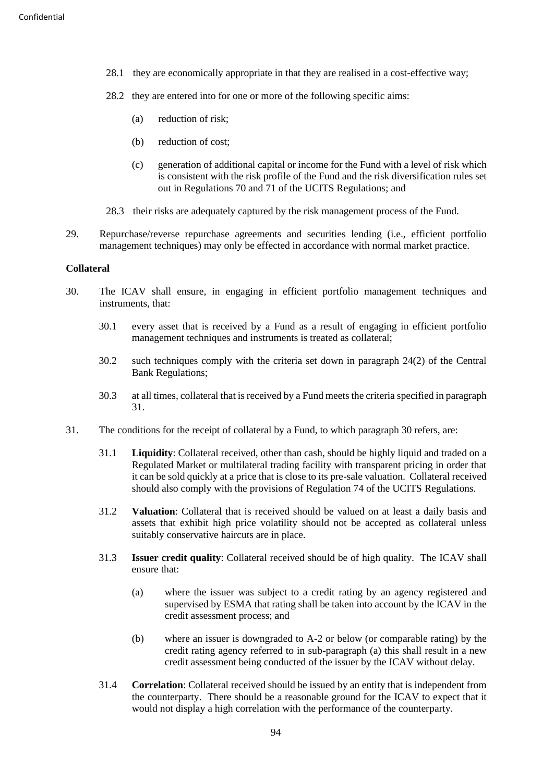- 28.1 they are economically appropriate in that they are realised in a cost-effective way;
- 28.2 they are entered into for one or more of the following specific aims:
	- (a) reduction of risk;
	- (b) reduction of cost;
	- (c) generation of additional capital or income for the Fund with a level of risk which is consistent with the risk profile of the Fund and the risk diversification rules set out in Regulations 70 and 71 of the UCITS Regulations; and
- 28.3 their risks are adequately captured by the risk management process of the Fund.
- 29. Repurchase/reverse repurchase agreements and securities lending (i.e., efficient portfolio management techniques) may only be effected in accordance with normal market practice.

### **Collateral**

- 30. The ICAV shall ensure, in engaging in efficient portfolio management techniques and instruments, that:
	- 30.1 every asset that is received by a Fund as a result of engaging in efficient portfolio management techniques and instruments is treated as collateral;
	- 30.2 such techniques comply with the criteria set down in paragraph 24(2) of the Central Bank Regulations;
	- 30.3 at all times, collateral that is received by a Fund meets the criteria specified in paragraph 31.
- 31. The conditions for the receipt of collateral by a Fund, to which paragraph 30 refers, are:
	- 31.1 **Liquidity**: Collateral received, other than cash, should be highly liquid and traded on a Regulated Market or multilateral trading facility with transparent pricing in order that it can be sold quickly at a price that is close to its pre-sale valuation. Collateral received should also comply with the provisions of Regulation 74 of the UCITS Regulations.
	- 31.2 **Valuation**: Collateral that is received should be valued on at least a daily basis and assets that exhibit high price volatility should not be accepted as collateral unless suitably conservative haircuts are in place.
	- 31.3 **Issuer credit quality**: Collateral received should be of high quality. The ICAV shall ensure that:
		- (a) where the issuer was subject to a credit rating by an agency registered and supervised by ESMA that rating shall be taken into account by the ICAV in the credit assessment process; and
		- (b) where an issuer is downgraded to A-2 or below (or comparable rating) by the credit rating agency referred to in sub-paragraph (a) this shall result in a new credit assessment being conducted of the issuer by the ICAV without delay.
	- 31.4 **Correlation**: Collateral received should be issued by an entity that is independent from the counterparty. There should be a reasonable ground for the ICAV to expect that it would not display a high correlation with the performance of the counterparty.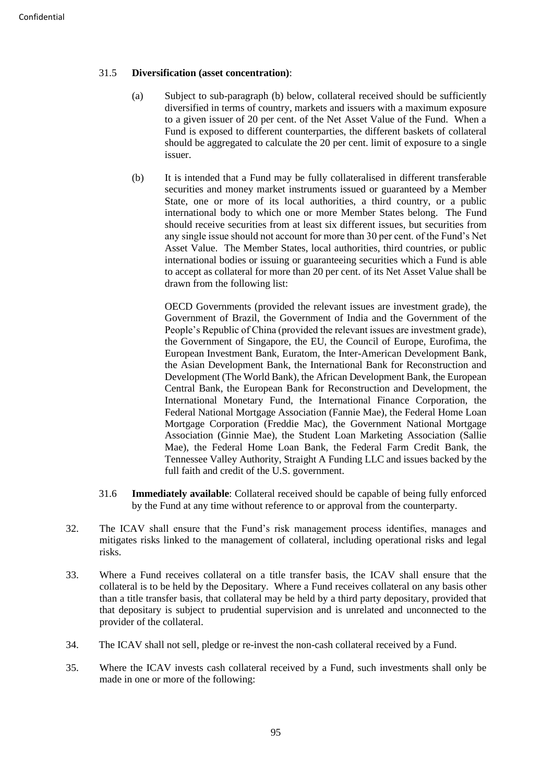# 31.5 **Diversification (asset concentration)**:

- (a) Subject to sub-paragraph (b) below, collateral received should be sufficiently diversified in terms of country, markets and issuers with a maximum exposure to a given issuer of 20 per cent. of the Net Asset Value of the Fund. When a Fund is exposed to different counterparties, the different baskets of collateral should be aggregated to calculate the 20 per cent. limit of exposure to a single issuer.
- (b) It is intended that a Fund may be fully collateralised in different transferable securities and money market instruments issued or guaranteed by a Member State, one or more of its local authorities, a third country, or a public international body to which one or more Member States belong. The Fund should receive securities from at least six different issues, but securities from any single issue should not account for more than 30 per cent. of the Fund's Net Asset Value. The Member States, local authorities, third countries, or public international bodies or issuing or guaranteeing securities which a Fund is able to accept as collateral for more than 20 per cent. of its Net Asset Value shall be drawn from the following list:

OECD Governments (provided the relevant issues are investment grade), the Government of Brazil, the Government of India and the Government of the People's Republic of China (provided the relevant issues are investment grade), the Government of Singapore, the EU, the Council of Europe, Eurofima, the European Investment Bank, Euratom, the Inter-American Development Bank, the Asian Development Bank, the International Bank for Reconstruction and Development (The World Bank), the African Development Bank, the European Central Bank, the European Bank for Reconstruction and Development, the International Monetary Fund, the International Finance Corporation, the Federal National Mortgage Association (Fannie Mae), the Federal Home Loan Mortgage Corporation (Freddie Mac), the Government National Mortgage Association (Ginnie Mae), the Student Loan Marketing Association (Sallie Mae), the Federal Home Loan Bank, the Federal Farm Credit Bank, the Tennessee Valley Authority, Straight A Funding LLC and issues backed by the full faith and credit of the U.S. government.

- 31.6 **Immediately available**: Collateral received should be capable of being fully enforced by the Fund at any time without reference to or approval from the counterparty.
- 32. The ICAV shall ensure that the Fund's risk management process identifies, manages and mitigates risks linked to the management of collateral, including operational risks and legal risks.
- 33. Where a Fund receives collateral on a title transfer basis, the ICAV shall ensure that the collateral is to be held by the Depositary. Where a Fund receives collateral on any basis other than a title transfer basis, that collateral may be held by a third party depositary, provided that that depositary is subject to prudential supervision and is unrelated and unconnected to the provider of the collateral.
- 34. The ICAV shall not sell, pledge or re-invest the non-cash collateral received by a Fund.
- 35. Where the ICAV invests cash collateral received by a Fund, such investments shall only be made in one or more of the following: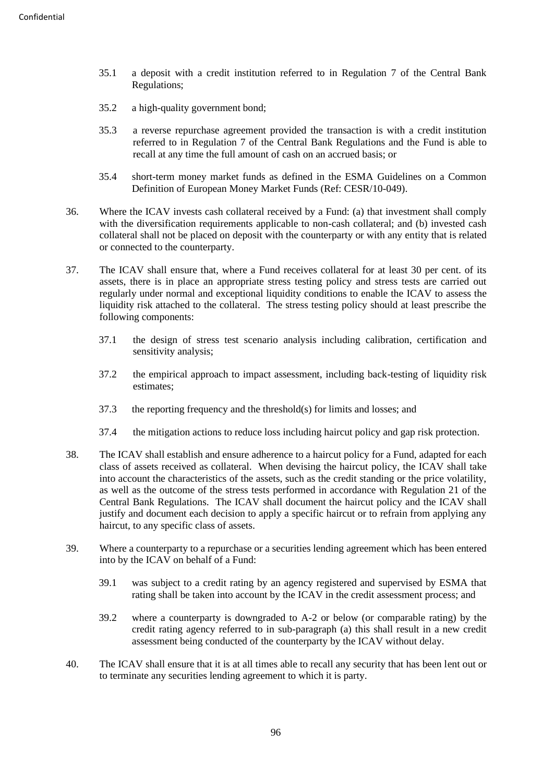- 35.1 a deposit with a credit institution referred to in Regulation 7 of the Central Bank Regulations;
- 35.2 a high-quality government bond;
- 35.3 a reverse repurchase agreement provided the transaction is with a credit institution referred to in Regulation 7 of the Central Bank Regulations and the Fund is able to recall at any time the full amount of cash on an accrued basis; or
- 35.4 short-term money market funds as defined in the ESMA Guidelines on a Common Definition of European Money Market Funds (Ref: CESR/10-049).
- 36. Where the ICAV invests cash collateral received by a Fund: (a) that investment shall comply with the diversification requirements applicable to non-cash collateral; and (b) invested cash collateral shall not be placed on deposit with the counterparty or with any entity that is related or connected to the counterparty.
- 37. The ICAV shall ensure that, where a Fund receives collateral for at least 30 per cent. of its assets, there is in place an appropriate stress testing policy and stress tests are carried out regularly under normal and exceptional liquidity conditions to enable the ICAV to assess the liquidity risk attached to the collateral. The stress testing policy should at least prescribe the following components:
	- 37.1 the design of stress test scenario analysis including calibration, certification and sensitivity analysis;
	- 37.2 the empirical approach to impact assessment, including back-testing of liquidity risk estimates;
	- 37.3 the reporting frequency and the threshold(s) for limits and losses; and
	- 37.4 the mitigation actions to reduce loss including haircut policy and gap risk protection.
- 38. The ICAV shall establish and ensure adherence to a haircut policy for a Fund, adapted for each class of assets received as collateral. When devising the haircut policy, the ICAV shall take into account the characteristics of the assets, such as the credit standing or the price volatility, as well as the outcome of the stress tests performed in accordance with Regulation 21 of the Central Bank Regulations. The ICAV shall document the haircut policy and the ICAV shall justify and document each decision to apply a specific haircut or to refrain from applying any haircut, to any specific class of assets.
- 39. Where a counterparty to a repurchase or a securities lending agreement which has been entered into by the ICAV on behalf of a Fund:
	- 39.1 was subject to a credit rating by an agency registered and supervised by ESMA that rating shall be taken into account by the ICAV in the credit assessment process; and
	- 39.2 where a counterparty is downgraded to A-2 or below (or comparable rating) by the credit rating agency referred to in sub-paragraph (a) this shall result in a new credit assessment being conducted of the counterparty by the ICAV without delay.
- 40. The ICAV shall ensure that it is at all times able to recall any security that has been lent out or to terminate any securities lending agreement to which it is party.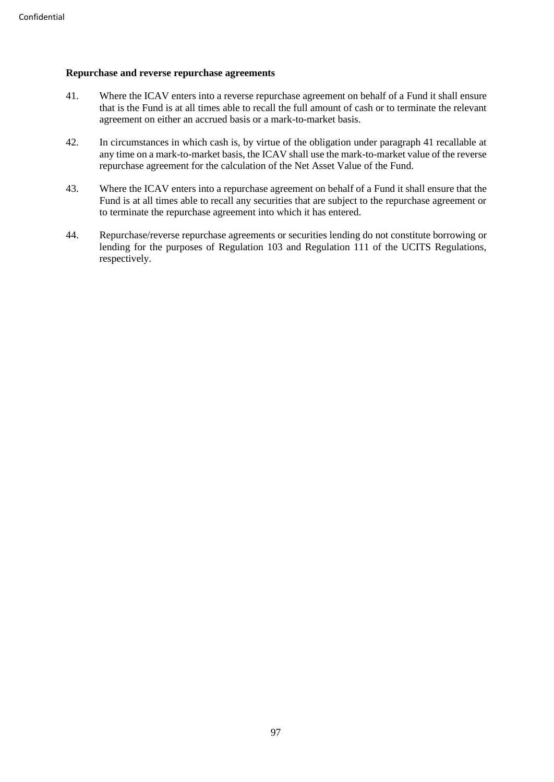## **Repurchase and reverse repurchase agreements**

- 41. Where the ICAV enters into a reverse repurchase agreement on behalf of a Fund it shall ensure that is the Fund is at all times able to recall the full amount of cash or to terminate the relevant agreement on either an accrued basis or a mark-to-market basis.
- 42. In circumstances in which cash is, by virtue of the obligation under paragraph 41 recallable at any time on a mark-to-market basis, the ICAV shall use the mark-to-market value of the reverse repurchase agreement for the calculation of the Net Asset Value of the Fund.
- 43. Where the ICAV enters into a repurchase agreement on behalf of a Fund it shall ensure that the Fund is at all times able to recall any securities that are subject to the repurchase agreement or to terminate the repurchase agreement into which it has entered.
- 44. Repurchase/reverse repurchase agreements or securities lending do not constitute borrowing or lending for the purposes of Regulation 103 and Regulation 111 of the UCITS Regulations, respectively.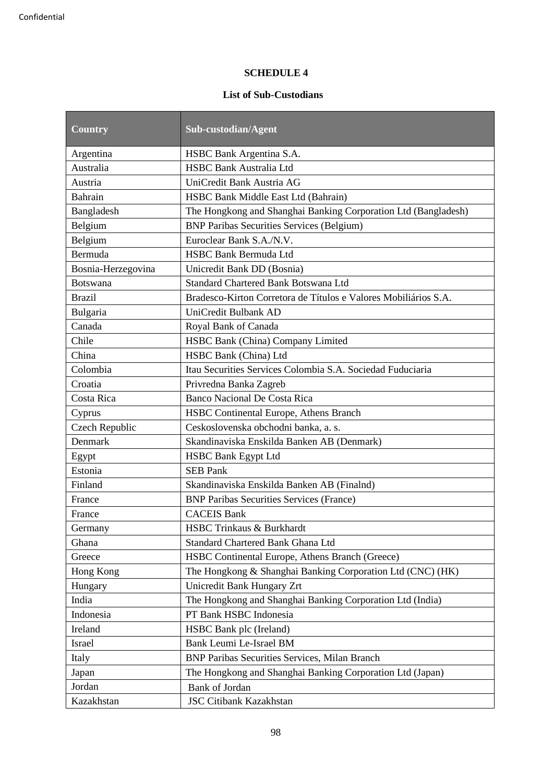# **SCHEDULE 4**

# **List of Sub-Custodians**

| <b>Country</b>     | Sub-custodian/Agent                                             |
|--------------------|-----------------------------------------------------------------|
| Argentina          | HSBC Bank Argentina S.A.                                        |
| Australia          | <b>HSBC Bank Australia Ltd</b>                                  |
| Austria            | UniCredit Bank Austria AG                                       |
| Bahrain            | HSBC Bank Middle East Ltd (Bahrain)                             |
| Bangladesh         | The Hongkong and Shanghai Banking Corporation Ltd (Bangladesh)  |
| Belgium            | <b>BNP Paribas Securities Services (Belgium)</b>                |
| Belgium            | Euroclear Bank S.A./N.V.                                        |
| Bermuda            | <b>HSBC Bank Bermuda Ltd</b>                                    |
| Bosnia-Herzegovina | Unicredit Bank DD (Bosnia)                                      |
| <b>Botswana</b>    | <b>Standard Chartered Bank Botswana Ltd</b>                     |
| <b>Brazil</b>      | Bradesco-Kirton Corretora de Títulos e Valores Mobiliários S.A. |
| Bulgaria           | UniCredit Bulbank AD                                            |
| Canada             | Royal Bank of Canada                                            |
| Chile              | HSBC Bank (China) Company Limited                               |
| China              | HSBC Bank (China) Ltd                                           |
| Colombia           | Itau Securities Services Colombia S.A. Sociedad Fuduciaria      |
| Croatia            | Privredna Banka Zagreb                                          |
| Costa Rica         | Banco Nacional De Costa Rica                                    |
| Cyprus             | HSBC Continental Europe, Athens Branch                          |
| Czech Republic     | Ceskoslovenska obchodni banka, a. s.                            |
| Denmark            | Skandinaviska Enskilda Banken AB (Denmark)                      |
| Egypt              | <b>HSBC Bank Egypt Ltd</b>                                      |
| Estonia            | <b>SEB Pank</b>                                                 |
| Finland            | Skandinaviska Enskilda Banken AB (Finalnd)                      |
| France             | <b>BNP Paribas Securities Services (France)</b>                 |
| France             | <b>CACEIS Bank</b>                                              |
| Germany            | HSBC Trinkaus & Burkhardt                                       |
| Ghana              | Standard Chartered Bank Ghana Ltd                               |
| Greece             | HSBC Continental Europe, Athens Branch (Greece)                 |
| Hong Kong          | The Hongkong & Shanghai Banking Corporation Ltd (CNC) (HK)      |
| Hungary            | Unicredit Bank Hungary Zrt                                      |
| India              | The Hongkong and Shanghai Banking Corporation Ltd (India)       |
| Indonesia          | PT Bank HSBC Indonesia                                          |
| Ireland            | HSBC Bank plc (Ireland)                                         |
| Israel             | Bank Leumi Le-Israel BM                                         |
| Italy              | <b>BNP Paribas Securities Services, Milan Branch</b>            |
| Japan              | The Hongkong and Shanghai Banking Corporation Ltd (Japan)       |
| Jordan             | <b>Bank of Jordan</b>                                           |
| Kazakhstan         | <b>JSC Citibank Kazakhstan</b>                                  |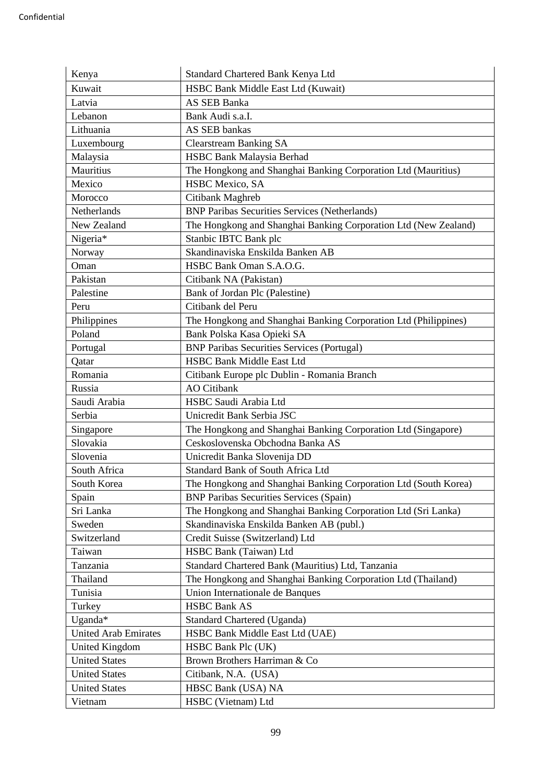| Kenya                       | Standard Chartered Bank Kenya Ltd                               |
|-----------------------------|-----------------------------------------------------------------|
| Kuwait                      | HSBC Bank Middle East Ltd (Kuwait)                              |
| Latvia                      | <b>AS SEB Banka</b>                                             |
| Lebanon                     | Bank Audi s.a.I.                                                |
| Lithuania                   | <b>AS SEB bankas</b>                                            |
| Luxembourg                  | <b>Clearstream Banking SA</b>                                   |
| Malaysia                    | HSBC Bank Malaysia Berhad                                       |
| Mauritius                   | The Hongkong and Shanghai Banking Corporation Ltd (Mauritius)   |
| Mexico                      | HSBC Mexico, SA                                                 |
| Morocco                     | Citibank Maghreb                                                |
| Netherlands                 | <b>BNP Paribas Securities Services (Netherlands)</b>            |
| New Zealand                 | The Hongkong and Shanghai Banking Corporation Ltd (New Zealand) |
| Nigeria*                    | Stanbic IBTC Bank plc                                           |
| Norway                      | Skandinaviska Enskilda Banken AB                                |
| Oman                        | HSBC Bank Oman S.A.O.G.                                         |
| Pakistan                    | Citibank NA (Pakistan)                                          |
| Palestine                   | Bank of Jordan Plc (Palestine)                                  |
| Peru                        | Citibank del Peru                                               |
| Philippines                 | The Hongkong and Shanghai Banking Corporation Ltd (Philippines) |
| Poland                      | Bank Polska Kasa Opieki SA                                      |
| Portugal                    | <b>BNP Paribas Securities Services (Portugal)</b>               |
| Qatar                       | <b>HSBC Bank Middle East Ltd</b>                                |
| Romania                     | Citibank Europe plc Dublin - Romania Branch                     |
| Russia                      | <b>AO</b> Citibank                                              |
| Saudi Arabia                | HSBC Saudi Arabia Ltd                                           |
| Serbia                      | Unicredit Bank Serbia JSC                                       |
| Singapore                   | The Hongkong and Shanghai Banking Corporation Ltd (Singapore)   |
| Slovakia                    | Ceskoslovenska Obchodna Banka AS                                |
| Slovenia                    | Unicredit Banka Slovenija DD                                    |
| South Africa                | Standard Bank of South Africa Ltd                               |
| South Korea                 | The Hongkong and Shanghai Banking Corporation Ltd (South Korea) |
| Spain                       | <b>BNP Paribas Securities Services (Spain)</b>                  |
| Sri Lanka                   | The Hongkong and Shanghai Banking Corporation Ltd (Sri Lanka)   |
| Sweden                      | Skandinaviska Enskilda Banken AB (publ.)                        |
| Switzerland                 | Credit Suisse (Switzerland) Ltd                                 |
| Taiwan                      | HSBC Bank (Taiwan) Ltd                                          |
| Tanzania                    | Standard Chartered Bank (Mauritius) Ltd, Tanzania               |
| Thailand                    | The Hongkong and Shanghai Banking Corporation Ltd (Thailand)    |
| Tunisia                     | Union Internationale de Banques                                 |
| Turkey                      | <b>HSBC Bank AS</b>                                             |
| Uganda*                     | <b>Standard Chartered (Uganda)</b>                              |
| <b>United Arab Emirates</b> | HSBC Bank Middle East Ltd (UAE)                                 |
| <b>United Kingdom</b>       | HSBC Bank Plc (UK)                                              |
| <b>United States</b>        | Brown Brothers Harriman & Co                                    |
| <b>United States</b>        | Citibank, N.A. (USA)                                            |
| <b>United States</b>        | HBSC Bank (USA) NA                                              |
| Vietnam                     | HSBC (Vietnam) Ltd                                              |
|                             |                                                                 |